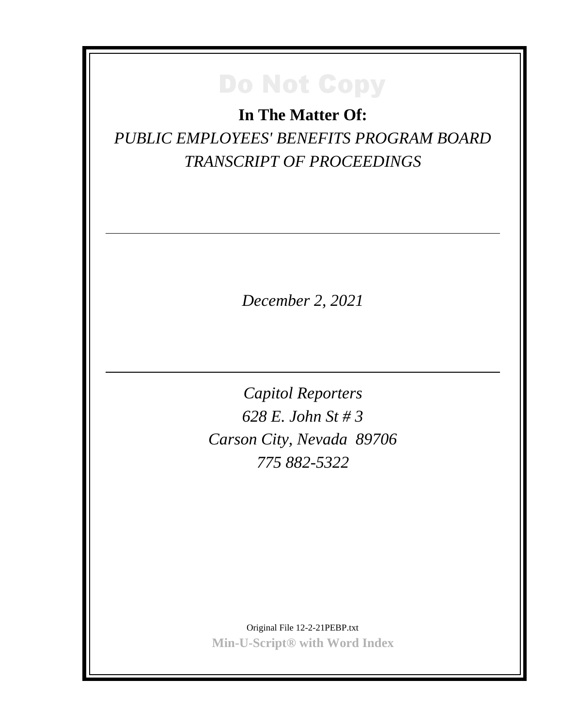**In The Matter Of:** *PUBLIC EMPLOYEES' BENEFITS PROGRAM BOARD TRANSCRIPT OF PROCEEDINGS*

*December 2, 2021*

*Capitol Reporters 628 E. John St # 3 Carson City, Nevada 89706 775 882-5322*

Original File 12-2-21PEBP.txt **Min-U-Script® with Word Index**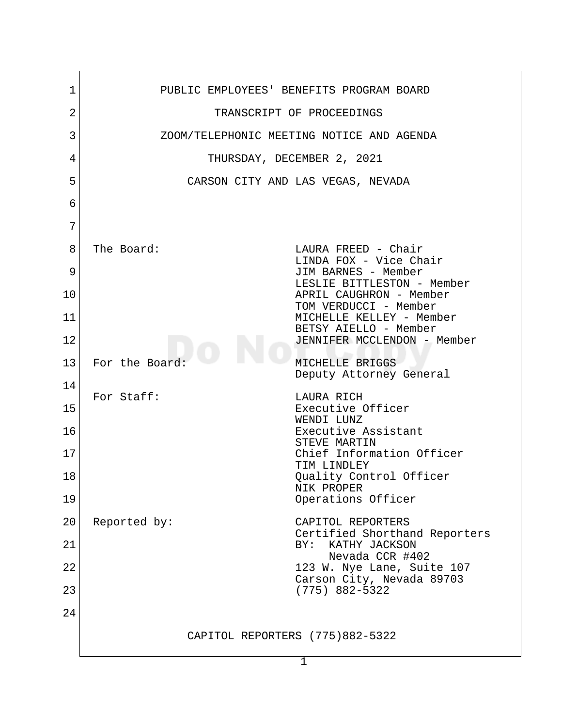| 1  | PUBLIC EMPLOYEES' BENEFITS PROGRAM BOARD                           |
|----|--------------------------------------------------------------------|
| 2  | TRANSCRIPT OF PROCEEDINGS                                          |
| 3  | ZOOM/TELEPHONIC MEETING NOTICE AND AGENDA                          |
| 4  | THURSDAY, DECEMBER 2, 2021                                         |
| 5  | CARSON CITY AND LAS VEGAS, NEVADA                                  |
| 6  |                                                                    |
| 7  |                                                                    |
| 8  | The Board:<br>LAURA FREED - Chair<br>LINDA FOX - Vice Chair        |
| 9  | JIM BARNES - Member<br>LESLIE BITTLESTON - Member                  |
| 10 | APRIL CAUGHRON - Member<br>TOM VERDUCCI - Member                   |
| 11 | MICHELLE KELLEY - Member<br>BETSY AIELLO - Member                  |
| 12 | JENNIFER MCCLENDON - Member                                        |
| 13 | For the Board:<br>MICHELLE BRIGGS<br>Deputy Attorney General       |
| 14 | For Staff:<br>LAURA RICH                                           |
| 15 | Executive Officer<br>WENDI LUNZ                                    |
| 16 | Executive Assistant<br>STEVE MARTIN                                |
| 17 | Chief Information Officer<br>TIM LINDLEY                           |
| 18 | Quality Control Officer<br>NIK PROPER                              |
| 19 | Operations Officer                                                 |
| 20 | Reported by:<br>CAPITOL REPORTERS<br>Certified Shorthand Reporters |
| 21 | KATHY JACKSON<br>BY:<br>Nevada CCR #402                            |
| 22 | 123 W. Nye Lane, Suite 107<br>Carson City, Nevada 89703            |
| 23 | $(775) 882 - 5322$                                                 |
| 24 |                                                                    |
|    | CAPITOL REPORTERS (775)882-5322                                    |
|    |                                                                    |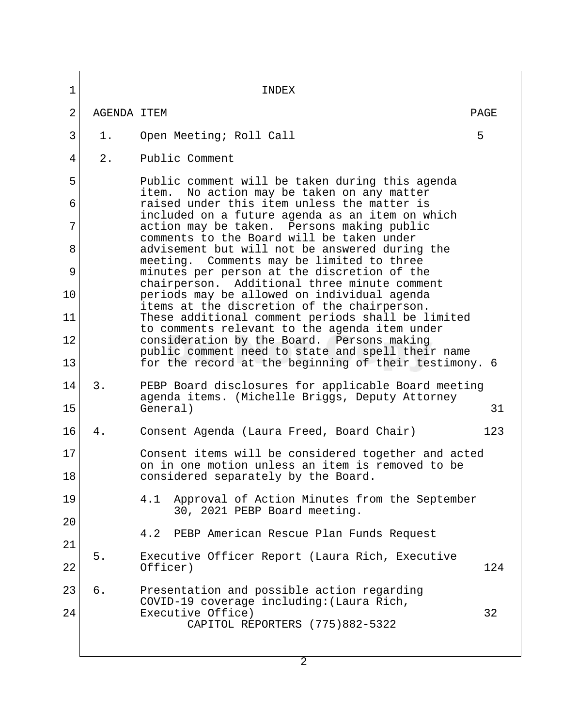| 1              |             | INDEX                                                                                                                                                                                         |      |
|----------------|-------------|-----------------------------------------------------------------------------------------------------------------------------------------------------------------------------------------------|------|
| $\overline{2}$ | AGENDA ITEM |                                                                                                                                                                                               | PAGE |
| 3              | 1.          | Open Meeting; Roll Call                                                                                                                                                                       | 5    |
| 4              | 2.          | Public Comment                                                                                                                                                                                |      |
| 5              |             | Public comment will be taken during this agenda                                                                                                                                               |      |
| 6              |             | No action may be taken on any matter<br>item.<br>raised under this item unless the matter is<br>included on a future agenda as an item on which<br>action may be taken. Persons making public |      |
| 7              |             |                                                                                                                                                                                               |      |
| 8              |             | comments to the Board will be taken under<br>advisement but will not be answered during the                                                                                                   |      |
| 9              |             | meeting. Comments may be limited to three<br>minutes per person at the discretion of the<br>chairperson. Additional three minute comment                                                      |      |
| 10             |             | periods may be allowed on individual agenda<br>items at the discretion of the chairperson.                                                                                                    |      |
| 11             |             | These additional comment periods shall be limited<br>to comments relevant to the agenda item under                                                                                            |      |
| 12             |             | consideration by the Board. Persons making<br>public comment need to state and spell their name                                                                                               |      |
| 13             |             | for the record at the beginning of their testimony. 6                                                                                                                                         |      |
| 14             | 3.          | PEBP Board disclosures for applicable Board meeting<br>agenda items. (Michelle Briggs, Deputy Attorney                                                                                        |      |
| 15             |             | General)                                                                                                                                                                                      | 31   |
| 16             | 4.          | Consent Agenda (Laura Freed, Board Chair)                                                                                                                                                     | 123  |
| 17             |             | Consent items will be considered together and acted<br>on in one motion unless an item is removed to be                                                                                       |      |
| 18             |             | considered separately by the Board.                                                                                                                                                           |      |
| 19             |             | Approval of Action Minutes from the September<br>4.1<br>30, 2021 PEBP Board meeting.                                                                                                          |      |
| 20             |             |                                                                                                                                                                                               |      |
| 21             |             | PEBP American Rescue Plan Funds Request<br>4.2                                                                                                                                                |      |
| 22             | 5.          | Executive Officer Report (Laura Rich, Executive<br>Officer)                                                                                                                                   | 124  |
| 23             | б.          | Presentation and possible action regarding                                                                                                                                                    |      |
| 24             |             | COVID-19 coverage including: (Laura Rich,<br>Executive Office)                                                                                                                                | 32   |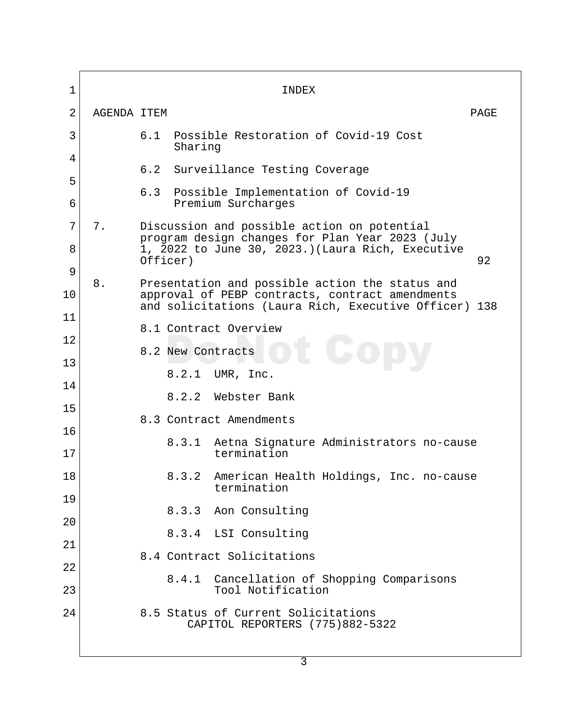1 INDEX 2 AGENDA ITEM 2007 AGENERAL PAGE 3 6.1 Possible Restoration of Covid-19 Cost Sharing 4 6.2 Surveillance Testing Coverage 5 6.3 Possible Implementation of Covid-19 6 Premium Surcharges  $7$  7. Discussion and possible action on potential program design changes for Plan Year 2023 (July 8 1, 2022 to June 30, 2023.)(Laura Rich, Executive<br>Officer) 92 Officer) 92 9 8. Presentation and possible action the status and 10 approval of PEBP contracts, contract amendments and solicitations (Laura Rich, Executive Officer) 138 11 8.1 Contract Overview 12 8.2 New Contracts 13 8.2.1 UMR, Inc. 14 8.2.2 Webster Bank 15 8.3 Contract Amendments 16 8.3.1 Aetna Signature Administrators no-cause 17 termination 18 8.3.2 American Health Holdings, Inc. no-cause termination 19 8.3.3 Aon Consulting 20 8.3.4 LSI Consulting 21 8.4 Contract Solicitations 22 8.4.1 Cancellation of Shopping Comparisons 23 Tool Notification 24 8.5 Status of Current Solicitations CAPITOL REPORTERS (775)882-5322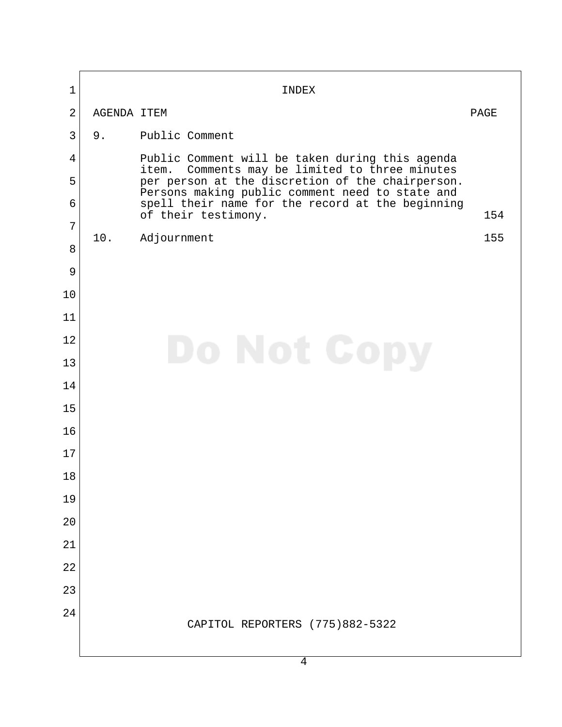| $\mathbf{1}$   |             | INDEX                                                                                                                                                                                                                            |      |
|----------------|-------------|----------------------------------------------------------------------------------------------------------------------------------------------------------------------------------------------------------------------------------|------|
| $\overline{2}$ | AGENDA ITEM |                                                                                                                                                                                                                                  | PAGE |
| $\overline{3}$ | 9.          | Public Comment                                                                                                                                                                                                                   |      |
| 4              |             | Public Comment will be taken during this agenda                                                                                                                                                                                  |      |
| 5              |             | item. Comments may be limited to three minutes<br>per person at the discretion of the chairperson.<br>Persons making public comment need to state and<br>spell their name for the record at the beginning<br>of their testimony. |      |
| 6              |             |                                                                                                                                                                                                                                  | 154  |
| $\overline{7}$ | 10.         | Adjournment                                                                                                                                                                                                                      | 155  |
| 8              |             |                                                                                                                                                                                                                                  |      |
| 9              |             |                                                                                                                                                                                                                                  |      |
| 10             |             |                                                                                                                                                                                                                                  |      |
| 11             |             |                                                                                                                                                                                                                                  |      |
| 12             | Do Not Cop  |                                                                                                                                                                                                                                  |      |
| 13             |             |                                                                                                                                                                                                                                  |      |
| 14             |             |                                                                                                                                                                                                                                  |      |
| 15             |             |                                                                                                                                                                                                                                  |      |
| 16             |             |                                                                                                                                                                                                                                  |      |
| 17             |             |                                                                                                                                                                                                                                  |      |
| 18             |             |                                                                                                                                                                                                                                  |      |
| 19<br>20       |             |                                                                                                                                                                                                                                  |      |
| 21             |             |                                                                                                                                                                                                                                  |      |
| 22             |             |                                                                                                                                                                                                                                  |      |
| 23             |             |                                                                                                                                                                                                                                  |      |
| 24             |             |                                                                                                                                                                                                                                  |      |
|                |             | CAPITOL REPORTERS (775)882-5322                                                                                                                                                                                                  |      |
|                |             | $\overline{4}$                                                                                                                                                                                                                   |      |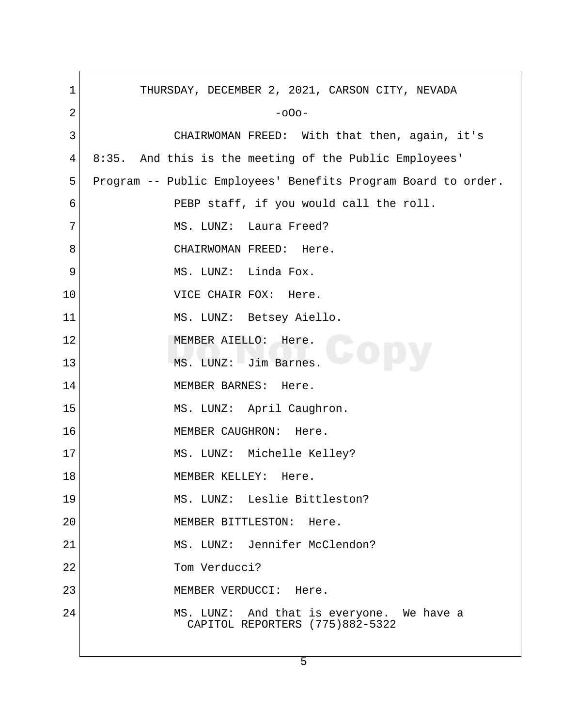| 1  | THURSDAY, DECEMBER 2, 2021, CARSON CITY, NEVADA                              |
|----|------------------------------------------------------------------------------|
| 2  | $-000-$                                                                      |
| 3  | CHAIRWOMAN FREED: With that then, again, it's                                |
| 4  | 8:35. And this is the meeting of the Public Employees'                       |
| 5  | Program -- Public Employees' Benefits Program Board to order.                |
| 6  | PEBP staff, if you would call the roll.                                      |
| 7  | MS. LUNZ: Laura Freed?                                                       |
| 8  | CHAIRWOMAN FREED: Here.                                                      |
| 9  | MS. LUNZ: Linda Fox.                                                         |
| 10 | VICE CHAIR FOX: Here.                                                        |
| 11 | MS. LUNZ: Betsey Aiello.                                                     |
| 12 | MEMBER AIELLO: Here.                                                         |
| 13 | MS. LUNZ: Jim Barnes.                                                        |
| 14 | MEMBER BARNES: Here.                                                         |
| 15 | MS. LUNZ: April Caughron.                                                    |
| 16 | MEMBER CAUGHRON: Here.                                                       |
| 17 | MS. LUNZ: Michelle Kelley?                                                   |
| 18 | MEMBER KELLEY:<br>Here.                                                      |
| 19 | MS. LUNZ: Leslie Bittleston?                                                 |
| 20 | MEMBER BITTLESTON: Here.                                                     |
| 21 | MS. LUNZ: Jennifer McClendon?                                                |
| 22 | Tom Verducci?                                                                |
| 23 | MEMBER VERDUCCI: Here.                                                       |
| 24 | MS. LUNZ: And that is everyone. We have a<br>CAPITOL REPORTERS (775)882-5322 |
|    |                                                                              |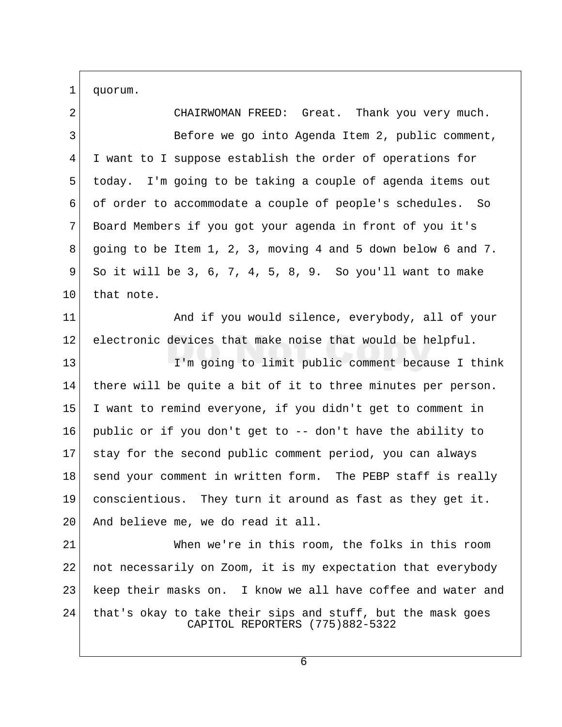1 quorum.

 2 CHAIRWOMAN FREED: Great. Thank you very much. 3 Before we go into Agenda Item 2, public comment, 4 I want to I suppose establish the order of operations for 5 today. I'm going to be taking a couple of agenda items out 6 of order to accommodate a couple of people's schedules. So 7 Board Members if you got your agenda in front of you it's 8 going to be Item 1, 2, 3, moving 4 and 5 down below 6 and 7. 9 So it will be 3, 6, 7, 4, 5, 8, 9. So you'll want to make 10 that note. 11 And if you would silence, everybody, all of your 12 electronic devices that make noise that would be helpful. 13 I'm going to limit public comment because I think 14 there will be quite a bit of it to three minutes per person. 15 I want to remind everyone, if you didn't get to comment in 16 public or if you don't get to -- don't have the ability to 17 stay for the second public comment period, you can always 18 send your comment in written form. The PEBP staff is really 19 conscientious. They turn it around as fast as they get it. 20 And believe me, we do read it all. 21 When we're in this room, the folks in this room 22 not necessarily on Zoom, it is my expectation that everybody 23 keep their masks on. I know we all have coffee and water and 24 | that's okay to take their sips and stuff, but the mask goes CAPITOL REPORTERS (775)882-5322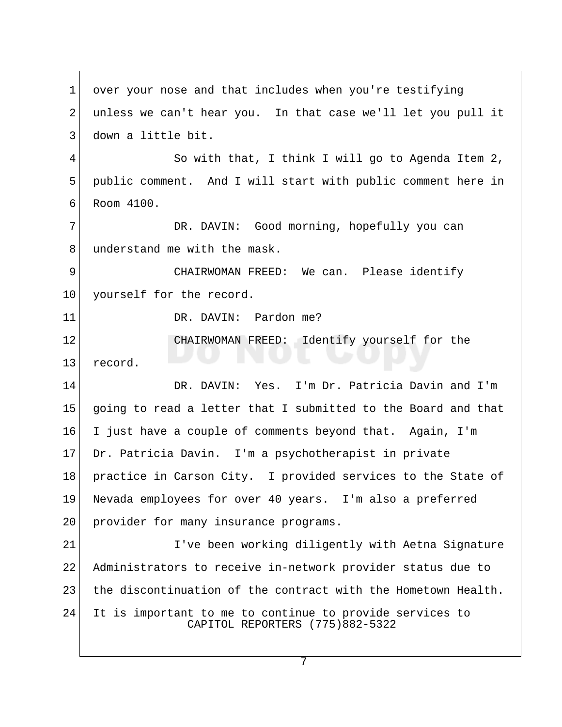1 over your nose and that includes when you're testifying 2 unless we can't hear you. In that case we'll let you pull it 3 down a little bit. 4 So with that, I think I will go to Agenda Item 2, 5 public comment. And I will start with public comment here in 6 Room 4100. 7 DR. DAVIN: Good morning, hopefully you can 8 understand me with the mask. 9 CHAIRWOMAN FREED: We can. Please identify 10 yourself for the record. 11 DR. DAVIN: Pardon me? 12 CHAIRWOMAN FREED: Identify yourself for the 13 record. 14 DR. DAVIN: Yes. I'm Dr. Patricia Davin and I'm 15 going to read a letter that I submitted to the Board and that 16 I just have a couple of comments beyond that. Again, I'm 17 Dr. Patricia Davin. I'm a psychotherapist in private 18 practice in Carson City. I provided services to the State of 19 Nevada employees for over 40 years. I'm also a preferred 20 provider for many insurance programs. 21 I've been working diligently with Aetna Signature 22 Administrators to receive in-network provider status due to 23 the discontinuation of the contract with the Hometown Health. 24 It is important to me to continue to provide services to CAPITOL REPORTERS (775)882-5322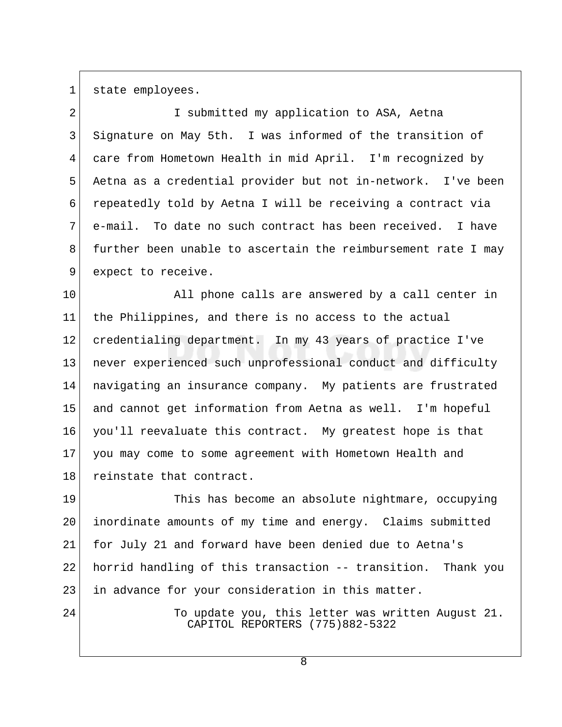1 state employees.

2 I submitted my application to ASA, Aetna 3 Signature on May 5th. I was informed of the transition of 4 care from Hometown Health in mid April. I'm recognized by 5 Aetna as a credential provider but not in-network. I've been 6 repeatedly told by Aetna I will be receiving a contract via 7 e-mail. To date no such contract has been received. I have 8 further been unable to ascertain the reimbursement rate I may 9 expect to receive.

10 All phone calls are answered by a call center in 11 the Philippines, and there is no access to the actual 12 credentialing department. In my 43 years of practice I've 13 never experienced such unprofessional conduct and difficulty 14 navigating an insurance company. My patients are frustrated 15 and cannot get information from Aetna as well. I'm hopeful 16 you'll reevaluate this contract. My greatest hope is that 17 you may come to some agreement with Hometown Health and 18 reinstate that contract.

19 This has become an absolute nightmare, occupying 20 inordinate amounts of my time and energy. Claims submitted 21 for July 21 and forward have been denied due to Aetna's 22 horrid handling of this transaction -- transition. Thank you 23 in advance for your consideration in this matter.

24 To update you, this letter was written August 21. CAPITOL REPORTERS (775)882-5322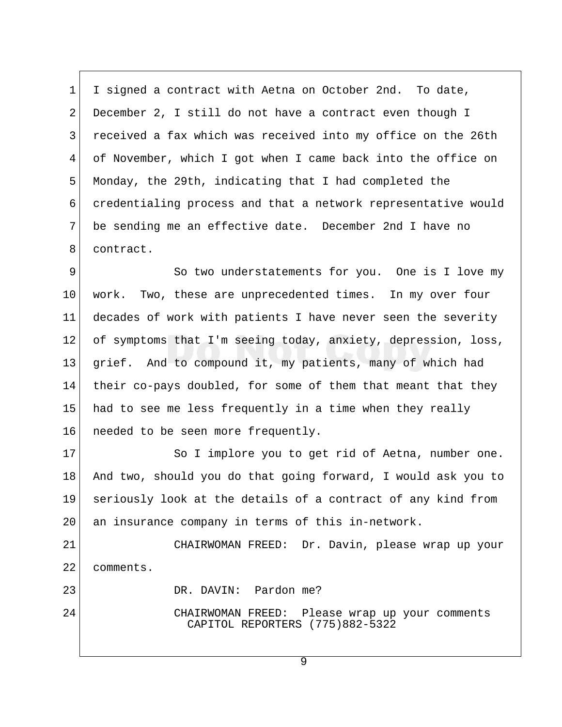1 I signed a contract with Aetna on October 2nd. To date, 2 December 2, I still do not have a contract even though I 3 received a fax which was received into my office on the 26th 4 of November, which I got when I came back into the office on 5 Monday, the 29th, indicating that I had completed the 6 credentialing process and that a network representative would 7 be sending me an effective date. December 2nd I have no 8 contract.

9 So two understatements for you. One is I love my 10 work. Two, these are unprecedented times. In my over four 11 decades of work with patients I have never seen the severity 12 of symptoms that I'm seeing today, anxiety, depression, loss, 13 grief. And to compound it, my patients, many of which had 14 their co-pays doubled, for some of them that meant that they 15 had to see me less frequently in a time when they really 16 | needed to be seen more frequently.

17 So I implore you to get rid of Aetna, number one. 18 And two, should you do that going forward, I would ask you to 19 seriously look at the details of a contract of any kind from 20 an insurance company in terms of this in-network.

21 CHAIRWOMAN FREED: Dr. Davin, please wrap up your 22 comments.

23 DR. DAVIN: Pardon me?

24 CHAIRWOMAN FREED: Please wrap up your comments CAPITOL REPORTERS (775)882-5322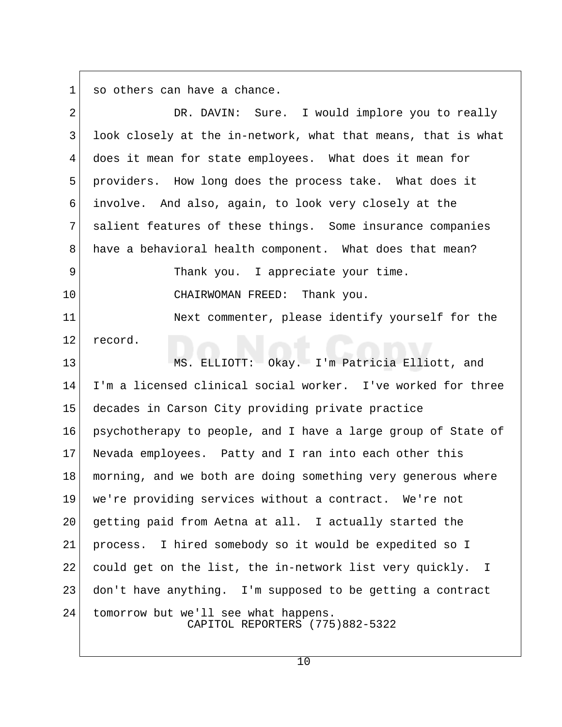$1$  so others can have a chance.

| $\overline{2}$ | DR. DAVIN: Sure. I would implore you to really                          |
|----------------|-------------------------------------------------------------------------|
| $\mathsf{3}$   | look closely at the in-network, what that means, that is what           |
| 4              | does it mean for state employees. What does it mean for                 |
| 5              | providers. How long does the process take. What does it                 |
| 6              | involve. And also, again, to look very closely at the                   |
| 7              | salient features of these things. Some insurance companies              |
| 8              | have a behavioral health component. What does that mean?                |
| 9              | Thank you. I appreciate your time.                                      |
| 10             | CHAIRWOMAN FREED: Thank you.                                            |
| 11             | Next commenter, please identify yourself for the                        |
| 12             | record.                                                                 |
| 13             | MS. ELLIOTT: Okay. I'm Patricia Elliott, and                            |
| 14             | I'm a licensed clinical social worker. I've worked for three            |
| 15             | decades in Carson City providing private practice                       |
| 16             | psychotherapy to people, and I have a large group of State of           |
| 17             | Nevada employees. Patty and I ran into each other this                  |
| 18             | morning, and we both are doing something very generous where            |
| 19             | we're providing services without a contract. We're not                  |
| 20             | getting paid from Aetna at all. I actually started the                  |
| 21             | process. I hired somebody so it would be expedited so I                 |
| 22             | could get on the list, the in-network list very quickly. I              |
| 23             | don't have anything. I'm supposed to be getting a contract              |
| 24             | tomorrow but we'll see what happens.<br>CAPITOL REPORTERS (775)882-5322 |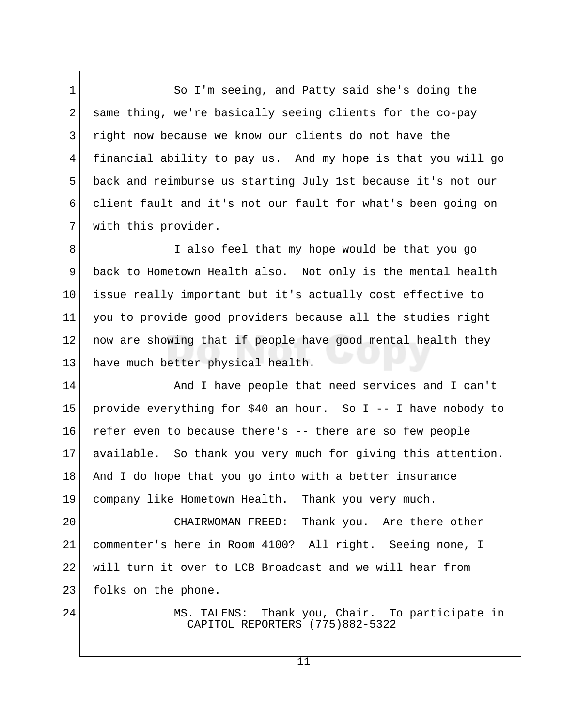1 So I'm seeing, and Patty said she's doing the 2 same thing, we're basically seeing clients for the co-pay 3 right now because we know our clients do not have the 4 financial ability to pay us. And my hope is that you will go 5 back and reimburse us starting July 1st because it's not our 6 client fault and it's not our fault for what's been going on 7 with this provider.

8 I also feel that my hope would be that you go 9 back to Hometown Health also. Not only is the mental health 10 issue really important but it's actually cost effective to 11 you to provide good providers because all the studies right 12 now are showing that if people have good mental health they 13 have much better physical health.

14 And I have people that need services and I can't 15 provide everything for \$40 an hour. So I -- I have nobody to 16 refer even to because there's -- there are so few people 17 available. So thank you very much for giving this attention. 18 And I do hope that you go into with a better insurance 19 company like Hometown Health. Thank you very much.

20 CHAIRWOMAN FREED: Thank you. Are there other 21 commenter's here in Room 4100? All right. Seeing none, I 22 will turn it over to LCB Broadcast and we will hear from 23 folks on the phone.

24 MS. TALENS: Thank you, Chair. To participate in CAPITOL REPORTERS (775)882-5322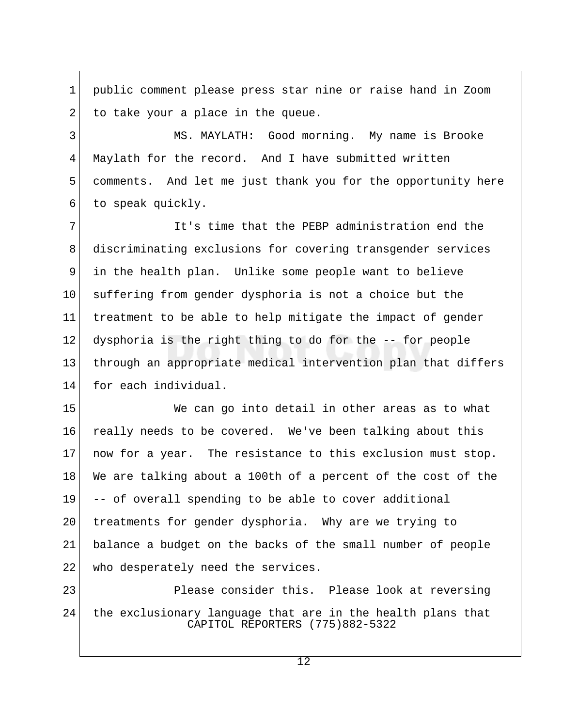1 public comment please press star nine or raise hand in Zoom  $2$  to take your a place in the queue.

 3 MS. MAYLATH: Good morning. My name is Brooke 4 Maylath for the record. And I have submitted written 5 comments. And let me just thank you for the opportunity here 6 to speak quickly.

 7 It's time that the PEBP administration end the 8 discriminating exclusions for covering transgender services 9 in the health plan. Unlike some people want to believe 10 suffering from gender dysphoria is not a choice but the 11 treatment to be able to help mitigate the impact of gender 12 dysphoria is the right thing to do for the -- for people 13 through an appropriate medical intervention plan that differs 14 for each individual.

15 We can go into detail in other areas as to what 16 really needs to be covered. We've been talking about this 17 now for a year. The resistance to this exclusion must stop. 18 We are talking about a 100th of a percent of the cost of the 19 -- of overall spending to be able to cover additional 20 treatments for gender dysphoria. Why are we trying to 21 balance a budget on the backs of the small number of people 22 who desperately need the services.

23 Please consider this. Please look at reversing 24 the exclusionary language that are in the health plans that CAPITOL REPORTERS (775)882-5322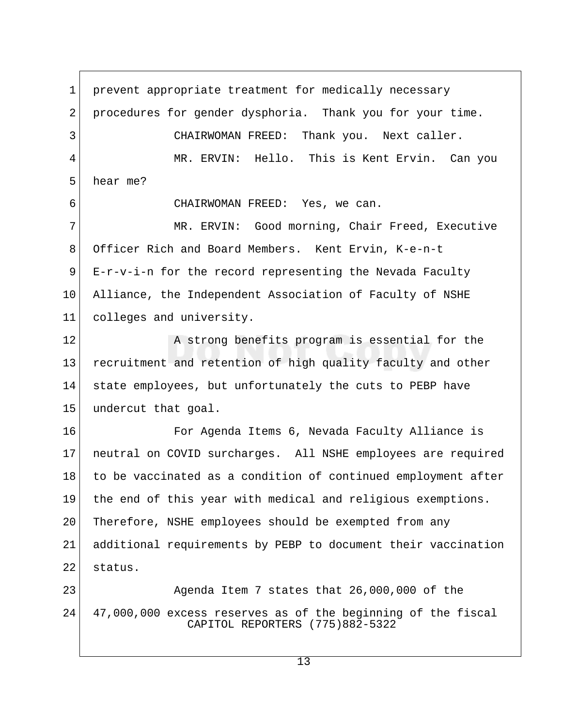1 prevent appropriate treatment for medically necessary 2 procedures for gender dysphoria. Thank you for your time. 3 CHAIRWOMAN FREED: Thank you. Next caller. 4 MR. ERVIN: Hello. This is Kent Ervin. Can you 5 hear me? 6 CHAIRWOMAN FREED: Yes, we can. 7 MR. ERVIN: Good morning, Chair Freed, Executive 8 Officer Rich and Board Members. Kent Ervin, K-e-n-t 9 E-r-v-i-n for the record representing the Nevada Faculty 10 Alliance, the Independent Association of Faculty of NSHE 11 colleges and university. 12 A strong benefits program is essential for the 13 recruitment and retention of high quality faculty and other 14 state employees, but unfortunately the cuts to PEBP have 15 undercut that goal. 16 For Agenda Items 6, Nevada Faculty Alliance is 17 neutral on COVID surcharges. All NSHE employees are required 18 to be vaccinated as a condition of continued employment after 19 the end of this year with medical and religious exemptions. 20 Therefore, NSHE employees should be exempted from any 21 additional requirements by PEBP to document their vaccination 22 status. 23 Agenda Item 7 states that 26,000,000 of the 24 47,000,000 excess reserves as of the beginning of the fiscal CAPITOL REPORTERS (775)882-5322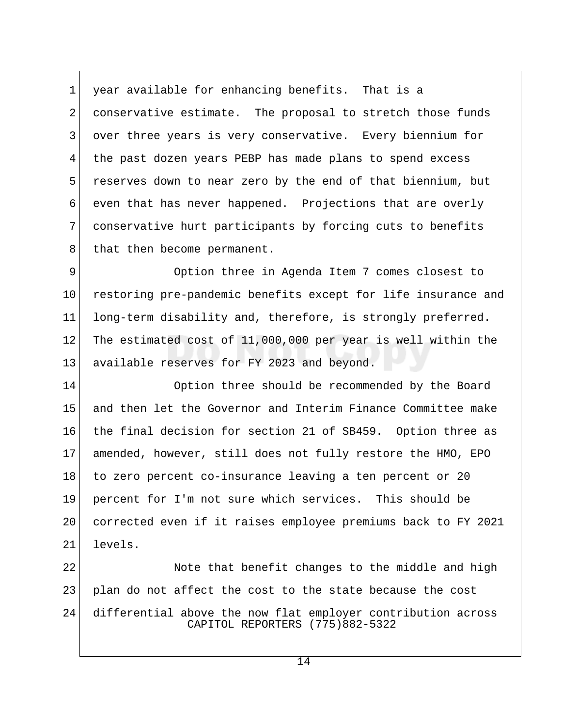1 year available for enhancing benefits. That is a 2 conservative estimate. The proposal to stretch those funds 3 over three years is very conservative. Every biennium for 4 the past dozen years PEBP has made plans to spend excess 5 reserves down to near zero by the end of that biennium, but 6 even that has never happened. Projections that are overly 7 conservative hurt participants by forcing cuts to benefits 8 that then become permanent.

9 Option three in Agenda Item 7 comes closest to 10 restoring pre-pandemic benefits except for life insurance and 11 long-term disability and, therefore, is strongly preferred. 12 The estimated cost of 11,000,000 per year is well within the 13 available reserves for FY 2023 and beyond.

14 Option three should be recommended by the Board 15 and then let the Governor and Interim Finance Committee make 16 the final decision for section 21 of SB459. Option three as 17 amended, however, still does not fully restore the HMO, EPO 18 to zero percent co-insurance leaving a ten percent or 20 19 percent for I'm not sure which services. This should be 20 corrected even if it raises employee premiums back to FY 2021 21 levels.

22 Note that benefit changes to the middle and high 23 plan do not affect the cost to the state because the cost 24 differential above the now flat employer contribution across CAPITOL REPORTERS (775)882-5322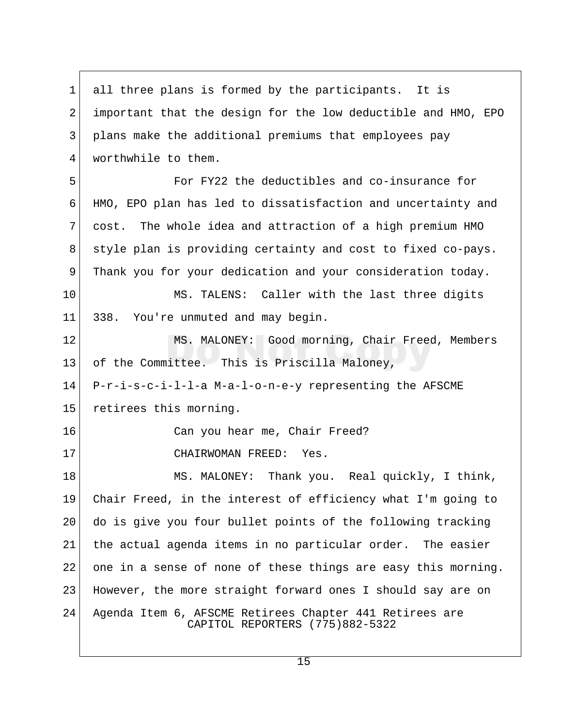1 all three plans is formed by the participants. It is 2 important that the design for the low deductible and HMO, EPO 3 plans make the additional premiums that employees pay 4 worthwhile to them. 5 For FY22 the deductibles and co-insurance for 6 HMO, EPO plan has led to dissatisfaction and uncertainty and 7 cost. The whole idea and attraction of a high premium HMO 8 style plan is providing certainty and cost to fixed co-pays. 9 Thank you for your dedication and your consideration today. 10 MS. TALENS: Caller with the last three digits 11 338. You're unmuted and may begin. 12 MS. MALONEY: Good morning, Chair Freed, Members 13 of the Committee. This is Priscilla Maloney, 14 P-r-i-s-c-i-l-l-a M-a-l-o-n-e-y representing the AFSCME 15 retirees this morning. 16 Can you hear me, Chair Freed? 17 CHAIRWOMAN FREED: Yes. 18 MS. MALONEY: Thank you. Real quickly, I think, 19 Chair Freed, in the interest of efficiency what I'm going to 20 do is give you four bullet points of the following tracking 21 | the actual agenda items in no particular order. The easier 22 one in a sense of none of these things are easy this morning. 23 However, the more straight forward ones I should say are on 24 Agenda Item 6, AFSCME Retirees Chapter 441 Retirees are CAPITOL REPORTERS (775)882-5322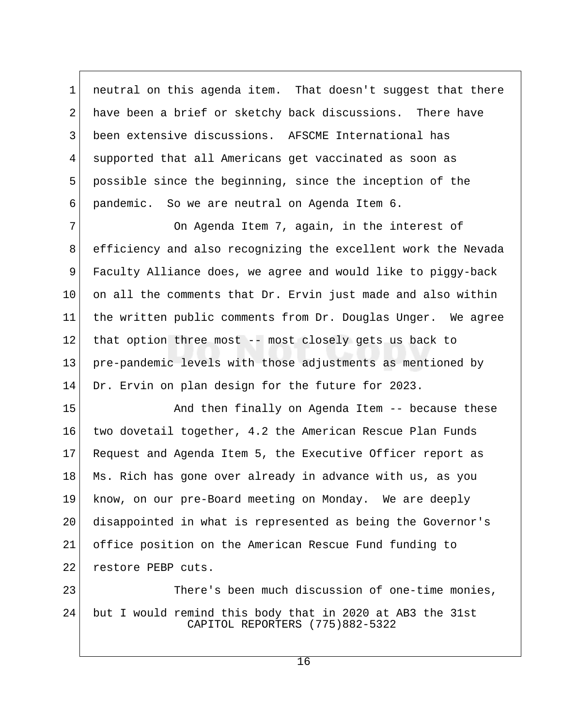1 neutral on this agenda item. That doesn't suggest that there 2 have been a brief or sketchy back discussions. There have 3 been extensive discussions. AFSCME International has 4 supported that all Americans get vaccinated as soon as 5 possible since the beginning, since the inception of the 6 pandemic. So we are neutral on Agenda Item 6.

7 On Agenda Item 7, again, in the interest of 8 efficiency and also recognizing the excellent work the Nevada 9 Faculty Alliance does, we agree and would like to piggy-back  $10$  on all the comments that Dr. Ervin just made and also within 11 the written public comments from Dr. Douglas Unger. We agree 12 that option three most -- most closely gets us back to 13 pre-pandemic levels with those adjustments as mentioned by 14 Dr. Ervin on plan design for the future for 2023.

15 And then finally on Agenda Item -- because these 16 two dovetail together, 4.2 the American Rescue Plan Funds 17 Request and Agenda Item 5, the Executive Officer report as 18 Ms. Rich has gone over already in advance with us, as you 19 know, on our pre-Board meeting on Monday. We are deeply 20 disappointed in what is represented as being the Governor's 21 office position on the American Rescue Fund funding to 22 restore PEBP cuts.

23 There's been much discussion of one-time monies, 24 but I would remind this body that in 2020 at AB3 the 31st CAPITOL REPORTERS (775)882-5322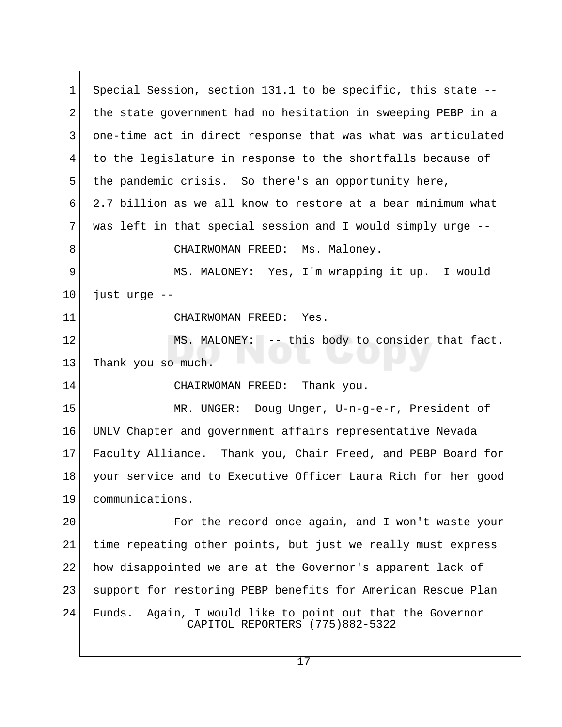1 Special Session, section 131.1 to be specific, this state -- 2 the state government had no hesitation in sweeping PEBP in a 3 one-time act in direct response that was what was articulated 4 to the legislature in response to the shortfalls because of 5 the pandemic crisis. So there's an opportunity here, 6 2.7 billion as we all know to restore at a bear minimum what  $7$  was left in that special session and I would simply urge  $-$ -8 CHAIRWOMAN FREED: Ms. Maloney. 9 MS. MALONEY: Yes, I'm wrapping it up. I would 10 just urge -- 11 CHAIRWOMAN FREED: Yes. 12 MS. MALONEY: -- this body to consider that fact. 13 Thank you so much. 14 CHAIRWOMAN FREED: Thank you. 15 MR. UNGER: Doug Unger, U-n-g-e-r, President of 16 UNLV Chapter and government affairs representative Nevada 17 Faculty Alliance. Thank you, Chair Freed, and PEBP Board for 18 your service and to Executive Officer Laura Rich for her good 19 communications. 20 For the record once again, and I won't waste your 21 time repeating other points, but just we really must express 22 how disappointed we are at the Governor's apparent lack of 23 support for restoring PEBP benefits for American Rescue Plan 24 Funds. Again, I would like to point out that the Governor CAPITOL REPORTERS (775)882-5322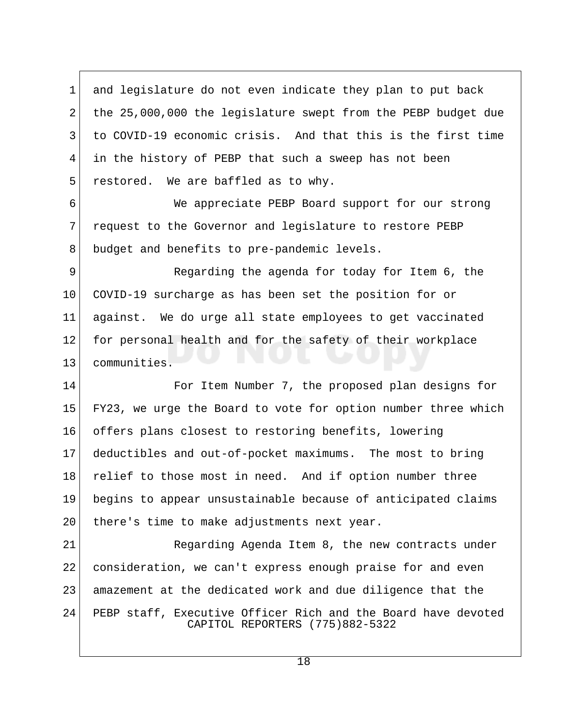1 and legislature do not even indicate they plan to put back 2 the 25,000,000 the legislature swept from the PEBP budget due 3 to COVID-19 economic crisis. And that this is the first time 4 in the history of PEBP that such a sweep has not been  $5$  restored. We are baffled as to why.

 6 We appreciate PEBP Board support for our strong 7 request to the Governor and legislature to restore PEBP 8 budget and benefits to pre-pandemic levels.

 9 Regarding the agenda for today for Item 6, the 10 COVID-19 surcharge as has been set the position for or 11 against. We do urge all state employees to get vaccinated 12 for personal health and for the safety of their workplace 13 communities.

14 For Item Number 7, the proposed plan designs for 15 FY23, we urge the Board to vote for option number three which 16 offers plans closest to restoring benefits, lowering 17 deductibles and out-of-pocket maximums. The most to bring 18 relief to those most in need. And if option number three 19 begins to appear unsustainable because of anticipated claims 20 there's time to make adjustments next year.

21 Regarding Agenda Item 8, the new contracts under 22 consideration, we can't express enough praise for and even 23 amazement at the dedicated work and due diligence that the 24 PEBP staff, Executive Officer Rich and the Board have devoted CAPITOL REPORTERS (775)882-5322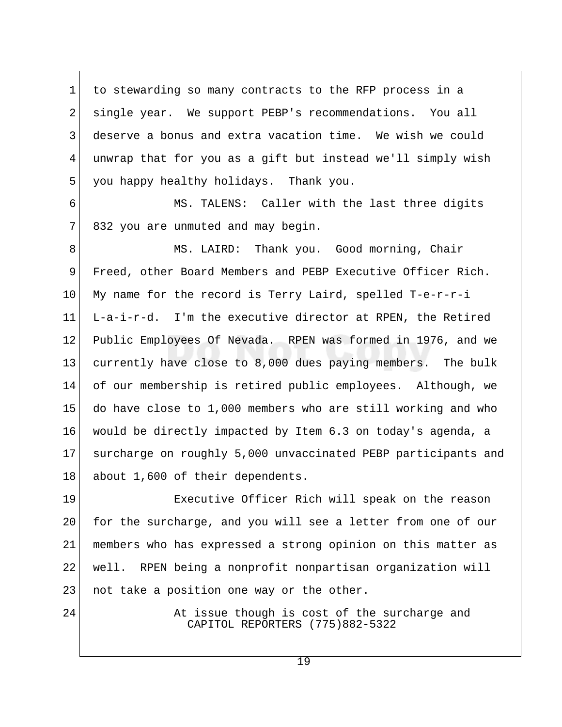1 to stewarding so many contracts to the RFP process in a 2 single year. We support PEBP's recommendations. You all 3 deserve a bonus and extra vacation time. We wish we could 4 unwrap that for you as a gift but instead we'll simply wish 5 you happy healthy holidays. Thank you.

 6 MS. TALENS: Caller with the last three digits 7 832 you are unmuted and may begin.

8 MS. LAIRD: Thank you. Good morning, Chair 9 Freed, other Board Members and PEBP Executive Officer Rich.  $10$  My name for the record is Terry Laird, spelled T-e-r-r-i 11 L-a-i-r-d. I'm the executive director at RPEN, the Retired 12 Public Employees Of Nevada. RPEN was formed in 1976, and we 13 currently have close to 8,000 dues paying members. The bulk 14 of our membership is retired public employees. Although, we 15 do have close to 1,000 members who are still working and who 16 would be directly impacted by Item 6.3 on today's agenda, a 17 surcharge on roughly 5,000 unvaccinated PEBP participants and 18 about 1,600 of their dependents.

19 Executive Officer Rich will speak on the reason 20 for the surcharge, and you will see a letter from one of our 21 members who has expressed a strong opinion on this matter as 22 well. RPEN being a nonprofit nonpartisan organization will 23 | not take a position one way or the other.

24 At issue though is cost of the surcharge and CAPITOL REPORTERS (775)882-5322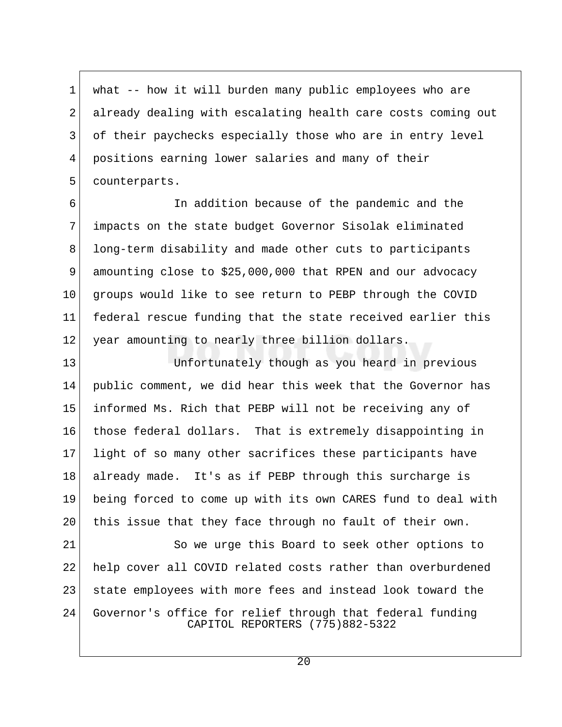1 what -- how it will burden many public employees who are 2 already dealing with escalating health care costs coming out 3 of their paychecks especially those who are in entry level 4 positions earning lower salaries and many of their 5 counterparts.

 6 In addition because of the pandemic and the 7 impacts on the state budget Governor Sisolak eliminated 8 long-term disability and made other cuts to participants 9 amounting close to \$25,000,000 that RPEN and our advocacy 10 groups would like to see return to PEBP through the COVID 11 federal rescue funding that the state received earlier this 12 year amounting to nearly three billion dollars.

13 Unfortunately though as you heard in previous 14 public comment, we did hear this week that the Governor has 15 informed Ms. Rich that PEBP will not be receiving any of 16 those federal dollars. That is extremely disappointing in 17 light of so many other sacrifices these participants have 18 already made. It's as if PEBP through this surcharge is 19 being forced to come up with its own CARES fund to deal with 20 this issue that they face through no fault of their own.

21 So we urge this Board to seek other options to 22 help cover all COVID related costs rather than overburdened 23 state employees with more fees and instead look toward the 24 Governor's office for relief through that federal funding CAPITOL REPORTERS (775)882-5322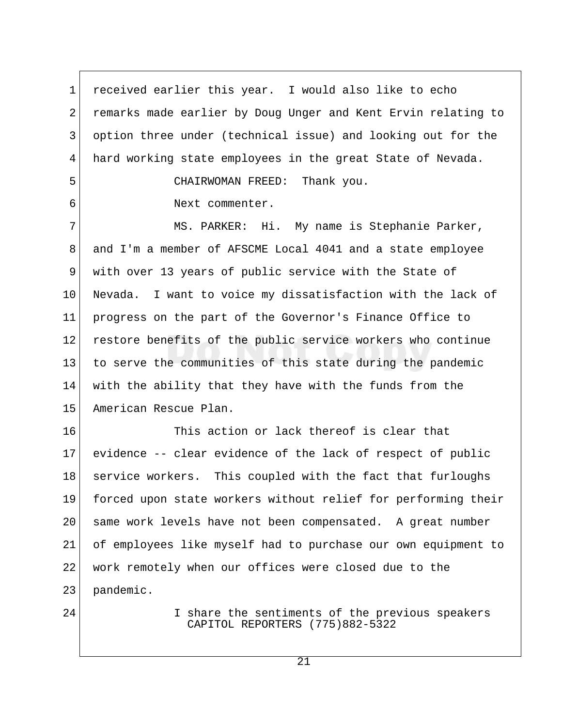1 received earlier this year. I would also like to echo 2 remarks made earlier by Doug Unger and Kent Ervin relating to 3 option three under (technical issue) and looking out for the 4 hard working state employees in the great State of Nevada.

5 CHAIRWOMAN FREED: Thank you.

6 Next commenter.

7 MS. PARKER: Hi. My name is Stephanie Parker, 8 and I'm a member of AFSCME Local 4041 and a state employee 9 with over 13 years of public service with the State of 10 Nevada. I want to voice my dissatisfaction with the lack of 11 progress on the part of the Governor's Finance Office to 12 restore benefits of the public service workers who continue 13 to serve the communities of this state during the pandemic 14 with the ability that they have with the funds from the 15 American Rescue Plan.

16 This action or lack thereof is clear that 17 evidence -- clear evidence of the lack of respect of public 18 service workers. This coupled with the fact that furloughs 19 forced upon state workers without relief for performing their 20 | same work levels have not been compensated. A great number 21 of employees like myself had to purchase our own equipment to 22 work remotely when our offices were closed due to the 23 pandemic.

24 I share the sentiments of the previous speakers CAPITOL REPORTERS (775)882-5322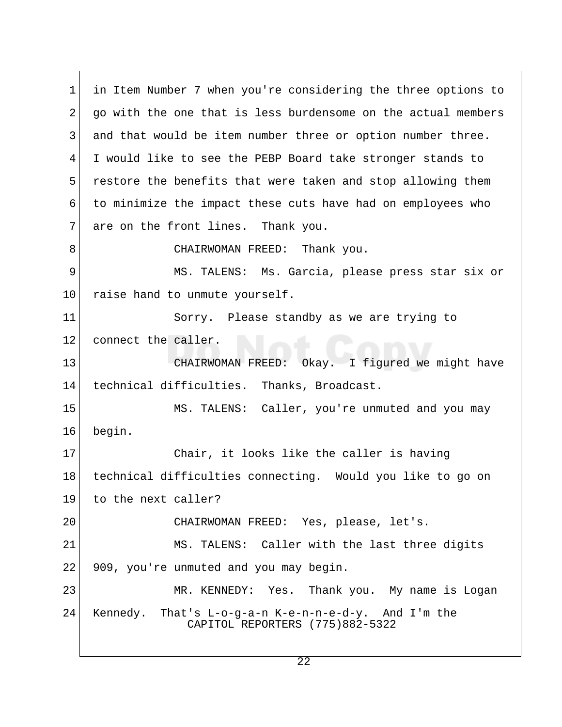1 in Item Number 7 when you're considering the three options to 2 go with the one that is less burdensome on the actual members 3 and that would be item number three or option number three. 4 I would like to see the PEBP Board take stronger stands to 5 restore the benefits that were taken and stop allowing them 6 to minimize the impact these cuts have had on employees who 7 are on the front lines. Thank you. 8 CHAIRWOMAN FREED: Thank you. 9 MS. TALENS: Ms. Garcia, please press star six or 10 raise hand to unmute yourself. 11 Sorry. Please standby as we are trying to 12 connect the caller. 13 CHAIRWOMAN FREED: Okay. I figured we might have 14 technical difficulties. Thanks, Broadcast. 15 MS. TALENS: Caller, you're unmuted and you may 16 begin. 17 Chair, it looks like the caller is having 18 technical difficulties connecting. Would you like to go on 19 to the next caller? 20 CHAIRWOMAN FREED: Yes, please, let's. 21 MS. TALENS: Caller with the last three digits 22 909, you're unmuted and you may begin. 23 MR. KENNEDY: Yes. Thank you. My name is Logan 24 Kennedy. That's L-o-g-a-n K-e-n-n-e-d-y. And I'm the CAPITOL REPORTERS (775)882-5322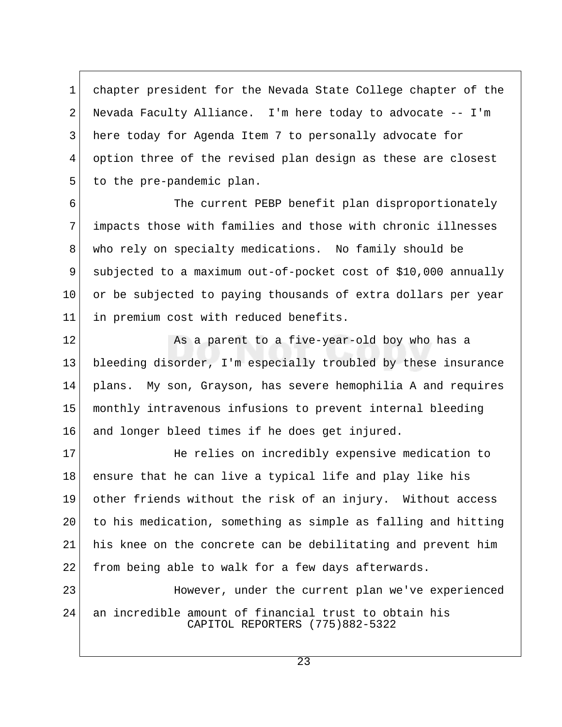1 chapter president for the Nevada State College chapter of the 2 Nevada Faculty Alliance. I'm here today to advocate -- I'm 3 here today for Agenda Item 7 to personally advocate for 4 option three of the revised plan design as these are closest 5 to the pre-pandemic plan.

6 The current PEBP benefit plan disproportionately 7 impacts those with families and those with chronic illnesses 8 who rely on specialty medications. No family should be 9 subjected to a maximum out-of-pocket cost of \$10,000 annually 10 or be subjected to paying thousands of extra dollars per year 11 in premium cost with reduced benefits.

12 As a parent to a five-year-old boy who has a 13 bleeding disorder, I'm especially troubled by these insurance 14 plans. My son, Grayson, has severe hemophilia A and requires 15 monthly intravenous infusions to prevent internal bleeding 16 and longer bleed times if he does get injured.

17 He relies on incredibly expensive medication to 18 ensure that he can live a typical life and play like his 19 other friends without the risk of an injury. Without access 20 to his medication, something as simple as falling and hitting 21 his knee on the concrete can be debilitating and prevent him 22 from being able to walk for a few days afterwards.

23 However, under the current plan we've experienced 24 an incredible amount of financial trust to obtain his CAPITOL REPORTERS (775)882-5322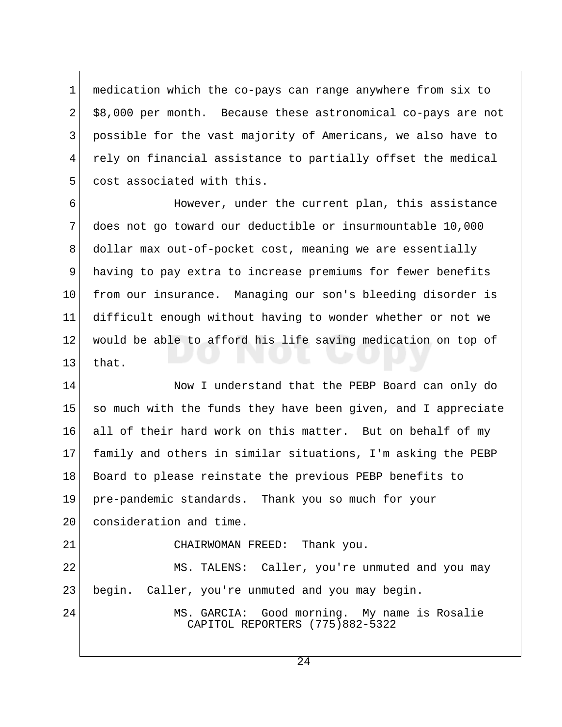1 medication which the co-pays can range anywhere from six to 2 \$8,000 per month. Because these astronomical co-pays are not 3 possible for the vast majority of Americans, we also have to 4 rely on financial assistance to partially offset the medical 5 cost associated with this.

 6 However, under the current plan, this assistance 7 does not go toward our deductible or insurmountable 10,000 8 dollar max out-of-pocket cost, meaning we are essentially 9 having to pay extra to increase premiums for fewer benefits 10 from our insurance. Managing our son's bleeding disorder is 11 difficult enough without having to wonder whether or not we 12 would be able to afford his life saving medication on top of  $13$  that.

14 Now I understand that the PEBP Board can only do 15 so much with the funds they have been given, and I appreciate 16 all of their hard work on this matter. But on behalf of my 17 family and others in similar situations, I'm asking the PEBP 18 Board to please reinstate the previous PEBP benefits to 19 pre-pandemic standards. Thank you so much for your 20 consideration and time.

21 CHAIRWOMAN FREED: Thank you.

22 MS. TALENS: Caller, you're unmuted and you may 23 begin. Caller, you're unmuted and you may begin.

24 MS. GARCIA: Good morning. My name is Rosalie CAPITOL REPORTERS (775)882-5322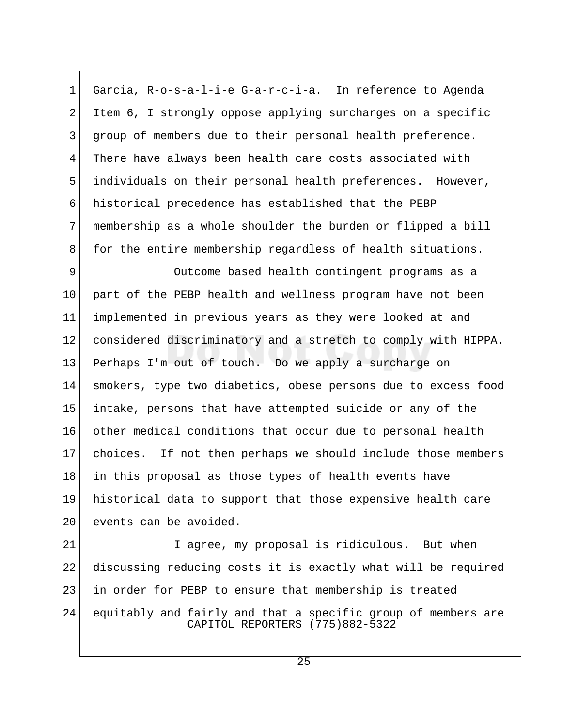1 Garcia, R-o-s-a-l-i-e G-a-r-c-i-a. In reference to Agenda 2 Item 6, I strongly oppose applying surcharges on a specific 3 group of members due to their personal health preference. 4 There have always been health care costs associated with 5 individuals on their personal health preferences. However, 6 historical precedence has established that the PEBP 7 membership as a whole shoulder the burden or flipped a bill 8 for the entire membership regardless of health situations.

9 Outcome based health contingent programs as a 10 part of the PEBP health and wellness program have not been 11 implemented in previous years as they were looked at and 12 considered discriminatory and a stretch to comply with HIPPA. 13 Perhaps I'm out of touch. Do we apply a surcharge on 14 smokers, type two diabetics, obese persons due to excess food 15 intake, persons that have attempted suicide or any of the 16 other medical conditions that occur due to personal health 17 choices. If not then perhaps we should include those members 18 in this proposal as those types of health events have 19 historical data to support that those expensive health care 20 events can be avoided.

21 I agree, my proposal is ridiculous. But when 22 discussing reducing costs it is exactly what will be required 23 in order for PEBP to ensure that membership is treated 24 equitably and fairly and that a specific group of members are CAPITOL REPORTERS (775)882-5322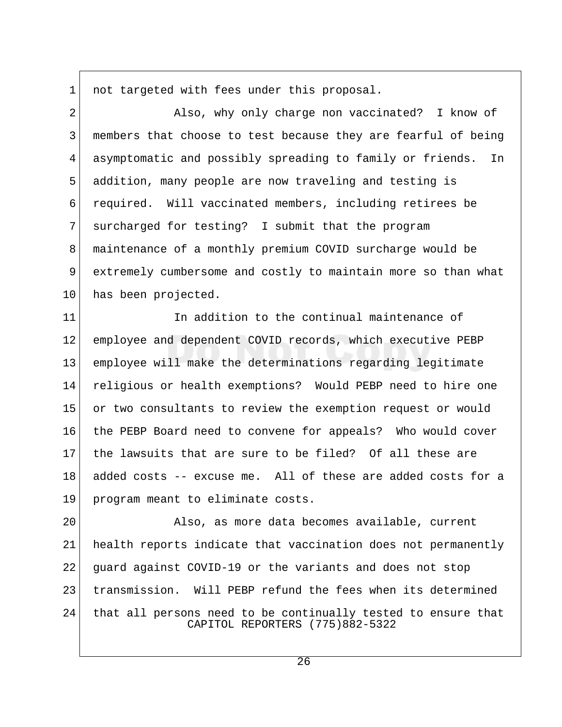1 not targeted with fees under this proposal.

2 Also, why only charge non vaccinated? I know of 3 | members that choose to test because they are fearful of being 4 asymptomatic and possibly spreading to family or friends. In 5 addition, many people are now traveling and testing is 6 required. Will vaccinated members, including retirees be 7 surcharged for testing? I submit that the program 8 maintenance of a monthly premium COVID surcharge would be 9 extremely cumbersome and costly to maintain more so than what 10 has been projected.

11 11 In addition to the continual maintenance of 12 employee and dependent COVID records, which executive PEBP 13 employee will make the determinations regarding legitimate 14 religious or health exemptions? Would PEBP need to hire one 15 or two consultants to review the exemption request or would 16 the PEBP Board need to convene for appeals? Who would cover 17 the lawsuits that are sure to be filed? Of all these are 18 added costs -- excuse me. All of these are added costs for a 19 program meant to eliminate costs.

20 Also, as more data becomes available, current 21 health reports indicate that vaccination does not permanently 22 guard against COVID-19 or the variants and does not stop 23 transmission. Will PEBP refund the fees when its determined 24 that all persons need to be continually tested to ensure that CAPITOL REPORTERS (775)882-5322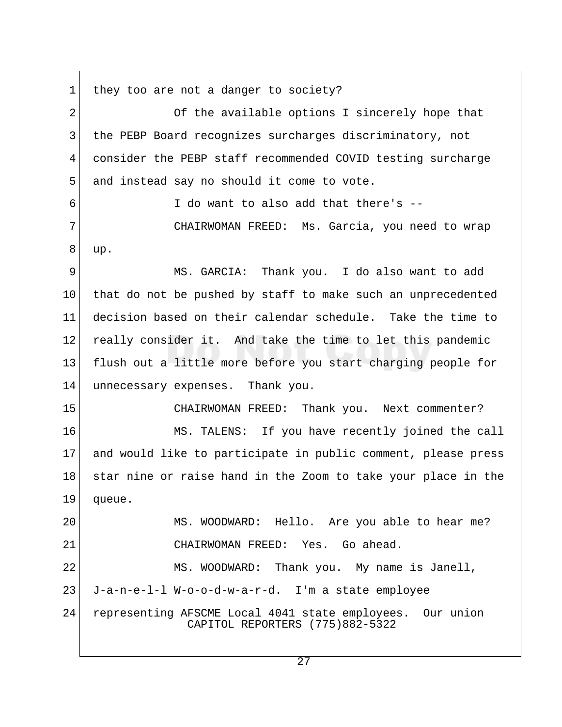1 they too are not a danger to society? 2 Of the available options I sincerely hope that 3 the PEBP Board recognizes surcharges discriminatory, not 4 consider the PEBP staff recommended COVID testing surcharge 5 and instead say no should it come to vote.  $6$  I do want to also add that there's  $-$  7 CHAIRWOMAN FREED: Ms. Garcia, you need to wrap 8 up. 9 MS. GARCIA: Thank you. I do also want to add 10 that do not be pushed by staff to make such an unprecedented 11 decision based on their calendar schedule. Take the time to 12 really consider it. And take the time to let this pandemic 13 flush out a little more before you start charging people for 14 unnecessary expenses. Thank you. 15 CHAIRWOMAN FREED: Thank you. Next commenter? 16 MS. TALENS: If you have recently joined the call 17 and would like to participate in public comment, please press 18 star nine or raise hand in the Zoom to take your place in the 19 queue. 20 MS. WOODWARD: Hello. Are you able to hear me? 21 CHAIRWOMAN FREED: Yes. Go ahead. 22 MS. WOODWARD: Thank you. My name is Janell, 23 J-a-n-e-l-l W-o-o-d-w-a-r-d. I'm a state employee 24 representing AFSCME Local 4041 state employees. Our union CAPITOL REPORTERS (775)882-5322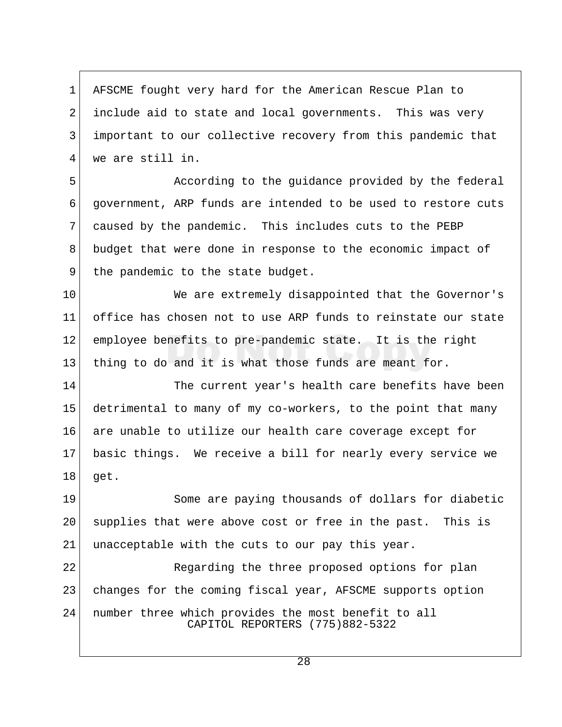1 AFSCME fought very hard for the American Rescue Plan to 2 include aid to state and local governments. This was very 3 important to our collective recovery from this pandemic that 4 we are still in.

5 **According to the quidance provided by the federal**  6 government, ARP funds are intended to be used to restore cuts 7 caused by the pandemic. This includes cuts to the PEBP 8 budget that were done in response to the economic impact of 9 the pandemic to the state budget.

10 We are extremely disappointed that the Governor's 11 office has chosen not to use ARP funds to reinstate our state 12 employee benefits to pre-pandemic state. It is the right 13 thing to do and it is what those funds are meant for.

14 The current year's health care benefits have been 15 detrimental to many of my co-workers, to the point that many 16 are unable to utilize our health care coverage except for 17 basic things. We receive a bill for nearly every service we 18 get.

19 Some are paying thousands of dollars for diabetic 20 supplies that were above cost or free in the past. This is 21 unacceptable with the cuts to our pay this year.

22 Regarding the three proposed options for plan 23 changes for the coming fiscal year, AFSCME supports option 24 number three which provides the most benefit to all CAPITOL REPORTERS (775)882-5322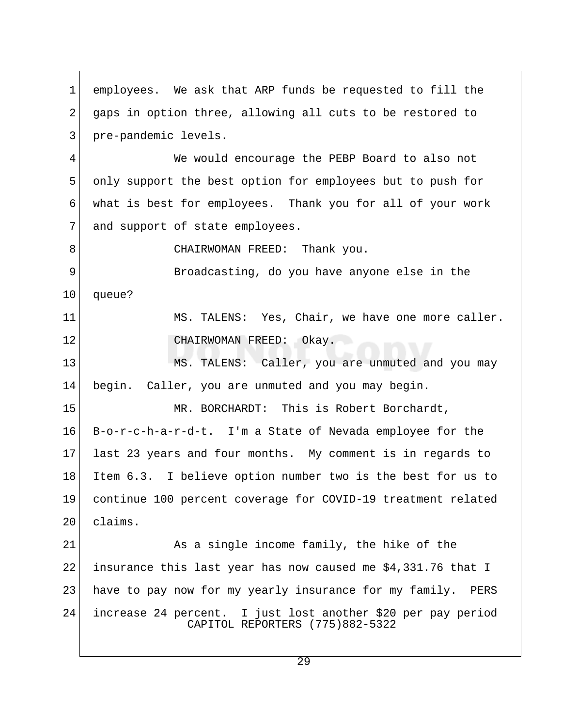1 employees. We ask that ARP funds be requested to fill the 2 gaps in option three, allowing all cuts to be restored to 3 pre-pandemic levels. 4 We would encourage the PEBP Board to also not 5 only support the best option for employees but to push for 6 what is best for employees. Thank you for all of your work 7 and support of state employees. 8 CHAIRWOMAN FREED: Thank you. 9 Broadcasting, do you have anyone else in the 10 | queue? 11 MS. TALENS: Yes, Chair, we have one more caller. 12 CHAIRWOMAN FREED: Okay. 13 MS. TALENS: Caller, you are unmuted and you may 14 begin. Caller, you are unmuted and you may begin. 15 MR. BORCHARDT: This is Robert Borchardt, 16 B-o-r-c-h-a-r-d-t. I'm a State of Nevada employee for the 17 last 23 years and four months. My comment is in regards to 18 Item 6.3. I believe option number two is the best for us to 19 continue 100 percent coverage for COVID-19 treatment related 20 claims. 21 As a single income family, the hike of the 22 insurance this last year has now caused me  $$4,331.76$  that I 23 have to pay now for my yearly insurance for my family. PERS 24 increase 24 percent. I just lost another \$20 per pay period CAPITOL REPORTERS (775)882-5322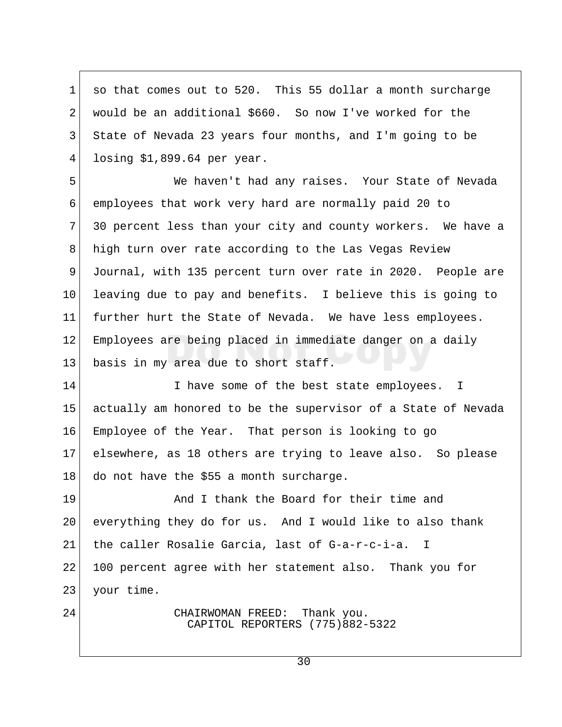1 so that comes out to 520. This 55 dollar a month surcharge 2 would be an additional \$660. So now I've worked for the 3 State of Nevada 23 years four months, and I'm going to be 4 losing \$1,899.64 per year.

 5 We haven't had any raises. Your State of Nevada 6 employees that work very hard are normally paid 20 to 7 30 percent less than your city and county workers. We have a 8 high turn over rate according to the Las Vegas Review 9 Journal, with 135 percent turn over rate in 2020. People are 10 leaving due to pay and benefits. I believe this is going to 11 further hurt the State of Nevada. We have less employees. 12 Employees are being placed in immediate danger on a daily 13 basis in my area due to short staff.

14 I have some of the best state employees. I 15 actually am honored to be the supervisor of a State of Nevada 16 Employee of the Year. That person is looking to go 17 elsewhere, as 18 others are trying to leave also. So please 18 do not have the \$55 a month surcharge.

19 And I thank the Board for their time and 20 everything they do for us. And I would like to also thank 21 the caller Rosalie Garcia, last of G-a-r-c-i-a. I 22 100 percent agree with her statement also. Thank you for 23 your time.

24 CHAIRWOMAN FREED: Thank you. CAPITOL REPORTERS (775)882-5322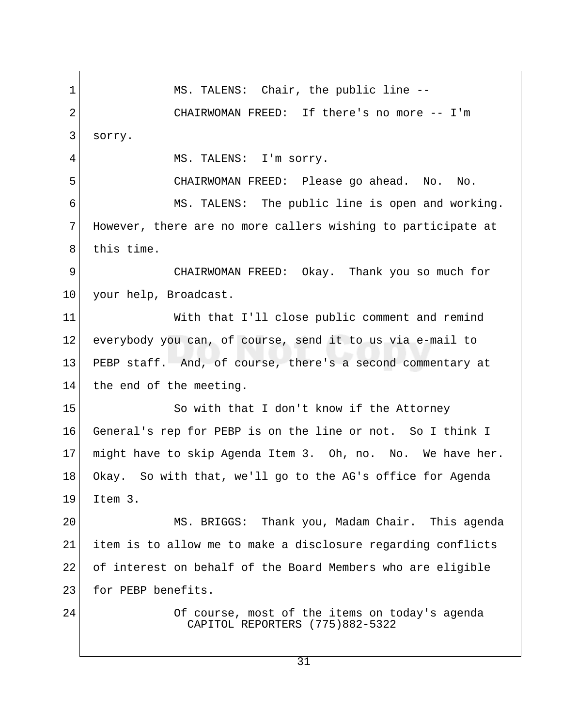1 MS. TALENS: Chair, the public line --2 CHAIRWOMAN FREED: If there's no more -- I'm 3 sorry. 4 MS. TALENS: I'm sorry. 5 CHAIRWOMAN FREED: Please go ahead. No. No. 6 MS. TALENS: The public line is open and working. 7 However, there are no more callers wishing to participate at 8 this time. 9 CHAIRWOMAN FREED: Okay. Thank you so much for 10 your help, Broadcast. 11 With that I'll close public comment and remind 12 everybody you can, of course, send it to us via e-mail to 13 PEBP staff. And, of course, there's a second commentary at 14 the end of the meeting. 15 So with that I don't know if the Attorney 16 General's rep for PEBP is on the line or not. So I think I 17 might have to skip Agenda Item 3. Oh, no. No. We have her. 18 Okay. So with that, we'll go to the AG's office for Agenda 19 Item 3. 20 MS. BRIGGS: Thank you, Madam Chair. This agenda 21 item is to allow me to make a disclosure regarding conflicts 22 of interest on behalf of the Board Members who are eligible 23 for PEBP benefits. 24 Of course, most of the items on today's agenda CAPITOL REPORTERS (775)882-5322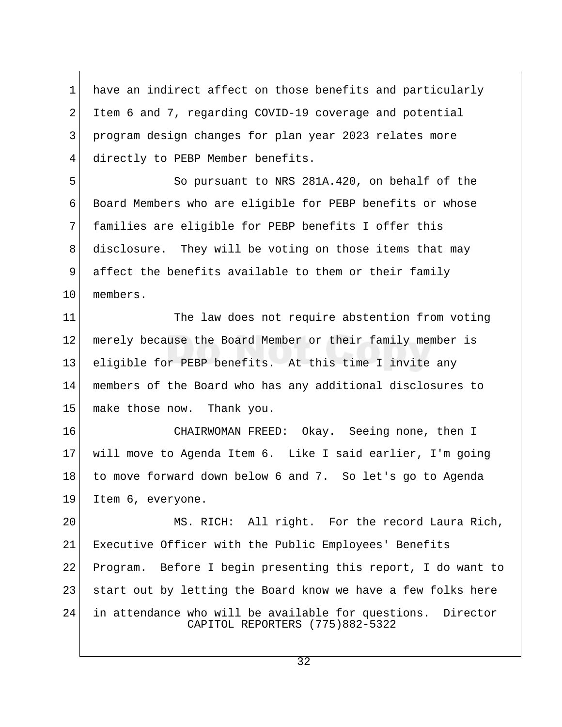1 have an indirect affect on those benefits and particularly 2 Item 6 and 7, regarding COVID-19 coverage and potential 3 program design changes for plan year 2023 relates more 4 directly to PEBP Member benefits.

5 So pursuant to NRS 281A.420, on behalf of the 6 Board Members who are eligible for PEBP benefits or whose 7 families are eligible for PEBP benefits I offer this 8 disclosure. They will be voting on those items that may 9 affect the benefits available to them or their family 10 members.

11 The law does not require abstention from voting 12 | merely because the Board Member or their family member is 13 eligible for PEBP benefits. At this time I invite any 14 members of the Board who has any additional disclosures to 15 make those now. Thank you.

16 CHAIRWOMAN FREED: Okay. Seeing none, then I 17 will move to Agenda Item 6. Like I said earlier, I'm going 18 to move forward down below 6 and 7. So let's go to Agenda 19 Item 6, everyone.

20 MS. RICH: All right. For the record Laura Rich, 21 Executive Officer with the Public Employees' Benefits 22 Program. Before I begin presenting this report, I do want to 23 | start out by letting the Board know we have a few folks here 24 in attendance who will be available for questions. Director CAPITOL REPORTERS (775)882-5322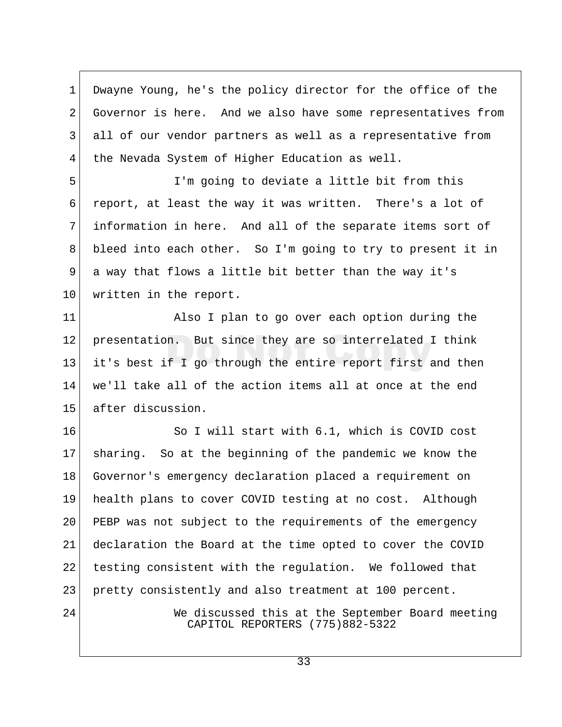1 Dwayne Young, he's the policy director for the office of the 2 Governor is here. And we also have some representatives from 3 all of our vendor partners as well as a representative from 4 the Nevada System of Higher Education as well.

 5 I'm going to deviate a little bit from this 6 report, at least the way it was written. There's a lot of 7 information in here. And all of the separate items sort of 8 bleed into each other. So I'm going to try to present it in 9 a way that flows a little bit better than the way it's 10 written in the report.

11 Also I plan to go over each option during the 12 presentation. But since they are so interrelated I think 13 it's best if I go through the entire report first and then 14 we'll take all of the action items all at once at the end 15 after discussion.

16 So I will start with 6.1, which is COVID cost 17 sharing. So at the beginning of the pandemic we know the 18 Governor's emergency declaration placed a requirement on 19 health plans to cover COVID testing at no cost. Although 20 PEBP was not subject to the requirements of the emergency 21 declaration the Board at the time opted to cover the COVID 22 testing consistent with the regulation. We followed that 23 pretty consistently and also treatment at 100 percent.

24 We discussed this at the September Board meeting CAPITOL REPORTERS (775)882-5322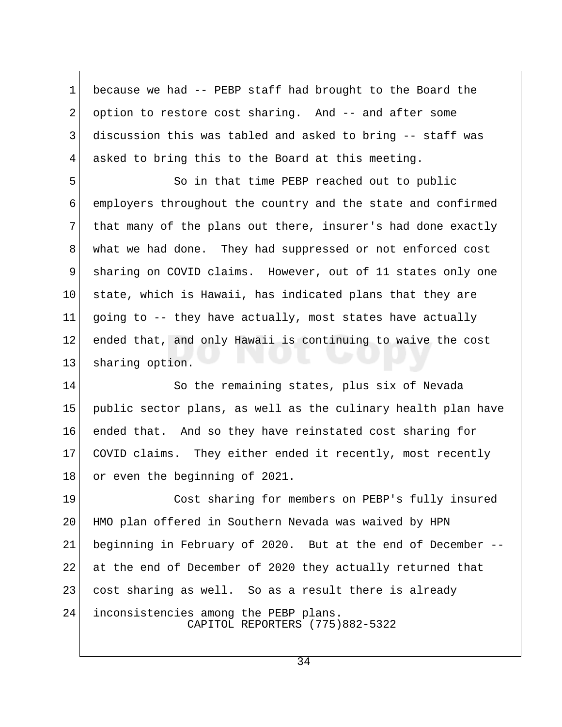1 because we had -- PEBP staff had brought to the Board the 2 option to restore cost sharing. And -- and after some 3 discussion this was tabled and asked to bring -- staff was 4 asked to bring this to the Board at this meeting.

 5 So in that time PEBP reached out to public 6 employers throughout the country and the state and confirmed 7 that many of the plans out there, insurer's had done exactly 8 what we had done. They had suppressed or not enforced cost 9 sharing on COVID claims. However, out of 11 states only one  $10$  state, which is Hawaii, has indicated plans that they are 11 going to  $-$ - they have actually, most states have actually 12 ended that, and only Hawaii is continuing to waive the cost 13 sharing option.

14 So the remaining states, plus six of Nevada 15 public sector plans, as well as the culinary health plan have 16 ended that. And so they have reinstated cost sharing for 17 COVID claims. They either ended it recently, most recently 18 or even the beginning of 2021.

19 Cost sharing for members on PEBP's fully insured 20 HMO plan offered in Southern Nevada was waived by HPN 21 beginning in February of 2020. But at the end of December -- 22 at the end of December of 2020 they actually returned that 23 cost sharing as well. So as a result there is already 24 inconsistencies among the PEBP plans. CAPITOL REPORTERS (775)882-5322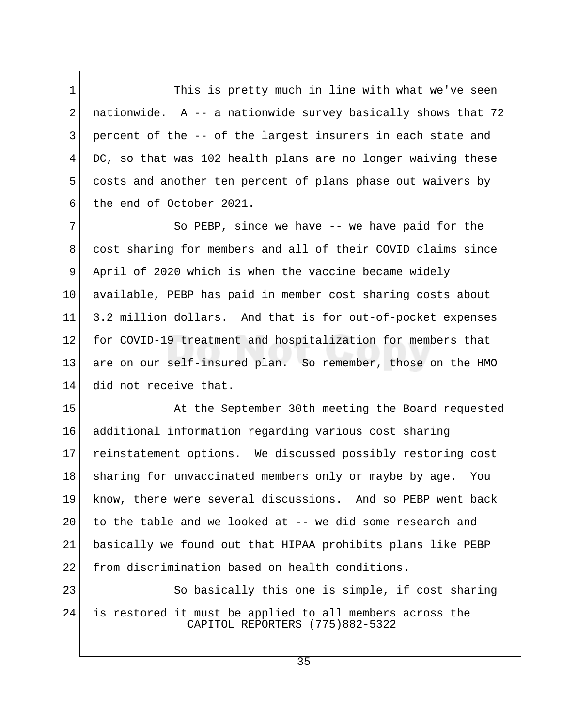1 This is pretty much in line with what we've seen 2 nationwide. A  $-$  a nationwide survey basically shows that 72 3 percent of the -- of the largest insurers in each state and 4 DC, so that was 102 health plans are no longer waiving these 5 costs and another ten percent of plans phase out waivers by 6 the end of October 2021.

7 So PEBP, since we have -- we have paid for the 8 cost sharing for members and all of their COVID claims since 9 April of 2020 which is when the vaccine became widely 10 available, PEBP has paid in member cost sharing costs about 11 3.2 million dollars. And that is for out-of-pocket expenses 12 for COVID-19 treatment and hospitalization for members that 13 are on our self-insured plan. So remember, those on the HMO 14 did not receive that.

15 At the September 30th meeting the Board requested 16 additional information regarding various cost sharing 17 reinstatement options. We discussed possibly restoring cost 18 sharing for unvaccinated members only or maybe by age. You 19 know, there were several discussions. And so PEBP went back  $20$  to the table and we looked at  $-$ - we did some research and 21 basically we found out that HIPAA prohibits plans like PEBP 22 from discrimination based on health conditions.

23 So basically this one is simple, if cost sharing 24 is restored it must be applied to all members across the CAPITOL REPORTERS (775)882-5322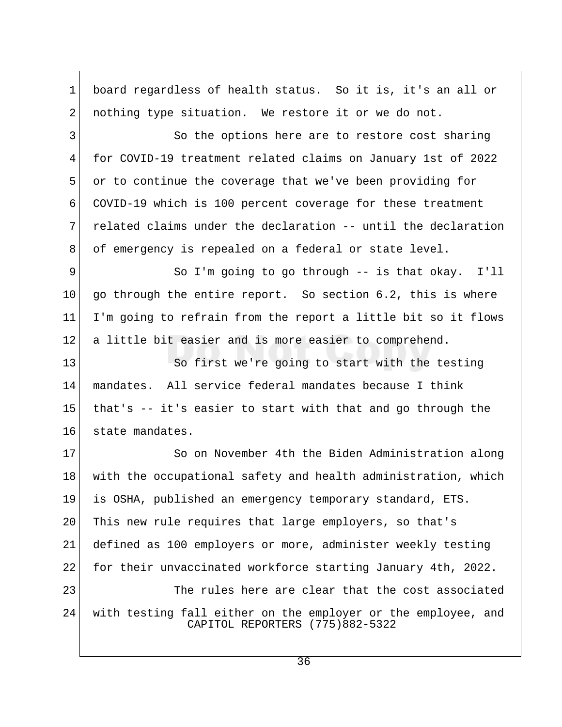1 board regardless of health status. So it is, it's an all or 2 nothing type situation. We restore it or we do not. 3 So the options here are to restore cost sharing 4 for COVID-19 treatment related claims on January 1st of 2022 5 or to continue the coverage that we've been providing for 6 COVID-19 which is 100 percent coverage for these treatment 7 related claims under the declaration -- until the declaration 8 of emergency is repealed on a federal or state level. 9 So I'm going to go through -- is that okay. I'll 10  $\vert$  go through the entire report. So section 6.2, this is where 11 I'm going to refrain from the report a little bit so it flows 12 a little bit easier and is more easier to comprehend. 13 So first we're going to start with the testing 14 mandates. All service federal mandates because I think 15 that's -- it's easier to start with that and go through the 16 state mandates. 17 So on November 4th the Biden Administration along 18 with the occupational safety and health administration, which 19 is OSHA, published an emergency temporary standard, ETS. 20 This new rule requires that large employers, so that's 21 defined as 100 employers or more, administer weekly testing 22 for their unvaccinated workforce starting January 4th, 2022. 23 The rules here are clear that the cost associated 24 with testing fall either on the employer or the employee, and CAPITOL REPORTERS (775)882-5322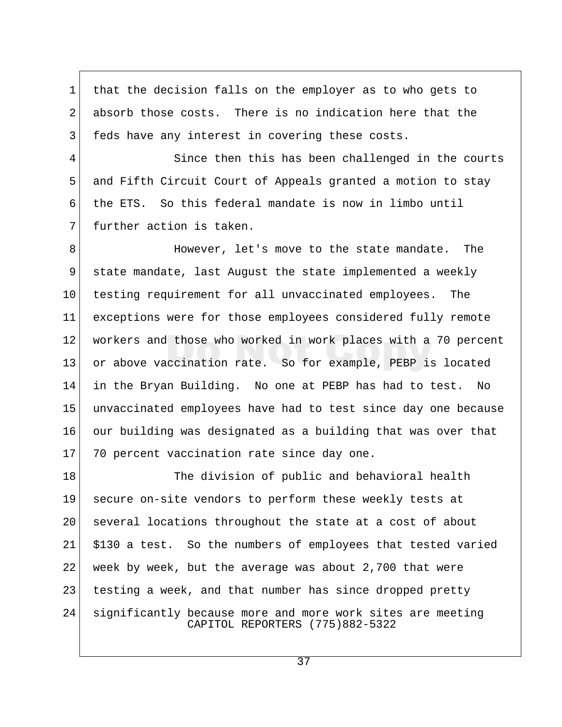1 that the decision falls on the employer as to who gets to 2 absorb those costs. There is no indication here that the 3 feds have any interest in covering these costs.

4 Since then this has been challenged in the courts 5 and Fifth Circuit Court of Appeals granted a motion to stay 6 the ETS. So this federal mandate is now in limbo until 7 further action is taken.

8 **B** However, let's move to the state mandate. The 9 state mandate, last August the state implemented a weekly 10 testing requirement for all unvaccinated employees. The 11 exceptions were for those employees considered fully remote 12 workers and those who worked in work places with a 70 percent 13 or above vaccination rate. So for example, PEBP is located 14 in the Bryan Building. No one at PEBP has had to test. No 15 unvaccinated employees have had to test since day one because 16 our building was designated as a building that was over that 17 70 percent vaccination rate since day one.

18 The division of public and behavioral health 19 secure on-site vendors to perform these weekly tests at 20 | several locations throughout the state at a cost of about 21 \$130 a test. So the numbers of employees that tested varied 22 week by week, but the average was about 2,700 that were 23 testing a week, and that number has since dropped pretty 24 significantly because more and more work sites are meeting CAPITOL REPORTERS (775)882-5322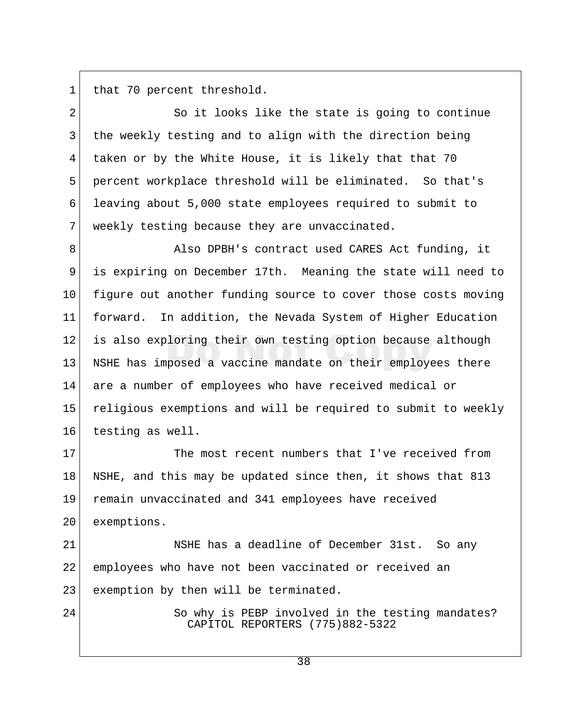1 that 70 percent threshold.

2 So it looks like the state is going to continue 3 the weekly testing and to align with the direction being 4 taken or by the White House, it is likely that that 70 5 percent workplace threshold will be eliminated. So that's 6 leaving about 5,000 state employees required to submit to 7 weekly testing because they are unvaccinated.

8 Also DPBH's contract used CARES Act funding, it 9 is expiring on December 17th. Meaning the state will need to 10 figure out another funding source to cover those costs moving 11 forward. In addition, the Nevada System of Higher Education 12 is also exploring their own testing option because although 13 NSHE has imposed a vaccine mandate on their employees there 14 are a number of employees who have received medical or 15 religious exemptions and will be required to submit to weekly 16 testing as well.

17 The most recent numbers that I've received from 18 NSHE, and this may be updated since then, it shows that 813 19 remain unvaccinated and 341 employees have received 20 exemptions.

21 NSHE has a deadline of December 31st. So any 22 employees who have not been vaccinated or received an 23 exemption by then will be terminated.

24 So why is PEBP involved in the testing mandates? CAPITOL REPORTERS (775)882-5322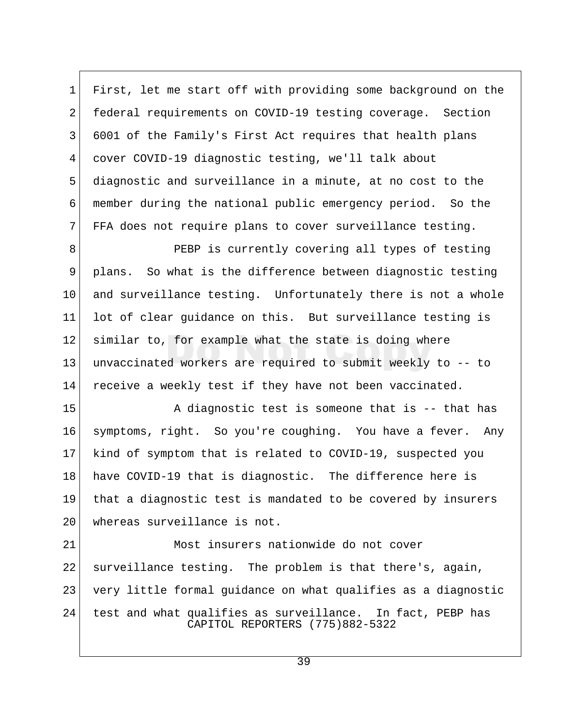1 First, let me start off with providing some background on the 2 federal requirements on COVID-19 testing coverage. Section 3 6001 of the Family's First Act requires that health plans 4 cover COVID-19 diagnostic testing, we'll talk about 5 diagnostic and surveillance in a minute, at no cost to the 6 member during the national public emergency period. So the 7 FFA does not require plans to cover surveillance testing.

8 PEBP is currently covering all types of testing 9 plans. So what is the difference between diagnostic testing 10 and surveillance testing. Unfortunately there is not a whole 11 lot of clear guidance on this. But surveillance testing is 12 similar to, for example what the state is doing where 13 unvaccinated workers are required to submit weekly to -- to 14 receive a weekly test if they have not been vaccinated.

15 A diagnostic test is someone that is -- that has 16 symptoms, right. So you're coughing. You have a fever. Any 17 kind of symptom that is related to COVID-19, suspected you 18 have COVID-19 that is diagnostic. The difference here is 19 that a diagnostic test is mandated to be covered by insurers 20 whereas surveillance is not.

21 Most insurers nationwide do not cover 22 surveillance testing. The problem is that there's, again, 23 very little formal guidance on what qualifies as a diagnostic 24 test and what qualifies as surveillance. In fact, PEBP has CAPITOL REPORTERS (775)882-5322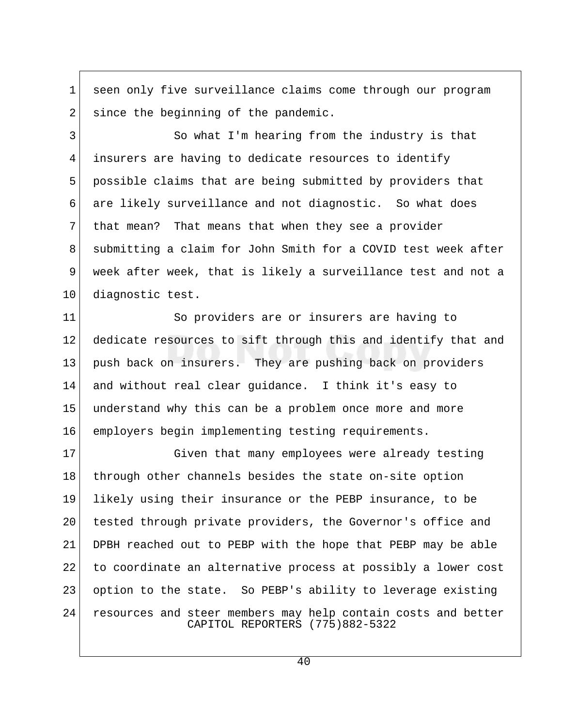1 seen only five surveillance claims come through our program  $2$  since the beginning of the pandemic.

3 So what I'm hearing from the industry is that 4 insurers are having to dedicate resources to identify 5 possible claims that are being submitted by providers that 6 are likely surveillance and not diagnostic. So what does 7 that mean? That means that when they see a provider 8 submitting a claim for John Smith for a COVID test week after 9 week after week, that is likely a surveillance test and not a 10 diagnostic test.

11 So providers are or insurers are having to 12 dedicate resources to sift through this and identify that and 13 push back on insurers. They are pushing back on providers 14 and without real clear guidance. I think it's easy to 15 understand why this can be a problem once more and more 16 employers begin implementing testing requirements.

17 Given that many employees were already testing 18 | through other channels besides the state on-site option 19 likely using their insurance or the PEBP insurance, to be 20 tested through private providers, the Governor's office and 21 DPBH reached out to PEBP with the hope that PEBP may be able 22 to coordinate an alternative process at possibly a lower cost 23 option to the state. So PEBP's ability to leverage existing 24 resources and steer members may help contain costs and better CAPITOL REPORTERS (775)882-5322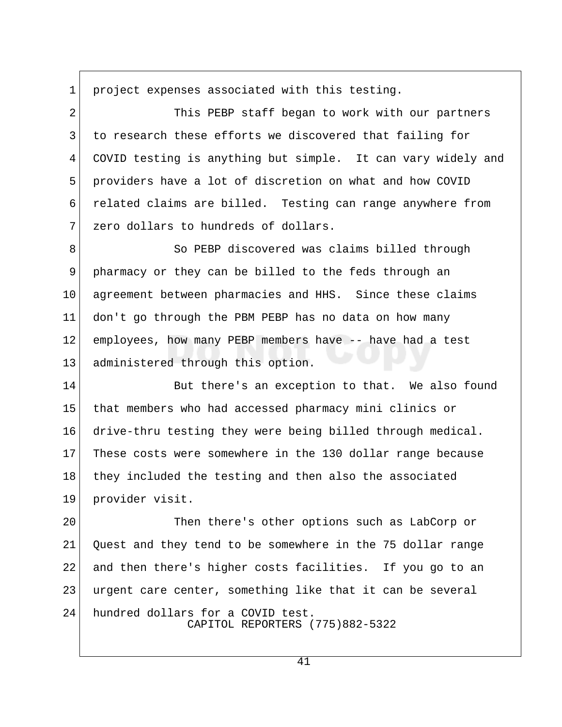1 project expenses associated with this testing.

2 This PEBP staff began to work with our partners 3 to research these efforts we discovered that failing for 4 COVID testing is anything but simple. It can vary widely and 5 providers have a lot of discretion on what and how COVID 6 related claims are billed. Testing can range anywhere from 7 zero dollars to hundreds of dollars.

8 So PEBP discovered was claims billed through 9 pharmacy or they can be billed to the feds through an 10 agreement between pharmacies and HHS. Since these claims 11 don't go through the PBM PEBP has no data on how many 12 employees, how many PEBP members have -- have had a test 13 administered through this option.

14 But there's an exception to that. We also found 15 that members who had accessed pharmacy mini clinics or 16 drive-thru testing they were being billed through medical. 17 These costs were somewhere in the 130 dollar range because 18 they included the testing and then also the associated 19 provider visit.

20 Then there's other options such as LabCorp or 21 Quest and they tend to be somewhere in the 75 dollar range 22 and then there's higher costs facilities. If you go to an 23 urgent care center, something like that it can be several 24 hundred dollars for a COVID test. CAPITOL REPORTERS (775)882-5322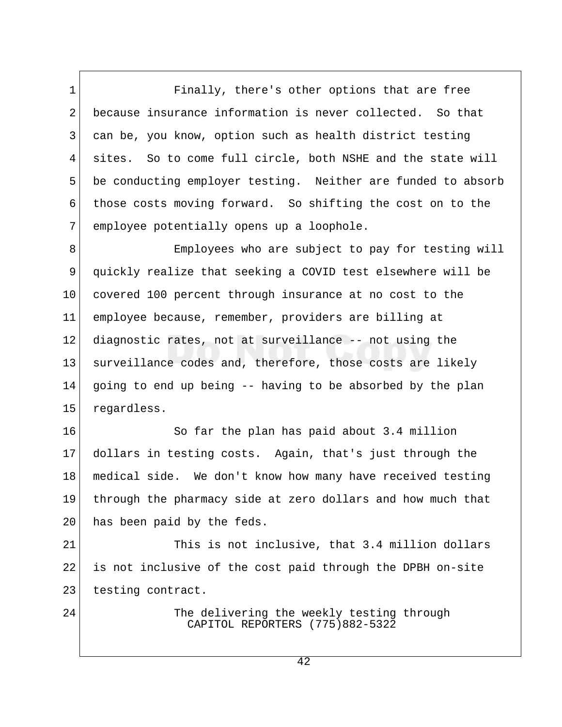1 Finally, there's other options that are free 2 because insurance information is never collected. So that 3 can be, you know, option such as health district testing 4 sites. So to come full circle, both NSHE and the state will 5 be conducting employer testing. Neither are funded to absorb 6 those costs moving forward. So shifting the cost on to the 7 employee potentially opens up a loophole.

8 Employees who are subject to pay for testing will 9 quickly realize that seeking a COVID test elsewhere will be 10 covered 100 percent through insurance at no cost to the 11 employee because, remember, providers are billing at 12 diagnostic rates, not at surveillance -- not using the 13 surveillance codes and, therefore, those costs are likely 14 going to end up being -- having to be absorbed by the plan 15 regardless.

16 So far the plan has paid about 3.4 million 17 dollars in testing costs. Again, that's just through the 18 medical side. We don't know how many have received testing 19 through the pharmacy side at zero dollars and how much that 20 has been paid by the feds.

21 This is not inclusive, that 3.4 million dollars 22 is not inclusive of the cost paid through the DPBH on-site 23 testing contract.

24 The delivering the weekly testing through CAPITOL REPORTERS (775)882-5322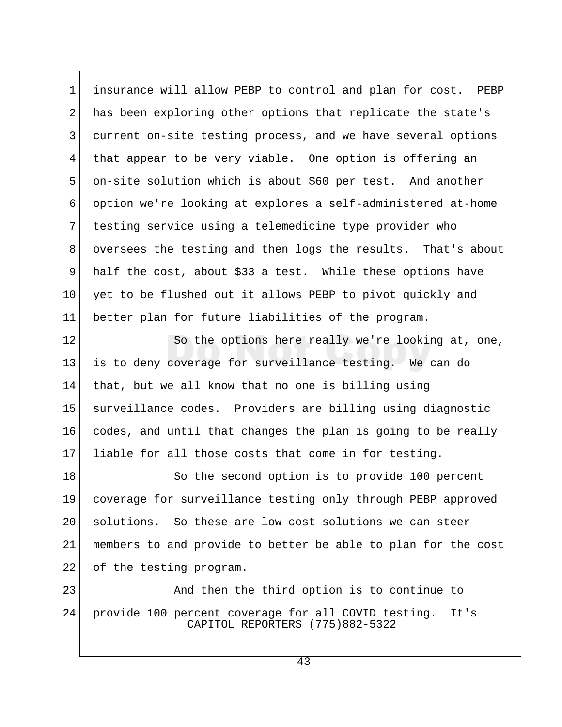1 insurance will allow PEBP to control and plan for cost. PEBP 2 has been exploring other options that replicate the state's 3 current on-site testing process, and we have several options 4 that appear to be very viable. One option is offering an 5 on-site solution which is about \$60 per test. And another 6 option we're looking at explores a self-administered at-home 7 testing service using a telemedicine type provider who 8 oversees the testing and then logs the results. That's about 9 half the cost, about \$33 a test. While these options have 10 yet to be flushed out it allows PEBP to pivot quickly and 11 better plan for future liabilities of the program.

12 So the options here really we're looking at, one, 13 is to deny coverage for surveillance testing. We can do 14 that, but we all know that no one is billing using 15 surveillance codes. Providers are billing using diagnostic 16 codes, and until that changes the plan is going to be really 17 liable for all those costs that come in for testing.

18 So the second option is to provide 100 percent 19 coverage for surveillance testing only through PEBP approved 20 solutions. So these are low cost solutions we can steer 21 members to and provide to better be able to plan for the cost 22 of the testing program.

23 And then the third option is to continue to 24 provide 100 percent coverage for all COVID testing. It's CAPITOL REPORTERS (775)882-5322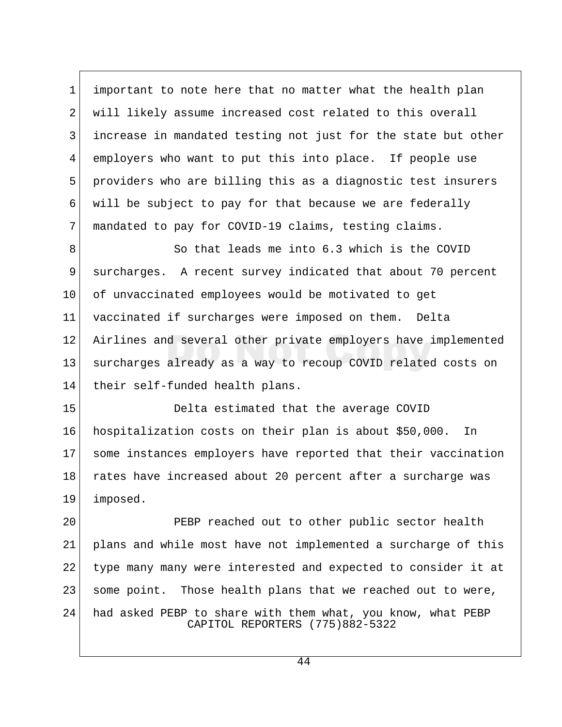1 important to note here that no matter what the health plan 2 will likely assume increased cost related to this overall 3 increase in mandated testing not just for the state but other 4 employers who want to put this into place. If people use 5 providers who are billing this as a diagnostic test insurers  $6$  will be subject to pay for that because we are federally 7 mandated to pay for COVID-19 claims, testing claims.

8 So that leads me into 6.3 which is the COVID 9 surcharges. A recent survey indicated that about 70 percent 10 of unvaccinated employees would be motivated to get 11 vaccinated if surcharges were imposed on them. Delta 12 Airlines and several other private employers have implemented 13 surcharges already as a way to recoup COVID related costs on 14 their self-funded health plans.

15 Delta estimated that the average COVID 16 hospitalization costs on their plan is about \$50,000. In 17 some instances employers have reported that their vaccination 18 rates have increased about 20 percent after a surcharge was 19 imposed.

20 PEBP reached out to other public sector health 21 plans and while most have not implemented a surcharge of this 22 type many many were interested and expected to consider it at 23 | some point. Those health plans that we reached out to were, 24 had asked PEBP to share with them what, you know, what PEBP CAPITOL REPORTERS (775)882-5322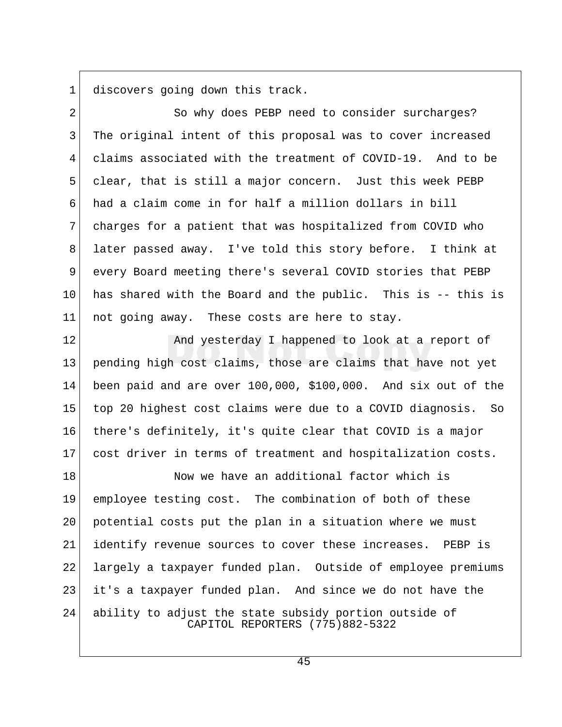1 discovers going down this track.

2 So why does PEBP need to consider surcharges? 3 The original intent of this proposal was to cover increased 4 claims associated with the treatment of COVID-19. And to be 5 clear, that is still a major concern. Just this week PEBP 6 had a claim come in for half a million dollars in bill 7 charges for a patient that was hospitalized from COVID who 8 later passed away. I've told this story before. I think at 9 every Board meeting there's several COVID stories that PEBP 10 has shared with the Board and the public. This is  $-$ - this is  $11$  not going away. These costs are here to stay.

12 And yesterday I happened to look at a report of 13 pending high cost claims, those are claims that have not yet 14 been paid and are over 100,000, \$100,000. And six out of the 15 top 20 highest cost claims were due to a COVID diagnosis. So 16 there's definitely, it's quite clear that COVID is a major 17 cost driver in terms of treatment and hospitalization costs.

18 Now we have an additional factor which is 19 employee testing cost. The combination of both of these 20 potential costs put the plan in a situation where we must 21 identify revenue sources to cover these increases. PEBP is 22 largely a taxpayer funded plan. Outside of employee premiums 23 it's a taxpayer funded plan. And since we do not have the 24 ability to adjust the state subsidy portion outside of CAPITOL REPORTERS (775)882-5322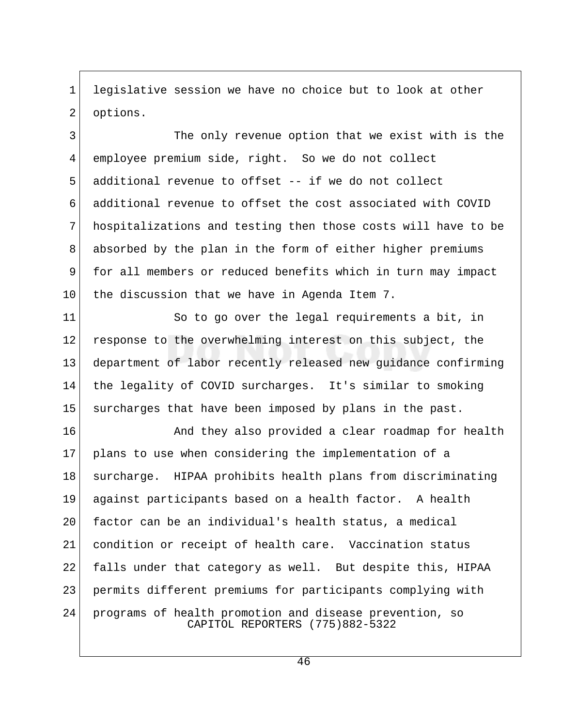1 legislative session we have no choice but to look at other 2 options.

3 The only revenue option that we exist with is the 4 employee premium side, right. So we do not collect 5 additional revenue to offset -- if we do not collect 6 additional revenue to offset the cost associated with COVID 7 hospitalizations and testing then those costs will have to be 8 absorbed by the plan in the form of either higher premiums 9 for all members or reduced benefits which in turn may impact  $10$  the discussion that we have in Agenda Item 7.

11 So to go over the legal requirements a bit, in 12 response to the overwhelming interest on this subject, the 13 department of labor recently released new guidance confirming 14 the legality of COVID surcharges. It's similar to smoking 15 surcharges that have been imposed by plans in the past.

16 And they also provided a clear roadmap for health 17 plans to use when considering the implementation of a 18 surcharge. HIPAA prohibits health plans from discriminating 19 against participants based on a health factor. A health 20 factor can be an individual's health status, a medical 21 condition or receipt of health care. Vaccination status 22 falls under that category as well. But despite this, HIPAA 23 permits different premiums for participants complying with 24 programs of health promotion and disease prevention, so CAPITOL REPORTERS (775)882-5322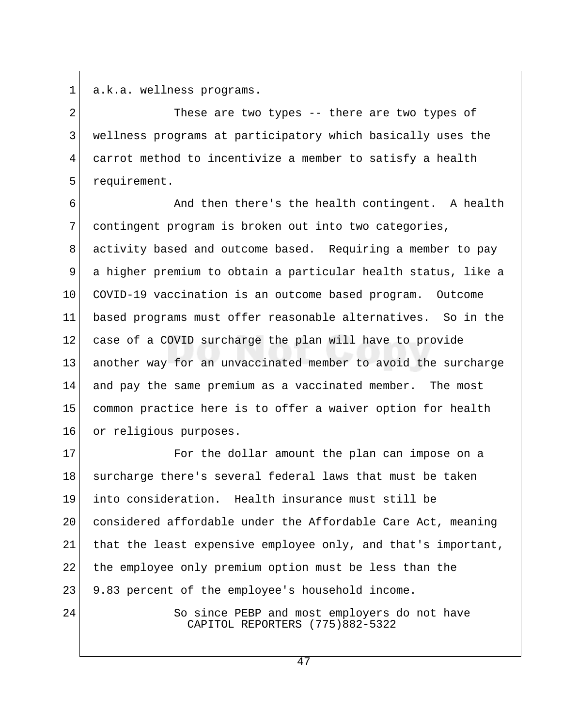1 a.k.a. wellness programs.

2 These are two types -- there are two types of 3 wellness programs at participatory which basically uses the 4 carrot method to incentivize a member to satisfy a health 5 requirement.

6 **And then there's the health contingent.** A health 7 contingent program is broken out into two categories, 8 activity based and outcome based. Requiring a member to pay 9 a higher premium to obtain a particular health status, like a 10 COVID-19 vaccination is an outcome based program. Outcome 11 based programs must offer reasonable alternatives. So in the 12 case of a COVID surcharge the plan will have to provide 13 another way for an unvaccinated member to avoid the surcharge 14 and pay the same premium as a vaccinated member. The most 15 common practice here is to offer a waiver option for health 16 or religious purposes.

17 For the dollar amount the plan can impose on a 18 surcharge there's several federal laws that must be taken 19 into consideration. Health insurance must still be 20 considered affordable under the Affordable Care Act, meaning 21 that the least expensive employee only, and that's important, 22 the employee only premium option must be less than the 23 9.83 percent of the employee's household income.

24 So since PEBP and most employers do not have CAPITOL REPORTERS (775)882-5322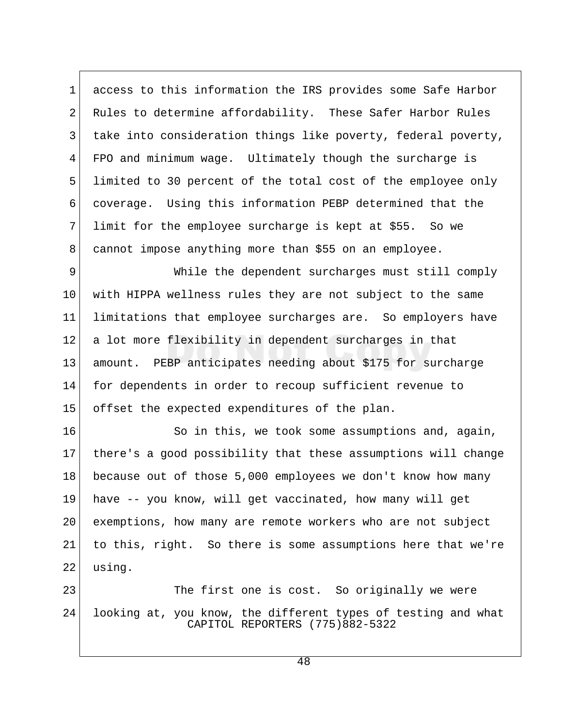1 access to this information the IRS provides some Safe Harbor 2 Rules to determine affordability. These Safer Harbor Rules 3 take into consideration things like poverty, federal poverty, 4 FPO and minimum wage. Ultimately though the surcharge is 5 limited to 30 percent of the total cost of the employee only 6 coverage. Using this information PEBP determined that the  $7$  limit for the employee surcharge is kept at \$55. So we 8 cannot impose anything more than \$55 on an employee.

9 While the dependent surcharges must still comply 10 with HIPPA wellness rules they are not subject to the same 11 limitations that employee surcharges are. So employers have 12 a lot more flexibility in dependent surcharges in that 13 amount. PEBP anticipates needing about \$175 for surcharge 14 for dependents in order to recoup sufficient revenue to 15 offset the expected expenditures of the plan.

16 So in this, we took some assumptions and, again, 17 there's a good possibility that these assumptions will change 18 because out of those 5,000 employees we don't know how many 19 have -- you know, will get vaccinated, how many will get 20 exemptions, how many are remote workers who are not subject 21 to this, right. So there is some assumptions here that we're 22 using.

23 The first one is cost. So originally we were 24 looking at, you know, the different types of testing and what CAPITOL REPORTERS (775)882-5322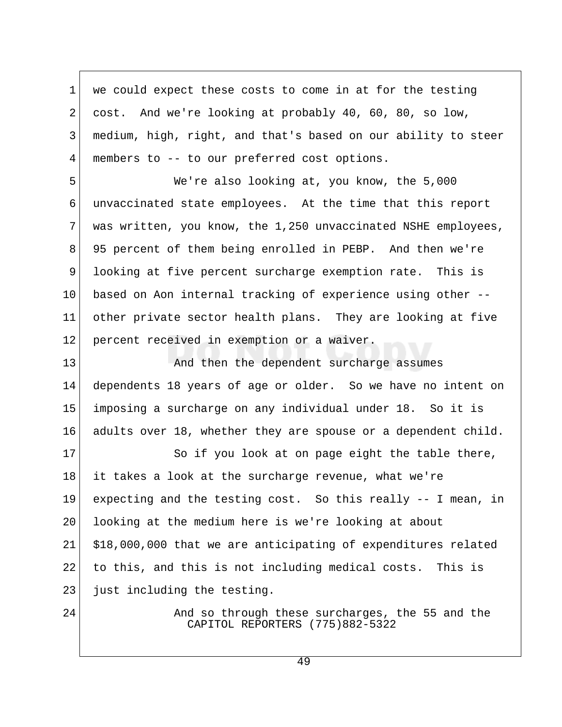1 we could expect these costs to come in at for the testing 2 cost. And we're looking at probably 40, 60, 80, so low, 3 medium, high, right, and that's based on our ability to steer 4 members to -- to our preferred cost options.

 5 We're also looking at, you know, the 5,000 6 unvaccinated state employees. At the time that this report 7 was written, you know, the 1,250 unvaccinated NSHE employees, 8 95 percent of them being enrolled in PEBP. And then we're 9 looking at five percent surcharge exemption rate. This is 10 based on Aon internal tracking of experience using other -- 11 other private sector health plans. They are looking at five 12 percent received in exemption or a waiver.

13 And then the dependent surcharge assumes 14 dependents 18 years of age or older. So we have no intent on 15 imposing a surcharge on any individual under 18. So it is 16 adults over 18, whether they are spouse or a dependent child.

17 So if you look at on page eight the table there, 18 it takes a look at the surcharge revenue, what we're 19 expecting and the testing cost. So this really -- I mean, in 20 looking at the medium here is we're looking at about 21 \$18,000,000 that we are anticipating of expenditures related 22 to this, and this is not including medical costs. This is 23 just including the testing.

24 And so through these surcharges, the 55 and the CAPITOL REPORTERS (775)882-5322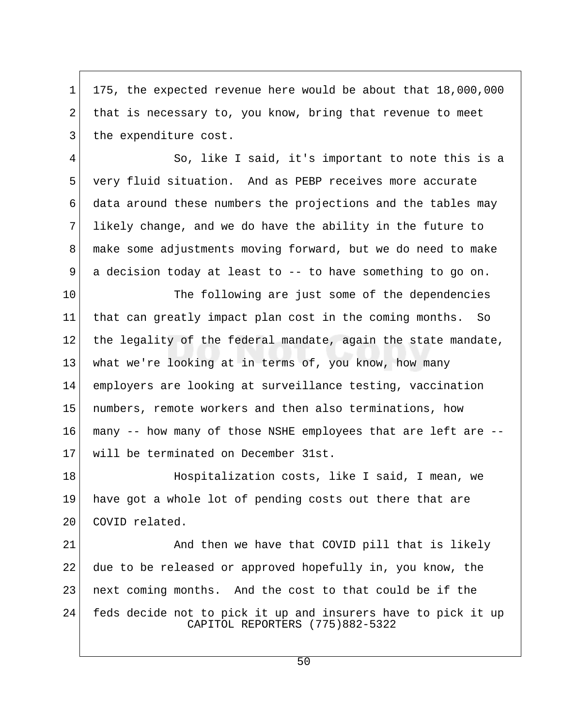1 175, the expected revenue here would be about that 18,000,000 2 that is necessary to, you know, bring that revenue to meet 3 the expenditure cost.

 4 So, like I said, it's important to note this is a 5 very fluid situation. And as PEBP receives more accurate 6 data around these numbers the projections and the tables may  $7$  likely change, and we do have the ability in the future to 8 make some adjustments moving forward, but we do need to make  $9$  a decision today at least to  $-$  to have something to go on.

10 The following are just some of the dependencies 11 that can greatly impact plan cost in the coming months. So 12 the legality of the federal mandate, again the state mandate, 13 what we're looking at in terms of, you know, how many 14 employers are looking at surveillance testing, vaccination 15 numbers, remote workers and then also terminations, how 16 many -- how many of those NSHE employees that are left are -- 17 will be terminated on December 31st.

18 Hospitalization costs, like I said, I mean, we 19 have got a whole lot of pending costs out there that are 20 COVID related.

21 And then we have that COVID pill that is likely 22 due to be released or approved hopefully in, you know, the 23 next coming months. And the cost to that could be if the 24 feds decide not to pick it up and insurers have to pick it up CAPITOL REPORTERS (775)882-5322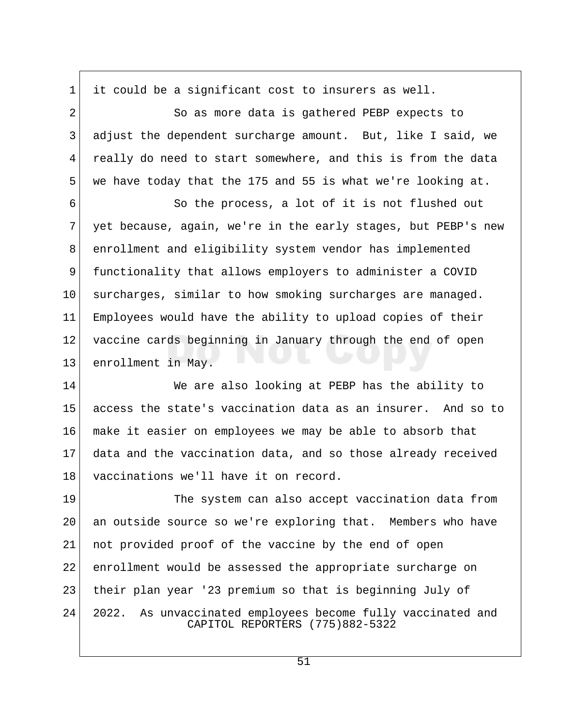$1$  it could be a significant cost to insurers as well. 2 So as more data is gathered PEBP expects to 3 adjust the dependent surcharge amount. But, like I said, we 4 really do need to start somewhere, and this is from the data 5 we have today that the 175 and 55 is what we're looking at.

 6 So the process, a lot of it is not flushed out 7 yet because, again, we're in the early stages, but PEBP's new 8 enrollment and eligibility system vendor has implemented 9 functionality that allows employers to administer a COVID 10 surcharges, similar to how smoking surcharges are managed. 11 Employees would have the ability to upload copies of their 12 vaccine cards beginning in January through the end of open 13 enrollment in May.

14 We are also looking at PEBP has the ability to 15 access the state's vaccination data as an insurer. And so to 16 make it easier on employees we may be able to absorb that 17 data and the vaccination data, and so those already received 18 vaccinations we'll have it on record.

19 The system can also accept vaccination data from 20 an outside source so we're exploring that. Members who have 21 not provided proof of the vaccine by the end of open 22 enrollment would be assessed the appropriate surcharge on 23 their plan year '23 premium so that is beginning July of 24 2022. As unvaccinated employees become fully vaccinated and CAPITOL REPORTERS (775)882-5322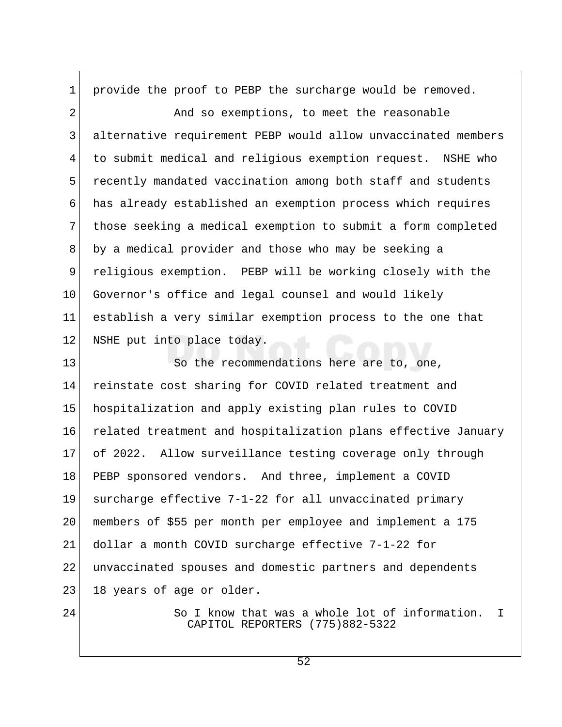1 provide the proof to PEBP the surcharge would be removed.

2 And so exemptions, to meet the reasonable 3 alternative requirement PEBP would allow unvaccinated members 4 to submit medical and religious exemption request. NSHE who 5 recently mandated vaccination among both staff and students 6 has already established an exemption process which requires 7 those seeking a medical exemption to submit a form completed 8 by a medical provider and those who may be seeking a 9 religious exemption. PEBP will be working closely with the 10 Governor's office and legal counsel and would likely 11 establish a very similar exemption process to the one that 12 NSHE put into place today.

13 So the recommendations here are to, one, 14 reinstate cost sharing for COVID related treatment and 15 hospitalization and apply existing plan rules to COVID 16 related treatment and hospitalization plans effective January 17 of 2022. Allow surveillance testing coverage only through 18 PEBP sponsored vendors. And three, implement a COVID 19 surcharge effective 7-1-22 for all unvaccinated primary 20 members of \$55 per month per employee and implement a 175 21 dollar a month COVID surcharge effective 7-1-22 for 22 unvaccinated spouses and domestic partners and dependents 23 18 years of age or older.

24 So I know that was a whole lot of information. I CAPITOL REPORTERS (775)882-5322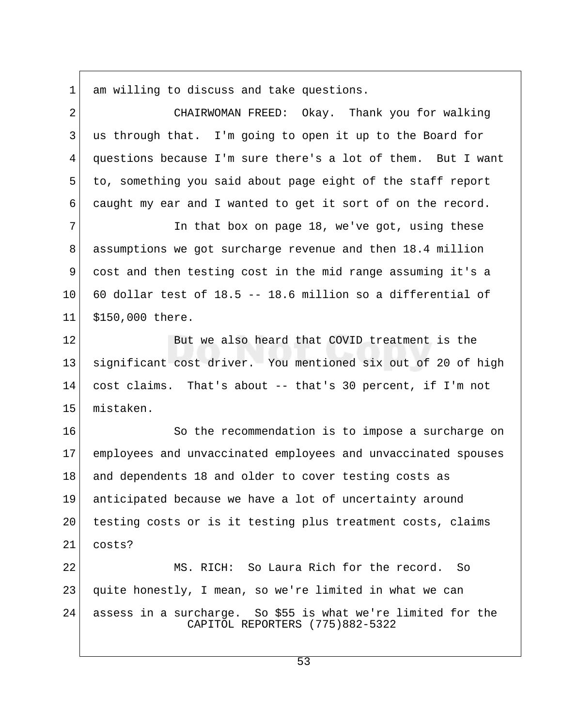1 am willing to discuss and take questions.

 2 CHAIRWOMAN FREED: Okay. Thank you for walking 3 us through that. I'm going to open it up to the Board for 4 questions because I'm sure there's a lot of them. But I want 5 to, something you said about page eight of the staff report 6 caught my ear and I wanted to get it sort of on the record. 7 In that box on page 18, we've got, using these 8 assumptions we got surcharge revenue and then 18.4 million 9 cost and then testing cost in the mid range assuming it's a  $10$  60 dollar test of 18.5 -- 18.6 million so a differential of 11 \$150,000 there. 12 But we also heard that COVID treatment is the 13 significant cost driver. You mentioned six out of 20 of high 14 cost claims. That's about -- that's 30 percent, if I'm not 15 mistaken. 16 So the recommendation is to impose a surcharge on 17 employees and unvaccinated employees and unvaccinated spouses 18 and dependents 18 and older to cover testing costs as 19 anticipated because we have a lot of uncertainty around 20 testing costs or is it testing plus treatment costs, claims

22 MS. RICH: So Laura Rich for the record. So 23 quite honestly, I mean, so we're limited in what we can 24 assess in a surcharge. So \$55 is what we're limited for the CAPITOL REPORTERS (775)882-5322

21 costs?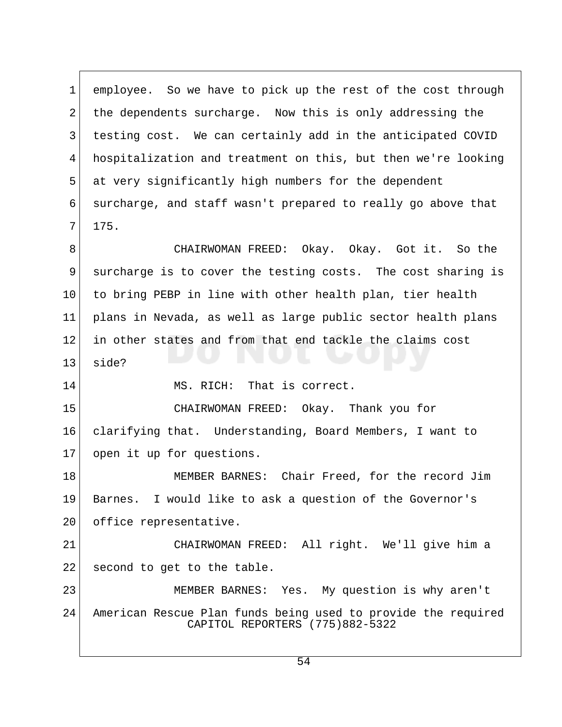1 employee. So we have to pick up the rest of the cost through 2 the dependents surcharge. Now this is only addressing the 3 testing cost. We can certainly add in the anticipated COVID 4 hospitalization and treatment on this, but then we're looking 5 at very significantly high numbers for the dependent 6 surcharge, and staff wasn't prepared to really go above that  $7 \mid 175.$ 8 CHAIRWOMAN FREED: Okay. Okay. Got it. So the 9 surcharge is to cover the testing costs. The cost sharing is 10 to bring PEBP in line with other health plan, tier health 11 plans in Nevada, as well as large public sector health plans 12 in other states and from that end tackle the claims cost  $13$  side? 14 MS. RICH: That is correct. 15 CHAIRWOMAN FREED: Okay. Thank you for 16 clarifying that. Understanding, Board Members, I want to 17 open it up for questions. 18 MEMBER BARNES: Chair Freed, for the record Jim 19 Barnes. I would like to ask a question of the Governor's 20 office representative. 21 CHAIRWOMAN FREED: All right. We'll give him a 22 second to get to the table. 23 MEMBER BARNES: Yes. My question is why aren't 24 American Rescue Plan funds being used to provide the required CAPITOL REPORTERS (775)882-5322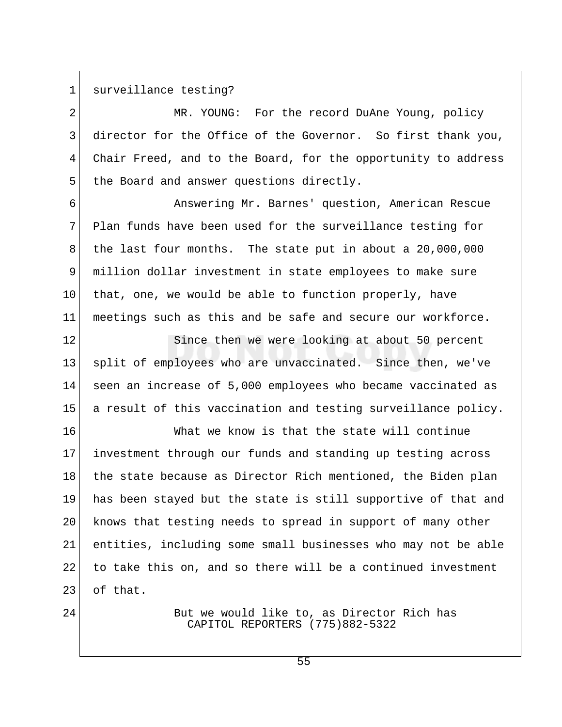1 surveillance testing?

2 MR. YOUNG: For the record DuAne Young, policy 3 director for the Office of the Governor. So first thank you, 4 Chair Freed, and to the Board, for the opportunity to address 5 the Board and answer questions directly.

 6 Answering Mr. Barnes' question, American Rescue 7 Plan funds have been used for the surveillance testing for 8 the last four months. The state put in about a 20,000,000 9 million dollar investment in state employees to make sure 10 that, one, we would be able to function properly, have 11 meetings such as this and be safe and secure our workforce.

12 Since then we were looking at about 50 percent 13 split of employees who are unvaccinated. Since then, we've 14 seen an increase of 5,000 employees who became vaccinated as 15 a result of this vaccination and testing surveillance policy.

16 What we know is that the state will continue 17 investment through our funds and standing up testing across 18 the state because as Director Rich mentioned, the Biden plan 19 has been stayed but the state is still supportive of that and 20 knows that testing needs to spread in support of many other 21 entities, including some small businesses who may not be able 22 to take this on, and so there will be a continued investment 23 of that.

24 But we would like to, as Director Rich has CAPITOL REPORTERS (775)882-5322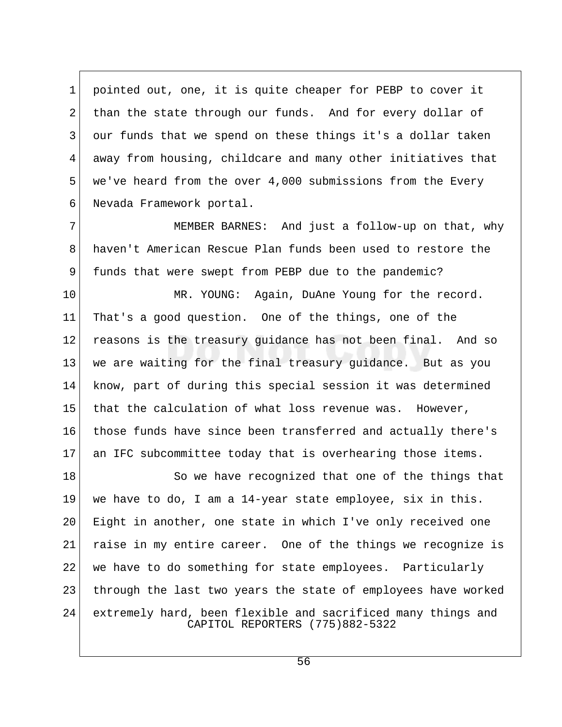1 pointed out, one, it is quite cheaper for PEBP to cover it 2 than the state through our funds. And for every dollar of 3 our funds that we spend on these things it's a dollar taken 4 away from housing, childcare and many other initiatives that 5 we've heard from the over 4,000 submissions from the Every 6 Nevada Framework portal.

7 MEMBER BARNES: And just a follow-up on that, why 8 haven't American Rescue Plan funds been used to restore the 9 funds that were swept from PEBP due to the pandemic?

10 MR. YOUNG: Again, DuAne Young for the record. 11 That's a good question. One of the things, one of the 12 reasons is the treasury guidance has not been final. And so 13 we are waiting for the final treasury guidance. But as you 14 know, part of during this special session it was determined 15 that the calculation of what loss revenue was. However, 16 those funds have since been transferred and actually there's 17 an IFC subcommittee today that is overhearing those items.

18 So we have recognized that one of the things that 19 we have to do, I am a 14-year state employee, six in this. 20 Eight in another, one state in which I've only received one 21 raise in my entire career. One of the things we recognize is 22 we have to do something for state employees. Particularly 23 | through the last two years the state of employees have worked 24 extremely hard, been flexible and sacrificed many things and CAPITOL REPORTERS (775)882-5322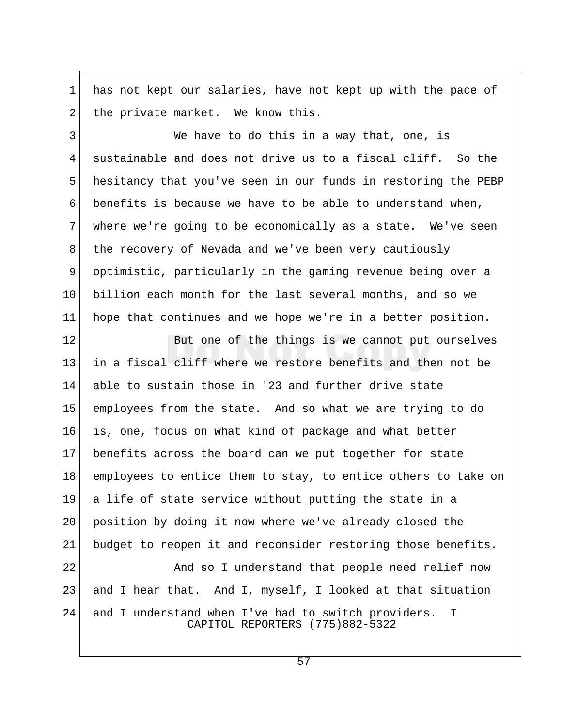1 has not kept our salaries, have not kept up with the pace of  $2$  the private market. We know this.

3 We have to do this in a way that, one, is 4 sustainable and does not drive us to a fiscal cliff. So the 5 hesitancy that you've seen in our funds in restoring the PEBP 6 benefits is because we have to be able to understand when, 7 where we're going to be economically as a state. We've seen 8 the recovery of Nevada and we've been very cautiously 9 optimistic, particularly in the gaming revenue being over a 10 billion each month for the last several months, and so we 11 hope that continues and we hope we're in a better position.

12 But one of the things is we cannot put ourselves 13 in a fiscal cliff where we restore benefits and then not be 14 able to sustain those in '23 and further drive state 15 employees from the state. And so what we are trying to do 16 is, one, focus on what kind of package and what better 17 benefits across the board can we put together for state 18 employees to entice them to stay, to entice others to take on 19 a life of state service without putting the state in a 20 position by doing it now where we've already closed the 21 budget to reopen it and reconsider restoring those benefits. 22 And so I understand that people need relief now 23 and I hear that. And I, myself, I looked at that situation 24 and I understand when I've had to switch providers. I CAPITOL REPORTERS (775)882-5322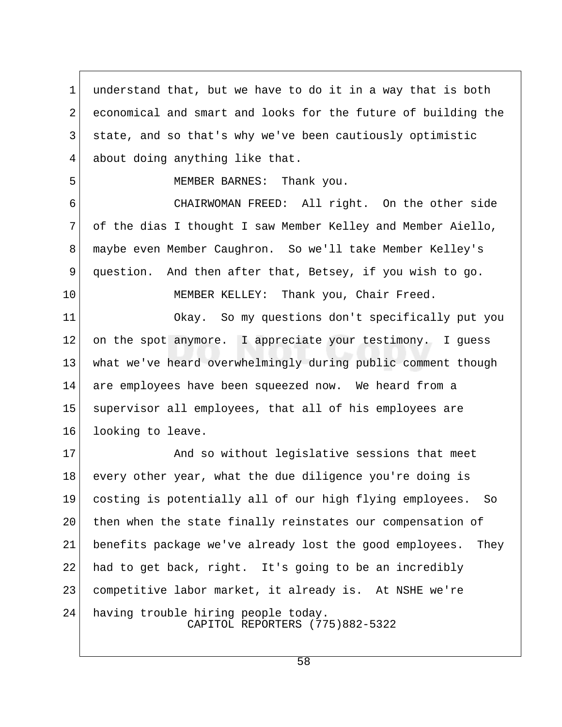1 understand that, but we have to do it in a way that is both 2 economical and smart and looks for the future of building the 3 state, and so that's why we've been cautiously optimistic 4 about doing anything like that. 5 MEMBER BARNES: Thank you. 6 CHAIRWOMAN FREED: All right. On the other side 7 of the dias I thought I saw Member Kelley and Member Aiello, 8 maybe even Member Caughron. So we'll take Member Kelley's 9 question. And then after that, Betsey, if you wish to go. 10 MEMBER KELLEY: Thank you, Chair Freed. 11 Okay. So my questions don't specifically put you 12 on the spot anymore. I appreciate your testimony. I quess 13 what we've heard overwhelmingly during public comment though 14 are employees have been squeezed now. We heard from a 15 supervisor all employees, that all of his employees are 16 looking to leave. 17 And so without legislative sessions that meet 18 every other year, what the due diligence you're doing is 19 costing is potentially all of our high flying employees. So 20 | then when the state finally reinstates our compensation of 21 benefits package we've already lost the good employees. They 22 had to get back, right. It's going to be an incredibly 23 competitive labor market, it already is. At NSHE we're 24 having trouble hiring people today. CAPITOL REPORTERS (775)882-5322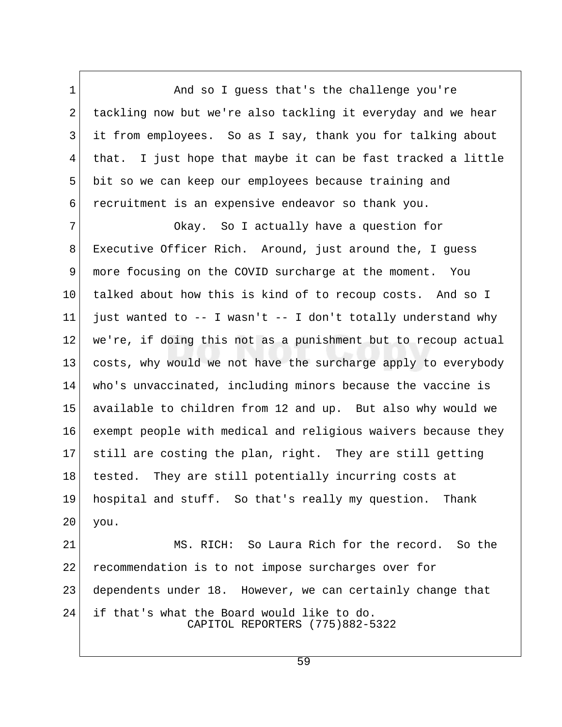1 And so I guess that's the challenge you're 2 tackling now but we're also tackling it everyday and we hear 3 it from employees. So as I say, thank you for talking about 4 that. I just hope that maybe it can be fast tracked a little 5 bit so we can keep our employees because training and 6 recruitment is an expensive endeavor so thank you.

7 Okay. So I actually have a question for 8 Executive Officer Rich. Around, just around the, I guess 9 more focusing on the COVID surcharge at the moment. You 10 talked about how this is kind of to recoup costs. And so I 11 just wanted to  $-$ - I wasn't  $-$ - I don't totally understand why 12 we're, if doing this not as a punishment but to recoup actual 13 costs, why would we not have the surcharge apply to everybody 14 who's unvaccinated, including minors because the vaccine is 15 available to children from 12 and up. But also why would we 16 exempt people with medical and religious waivers because they 17 still are costing the plan, right. They are still getting 18 tested. They are still potentially incurring costs at 19 hospital and stuff. So that's really my question. Thank 20 you.

21 MS. RICH: So Laura Rich for the record. So the 22 recommendation is to not impose surcharges over for 23 dependents under 18. However, we can certainly change that 24 if that's what the Board would like to do. CAPITOL REPORTERS (775)882-5322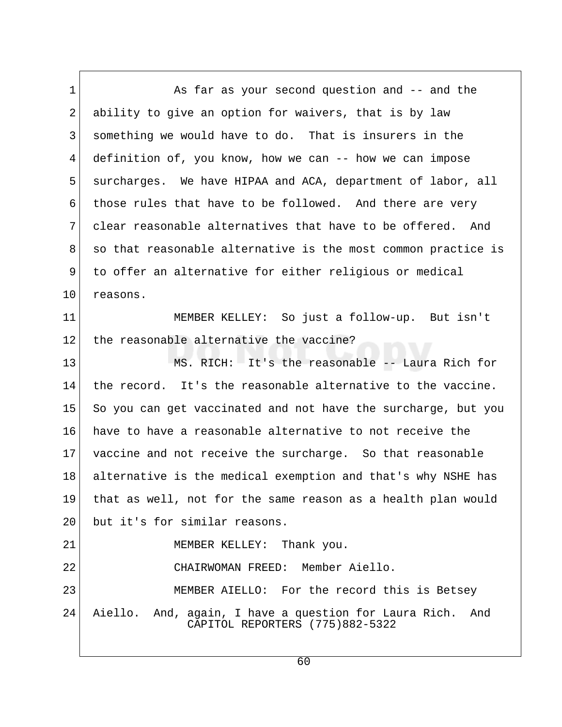1 As far as your second question and -- and the 2 ability to give an option for waivers, that is by law 3 something we would have to do. That is insurers in the 4 definition of, you know, how we can -- how we can impose 5 surcharges. We have HIPAA and ACA, department of labor, all 6 those rules that have to be followed. And there are very 7 clear reasonable alternatives that have to be offered. And 8 so that reasonable alternative is the most common practice is 9 to offer an alternative for either religious or medical 10 reasons. 11 MEMBER KELLEY: So just a follow-up. But isn't 12 the reasonable alternative the vaccine? 13 MS. RICH: It's the reasonable -- Laura Rich for 14 the record. It's the reasonable alternative to the vaccine. 15 So you can get vaccinated and not have the surcharge, but you 16 have to have a reasonable alternative to not receive the 17 vaccine and not receive the surcharge. So that reasonable 18 alternative is the medical exemption and that's why NSHE has 19 that as well, not for the same reason as a health plan would 20 but it's for similar reasons. 21 MEMBER KELLEY: Thank you. 22 CHAIRWOMAN FREED: Member Aiello. 23 MEMBER AIELLO: For the record this is Betsey 24 Aiello. And, again, I have a question for Laura Rich. And CAPITOL REPORTERS (775)882-5322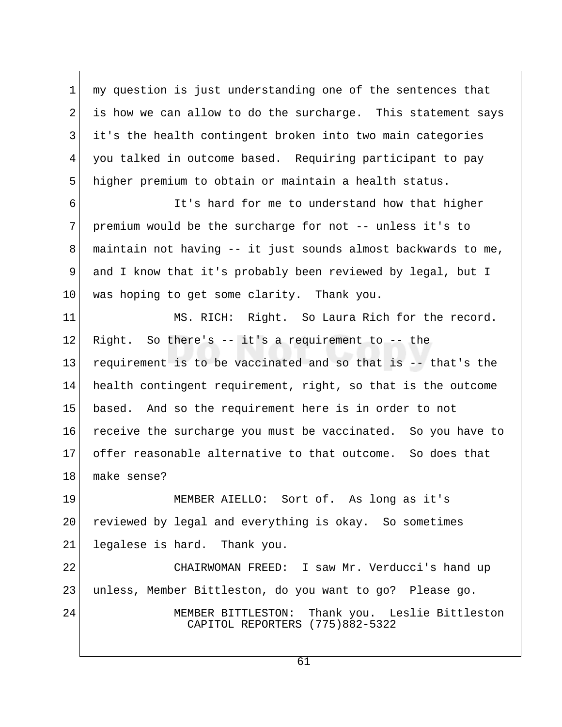1 my question is just understanding one of the sentences that 2 is how we can allow to do the surcharge. This statement says 3 it's the health contingent broken into two main categories 4 you talked in outcome based. Requiring participant to pay 5 higher premium to obtain or maintain a health status.

 6 It's hard for me to understand how that higher 7 premium would be the surcharge for not -- unless it's to 8 maintain not having  $-$  it just sounds almost backwards to me, 9 and I know that it's probably been reviewed by legal, but I 10 was hoping to get some clarity. Thank you.

11 MS. RICH: Right. So Laura Rich for the record. 12 Right. So there's  $-$  it's a requirement to  $-$  the 13 requirement is to be vaccinated and so that is -- that's the 14 health contingent requirement, right, so that is the outcome 15 based. And so the requirement here is in order to not 16 receive the surcharge you must be vaccinated. So you have to 17 offer reasonable alternative to that outcome. So does that 18 make sense?

19 MEMBER AIELLO: Sort of. As long as it's 20 reviewed by legal and everything is okay. So sometimes 21 legalese is hard. Thank you.

22 CHAIRWOMAN FREED: I saw Mr. Verducci's hand up 23 unless, Member Bittleston, do you want to go? Please go. 24 MEMBER BITTLESTON: Thank you. Leslie Bittleston CAPITOL REPORTERS (775)882-5322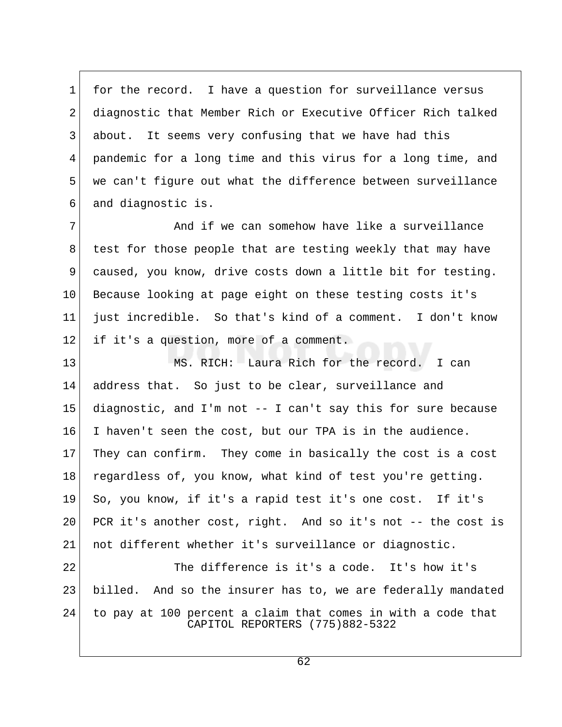1 for the record. I have a question for surveillance versus 2 diagnostic that Member Rich or Executive Officer Rich talked 3 about. It seems very confusing that we have had this 4 pandemic for a long time and this virus for a long time, and 5 we can't figure out what the difference between surveillance 6 and diagnostic is.

7 And if we can somehow have like a surveillance 8 test for those people that are testing weekly that may have 9 caused, you know, drive costs down a little bit for testing. 10 Because looking at page eight on these testing costs it's 11 just incredible. So that's kind of a comment. I don't know 12 | if it's a question, more of a comment.

13 MS. RICH: Laura Rich for the record. I can 14 address that. So just to be clear, surveillance and 15 diagnostic, and I'm not -- I can't say this for sure because 16 I haven't seen the cost, but our TPA is in the audience. 17 They can confirm. They come in basically the cost is a cost 18 regardless of, you know, what kind of test you're getting. 19 So, you know, if it's a rapid test it's one cost. If it's 20 PCR it's another cost, right. And so it's not -- the cost is 21 not different whether it's surveillance or diagnostic.

22 The difference is it's a code. It's how it's 23 billed. And so the insurer has to, we are federally mandated 24 to pay at 100 percent a claim that comes in with a code that CAPITOL REPORTERS (775)882-5322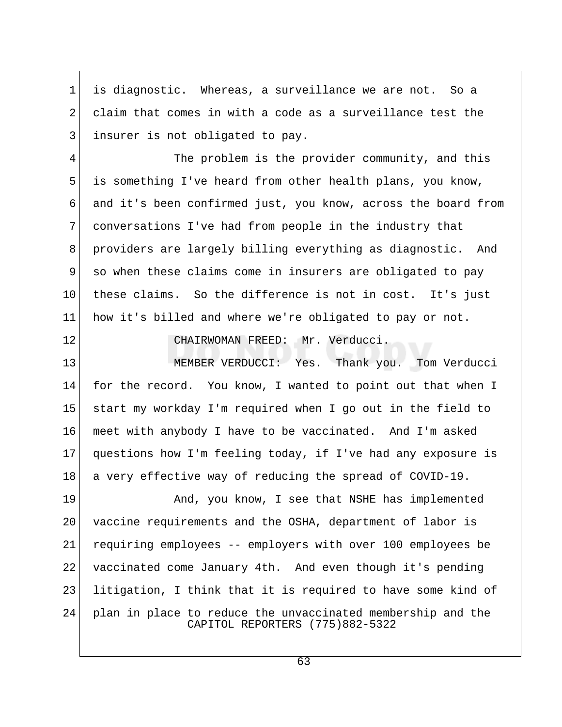1 is diagnostic. Whereas, a surveillance we are not. So a 2 claim that comes in with a code as a surveillance test the 3 insurer is not obligated to pay.

4 The problem is the provider community, and this 5 is something I've heard from other health plans, you know, 6 and it's been confirmed just, you know, across the board from 7 conversations I've had from people in the industry that 8 providers are largely billing everything as diagnostic. And 9 so when these claims come in insurers are obligated to pay 10 these claims. So the difference is not in cost. It's just 11 how it's billed and where we're obligated to pay or not.

12 CHAIRWOMAN FREED: Mr. Verducci.

13 MEMBER VERDUCCI: Yes. Thank you. Tom Verducci 14 for the record. You know, I wanted to point out that when I 15 start my workday I'm required when I go out in the field to 16 meet with anybody I have to be vaccinated. And I'm asked 17 questions how I'm feeling today, if I've had any exposure is 18 a very effective way of reducing the spread of COVID-19.

19 And, you know, I see that NSHE has implemented 20 vaccine requirements and the OSHA, department of labor is 21 requiring employees -- employers with over 100 employees be 22 vaccinated come January 4th. And even though it's pending 23 litigation, I think that it is required to have some kind of 24 plan in place to reduce the unvaccinated membership and the CAPITOL REPORTERS (775)882-5322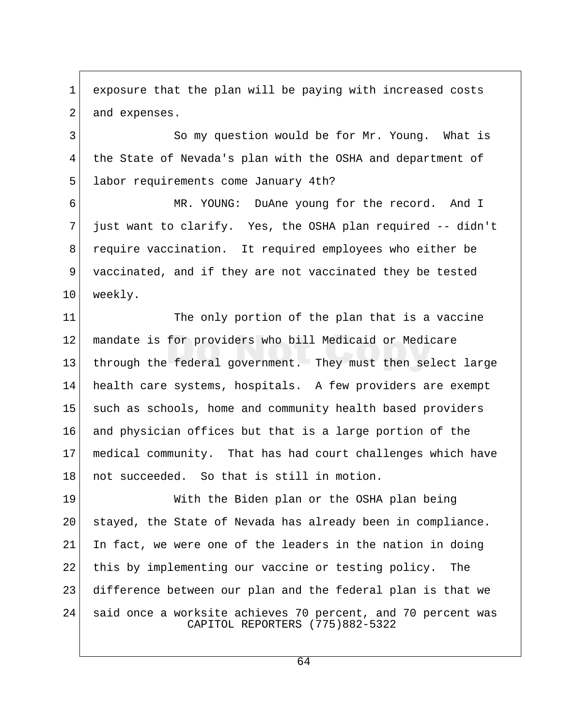1 exposure that the plan will be paying with increased costs 2 and expenses.

3 So my question would be for Mr. Young. What is 4 the State of Nevada's plan with the OSHA and department of 5 labor requirements come January 4th?

 6 MR. YOUNG: DuAne young for the record. And I 7 just want to clarify. Yes, the OSHA plan required -- didn't 8 require vaccination. It required employees who either be 9 vaccinated, and if they are not vaccinated they be tested 10 weekly.

11 The only portion of the plan that is a vaccine 12 mandate is for providers who bill Medicaid or Medicare 13 through the federal government. They must then select large 14 health care systems, hospitals. A few providers are exempt 15 such as schools, home and community health based providers 16 and physician offices but that is a large portion of the 17 medical community. That has had court challenges which have 18 not succeeded. So that is still in motion.

19 With the Biden plan or the OSHA plan being 20 stayed, the State of Nevada has already been in compliance. 21 In fact, we were one of the leaders in the nation in doing 22 this by implementing our vaccine or testing policy. The 23 difference between our plan and the federal plan is that we 24 said once a worksite achieves 70 percent, and 70 percent was CAPITOL REPORTERS (775)882-5322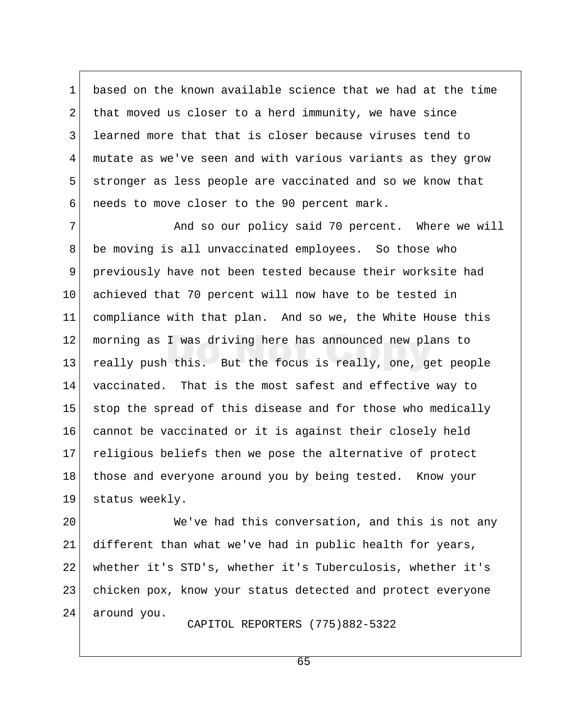1 based on the known available science that we had at the time 2 that moved us closer to a herd immunity, we have since 3 learned more that that is closer because viruses tend to 4 mutate as we've seen and with various variants as they grow 5 stronger as less people are vaccinated and so we know that 6 needs to move closer to the 90 percent mark.

7 And so our policy said 70 percent. Where we will 8 be moving is all unvaccinated employees. So those who 9 previously have not been tested because their worksite had 10 achieved that 70 percent will now have to be tested in 11 compliance with that plan. And so we, the White House this 12 morning as I was driving here has announced new plans to 13 really push this. But the focus is really, one, get people 14 vaccinated. That is the most safest and effective way to 15 stop the spread of this disease and for those who medically 16 cannot be vaccinated or it is against their closely held 17 religious beliefs then we pose the alternative of protect 18 those and everyone around you by being tested. Know your 19 status weekly.

20 We've had this conversation, and this is not any 21 different than what we've had in public health for years, 22 whether it's STD's, whether it's Tuberculosis, whether it's 23 chicken pox, know your status detected and protect everyone 24 around you.

CAPITOL REPORTERS (775)882-5322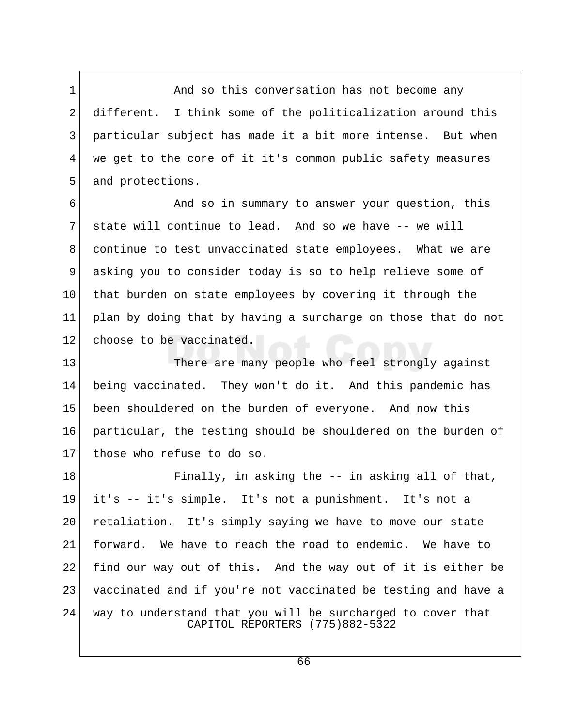1 And so this conversation has not become any 2 different. I think some of the politicalization around this 3 particular subject has made it a bit more intense. But when 4 we get to the core of it it's common public safety measures 5 and protections.

 6 And so in summary to answer your question, this 7 state will continue to lead. And so we have -- we will 8 continue to test unvaccinated state employees. What we are 9 asking you to consider today is so to help relieve some of 10 that burden on state employees by covering it through the 11 plan by doing that by having a surcharge on those that do not 12 choose to be vaccinated.

13 There are many people who feel strongly against 14 being vaccinated. They won't do it. And this pandemic has 15 been shouldered on the burden of everyone. And now this 16 particular, the testing should be shouldered on the burden of 17 those who refuse to do so.

18 Finally, in asking the -- in asking all of that, 19 it's -- it's simple. It's not a punishment. It's not a 20 retaliation. It's simply saying we have to move our state 21 forward. We have to reach the road to endemic. We have to 22 find our way out of this. And the way out of it is either be 23 vaccinated and if you're not vaccinated be testing and have a 24 way to understand that you will be surcharged to cover that CAPITOL REPORTERS (775)882-5322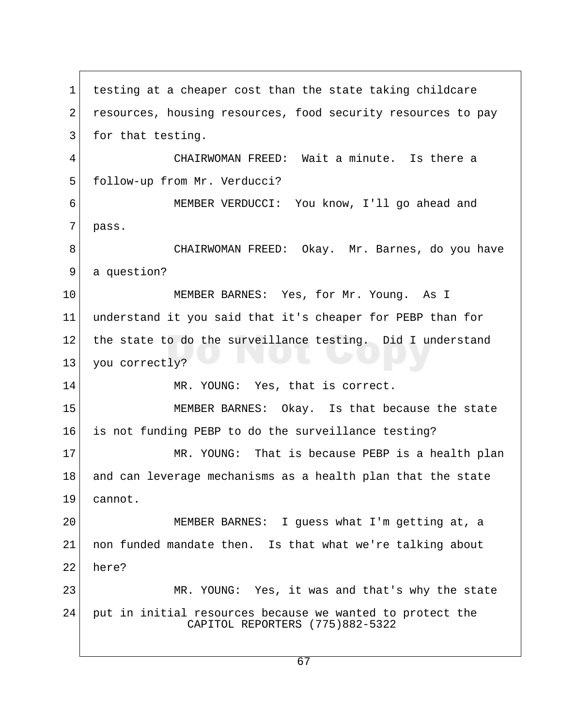1 testing at a cheaper cost than the state taking childcare 2 resources, housing resources, food security resources to pay 3 for that testing. 4 CHAIRWOMAN FREED: Wait a minute. Is there a 5 follow-up from Mr. Verducci? 6 MEMBER VERDUCCI: You know, I'll go ahead and 7 pass. 8 CHAIRWOMAN FREED: Okay. Mr. Barnes, do you have 9 a question? 10 MEMBER BARNES: Yes, for Mr. Young. As I 11 understand it you said that it's cheaper for PEBP than for 12 the state to do the surveillance testing. Did I understand 13 you correctly? 14 MR. YOUNG: Yes, that is correct. 15 MEMBER BARNES: Okay. Is that because the state 16 is not funding PEBP to do the surveillance testing? 17 MR. YOUNG: That is because PEBP is a health plan 18 and can leverage mechanisms as a health plan that the state 19 cannot. 20 MEMBER BARNES: I guess what I'm getting at, a 21 non funded mandate then. Is that what we're talking about 22 here? 23 MR. YOUNG: Yes, it was and that's why the state 24 put in initial resources because we wanted to protect the CAPITOL REPORTERS (775)882-5322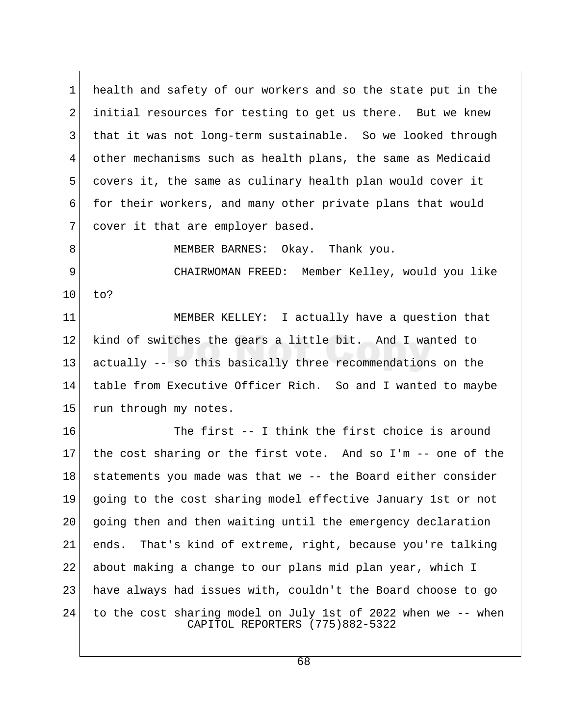1 health and safety of our workers and so the state put in the 2 initial resources for testing to get us there. But we knew 3 that it was not long-term sustainable. So we looked through 4 other mechanisms such as health plans, the same as Medicaid 5 covers it, the same as culinary health plan would cover it 6 for their workers, and many other private plans that would 7 cover it that are employer based.

8 MEMBER BARNES: Okay. Thank you.

 9 CHAIRWOMAN FREED: Member Kelley, would you like 10 to?

11 MEMBER KELLEY: I actually have a question that 12 kind of switches the gears a little bit. And I wanted to 13 actually -- so this basically three recommendations on the 14 table from Executive Officer Rich. So and I wanted to maybe 15 run through my notes.

16 The first -- I think the first choice is around 17 the cost sharing or the first vote. And so I'm  $-$ - one of the 18 | statements you made was that we -- the Board either consider 19 going to the cost sharing model effective January 1st or not 20 going then and then waiting until the emergency declaration 21 ends. That's kind of extreme, right, because you're talking 22 about making a change to our plans mid plan year, which I 23 have always had issues with, couldn't the Board choose to go 24 to the cost sharing model on July 1st of 2022 when we -- when CAPITOL REPORTERS (775)882-5322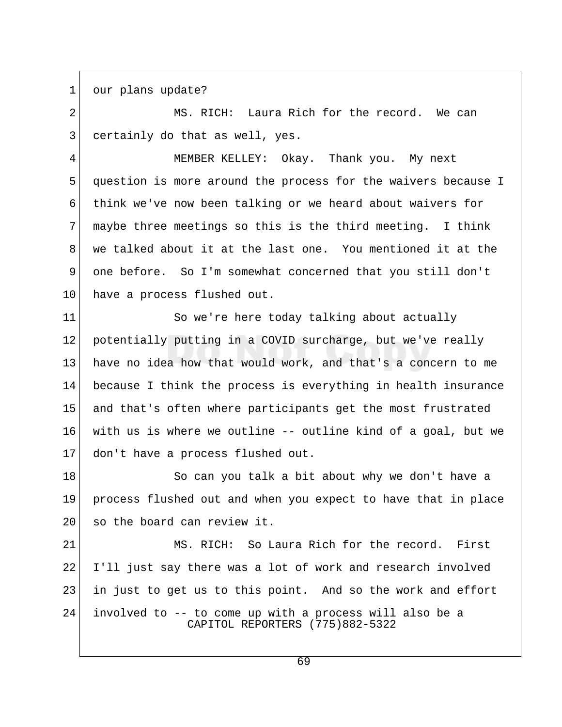1 our plans update?

2 MS. RICH: Laura Rich for the record. We can  $3$  certainly do that as well, yes.

 4 MEMBER KELLEY: Okay. Thank you. My next 5 question is more around the process for the waivers because I 6 think we've now been talking or we heard about waivers for  $7$  maybe three meetings so this is the third meeting. I think 8 we talked about it at the last one. You mentioned it at the 9 one before. So I'm somewhat concerned that you still don't 10 have a process flushed out.

11 So we're here today talking about actually 12 potentially putting in a COVID surcharge, but we've really 13 have no idea how that would work, and that's a concern to me 14 because I think the process is everything in health insurance 15 and that's often where participants get the most frustrated 16 with us is where we outline -- outline kind of a goal, but we 17 don't have a process flushed out.

18 So can you talk a bit about why we don't have a 19 process flushed out and when you expect to have that in place 20 so the board can review it.

21 MS. RICH: So Laura Rich for the record. First 22 I'll just say there was a lot of work and research involved 23 in just to get us to this point. And so the work and effort 24 involved to -- to come up with a process will also be a CAPITOL REPORTERS (775)882-5322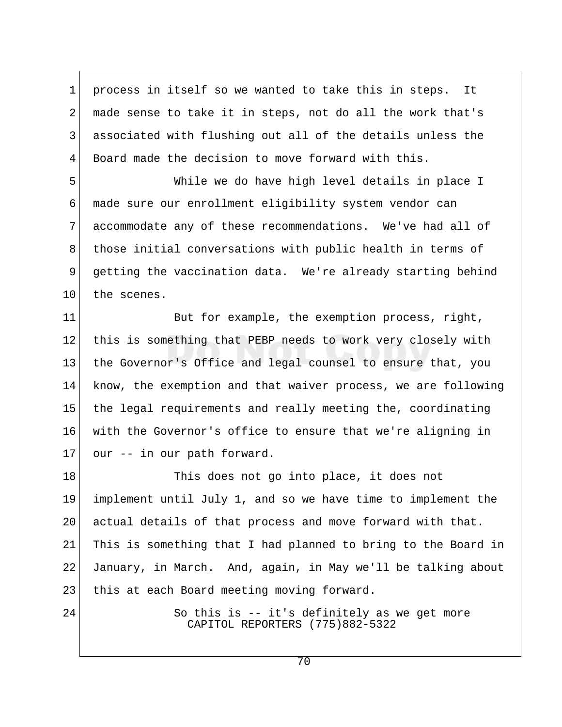1 process in itself so we wanted to take this in steps. It 2 made sense to take it in steps, not do all the work that's 3 associated with flushing out all of the details unless the 4 Board made the decision to move forward with this.

 5 While we do have high level details in place I 6 made sure our enrollment eligibility system vendor can 7 accommodate any of these recommendations. We've had all of 8 those initial conversations with public health in terms of 9 getting the vaccination data. We're already starting behind 10 the scenes.

11 But for example, the exemption process, right, 12 this is something that PEBP needs to work very closely with 13 the Governor's Office and legal counsel to ensure that, you 14 know, the exemption and that waiver process, we are following 15 the legal requirements and really meeting the, coordinating 16 with the Governor's office to ensure that we're aligning in  $17$  our  $-$  in our path forward.

18 This does not go into place, it does not 19 implement until July 1, and so we have time to implement the 20 actual details of that process and move forward with that. 21 This is something that I had planned to bring to the Board in 22 January, in March. And, again, in May we'll be talking about 23 | this at each Board meeting moving forward.

24 So this is -- it's definitely as we get more CAPITOL REPORTERS (775)882-5322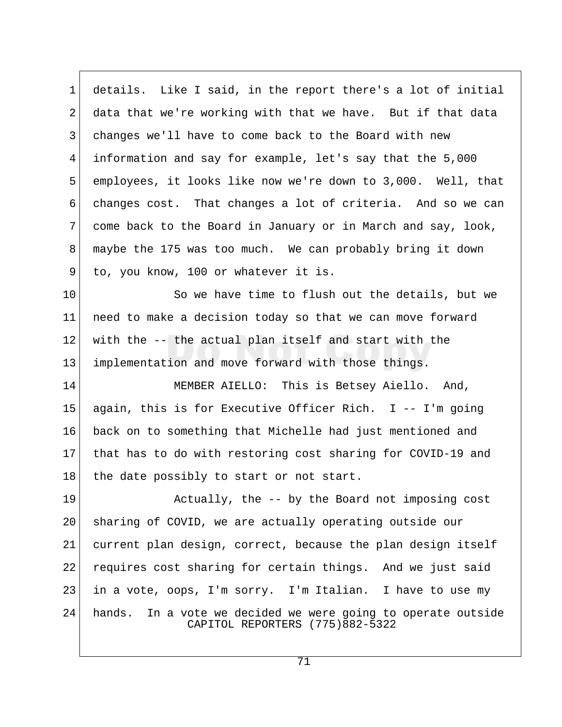1 details. Like I said, in the report there's a lot of initial 2 data that we're working with that we have. But if that data 3 changes we'll have to come back to the Board with new 4 information and say for example, let's say that the 5,000 5 employees, it looks like now we're down to 3,000. Well, that 6 changes cost. That changes a lot of criteria. And so we can 7 come back to the Board in January or in March and say, look, 8 maybe the 175 was too much. We can probably bring it down 9 to, you know, 100 or whatever it is.

10 So we have time to flush out the details, but we 11 need to make a decision today so that we can move forward 12 with the -- the actual plan itself and start with the 13 implementation and move forward with those things.

14 MEMBER AIELLO: This is Betsey Aiello. And, 15 again, this is for Executive Officer Rich. I -- I'm going 16 back on to something that Michelle had just mentioned and 17 that has to do with restoring cost sharing for COVID-19 and 18 | the date possibly to start or not start.

19 Actually, the -- by the Board not imposing cost 20 sharing of COVID, we are actually operating outside our 21 current plan design, correct, because the plan design itself 22 requires cost sharing for certain things. And we just said 23 in a vote, oops, I'm sorry. I'm Italian. I have to use my 24 hands. In a vote we decided we were going to operate outside CAPITOL REPORTERS (775)882-5322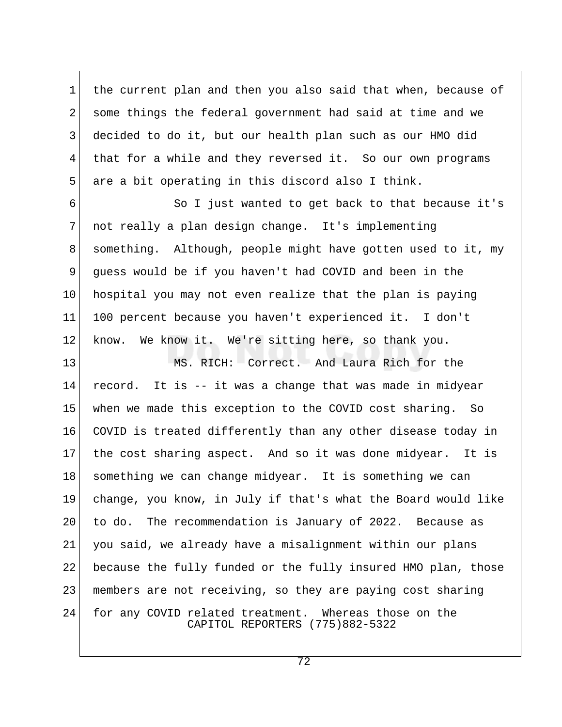1 the current plan and then you also said that when, because of 2 some things the federal government had said at time and we 3 decided to do it, but our health plan such as our HMO did 4 that for a while and they reversed it. So our own programs 5 are a bit operating in this discord also I think.

6 So I just wanted to get back to that because it's 7 not really a plan design change. It's implementing 8 something. Although, people might have gotten used to it, my 9 guess would be if you haven't had COVID and been in the 10 hospital you may not even realize that the plan is paying 11 100 percent because you haven't experienced it. I don't 12 know. We know it. We're sitting here, so thank you.

13 MS. RICH: Correct. And Laura Rich for the 14 record. It is -- it was a change that was made in midyear 15 when we made this exception to the COVID cost sharing. So 16 COVID is treated differently than any other disease today in 17 the cost sharing aspect. And so it was done midyear. It is 18 something we can change midyear. It is something we can 19 change, you know, in July if that's what the Board would like 20 to do. The recommendation is January of 2022. Because as 21 you said, we already have a misalignment within our plans 22 because the fully funded or the fully insured HMO plan, those 23 members are not receiving, so they are paying cost sharing 24 for any COVID related treatment. Whereas those on the CAPITOL REPORTERS (775)882-5322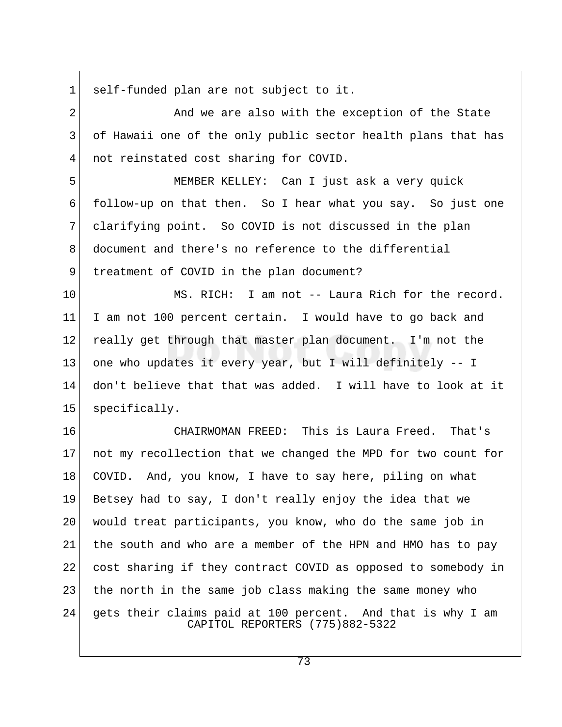1 self-funded plan are not subject to it.

2 And we are also with the exception of the State 3 of Hawaii one of the only public sector health plans that has 4 not reinstated cost sharing for COVID.

 5 MEMBER KELLEY: Can I just ask a very quick 6 follow-up on that then. So I hear what you say. So just one 7 clarifying point. So COVID is not discussed in the plan 8 document and there's no reference to the differential 9 treatment of COVID in the plan document?

10 MS. RICH: I am not -- Laura Rich for the record. 11 I am not 100 percent certain. I would have to go back and 12 really get through that master plan document. I'm not the 13 one who updates it every year, but I will definitely -- I 14 don't believe that that was added. I will have to look at it 15 | specifically.

16 CHAIRWOMAN FREED: This is Laura Freed. That's 17 not my recollection that we changed the MPD for two count for 18 COVID. And, you know, I have to say here, piling on what 19 Betsey had to say, I don't really enjoy the idea that we 20 would treat participants, you know, who do the same job in 21 the south and who are a member of the HPN and HMO has to pay 22 cost sharing if they contract COVID as opposed to somebody in 23 the north in the same job class making the same money who 24 gets their claims paid at 100 percent. And that is why I am CAPITOL REPORTERS (775)882-5322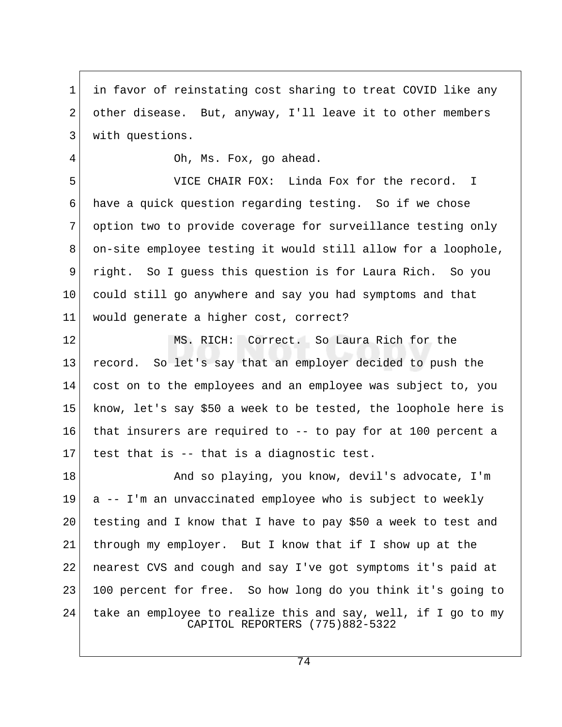1 in favor of reinstating cost sharing to treat COVID like any 2 other disease. But, anyway, I'll leave it to other members 3 with questions.

4 Oh, Ms. Fox, go ahead.

 5 VICE CHAIR FOX: Linda Fox for the record. I 6 have a quick question regarding testing. So if we chose 7 option two to provide coverage for surveillance testing only 8 on-site employee testing it would still allow for a loophole, 9 right. So I guess this question is for Laura Rich. So you 10 could still go anywhere and say you had symptoms and that 11 would generate a higher cost, correct?

12 MS. RICH: Correct. So Laura Rich for the 13 record. So let's say that an employer decided to push the 14 cost on to the employees and an employee was subject to, you 15 know, let's say \$50 a week to be tested, the loophole here is 16 that insurers are required to -- to pay for at 100 percent a 17 test that is  $-$ - that is a diagnostic test.

18 And so playing, you know, devil's advocate, I'm 19 a -- I'm an unvaccinated employee who is subject to weekly 20 testing and I know that I have to pay \$50 a week to test and 21 through my employer. But I know that if I show up at the 22 nearest CVS and cough and say I've got symptoms it's paid at 23 100 percent for free. So how long do you think it's going to 24 take an employee to realize this and say, well, if I go to my CAPITOL REPORTERS (775)882-5322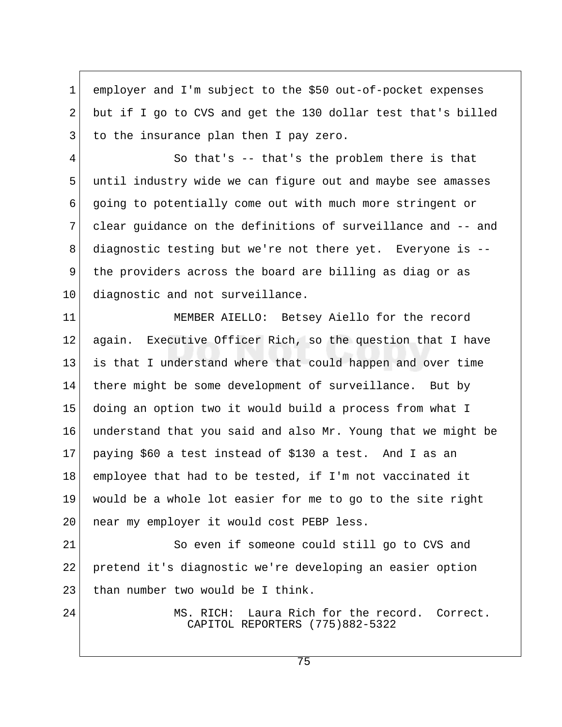1 employer and I'm subject to the \$50 out-of-pocket expenses 2 but if I go to CVS and get the 130 dollar test that's billed 3 to the insurance plan then I pay zero.

 4 So that's -- that's the problem there is that 5 until industry wide we can figure out and maybe see amasses 6 going to potentially come out with much more stringent or 7 clear guidance on the definitions of surveillance and -- and 8 diagnostic testing but we're not there yet. Everyone is -- 9 the providers across the board are billing as diag or as 10 diagnostic and not surveillance.

11 MEMBER AIELLO: Betsey Aiello for the record 12 again. Executive Officer Rich, so the question that I have 13 is that I understand where that could happen and over time 14 there might be some development of surveillance. But by 15 doing an option two it would build a process from what I 16 understand that you said and also Mr. Young that we might be 17 paying \$60 a test instead of \$130 a test. And I as an 18 employee that had to be tested, if I'm not vaccinated it 19 would be a whole lot easier for me to go to the site right 20 | near my employer it would cost PEBP less.

21 So even if someone could still go to CVS and 22 pretend it's diagnostic we're developing an easier option 23 than number two would be I think.

24 MS. RICH: Laura Rich for the record. Correct. CAPITOL REPORTERS (775)882-5322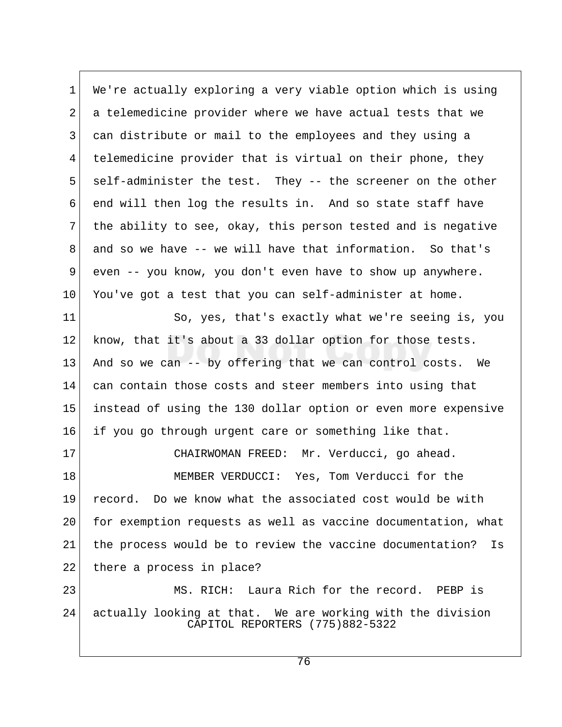1 We're actually exploring a very viable option which is using 2 a telemedicine provider where we have actual tests that we 3 can distribute or mail to the employees and they using a 4 telemedicine provider that is virtual on their phone, they 5 self-administer the test. They -- the screener on the other 6 end will then log the results in. And so state staff have  $7$  the ability to see, okay, this person tested and is negative 8 and so we have -- we will have that information. So that's 9 even -- you know, you don't even have to show up anywhere.  $10$  You've got a test that you can self-administer at home. 11 So, yes, that's exactly what we're seeing is, you

12 know, that it's about a 33 dollar option for those tests. 13 And so we can -- by offering that we can control costs. We 14 can contain those costs and steer members into using that 15 instead of using the 130 dollar option or even more expensive 16 if you go through urgent care or something like that.

17 CHAIRWOMAN FREED: Mr. Verducci, go ahead. 18 MEMBER VERDUCCI: Yes, Tom Verducci for the 19 record. Do we know what the associated cost would be with 20 for exemption requests as well as vaccine documentation, what 21 the process would be to review the vaccine documentation? Is 22 there a process in place?

23 MS. RICH: Laura Rich for the record. PEBP is 24 actually looking at that. We are working with the division CAPITOL REPORTERS (775)882-5322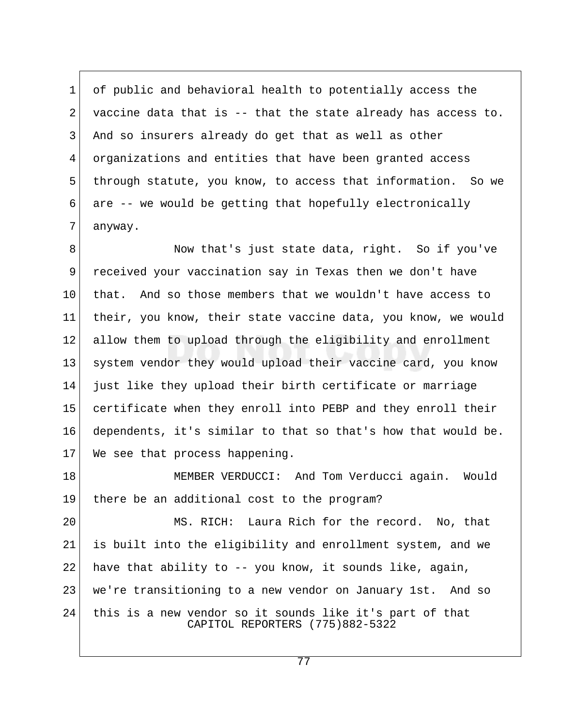1 of public and behavioral health to potentially access the 2 vaccine data that is  $-$  that the state already has access to. 3 And so insurers already do get that as well as other 4 organizations and entities that have been granted access 5 through statute, you know, to access that information. So we 6 are -- we would be getting that hopefully electronically 7 anyway.

8 Now that's just state data, right. So if you've 9 received your vaccination say in Texas then we don't have 10 that. And so those members that we wouldn't have access to 11 their, you know, their state vaccine data, you know, we would 12 allow them to upload through the eligibility and enrollment 13 system vendor they would upload their vaccine card, you know 14 just like they upload their birth certificate or marriage 15 certificate when they enroll into PEBP and they enroll their 16 dependents, it's similar to that so that's how that would be. 17 We see that process happening.

18 MEMBER VERDUCCI: And Tom Verducci again. Would 19 there be an additional cost to the program?

20 MS. RICH: Laura Rich for the record. No, that 21 is built into the eligibility and enrollment system, and we 22 have that ability to  $-$ - you know, it sounds like, again, 23 we're transitioning to a new vendor on January 1st. And so 24 this is a new vendor so it sounds like it's part of that CAPITOL REPORTERS (775)882-5322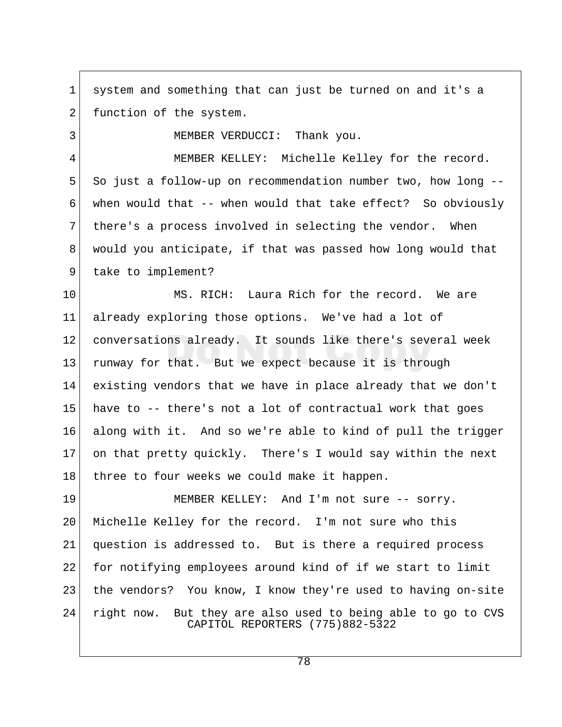1 system and something that can just be turned on and it's a 2 function of the system.

3 MEMBER VERDUCCI: Thank you.

4 MEMBER KELLEY: Michelle Kelley for the record. 5 So just a follow-up on recommendation number two, how long --6 when would that  $-$ - when would that take effect? So obviously 7 there's a process involved in selecting the vendor. When 8 would you anticipate, if that was passed how long would that 9 take to implement?

10 MS. RICH: Laura Rich for the record. We are 11 already exploring those options. We've had a lot of 12 conversations already. It sounds like there's several week 13 runway for that. But we expect because it is through 14 existing vendors that we have in place already that we don't  $15$  have to  $-$ - there's not a lot of contractual work that goes 16 along with it. And so we're able to kind of pull the trigger 17 on that pretty quickly. There's I would say within the next 18 three to four weeks we could make it happen.

19 MEMBER KELLEY: And I'm not sure -- sorry. 20 Michelle Kelley for the record. I'm not sure who this 21 question is addressed to. But is there a required process 22 for notifying employees around kind of if we start to limit 23 the vendors? You know, I know they're used to having on-site 24 right now. But they are also used to being able to go to CVS CAPITOL REPORTERS (775)882-5322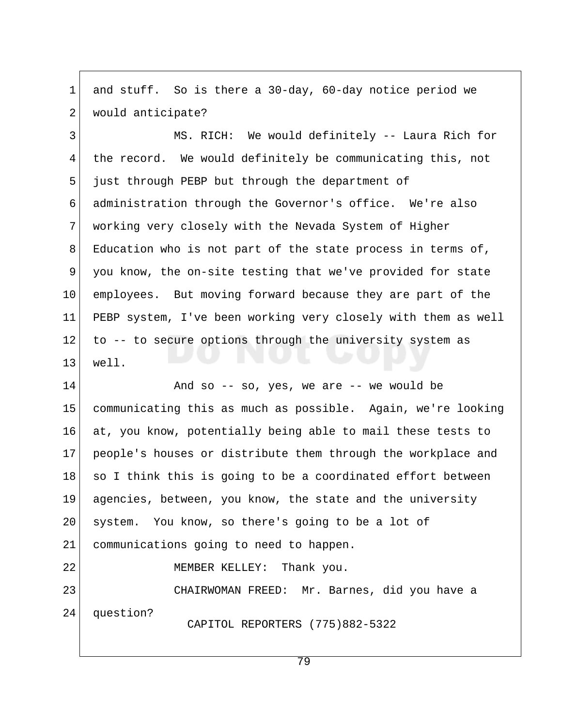1 and stuff. So is there a 30-day, 60-day notice period we 2 would anticipate?

3 MS. RICH: We would definitely -- Laura Rich for 4 the record. We would definitely be communicating this, not 5 just through PEBP but through the department of 6 administration through the Governor's office. We're also 7 working very closely with the Nevada System of Higher 8 Education who is not part of the state process in terms of, 9 you know, the on-site testing that we've provided for state 10 employees. But moving forward because they are part of the 11 PEBP system, I've been working very closely with them as well 12 to -- to secure options through the university system as 13 well.

 $14$  And so -- so, yes, we are -- we would be 15 communicating this as much as possible. Again, we're looking 16 at, you know, potentially being able to mail these tests to 17 people's houses or distribute them through the workplace and 18 so I think this is going to be a coordinated effort between 19 agencies, between, you know, the state and the university 20 system. You know, so there's going to be a lot of 21 communications going to need to happen.

22 MEMBER KELLEY: Thank you.

23 CHAIRWOMAN FREED: Mr. Barnes, did you have a 24 question? CAPITOL REPORTERS (775)882-5322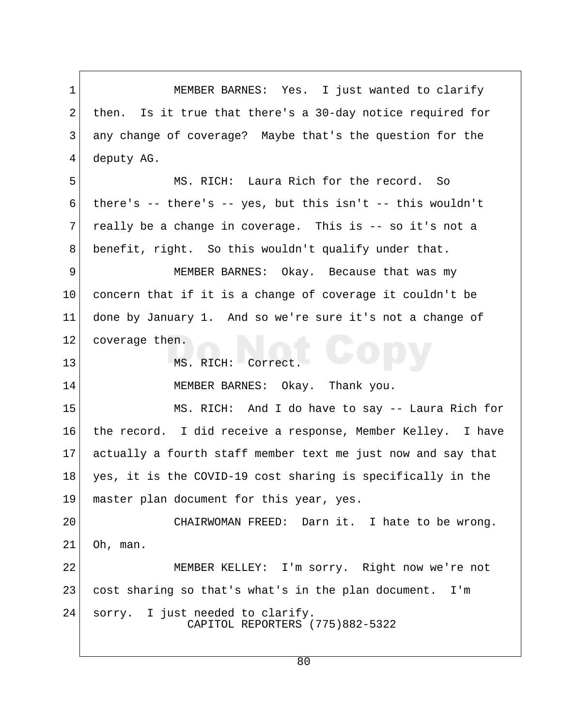1 MEMBER BARNES: Yes. I just wanted to clarify 2 then. Is it true that there's a 30-day notice required for 3 any change of coverage? Maybe that's the question for the 4 deputy AG. 5 MS. RICH: Laura Rich for the record. So  $6$  there's -- there's -- yes, but this isn't -- this wouldn't  $7$  really be a change in coverage. This is  $-$  so it's not a 8 benefit, right. So this wouldn't qualify under that. 9 MEMBER BARNES: Okay. Because that was my  $10$  concern that if it is a change of coverage it couldn't be 11 done by January 1. And so we're sure it's not a change of 12 coverage then. 13 MS. RICH: Correct. 14 MEMBER BARNES: Okay. Thank you. 15 MS. RICH: And I do have to say -- Laura Rich for 16 the record. I did receive a response, Member Kelley. I have 17 actually a fourth staff member text me just now and say that 18 yes, it is the COVID-19 cost sharing is specifically in the 19 master plan document for this year, yes. 20 CHAIRWOMAN FREED: Darn it. I hate to be wrong.  $21$  Oh, man. 22 MEMBER KELLEY: I'm sorry. Right now we're not 23 cost sharing so that's what's in the plan document. I'm 24 sorry. I just needed to clarify. CAPITOL REPORTERS (775)882-5322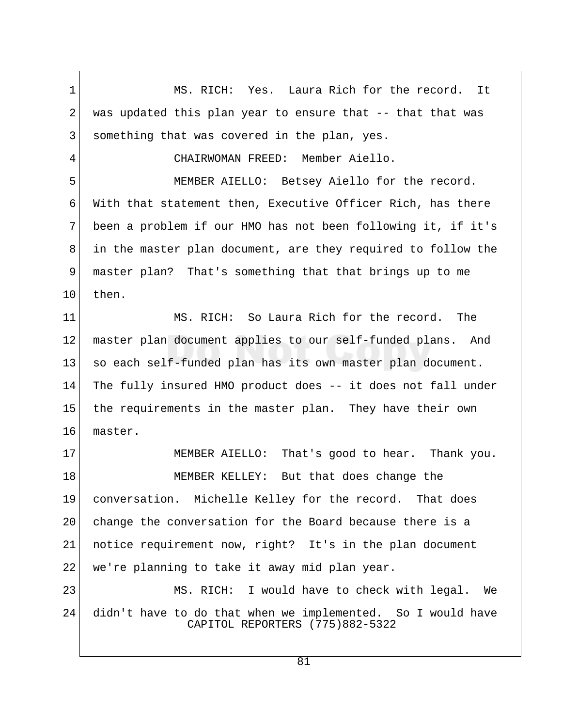1 MS. RICH: Yes. Laura Rich for the record. It  $2$  was updated this plan year to ensure that  $-$  that that was 3 something that was covered in the plan, yes. 4 CHAIRWOMAN FREED: Member Aiello. 5 MEMBER AIELLO: Betsey Aiello for the record. 6 With that statement then, Executive Officer Rich, has there 7 been a problem if our HMO has not been following it, if it's 8 in the master plan document, are they required to follow the 9 master plan? That's something that that brings up to me  $10$  then. 11 MS. RICH: So Laura Rich for the record. The 12 master plan document applies to our self-funded plans. And 13 so each self-funded plan has its own master plan document. 14 The fully insured HMO product does -- it does not fall under 15 the requirements in the master plan. They have their own 16 master. 17 MEMBER AIELLO: That's good to hear. Thank you. 18 MEMBER KELLEY: But that does change the 19 conversation. Michelle Kelley for the record. That does 20 change the conversation for the Board because there is a 21 notice requirement now, right? It's in the plan document 22 we're planning to take it away mid plan year. 23 MS. RICH: I would have to check with legal. We 24 didn't have to do that when we implemented. So I would have CAPITOL REPORTERS (775)882-5322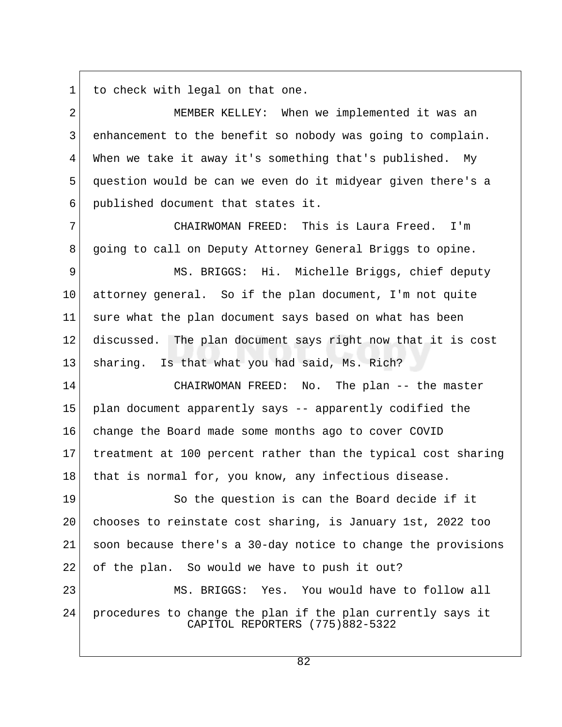$1$  to check with legal on that one.

| $\overline{a}$ | MEMBER KELLEY: When we implemented it was an                                                   |
|----------------|------------------------------------------------------------------------------------------------|
| 3              | enhancement to the benefit so nobody was going to complain.                                    |
| 4              | When we take it away it's something that's published. My                                       |
| 5              | question would be can we even do it midyear given there's a                                    |
| 6              | published document that states it.                                                             |
| 7              | CHAIRWOMAN FREED: This is Laura Freed.<br>I'm                                                  |
| 8              | going to call on Deputy Attorney General Briggs to opine.                                      |
| 9              | MS. BRIGGS: Hi. Michelle Briggs, chief deputy                                                  |
| 10             | attorney general. So if the plan document, I'm not quite                                       |
| 11             | sure what the plan document says based on what has been                                        |
| 12             | discussed. The plan document says right now that it is cost                                    |
| 13             | sharing. Is that what you had said, Ms. Rich?                                                  |
| 14             | CHAIRWOMAN FREED: No. The plan -- the master                                                   |
| 15             | plan document apparently says -- apparently codified the                                       |
| 16             | change the Board made some months ago to cover COVID                                           |
| 17             | treatment at 100 percent rather than the typical cost sharing                                  |
| 18             | that is normal for, you know, any infectious disease.                                          |
| 19             | So the question is can the Board decide if it                                                  |
| 20             | chooses to reinstate cost sharing, is January 1st, 2022 too                                    |
| 21             | soon because there's a 30-day notice to change the provisions                                  |
| 22             | of the plan. So would we have to push it out?                                                  |
| 23             | MS. BRIGGS: Yes. You would have to follow all                                                  |
| 24             | procedures to change the plan if the plan currently says it<br>CAPITOL REPORTERS (775)882-5322 |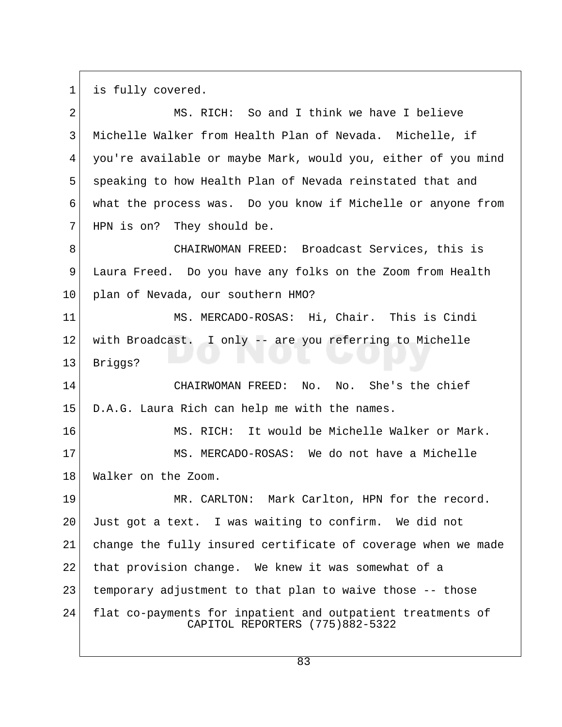$1$  is fully covered.

| 2  | MS. RICH: So and I think we have I believe                                                     |
|----|------------------------------------------------------------------------------------------------|
| 3  | Michelle Walker from Health Plan of Nevada. Michelle, if                                       |
| 4  | you're available or maybe Mark, would you, either of you mind                                  |
| 5  | speaking to how Health Plan of Nevada reinstated that and                                      |
| 6  | what the process was. Do you know if Michelle or anyone from                                   |
| 7  | HPN is on? They should be.                                                                     |
| 8  | CHAIRWOMAN FREED: Broadcast Services, this is                                                  |
| 9  | Laura Freed. Do you have any folks on the Zoom from Health                                     |
| 10 | plan of Nevada, our southern HMO?                                                              |
| 11 | MS. MERCADO-ROSAS: Hi, Chair. This is Cindi                                                    |
| 12 | with Broadcast. I only -- are you referring to Michelle                                        |
| 13 | Briggs?                                                                                        |
| 14 | No. She's the chief<br>CHAIRWOMAN FREED: No.                                                   |
| 15 | D.A.G. Laura Rich can help me with the names.                                                  |
| 16 | MS. RICH: It would be Michelle Walker or Mark.                                                 |
| 17 | MS. MERCADO-ROSAS: We do not have a Michelle                                                   |
| 18 | Walker on the Zoom.                                                                            |
| 19 | MR. CARLTON: Mark Carlton, HPN for the record.                                                 |
| 20 | Just got a text. I was waiting to confirm. We did not                                          |
| 21 | change the fully insured certificate of coverage when we made                                  |
| 22 | that provision change. We knew it was somewhat of a                                            |
| 23 | temporary adjustment to that plan to waive those -- those                                      |
| 24 | flat co-payments for inpatient and outpatient treatments of<br>CAPITOL REPORTERS (775)882-5322 |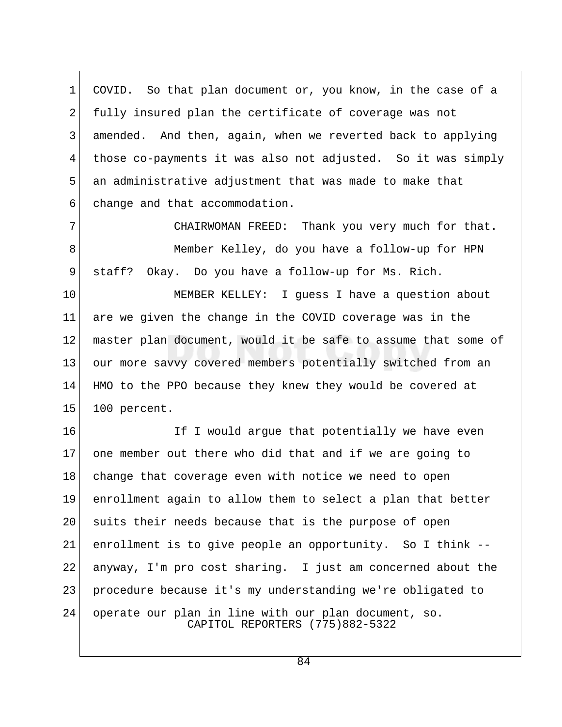1 COVID. So that plan document or, you know, in the case of a 2 fully insured plan the certificate of coverage was not 3 amended. And then, again, when we reverted back to applying 4 those co-payments it was also not adjusted. So it was simply 5 an administrative adjustment that was made to make that 6 change and that accommodation.

7 CHAIRWOMAN FREED: Thank you very much for that. 8 Member Kelley, do you have a follow-up for HPN 9 staff? Okay. Do you have a follow-up for Ms. Rich.

10 MEMBER KELLEY: I guess I have a question about 11 are we given the change in the COVID coverage was in the 12 master plan document, would it be safe to assume that some of 13 our more savvy covered members potentially switched from an 14 HMO to the PPO because they knew they would be covered at 15 100 percent.

16 If I would argue that potentially we have even 17 one member out there who did that and if we are going to 18 change that coverage even with notice we need to open 19 enrollment again to allow them to select a plan that better 20 suits their needs because that is the purpose of open 21 enrollment is to give people an opportunity. So I think -- 22 anyway, I'm pro cost sharing. I just am concerned about the 23 procedure because it's my understanding we're obligated to 24 operate our plan in line with our plan document, so. CAPITOL REPORTERS (775)882-5322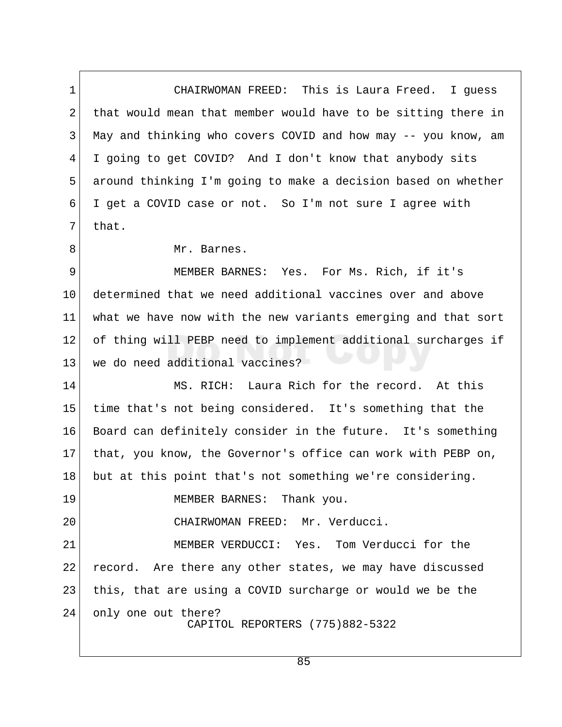1 CHAIRWOMAN FREED: This is Laura Freed. I guess 2 that would mean that member would have to be sitting there in 3 May and thinking who covers COVID and how may -- you know, am 4 I going to get COVID? And I don't know that anybody sits 5 around thinking I'm going to make a decision based on whether 6 I get a COVID case or not. So I'm not sure I agree with  $7$  that.

8 Mr. Barnes.

9 MEMBER BARNES: Yes. For Ms. Rich, if it's 10 determined that we need additional vaccines over and above 11 what we have now with the new variants emerging and that sort 12 of thing will PEBP need to implement additional surcharges if 13 we do need additional vaccines?

14 MS. RICH: Laura Rich for the record. At this 15 time that's not being considered. It's something that the 16 Board can definitely consider in the future. It's something 17 that, you know, the Governor's office can work with PEBP on, 18 but at this point that's not something we're considering.

19 MEMBER BARNES: Thank you.

20 CHAIRWOMAN FREED: Mr. Verducci.

21 MEMBER VERDUCCI: Yes. Tom Verducci for the 22 record. Are there any other states, we may have discussed 23 this, that are using a COVID surcharge or would we be the 24 only one out there? CAPITOL REPORTERS (775)882-5322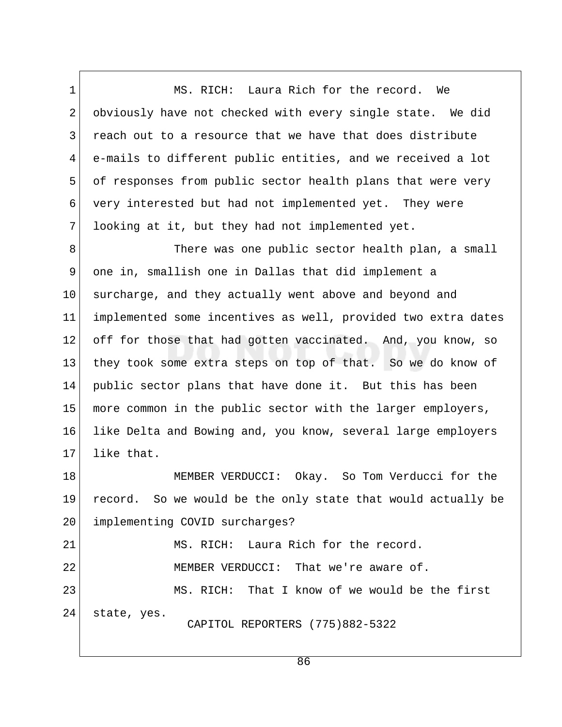1 MS. RICH: Laura Rich for the record. We 2 obviously have not checked with every single state. We did 3 reach out to a resource that we have that does distribute 4 e-mails to different public entities, and we received a lot 5 of responses from public sector health plans that were very 6 very interested but had not implemented yet. They were 7 looking at it, but they had not implemented yet.

8 There was one public sector health plan, a small 9 one in, smallish one in Dallas that did implement a 10 surcharge, and they actually went above and beyond and 11 implemented some incentives as well, provided two extra dates 12 off for those that had gotten vaccinated. And, you know, so 13 they took some extra steps on top of that. So we do know of 14 public sector plans that have done it. But this has been 15 more common in the public sector with the larger employers, 16 like Delta and Bowing and, you know, several large employers 17 like that.

18 MEMBER VERDUCCI: Okay. So Tom Verducci for the 19 record. So we would be the only state that would actually be 20 implementing COVID surcharges?

21 MS. RICH: Laura Rich for the record. 22 MEMBER VERDUCCI: That we're aware of. 23 MS. RICH: That I know of we would be the first 24 state, yes. CAPITOL REPORTERS (775)882-5322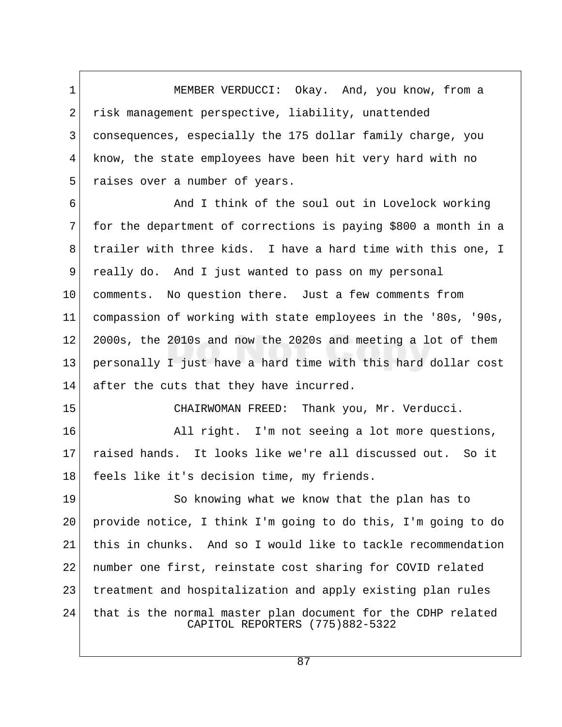1 MEMBER VERDUCCI: Okay. And, you know, from a 2 risk management perspective, liability, unattended 3 consequences, especially the 175 dollar family charge, you 4 know, the state employees have been hit very hard with no 5 raises over a number of years.

6 6 And I think of the soul out in Lovelock working 7 for the department of corrections is paying \$800 a month in a 8 trailer with three kids. I have a hard time with this one, I 9 really do. And I just wanted to pass on my personal 10 comments. No question there. Just a few comments from 11 compassion of working with state employees in the '80s, '90s, 12 2000s, the 2010s and now the 2020s and meeting a lot of them 13 personally I just have a hard time with this hard dollar cost 14 after the cuts that they have incurred.

15 CHAIRWOMAN FREED: Thank you, Mr. Verducci.

16 All right. I'm not seeing a lot more questions, 17 raised hands. It looks like we're all discussed out. So it 18 feels like it's decision time, my friends.

19 So knowing what we know that the plan has to 20 provide notice, I think I'm going to do this, I'm going to do 21 this in chunks. And so I would like to tackle recommendation 22 number one first, reinstate cost sharing for COVID related 23 treatment and hospitalization and apply existing plan rules 24 that is the normal master plan document for the CDHP related CAPITOL REPORTERS (775)882-5322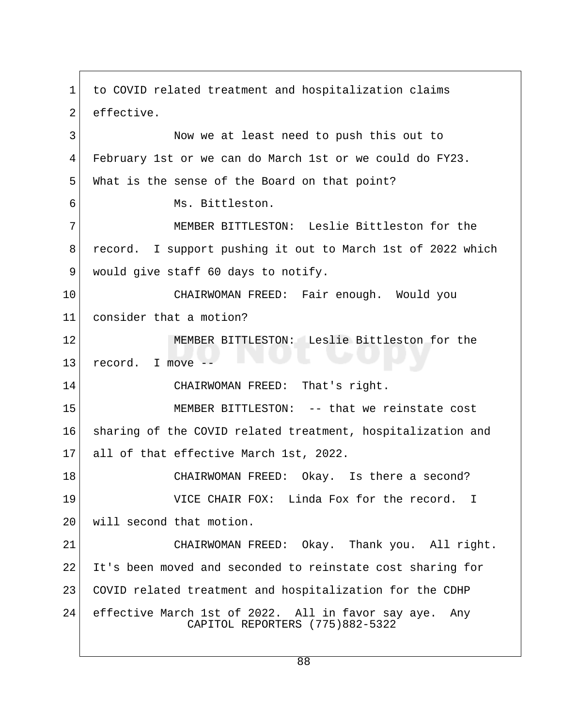1 to COVID related treatment and hospitalization claims 2 effective. 3 Now we at least need to push this out to 4 February 1st or we can do March 1st or we could do FY23. 5 What is the sense of the Board on that point? 6 Ms. Bittleston. 7 | MEMBER BITTLESTON: Leslie Bittleston for the 8 record. I support pushing it out to March 1st of 2022 which 9 would give staff 60 days to notify. 10 CHAIRWOMAN FREED: Fair enough. Would you 11 consider that a motion? 12 MEMBER BITTLESTON: Leslie Bittleston for the 13 record. I move -- 14 CHAIRWOMAN FREED: That's right. 15 MEMBER BITTLESTON: -- that we reinstate cost 16 sharing of the COVID related treatment, hospitalization and 17 all of that effective March 1st, 2022. 18 CHAIRWOMAN FREED: Okay. Is there a second? 19 VICE CHAIR FOX: Linda Fox for the record. I 20 will second that motion. 21 CHAIRWOMAN FREED: Okay. Thank you. All right. 22 It's been moved and seconded to reinstate cost sharing for 23 COVID related treatment and hospitalization for the CDHP 24 effective March 1st of 2022. All in favor say aye. Any CAPITOL REPORTERS (775)882-5322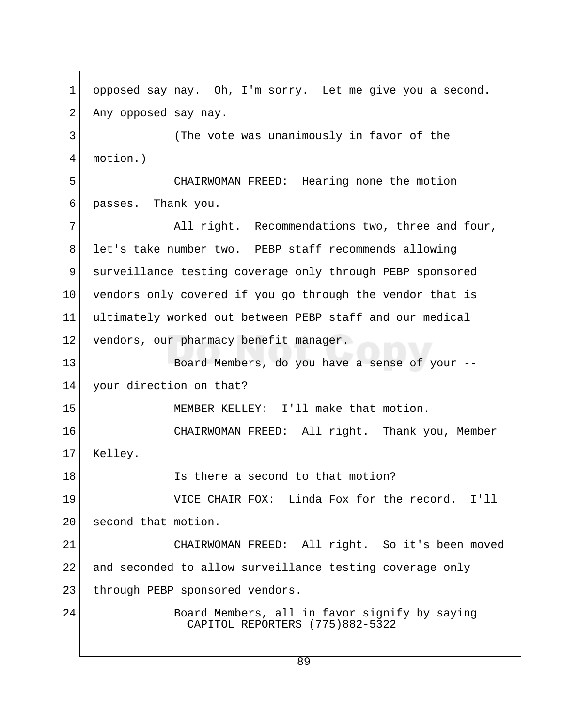1 opposed say nay. Oh, I'm sorry. Let me give you a second. 2 Any opposed say nay. 3 (The vote was unanimously in favor of the 4 motion.) 5 CHAIRWOMAN FREED: Hearing none the motion 6 passes. Thank you. 7 All right. Recommendations two, three and four, 8 let's take number two. PEBP staff recommends allowing 9 surveillance testing coverage only through PEBP sponsored 10 vendors only covered if you go through the vendor that is 11 ultimately worked out between PEBP staff and our medical 12 vendors, our pharmacy benefit manager. 13 Board Members, do you have a sense of your --14 your direction on that? 15 MEMBER KELLEY: I'll make that motion. 16 CHAIRWOMAN FREED: All right. Thank you, Member 17 Kelley. 18 **IS there a second to that motion?** 19 VICE CHAIR FOX: Linda Fox for the record. I'll 20 second that motion. 21 CHAIRWOMAN FREED: All right. So it's been moved 22 and seconded to allow surveillance testing coverage only 23 through PEBP sponsored vendors. 24 Board Members, all in favor signify by saying CAPITOL REPORTERS (775)882-5322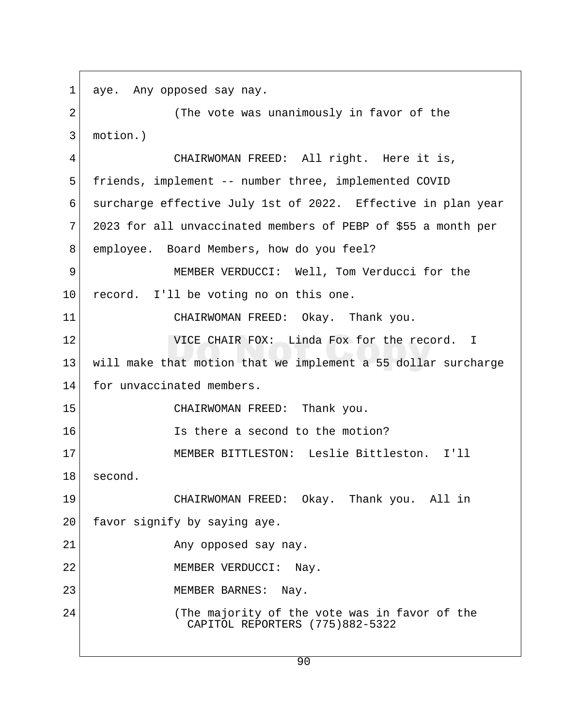1 aye. Any opposed say nay. 2 (The vote was unanimously in favor of the 3 motion.) 4 CHAIRWOMAN FREED: All right. Here it is, 5 friends, implement -- number three, implemented COVID 6 surcharge effective July 1st of 2022. Effective in plan year  $7$  2023 for all unvaccinated members of PEBP of \$55 a month per 8 employee. Board Members, how do you feel? 9 MEMBER VERDUCCI: Well, Tom Verducci for the 10 record. I'll be voting no on this one. 11 CHAIRWOMAN FREED: Okay. Thank you. 12 **VICE CHAIR FOX:** Linda Fox for the record. I 13 will make that motion that we implement a 55 dollar surcharge 14 for unvaccinated members. 15 CHAIRWOMAN FREED: Thank you. 16 **Is there a second to the motion?** 17 MEMBER BITTLESTON: Leslie Bittleston. I'll 18 second. 19 CHAIRWOMAN FREED: Okay. Thank you. All in 20 favor signify by saying aye. 21 Any opposed say nay. 22 MEMBER VERDUCCI: Nay. 23 MEMBER BARNES: Nay. 24 (The majority of the vote was in favor of the CAPITOL REPORTERS (775)882-5322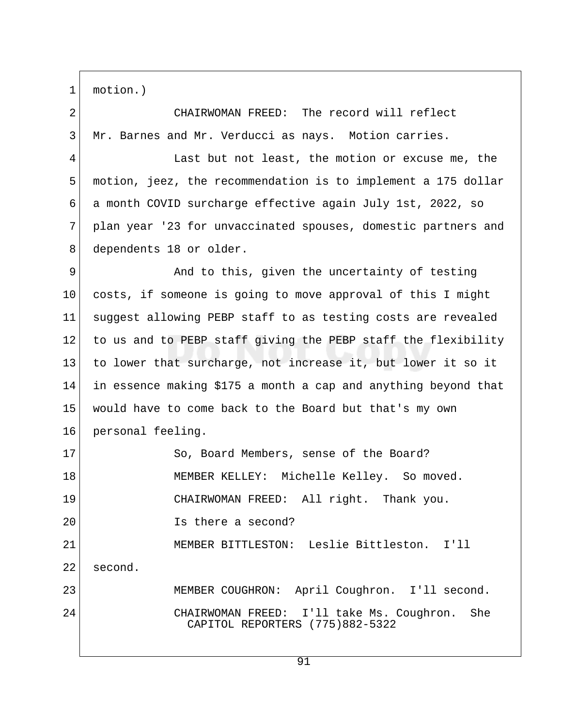1 motion.)

2 CHAIRWOMAN FREED: The record will reflect 3 Mr. Barnes and Mr. Verducci as nays. Motion carries.

4 Last but not least, the motion or excuse me, the 5 motion, jeez, the recommendation is to implement a 175 dollar 6 a month COVID surcharge effective again July 1st, 2022, so 7 plan year '23 for unvaccinated spouses, domestic partners and 8 dependents 18 or older.

9 And to this, given the uncertainty of testing 10 costs, if someone is going to move approval of this I might 11 suggest allowing PEBP staff to as testing costs are revealed 12 to us and to PEBP staff giving the PEBP staff the flexibility 13 to lower that surcharge, not increase it, but lower it so it 14 in essence making \$175 a month a cap and anything beyond that 15 would have to come back to the Board but that's my own 16 personal feeling. 17 So, Board Members, sense of the Board? 18 MEMBER KELLEY: Michelle Kelley. So moved. 19 CHAIRWOMAN FREED: All right. Thank you. 20 Is there a second? 21 MEMBER BITTLESTON: Leslie Bittleston. I'll 22 second. 23 MEMBER COUGHRON: April Coughron. I'll second. 24 CHAIRWOMAN FREED: I'll take Ms. Coughron. She CAPITOL REPORTERS (775)882-5322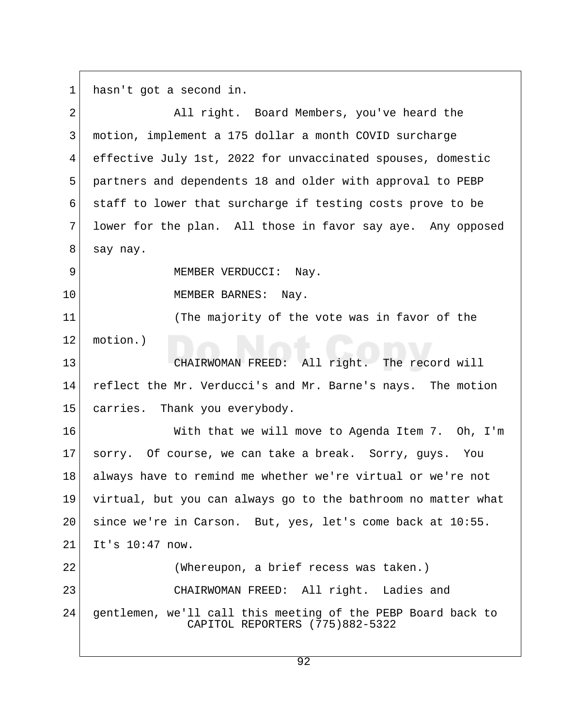$1$  hasn't got a second in.

| $\overline{2}$ | All right. Board Members, you've heard the                                                      |  |
|----------------|-------------------------------------------------------------------------------------------------|--|
| 3              | motion, implement a 175 dollar a month COVID surcharge                                          |  |
| $\overline{4}$ | effective July 1st, 2022 for unvaccinated spouses, domestic                                     |  |
| 5              | partners and dependents 18 and older with approval to PEBP                                      |  |
| 6              | staff to lower that surcharge if testing costs prove to be                                      |  |
| 7              | lower for the plan. All those in favor say aye. Any opposed                                     |  |
| 8              | say nay.                                                                                        |  |
| 9              | MEMBER VERDUCCI: Nay.                                                                           |  |
| 10             | MEMBER BARNES: Nay.                                                                             |  |
| 11             | (The majority of the vote was in favor of the                                                   |  |
| 12             | motion.)                                                                                        |  |
| 13             | CHAIRWOMAN FREED: All right. The record will                                                    |  |
| 14             | reflect the Mr. Verducci's and Mr. Barne's nays. The motion                                     |  |
| 15             | carries. Thank you everybody.                                                                   |  |
| 16             | With that we will move to Agenda Item 7. Oh, I'm                                                |  |
| 17             | sorry. Of course, we can take a break. Sorry, guys. You                                         |  |
| 18             | always have to remind me whether we're virtual or we're not                                     |  |
| 19             | virtual, but you can always go to the bathroom no matter what                                   |  |
| 20             | since we're in Carson. But, yes, let's come back at 10:55.                                      |  |
| 21             | It's 10:47 now.                                                                                 |  |
| 22             | (Whereupon, a brief recess was taken.)                                                          |  |
| 23             | CHAIRWOMAN FREED: All right. Ladies and                                                         |  |
| 24             | gentlemen, we'll call this meeting of the PEBP Board back to<br>CAPITOL REPORTERS (775)882-5322 |  |
|                |                                                                                                 |  |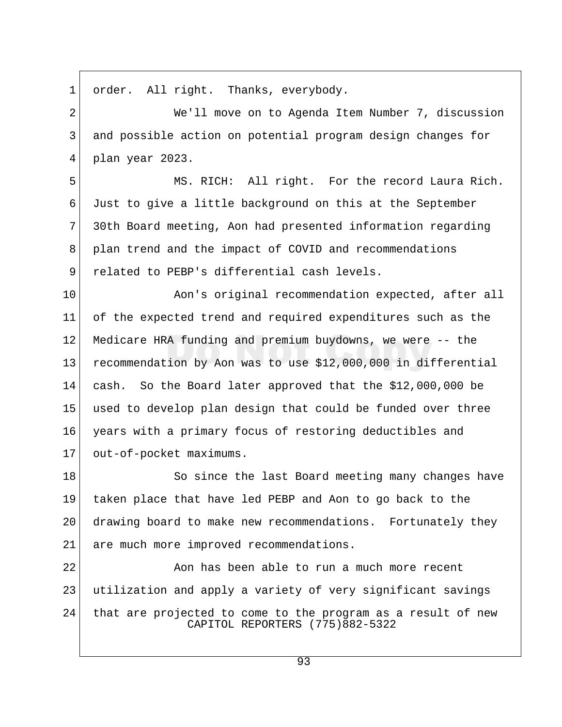1 order. All right. Thanks, everybody.

 2 We'll move on to Agenda Item Number 7, discussion 3 and possible action on potential program design changes for 4 plan year 2023.

 5 MS. RICH: All right. For the record Laura Rich. 6 Just to give a little background on this at the September 7 30th Board meeting, Aon had presented information regarding 8 plan trend and the impact of COVID and recommendations 9 related to PEBP's differential cash levels.

10 Aon's original recommendation expected, after all 11 of the expected trend and required expenditures such as the 12 Medicare HRA funding and premium buydowns, we were -- the 13 recommendation by Aon was to use \$12,000,000 in differential 14 cash. So the Board later approved that the \$12,000,000 be 15 used to develop plan design that could be funded over three 16 years with a primary focus of restoring deductibles and 17 out-of-pocket maximums.

18 So since the last Board meeting many changes have 19 taken place that have led PEBP and Aon to go back to the 20 drawing board to make new recommendations. Fortunately they 21 are much more improved recommendations.

 $22$   $\sim$  Aon has been able to run a much more recent 23 utilization and apply a variety of very significant savings 24 that are projected to come to the program as a result of new CAPITOL REPORTERS (775)882-5322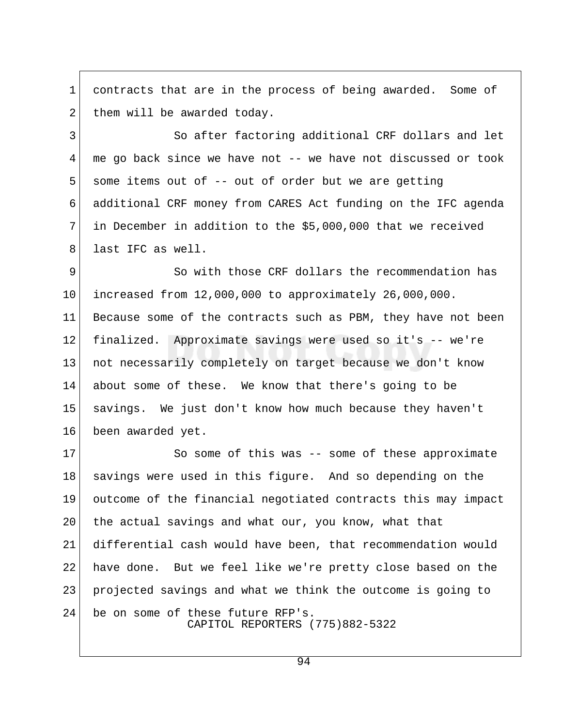1 contracts that are in the process of being awarded. Some of 2 them will be awarded today.

3 So after factoring additional CRF dollars and let 4 me go back since we have not -- we have not discussed or took  $5$  some items out of -- out of order but we are getting 6 additional CRF money from CARES Act funding on the IFC agenda  $7$  in December in addition to the \$5,000,000 that we received 8 last IFC as well.

 9 So with those CRF dollars the recommendation has 10 increased from 12,000,000 to approximately 26,000,000. 11 Because some of the contracts such as PBM, they have not been 12 finalized. Approximate savings were used so it's -- we're 13 not necessarily completely on target because we don't know 14 about some of these. We know that there's going to be 15 savings. We just don't know how much because they haven't 16 been awarded yet.

17 So some of this was -- some of these approximate 18 savings were used in this figure. And so depending on the 19 outcome of the financial negotiated contracts this may impact 20 | the actual savings and what our, you know, what that 21 differential cash would have been, that recommendation would 22 have done. But we feel like we're pretty close based on the 23 projected savings and what we think the outcome is going to 24 be on some of these future RFP's. CAPITOL REPORTERS (775)882-5322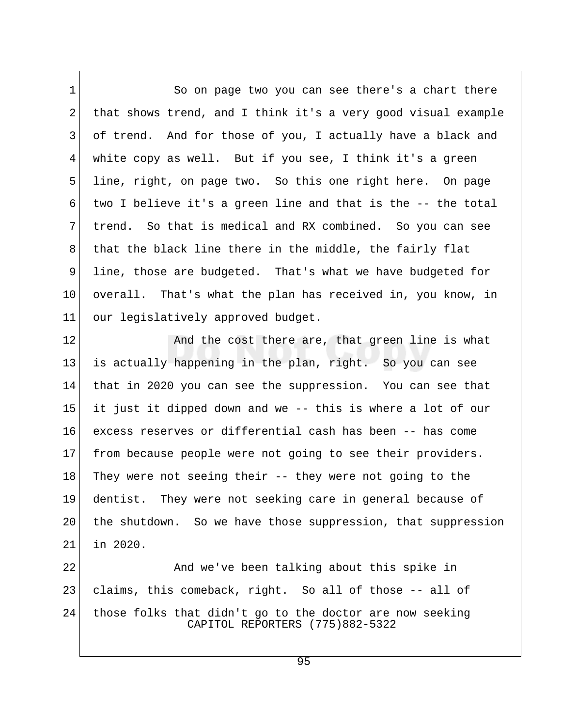1 So on page two you can see there's a chart there 2 that shows trend, and I think it's a very good visual example 3 of trend. And for those of you, I actually have a black and 4 white copy as well. But if you see, I think it's a green 5 line, right, on page two. So this one right here. On page 6 two I believe it's a green line and that is the -- the total 7 trend. So that is medical and RX combined. So you can see 8 that the black line there in the middle, the fairly flat 9 line, those are budgeted. That's what we have budgeted for 10 overall. That's what the plan has received in, you know, in 11 our legislatively approved budget.

12 And the cost there are, that green line is what 13 is actually happening in the plan, right. So you can see 14 that in 2020 you can see the suppression. You can see that 15 it just it dipped down and we -- this is where a lot of our 16 excess reserves or differential cash has been -- has come 17 from because people were not going to see their providers. 18 They were not seeing their -- they were not going to the 19 dentist. They were not seeking care in general because of 20 the shutdown. So we have those suppression, that suppression 21 in 2020.

22 And we've been talking about this spike in 23 claims, this comeback, right. So all of those -- all of 24 those folks that didn't go to the doctor are now seeking CAPITOL REPORTERS (775)882-5322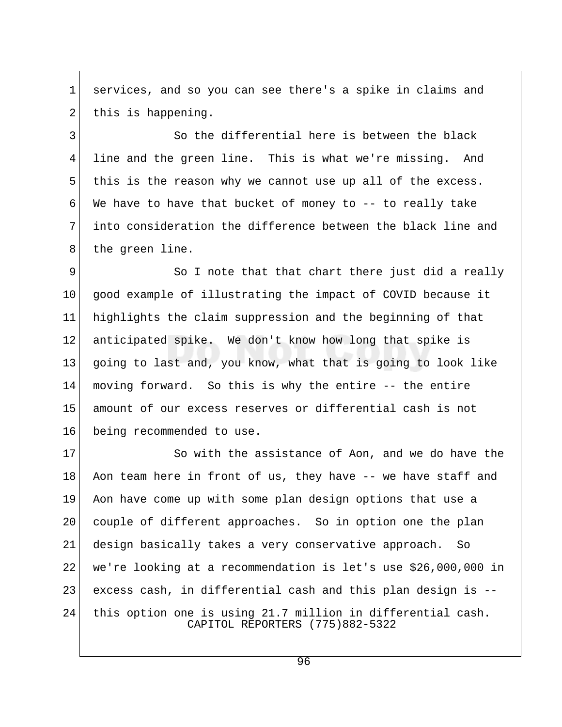1 services, and so you can see there's a spike in claims and  $2$  this is happening.

3 So the differential here is between the black 4 line and the green line. This is what we're missing. And 5 this is the reason why we cannot use up all of the excess. 6 We have to have that bucket of money to  $-$ - to really take 7 into consideration the difference between the black line and 8 the green line.

9 So I note that that chart there just did a really 10 good example of illustrating the impact of COVID because it 11 highlights the claim suppression and the beginning of that 12 anticipated spike. We don't know how long that spike is 13 going to last and, you know, what that is going to look like 14 moving forward. So this is why the entire -- the entire 15 amount of our excess reserves or differential cash is not 16 being recommended to use.

17 So with the assistance of Aon, and we do have the 18 Aon team here in front of us, they have -- we have staff and 19 Aon have come up with some plan design options that use a 20 couple of different approaches. So in option one the plan 21 design basically takes a very conservative approach. So 22 we're looking at a recommendation is let's use \$26,000,000 in 23 excess cash, in differential cash and this plan design is -- 24 this option one is using 21.7 million in differential cash. CAPITOL REPORTERS (775)882-5322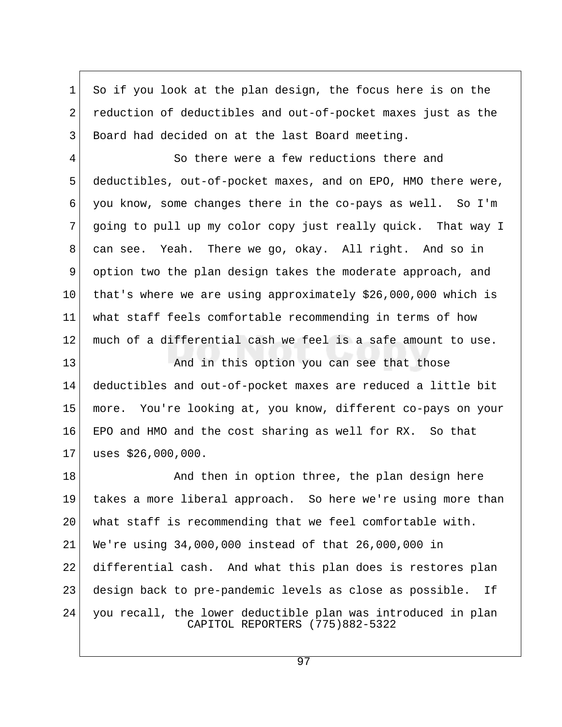1 So if you look at the plan design, the focus here is on the 2 reduction of deductibles and out-of-pocket maxes just as the 3 Board had decided on at the last Board meeting.

 4 So there were a few reductions there and 5 deductibles, out-of-pocket maxes, and on EPO, HMO there were, 6 you know, some changes there in the co-pays as well. So I'm 7 going to pull up my color copy just really quick. That way I 8 can see. Yeah. There we go, okay. All right. And so in 9 option two the plan design takes the moderate approach, and 10 that's where we are using approximately \$26,000,000 which is 11 what staff feels comfortable recommending in terms of how 12 much of a differential cash we feel is a safe amount to use.

13 And in this option you can see that those 14 deductibles and out-of-pocket maxes are reduced a little bit 15 more. You're looking at, you know, different co-pays on your 16 EPO and HMO and the cost sharing as well for RX. So that 17 uses \$26,000,000.

18 And then in option three, the plan design here 19 takes a more liberal approach. So here we're using more than 20 what staff is recommending that we feel comfortable with. 21 We're using 34,000,000 instead of that 26,000,000 in 22 differential cash. And what this plan does is restores plan 23 design back to pre-pandemic levels as close as possible. If 24 you recall, the lower deductible plan was introduced in plan CAPITOL REPORTERS (775)882-5322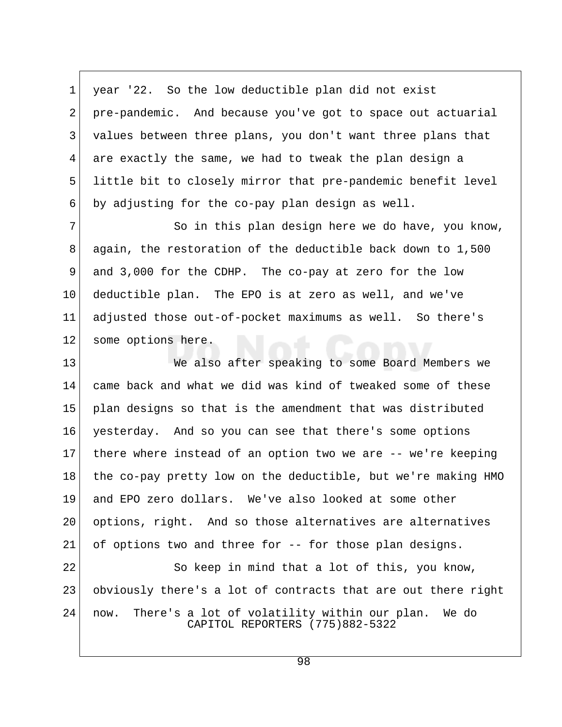1 year '22. So the low deductible plan did not exist 2 pre-pandemic. And because you've got to space out actuarial 3 values between three plans, you don't want three plans that 4 are exactly the same, we had to tweak the plan design a 5 little bit to closely mirror that pre-pandemic benefit level  $6$  by adjusting for the co-pay plan design as well.

7 So in this plan design here we do have, you know, 8 again, the restoration of the deductible back down to 1,500 9 and 3,000 for the CDHP. The co-pay at zero for the low 10 deductible plan. The EPO is at zero as well, and we've 11 adjusted those out-of-pocket maximums as well. So there's 12 some options here.

13 We also after speaking to some Board Members we 14 came back and what we did was kind of tweaked some of these 15 plan designs so that is the amendment that was distributed 16 yesterday. And so you can see that there's some options 17 there where instead of an option two we are -- we're keeping 18 the co-pay pretty low on the deductible, but we're making HMO 19 and EPO zero dollars. We've also looked at some other 20 options, right. And so those alternatives are alternatives  $21$  of options two and three for  $-$  for those plan designs.

22 So keep in mind that a lot of this, you know, 23 obviously there's a lot of contracts that are out there right 24 now. There's a lot of volatility within our plan. We do CAPITOL REPORTERS (775)882-5322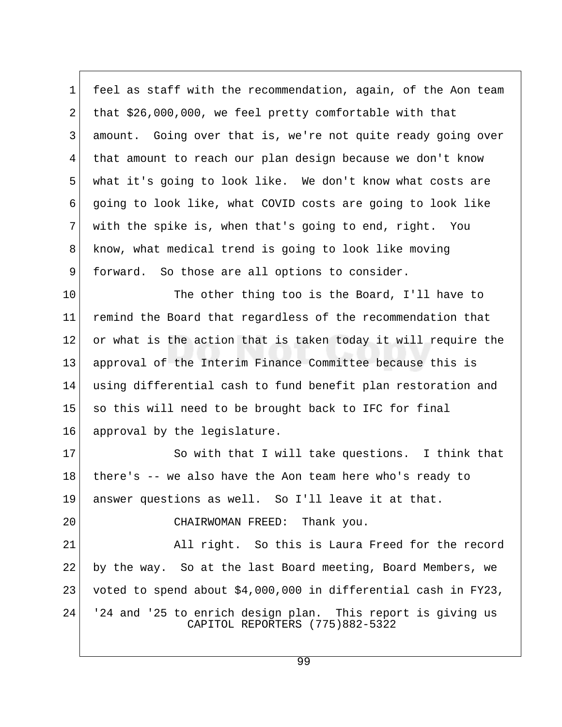1 feel as staff with the recommendation, again, of the Aon team 2 that \$26,000,000, we feel pretty comfortable with that 3 amount. Going over that is, we're not quite ready going over 4 that amount to reach our plan design because we don't know 5 what it's going to look like. We don't know what costs are 6 going to look like, what COVID costs are going to look like 7 with the spike is, when that's going to end, right. You 8 know, what medical trend is going to look like moving 9 forward. So those are all options to consider.

10 The other thing too is the Board, I'll have to 11 remind the Board that regardless of the recommendation that 12 or what is the action that is taken today it will require the 13 approval of the Interim Finance Committee because this is 14 using differential cash to fund benefit plan restoration and 15 so this will need to be brought back to IFC for final 16 approval by the legislature.

17 So with that I will take questions. I think that 18 there's -- we also have the Aon team here who's ready to 19 answer questions as well. So I'll leave it at that.

20 CHAIRWOMAN FREED: Thank you.

21 All right. So this is Laura Freed for the record 22 by the way. So at the last Board meeting, Board Members, we 23 voted to spend about \$4,000,000 in differential cash in FY23, 24 '24 and '25 to enrich design plan. This report is giving us CAPITOL REPORTERS (775)882-5322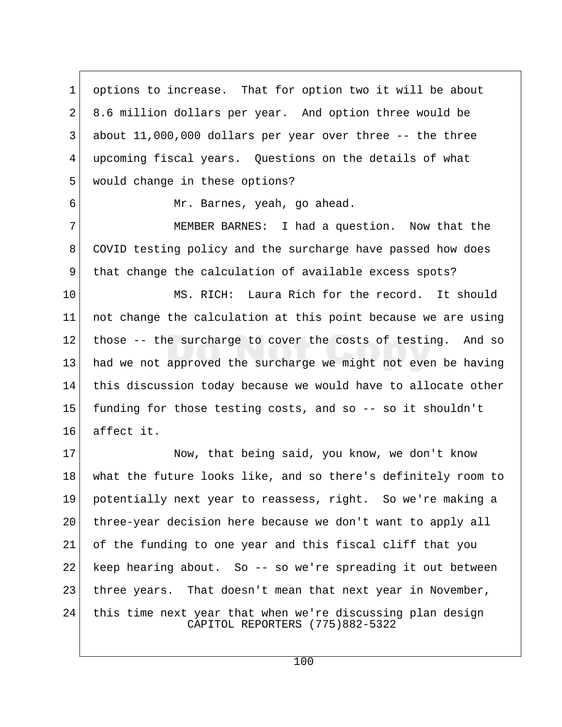1 options to increase. That for option two it will be about 2 8.6 million dollars per year. And option three would be 3 about 11,000,000 dollars per year over three -- the three 4 upcoming fiscal years. Questions on the details of what 5 would change in these options?

6 Mr. Barnes, yeah, go ahead.

7 MEMBER BARNES: I had a question. Now that the 8 COVID testing policy and the surcharge have passed how does 9 that change the calculation of available excess spots?

10 MS. RICH: Laura Rich for the record. It should 11 not change the calculation at this point because we are using  $12$  those  $-$  the surcharge to cover the costs of testing. And so 13 had we not approved the surcharge we might not even be having 14 this discussion today because we would have to allocate other 15 funding for those testing costs, and so -- so it shouldn't 16 affect it.

17 Now, that being said, you know, we don't know 18 what the future looks like, and so there's definitely room to 19 potentially next year to reassess, right. So we're making a 20 three-year decision here because we don't want to apply all 21 of the funding to one year and this fiscal cliff that you 22 keep hearing about. So -- so we're spreading it out between 23 three years. That doesn't mean that next year in November, 24 this time next year that when we're discussing plan design CAPITOL REPORTERS (775)882-5322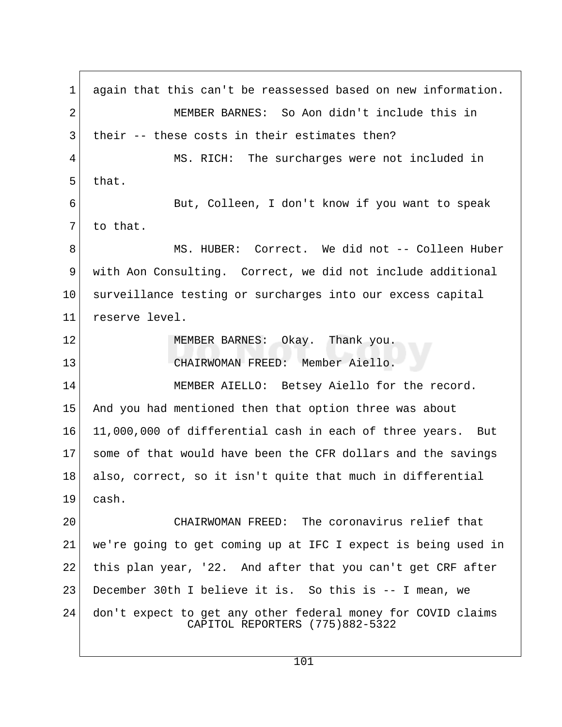1 again that this can't be reassessed based on new information. 2 MEMBER BARNES: So Aon didn't include this in 3 their -- these costs in their estimates then? 4 MS. RICH: The surcharges were not included in  $5$  that. 6 But, Colleen, I don't know if you want to speak  $7$  to that. 8 MS. HUBER: Correct. We did not -- Colleen Huber 9 with Aon Consulting. Correct, we did not include additional 10 surveillance testing or surcharges into our excess capital 11 reserve level. 12 MEMBER BARNES: Okay. Thank you. 13 CHAIRWOMAN FREED: Member Aiello. 14 MEMBER AIELLO: Betsey Aiello for the record. 15 And you had mentioned then that option three was about 16 11,000,000 of differential cash in each of three years. But 17 some of that would have been the CFR dollars and the savings 18 also, correct, so it isn't quite that much in differential 19 cash. 20 CHAIRWOMAN FREED: The coronavirus relief that 21 we're going to get coming up at IFC I expect is being used in 22 this plan year, '22. And after that you can't get CRF after 23 December 30th I believe it is. So this is -- I mean, we 24 don't expect to get any other federal money for COVID claims CAPITOL REPORTERS (775)882-5322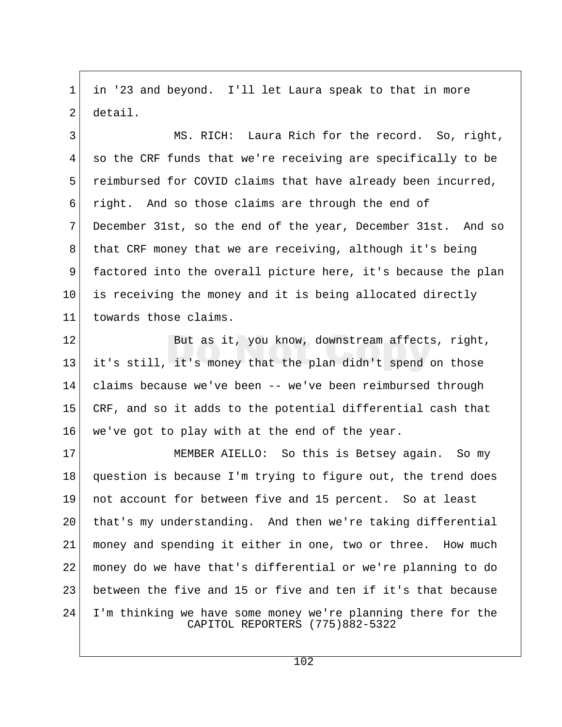1 in '23 and beyond. I'll let Laura speak to that in more 2 detail.

3 MS. RICH: Laura Rich for the record. So, right, 4 so the CRF funds that we're receiving are specifically to be 5 reimbursed for COVID claims that have already been incurred, 6 right. And so those claims are through the end of 7 December 31st, so the end of the year, December 31st. And so 8 that CRF money that we are receiving, although it's being 9 factored into the overall picture here, it's because the plan 10 is receiving the money and it is being allocated directly 11 towards those claims.

12 But as it, you know, downstream affects, right, 13 it's still, it's money that the plan didn't spend on those 14 claims because we've been -- we've been reimbursed through 15 CRF, and so it adds to the potential differential cash that 16 we've got to play with at the end of the year.

17 MEMBER AIELLO: So this is Betsey again. So my 18 question is because I'm trying to figure out, the trend does 19 not account for between five and 15 percent. So at least 20 that's my understanding. And then we're taking differential 21 money and spending it either in one, two or three. How much 22 money do we have that's differential or we're planning to do 23 between the five and 15 or five and ten if it's that because 24 I'm thinking we have some money we're planning there for the CAPITOL REPORTERS (775)882-5322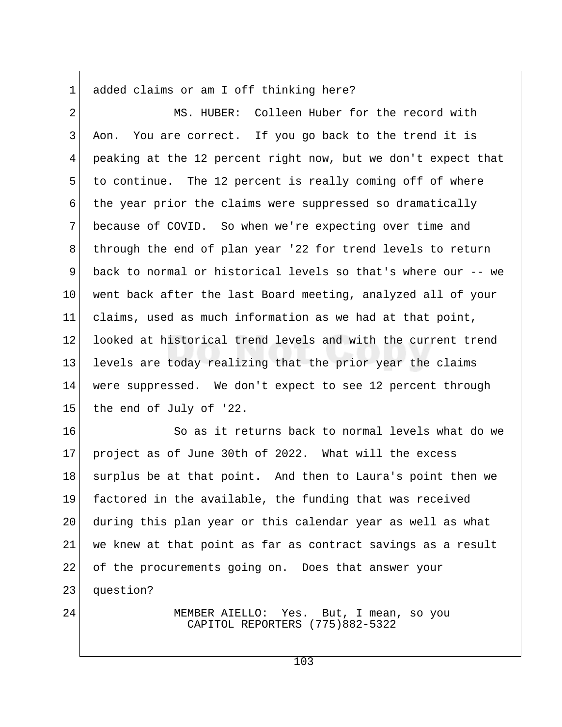1 added claims or am I off thinking here?

 2 MS. HUBER: Colleen Huber for the record with 3 Aon. You are correct. If you go back to the trend it is 4 peaking at the 12 percent right now, but we don't expect that 5 to continue. The 12 percent is really coming off of where 6 the year prior the claims were suppressed so dramatically 7 because of COVID. So when we're expecting over time and 8 through the end of plan year '22 for trend levels to return 9 back to normal or historical levels so that's where our -- we 10 went back after the last Board meeting, analyzed all of your 11 claims, used as much information as we had at that point, 12 looked at historical trend levels and with the current trend 13 levels are today realizing that the prior year the claims 14 were suppressed. We don't expect to see 12 percent through 15 the end of July of '22.

16 So as it returns back to normal levels what do we 17 project as of June 30th of 2022. What will the excess 18 surplus be at that point. And then to Laura's point then we 19 factored in the available, the funding that was received 20 during this plan year or this calendar year as well as what 21 we knew at that point as far as contract savings as a result 22 of the procurements going on. Does that answer your 23 question?

24 MEMBER AIELLO: Yes. But, I mean, so you CAPITOL REPORTERS (775)882-5322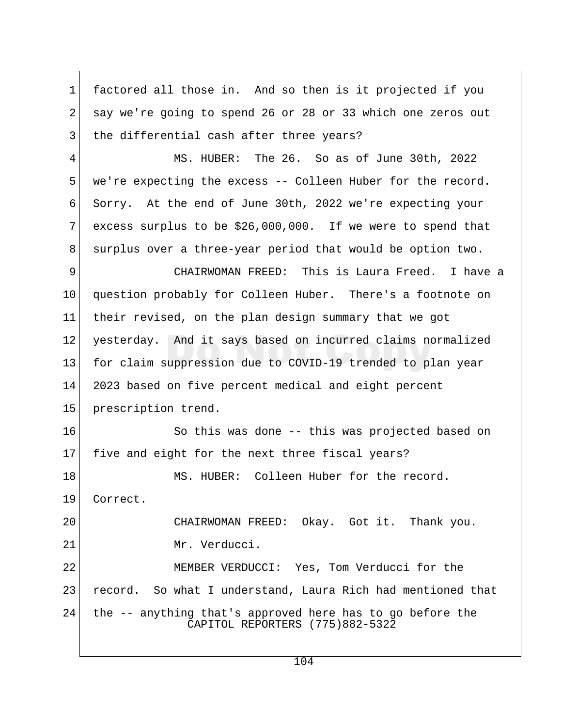1 factored all those in. And so then is it projected if you 2 say we're going to spend 26 or 28 or 33 which one zeros out 3 the differential cash after three years?

 4 MS. HUBER: The 26. So as of June 30th, 2022 5 we're expecting the excess -- Colleen Huber for the record. 6 Sorry. At the end of June 30th, 2022 we're expecting your 7 excess surplus to be  $$26,000,000$ . If we were to spend that 8 surplus over a three-year period that would be option two.

 9 CHAIRWOMAN FREED: This is Laura Freed. I have a 10 question probably for Colleen Huber. There's a footnote on 11 their revised, on the plan design summary that we got 12 yesterday. And it says based on incurred claims normalized 13 for claim suppression due to COVID-19 trended to plan year 14 2023 based on five percent medical and eight percent 15 prescription trend.

16 So this was done -- this was projected based on 17 five and eight for the next three fiscal years? 18 MS. HUBER: Colleen Huber for the record.

19 Correct.

20 CHAIRWOMAN FREED: Okay. Got it. Thank you. 21 Mr. Verducci.

22 MEMBER VERDUCCI: Yes, Tom Verducci for the 23 record. So what I understand, Laura Rich had mentioned that 24 the -- anything that's approved here has to go before the CAPITOL REPORTERS (775)882-5322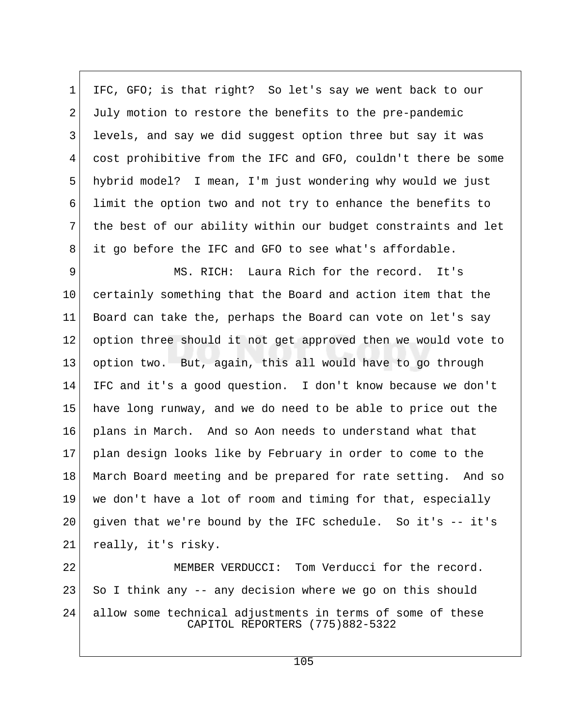1 IFC, GFO; is that right? So let's say we went back to our 2 July motion to restore the benefits to the pre-pandemic 3 levels, and say we did suggest option three but say it was 4 cost prohibitive from the IFC and GFO, couldn't there be some 5 hybrid model? I mean, I'm just wondering why would we just 6 limit the option two and not try to enhance the benefits to 7 the best of our ability within our budget constraints and let 8 it go before the IFC and GFO to see what's affordable.

 9 MS. RICH: Laura Rich for the record. It's 10 certainly something that the Board and action item that the 11 Board can take the, perhaps the Board can vote on let's say 12 option three should it not get approved then we would vote to 13 option two. But, again, this all would have to go through 14 IFC and it's a good question. I don't know because we don't 15 have long runway, and we do need to be able to price out the 16 plans in March. And so Aon needs to understand what that 17 plan design looks like by February in order to come to the 18 March Board meeting and be prepared for rate setting. And so 19 we don't have a lot of room and timing for that, especially 20 given that we're bound by the IFC schedule. So it's -- it's 21 really, it's risky.

22 MEMBER VERDUCCI: Tom Verducci for the record.  $23$  So I think any  $-$  any decision where we go on this should 24 allow some technical adjustments in terms of some of these CAPITOL REPORTERS (775)882-5322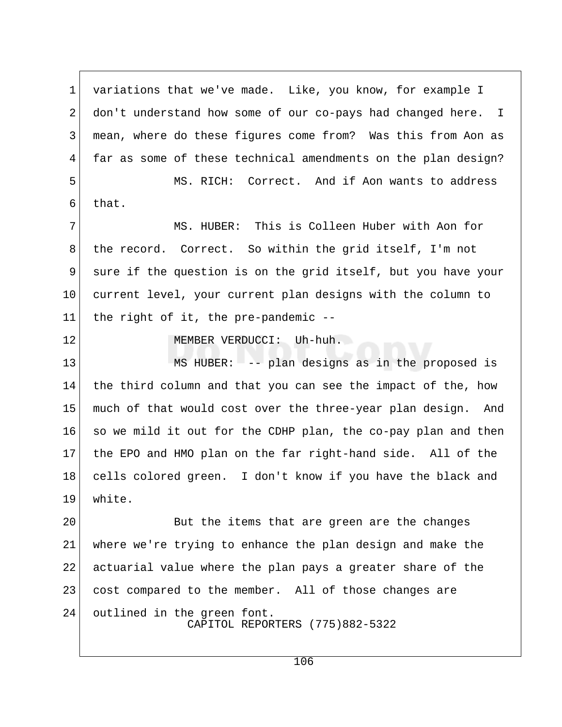1 variations that we've made. Like, you know, for example I 2 don't understand how some of our co-pays had changed here. I 3 | mean, where do these figures come from? Was this from Aon as 4 far as some of these technical amendments on the plan design? 5 MS. RICH: Correct. And if Aon wants to address  $6$  that. 7 MS. HUBER: This is Colleen Huber with Aon for 8 the record. Correct. So within the grid itself, I'm not 9 sure if the question is on the grid itself, but you have your 10 current level, your current plan designs with the column to 11 the right of it, the pre-pandemic -- 12 MEMBER VERDUCCI: Uh-huh. 13 MS HUBER: -- plan designs as in the proposed is 14 the third column and that you can see the impact of the, how 15 much of that would cost over the three-year plan design. And 16 so we mild it out for the CDHP plan, the co-pay plan and then 17 the EPO and HMO plan on the far right-hand side. All of the 18 cells colored green. I don't know if you have the black and 19 white. 20 But the items that are green are the changes 21 where we're trying to enhance the plan design and make the 22 actuarial value where the plan pays a greater share of the 23 cost compared to the member. All of those changes are 24 outlined in the green font.

CAPITOL REPORTERS (775)882-5322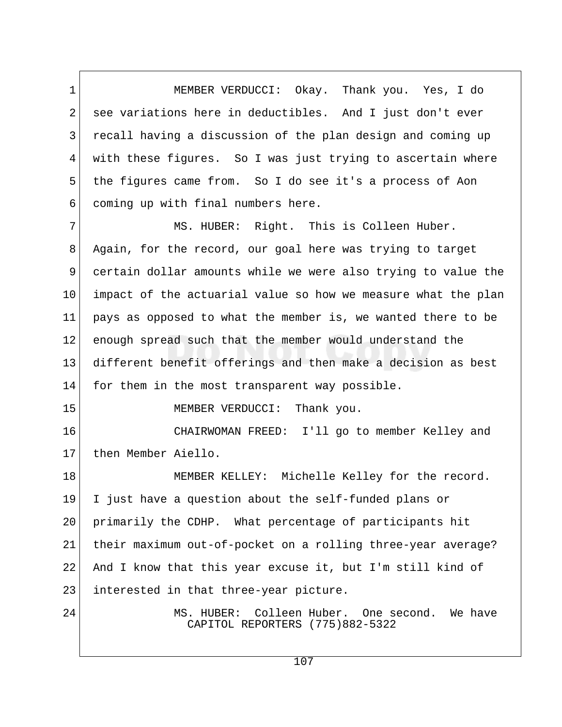1 MEMBER VERDUCCI: Okay. Thank you. Yes, I do 2 see variations here in deductibles. And I just don't ever 3 recall having a discussion of the plan design and coming up 4 with these figures. So I was just trying to ascertain where 5 the figures came from. So I do see it's a process of Aon 6 coming up with final numbers here.

 7 MS. HUBER: Right. This is Colleen Huber. 8 Again, for the record, our goal here was trying to target 9 certain dollar amounts while we were also trying to value the 10 impact of the actuarial value so how we measure what the plan 11 pays as opposed to what the member is, we wanted there to be 12 enough spread such that the member would understand the 13 different benefit offerings and then make a decision as best 14 for them in the most transparent way possible.

15 MEMBER VERDUCCI: Thank you.

16 CHAIRWOMAN FREED: I'll go to member Kelley and 17 then Member Aiello.

18 MEMBER KELLEY: Michelle Kelley for the record. 19 I just have a question about the self-funded plans or 20 primarily the CDHP. What percentage of participants hit 21 | their maximum out-of-pocket on a rolling three-year average? 22 And I know that this year excuse it, but I'm still kind of 23 interested in that three-year picture.

24 MS. HUBER: Colleen Huber. One second. We have CAPITOL REPORTERS (775)882-5322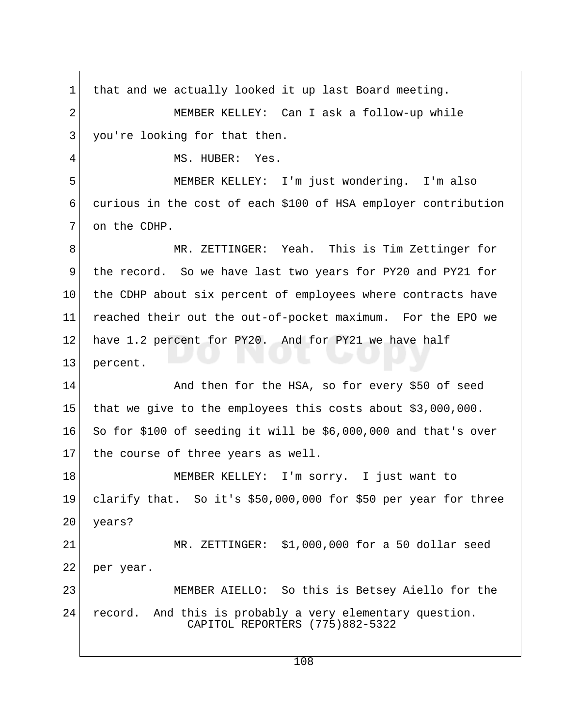1 that and we actually looked it up last Board meeting. 2 MEMBER KELLEY: Can I ask a follow-up while 3 you're looking for that then. 4 MS. HUBER: Yes. 5 MEMBER KELLEY: I'm just wondering. I'm also 6 curious in the cost of each \$100 of HSA employer contribution 7 on the CDHP. 8 MR. ZETTINGER: Yeah. This is Tim Zettinger for 9 the record. So we have last two years for PY20 and PY21 for 10 the CDHP about six percent of employees where contracts have 11 reached their out the out-of-pocket maximum. For the EPO we 12 have 1.2 percent for PY20. And for PY21 we have half 13 percent. 14 And then for the HSA, so for every \$50 of seed 15 that we give to the employees this costs about \$3,000,000.  $16$  So for \$100 of seeding it will be \$6,000,000 and that's over 17 the course of three years as well. 18 | MEMBER KELLEY: I'm sorry. I just want to 19 clarify that. So it's \$50,000,000 for \$50 per year for three 20 years? 21 MR. ZETTINGER: \$1,000,000 for a 50 dollar seed 22 per year. 23 MEMBER AIELLO: So this is Betsey Aiello for the 24 record. And this is probably a very elementary question. CAPITOL REPORTERS (775)882-5322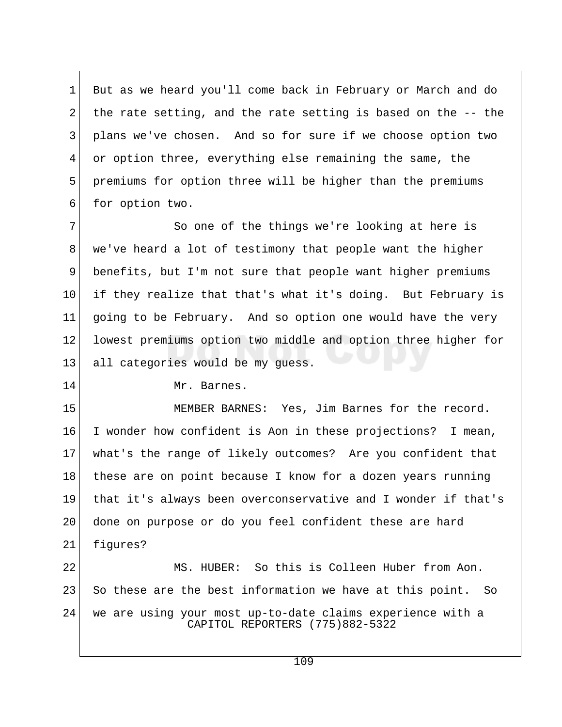1 But as we heard you'll come back in February or March and do 2 the rate setting, and the rate setting is based on the  $-$ - the 3 plans we've chosen. And so for sure if we choose option two 4 or option three, everything else remaining the same, the 5 premiums for option three will be higher than the premiums 6 for option two.

7 So one of the things we're looking at here is 8 we've heard a lot of testimony that people want the higher 9 benefits, but I'm not sure that people want higher premiums 10 if they realize that that's what it's doing. But February is 11 going to be February. And so option one would have the very 12 lowest premiums option two middle and option three higher for 13 all categories would be my quess.

14 Mr. Barnes.

15 MEMBER BARNES: Yes, Jim Barnes for the record. 16 I wonder how confident is Aon in these projections? I mean, 17 what's the range of likely outcomes? Are you confident that 18 these are on point because I know for a dozen years running 19 that it's always been overconservative and I wonder if that's 20 done on purpose or do you feel confident these are hard 21 figures?

22 MS. HUBER: So this is Colleen Huber from Aon.  $23$  So these are the best information we have at this point. So 24 we are using your most up-to-date claims experience with a CAPITOL REPORTERS (775)882-5322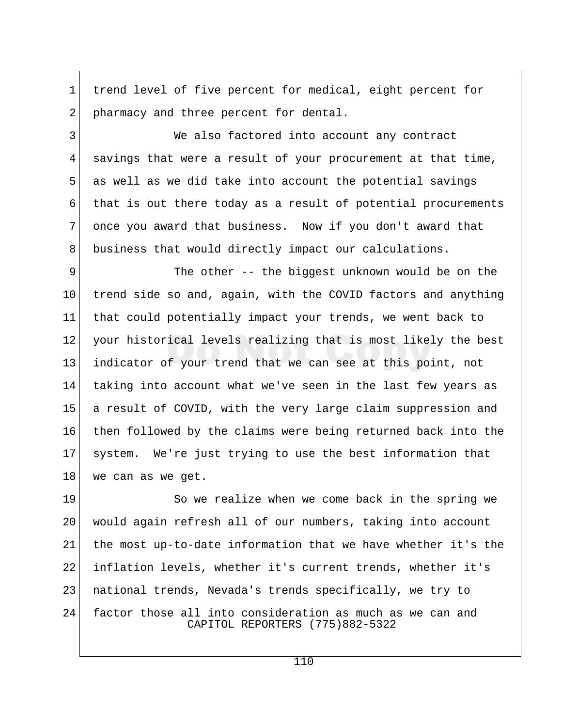1 trend level of five percent for medical, eight percent for 2 pharmacy and three percent for dental.

3 We also factored into account any contract 4 savings that were a result of your procurement at that time,  $5$  as well as we did take into account the potential savings 6 that is out there today as a result of potential procurements 7 once you award that business. Now if you don't award that 8 business that would directly impact our calculations.

9 The other -- the biggest unknown would be on the 10 trend side so and, again, with the COVID factors and anything 11 that could potentially impact your trends, we went back to 12 your historical levels realizing that is most likely the best 13 indicator of your trend that we can see at this point, not 14 taking into account what we've seen in the last few years as 15 a result of COVID, with the very large claim suppression and 16 then followed by the claims were being returned back into the 17 system. We're just trying to use the best information that 18 we can as we get.

19 So we realize when we come back in the spring we 20 would again refresh all of our numbers, taking into account 21 the most up-to-date information that we have whether it's the 22 inflation levels, whether it's current trends, whether it's 23 national trends, Nevada's trends specifically, we try to 24 factor those all into consideration as much as we can and CAPITOL REPORTERS (775)882-5322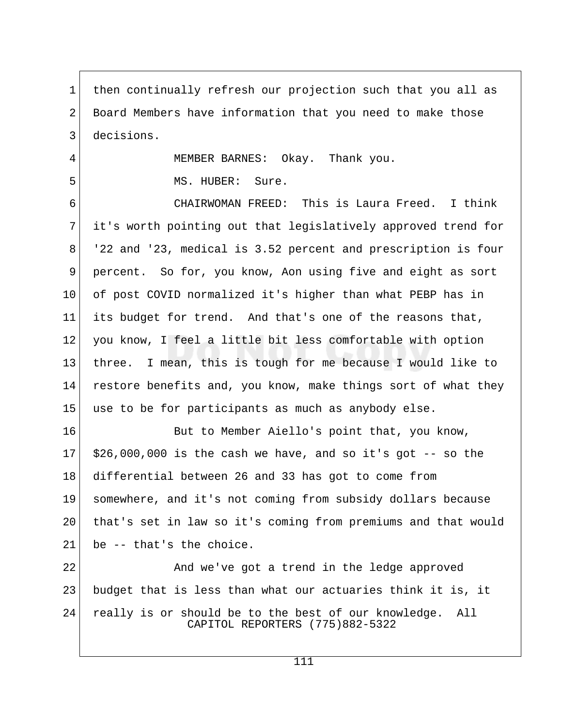1 then continually refresh our projection such that you all as 2 Board Members have information that you need to make those 3 decisions.

4 MEMBER BARNES: Okay. Thank you.

5 MS. HUBER: Sure.

 6 CHAIRWOMAN FREED: This is Laura Freed. I think 7 it's worth pointing out that legislatively approved trend for 8 '22 and '23, medical is 3.52 percent and prescription is four 9 percent. So for, you know, Aon using five and eight as sort 10 of post COVID normalized it's higher than what PEBP has in 11 its budget for trend. And that's one of the reasons that, 12 you know, I feel a little bit less comfortable with option 13 three. I mean, this is tough for me because I would like to 14 restore benefits and, you know, make things sort of what they 15 use to be for participants as much as anybody else.

16 But to Member Aiello's point that, you know,  $17$  \$26,000,000 is the cash we have, and so it's got  $-$ - so the 18 differential between 26 and 33 has got to come from 19 somewhere, and it's not coming from subsidy dollars because 20 that's set in law so it's coming from premiums and that would  $21$  be  $-$  that's the choice.

22 And we've got a trend in the ledge approved 23 budget that is less than what our actuaries think it is, it 24 really is or should be to the best of our knowledge. All CAPITOL REPORTERS (775)882-5322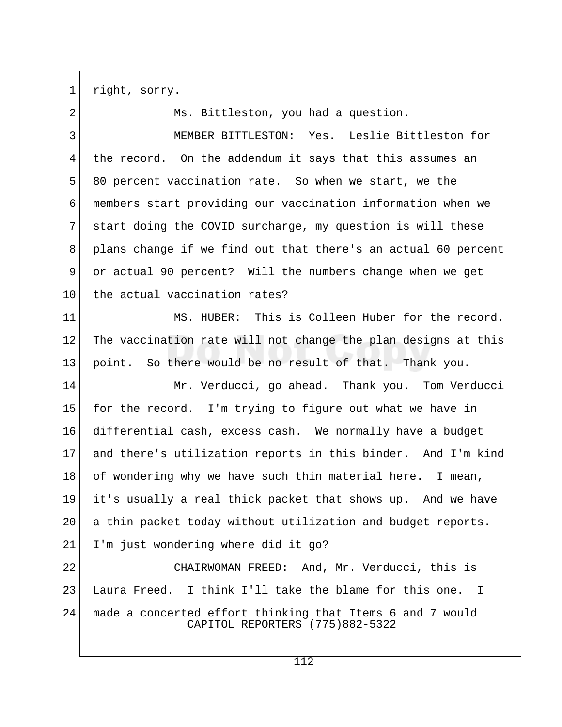1 right, sorry.

2 Ms. Bittleston, you had a question. 3 MEMBER BITTLESTON: Yes. Leslie Bittleston for 4 the record. On the addendum it says that this assumes an 5 80 percent vaccination rate. So when we start, we the 6 members start providing our vaccination information when we 7 start doing the COVID surcharge, my question is will these 8 plans change if we find out that there's an actual 60 percent 9 or actual 90 percent? Will the numbers change when we get 10 the actual vaccination rates? 11 MS. HUBER: This is Colleen Huber for the record. 12 The vaccination rate will not change the plan designs at this 13 point. So there would be no result of that. Thank you. 14 Mr. Verducci, go ahead. Thank you. Tom Verducci 15 for the record. I'm trying to figure out what we have in 16 differential cash, excess cash. We normally have a budget 17 and there's utilization reports in this binder. And I'm kind 18 of wondering why we have such thin material here. I mean, 19 it's usually a real thick packet that shows up. And we have 20 | a thin packet today without utilization and budget reports. 21 I'm just wondering where did it go? 22 CHAIRWOMAN FREED: And, Mr. Verducci, this is 23 Laura Freed. I think I'll take the blame for this one. I 24 made a concerted effort thinking that Items 6 and 7 would CAPITOL REPORTERS (775)882-5322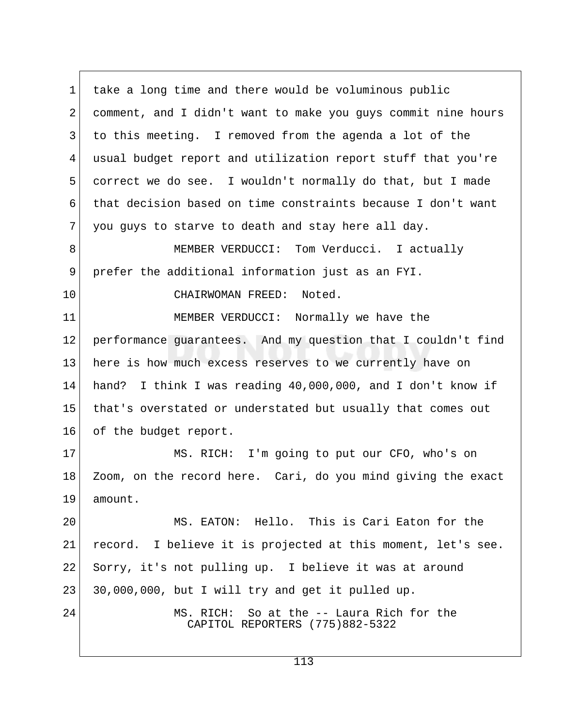1 take a long time and there would be voluminous public 2 comment, and I didn't want to make you guys commit nine hours 3 to this meeting. I removed from the agenda a lot of the 4 usual budget report and utilization report stuff that you're 5 correct we do see. I wouldn't normally do that, but I made 6 that decision based on time constraints because I don't want  $7$  you guys to starve to death and stay here all day. 8 MEMBER VERDUCCI: Tom Verducci. I actually 9 prefer the additional information just as an FYI. 10 CHAIRWOMAN FREED: Noted. 11 MEMBER VERDUCCI: Normally we have the 12 performance guarantees. And my question that I couldn't find 13 here is how much excess reserves to we currently have on 14 hand? I think I was reading 40,000,000, and I don't know if

15 that's overstated or understated but usually that comes out 16 of the budget report.

17 MS. RICH: I'm going to put our CFO, who's on 18 Zoom, on the record here. Cari, do you mind giving the exact 19 amount.

20 MS. EATON: Hello. This is Cari Eaton for the 21 record. I believe it is projected at this moment, let's see. 22 Sorry, it's not pulling up. I believe it was at around 23 30,000,000, but I will try and get it pulled up.

24 MS. RICH: So at the -- Laura Rich for the CAPITOL REPORTERS (775)882-5322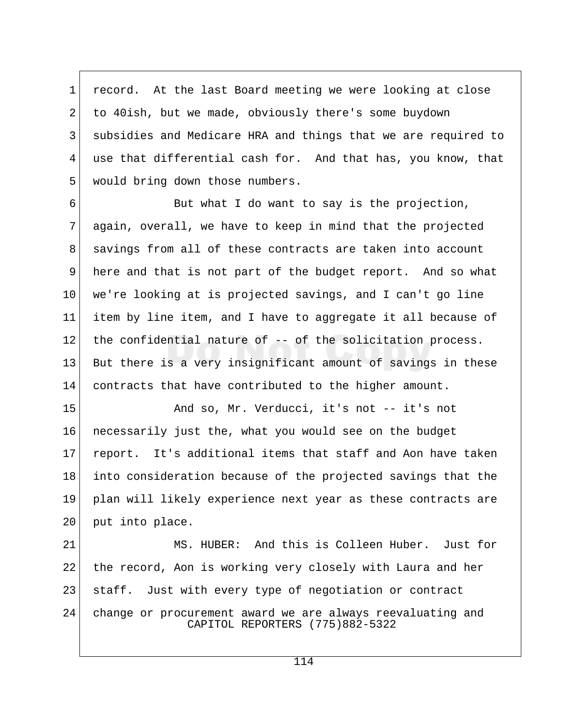1 record. At the last Board meeting we were looking at close 2 to 40ish, but we made, obviously there's some buydown 3 subsidies and Medicare HRA and things that we are required to 4 use that differential cash for. And that has, you know, that 5 would bring down those numbers.

 $6$  But what I do want to say is the projection, 7 again, overall, we have to keep in mind that the projected 8 | savings from all of these contracts are taken into account 9 here and that is not part of the budget report. And so what 10 we're looking at is projected savings, and I can't go line 11 item by line item, and I have to aggregate it all because of  $12$  the confidential nature of  $-$ - of the solicitation process. 13 But there is a very insignificant amount of savings in these 14 contracts that have contributed to the higher amount.

15 And so, Mr. Verducci, it's not -- it's not 16 necessarily just the, what you would see on the budget 17 report. It's additional items that staff and Aon have taken 18 into consideration because of the projected savings that the 19 plan will likely experience next year as these contracts are 20 put into place.

21 MS. HUBER: And this is Colleen Huber. Just for 22 the record, Aon is working very closely with Laura and her 23 | staff. Just with every type of negotiation or contract 24 change or procurement award we are always reevaluating and CAPITOL REPORTERS (775)882-5322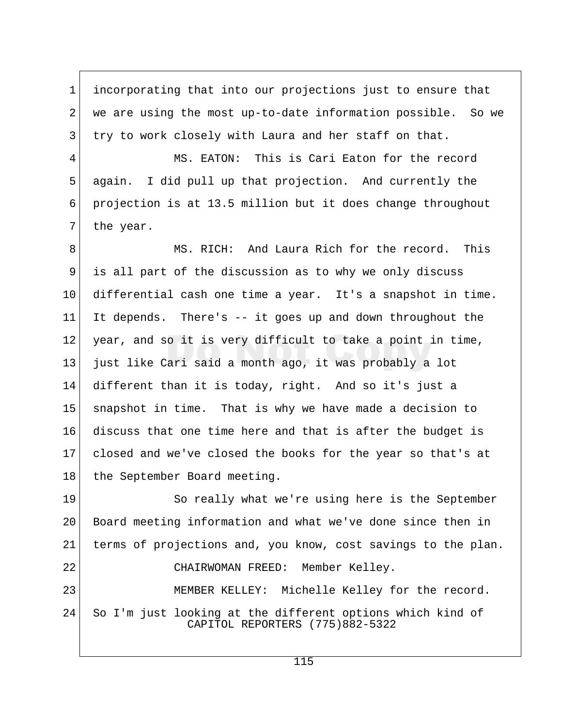1 incorporating that into our projections just to ensure that 2 we are using the most up-to-date information possible. So we 3 try to work closely with Laura and her staff on that.

 4 MS. EATON: This is Cari Eaton for the record 5 again. I did pull up that projection. And currently the 6 projection is at 13.5 million but it does change throughout 7 the year.

8 MS. RICH: And Laura Rich for the record. This 9 is all part of the discussion as to why we only discuss 10 differential cash one time a year. It's a snapshot in time. 11 It depends. There's -- it goes up and down throughout the 12 year, and so it is very difficult to take a point in time, 13 just like Cari said a month ago, it was probably a lot 14 different than it is today, right. And so it's just a 15 snapshot in time. That is why we have made a decision to 16 discuss that one time here and that is after the budget is 17 closed and we've closed the books for the year so that's at 18 the September Board meeting.

19 So really what we're using here is the September 20 Board meeting information and what we've done since then in 21 terms of projections and, you know, cost savings to the plan. 22 CHAIRWOMAN FREED: Member Kelley. 23 MEMBER KELLEY: Michelle Kelley for the record. 24 So I'm just looking at the different options which kind of

CAPITOL REPORTERS (775)882-5322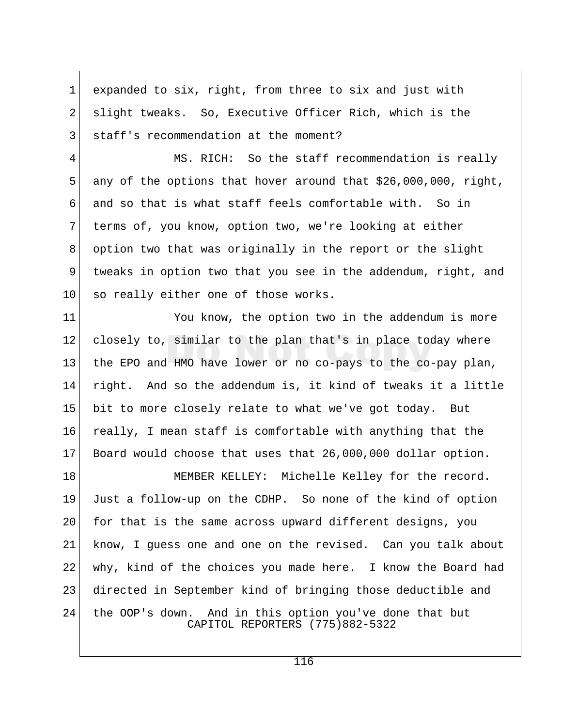1 expanded to six, right, from three to six and just with 2 slight tweaks. So, Executive Officer Rich, which is the 3 staff's recommendation at the moment?

 4 MS. RICH: So the staff recommendation is really 5 any of the options that hover around that  $$26,000,000$ , right, 6 and so that is what staff feels comfortable with. So in 7 terms of, you know, option two, we're looking at either 8 option two that was originally in the report or the slight 9 tweaks in option two that you see in the addendum, right, and  $10$  so really either one of those works.

11 You know, the option two in the addendum is more 12 closely to, similar to the plan that's in place today where 13 the EPO and HMO have lower or no co-pays to the co-pay plan, 14 right. And so the addendum is, it kind of tweaks it a little 15 bit to more closely relate to what we've got today. But 16 really, I mean staff is comfortable with anything that the 17 Board would choose that uses that 26,000,000 dollar option.

18 MEMBER KELLEY: Michelle Kelley for the record. 19 Just a follow-up on the CDHP. So none of the kind of option 20 for that is the same across upward different designs, you 21 know, I guess one and one on the revised. Can you talk about 22 why, kind of the choices you made here. I know the Board had 23 directed in September kind of bringing those deductible and 24 the OOP's down. And in this option you've done that but CAPITOL REPORTERS (775)882-5322

116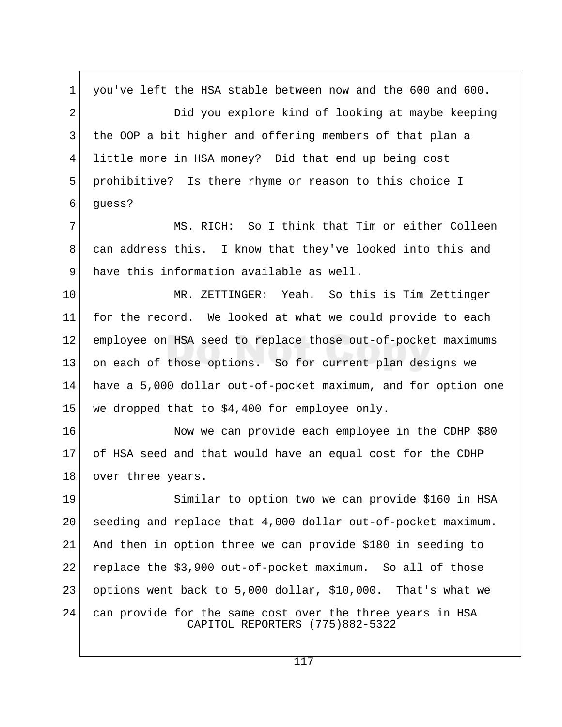1 you've left the HSA stable between now and the 600 and 600. 2 Did you explore kind of looking at maybe keeping 3 the OOP a bit higher and offering members of that plan a 4 little more in HSA money? Did that end up being cost 5 prohibitive? Is there rhyme or reason to this choice I  $6$  quess? 7 MS. RICH: So I think that Tim or either Colleen 8 | can address this. I know that they've looked into this and 9 have this information available as well. 10 MR. ZETTINGER: Yeah. So this is Tim Zettinger 11 for the record. We looked at what we could provide to each 12 employee on HSA seed to replace those out-of-pocket maximums 13 on each of those options. So for current plan designs we 14 have a 5,000 dollar out-of-pocket maximum, and for option one 15 we dropped that to \$4,400 for employee only. 16 Now we can provide each employee in the CDHP \$80 17 of HSA seed and that would have an equal cost for the CDHP 18 over three years. 19 Similar to option two we can provide \$160 in HSA 20 seeding and replace that 4,000 dollar out-of-pocket maximum. 21 And then in option three we can provide \$180 in seeding to 22 replace the \$3,900 out-of-pocket maximum. So all of those 23 options went back to 5,000 dollar, \$10,000. That's what we 24 can provide for the same cost over the three years in HSA CAPITOL REPORTERS (775)882-5322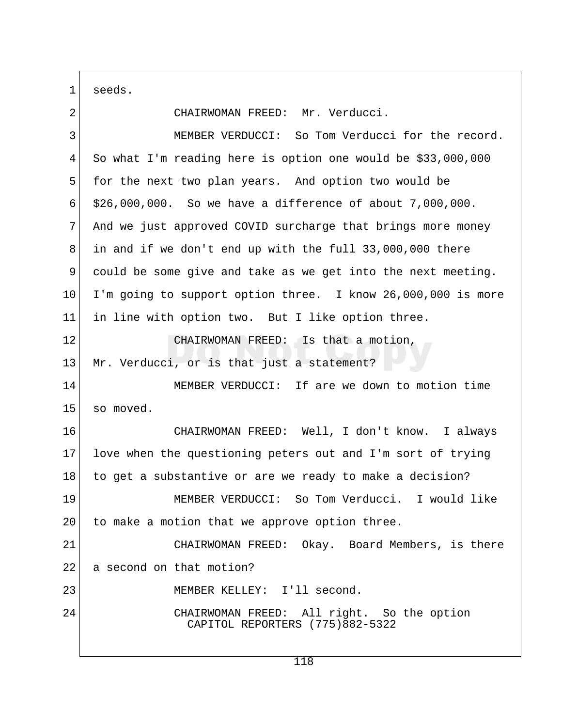1 seeds.

| CHAIRWOMAN FREED: Mr. Verducci.                                               |  |
|-------------------------------------------------------------------------------|--|
| MEMBER VERDUCCI: So Tom Verducci for the record.                              |  |
| So what I'm reading here is option one would be \$33,000,000                  |  |
| for the next two plan years. And option two would be                          |  |
| \$26,000,000. So we have a difference of about 7,000,000.                     |  |
| And we just approved COVID surcharge that brings more money                   |  |
| in and if we don't end up with the full 33,000,000 there                      |  |
| could be some give and take as we get into the next meeting.                  |  |
| I'm going to support option three. I know 26,000,000 is more                  |  |
| in line with option two. But I like option three.                             |  |
| CHAIRWOMAN FREED: Is that a motion,                                           |  |
| Mr. Verducci, or is that just a statement?                                    |  |
| MEMBER VERDUCCI: If are we down to motion time                                |  |
| so moved.                                                                     |  |
| CHAIRWOMAN FREED: Well, I don't know. I always                                |  |
| love when the questioning peters out and I'm sort of trying                   |  |
| to get a substantive or are we ready to make a decision?                      |  |
| MEMBER VERDUCCI: So Tom Verducci. I would like                                |  |
| to make a motion that we approve option three.<br>20                          |  |
| CHAIRWOMAN FREED: Okay. Board Members, is there                               |  |
| a second on that motion?                                                      |  |
| MEMBER KELLEY: I'll second.                                                   |  |
| CHAIRWOMAN FREED: All right. So the option<br>CAPITOL REPORTERS (775)882-5322 |  |
|                                                                               |  |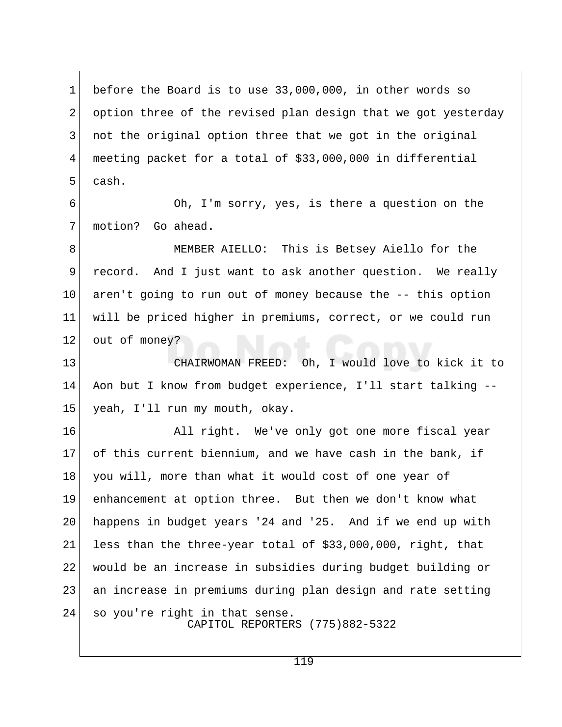1 before the Board is to use 33,000,000, in other words so 2 option three of the revised plan design that we got yesterday 3 not the original option three that we got in the original 4 meeting packet for a total of \$33,000,000 in differential 5 cash.

 6 Oh, I'm sorry, yes, is there a question on the 7 motion? Go ahead.

 8 MEMBER AIELLO: This is Betsey Aiello for the 9 record. And I just want to ask another question. We really 10 aren't going to run out of money because the -- this option 11 will be priced higher in premiums, correct, or we could run 12 out of money?

13 CHAIRWOMAN FREED: Oh, I would love to kick it to 14 Aon but I know from budget experience, I'll start talking -- 15 yeah, I'll run my mouth, okay.

16 All right. We've only got one more fiscal year 17 of this current biennium, and we have cash in the bank, if 18 you will, more than what it would cost of one year of 19 enhancement at option three. But then we don't know what 20 happens in budget years '24 and '25. And if we end up with 21 less than the three-year total of  $$33,000,000$ , right, that 22 would be an increase in subsidies during budget building or 23 an increase in premiums during plan design and rate setting 24 so you're right in that sense. CAPITOL REPORTERS (775)882-5322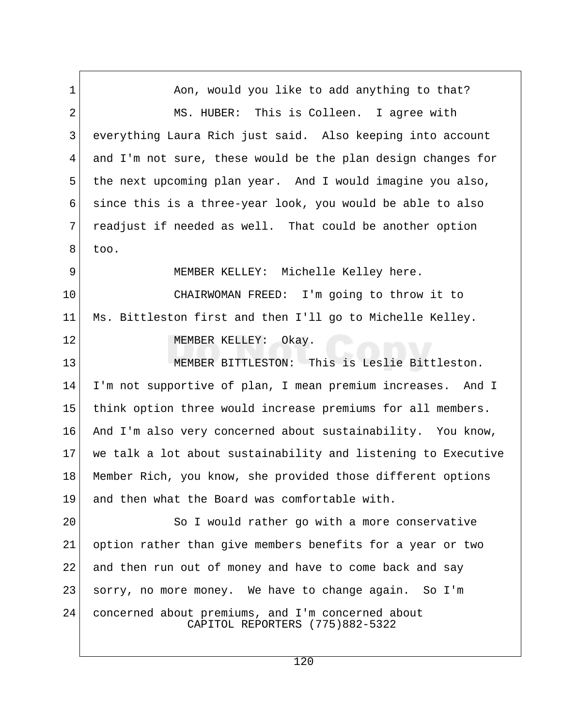1 Aon, would you like to add anything to that? 2 MS. HUBER: This is Colleen. I agree with 3 everything Laura Rich just said. Also keeping into account 4 and I'm not sure, these would be the plan design changes for 5 the next upcoming plan year. And I would imagine you also, 6 since this is a three-year look, you would be able to also 7 readjust if needed as well. That could be another option  $8$  too. 9 MEMBER KELLEY: Michelle Kelley here. 10 CHAIRWOMAN FREED: I'm going to throw it to 11 Ms. Bittleston first and then I'll go to Michelle Kelley. 12 MEMBER KELLEY: Okay. 13 MEMBER BITTLESTON: This is Leslie Bittleston. 14 I'm not supportive of plan, I mean premium increases. And I 15 think option three would increase premiums for all members. 16 And I'm also very concerned about sustainability. You know, 17 we talk a lot about sustainability and listening to Executive 18 Member Rich, you know, she provided those different options 19 and then what the Board was comfortable with. 20 So I would rather go with a more conservative 21 option rather than give members benefits for a year or two 22 and then run out of money and have to come back and say 23 sorry, no more money. We have to change again. So I'm 24 concerned about premiums, and I'm concerned about CAPITOL REPORTERS (775)882-5322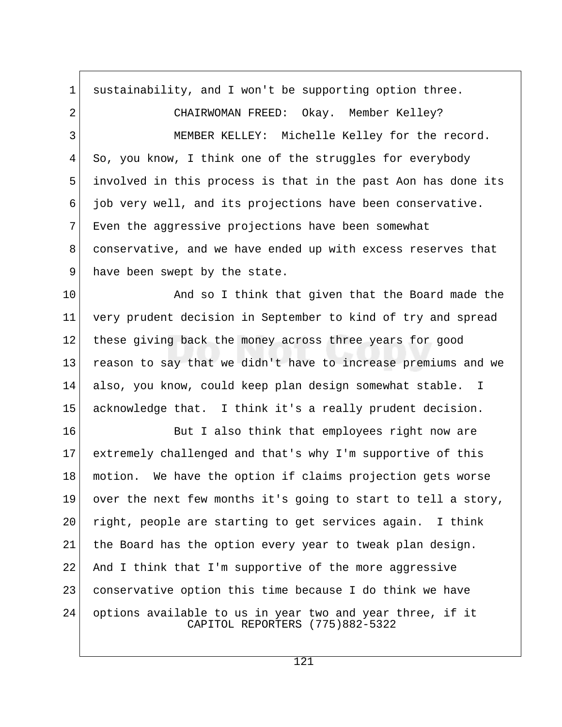1 sustainability, and I won't be supporting option three. 2 CHAIRWOMAN FREED: Okay. Member Kelley? 3 MEMBER KELLEY: Michelle Kelley for the record. 4 So, you know, I think one of the struggles for everybody 5 involved in this process is that in the past Aon has done its  $6$  job very well, and its projections have been conservative. 7 Even the aggressive projections have been somewhat 8 conservative, and we have ended up with excess reserves that 9 have been swept by the state. 10 And so I think that given that the Board made the 11 very prudent decision in September to kind of try and spread 12 these giving back the money across three years for good 13 reason to say that we didn't have to increase premiums and we 14 also, you know, could keep plan design somewhat stable. I 15 acknowledge that. I think it's a really prudent decision. 16 But I also think that employees right now are 17 extremely challenged and that's why I'm supportive of this 18 motion. We have the option if claims projection gets worse 19 over the next few months it's going to start to tell a story, 20 right, people are starting to get services again. I think 21 | the Board has the option every year to tweak plan design. 22 And I think that I'm supportive of the more aggressive 23 conservative option this time because I do think we have 24 options available to us in year two and year three, if it CAPITOL REPORTERS (775)882-5322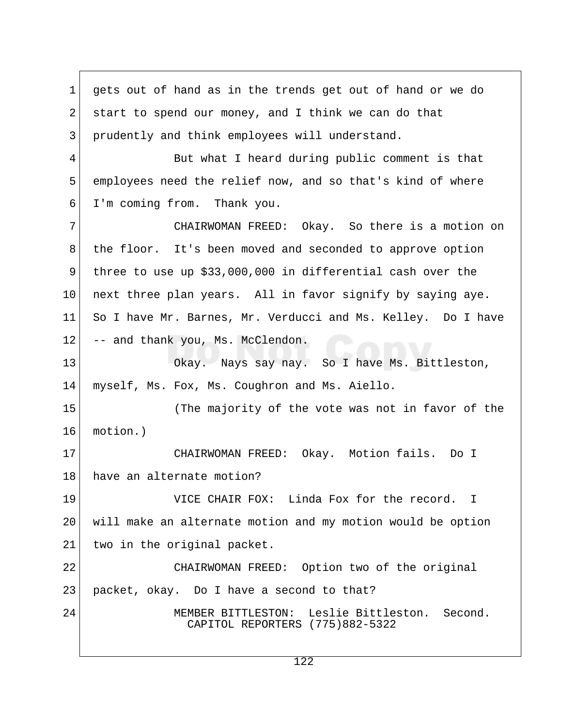1 gets out of hand as in the trends get out of hand or we do 2 start to spend our money, and I think we can do that 3 prudently and think employees will understand. 4 But what I heard during public comment is that 5 employees need the relief now, and so that's kind of where 6 I'm coming from. Thank you. 7 CHAIRWOMAN FREED: Okay. So there is a motion on 8 the floor. It's been moved and seconded to approve option 9 three to use up \$33,000,000 in differential cash over the 10 next three plan years. All in favor signify by saying aye. 11 So I have Mr. Barnes, Mr. Verducci and Ms. Kelley. Do I have 12 -- and thank you, Ms. McClendon. 13 Okay. Nays say nay. So I have Ms. Bittleston, 14 myself, Ms. Fox, Ms. Coughron and Ms. Aiello. 15 (The majority of the vote was not in favor of the 16 motion.) 17 | CHAIRWOMAN FREED: Okay. Motion fails. Do I 18 have an alternate motion? 19 VICE CHAIR FOX: Linda Fox for the record. I 20 will make an alternate motion and my motion would be option 21 two in the original packet. 22 CHAIRWOMAN FREED: Option two of the original 23 packet, okay. Do I have a second to that? 24 MEMBER BITTLESTON: Leslie Bittleston. Second. CAPITOL REPORTERS (775)882-5322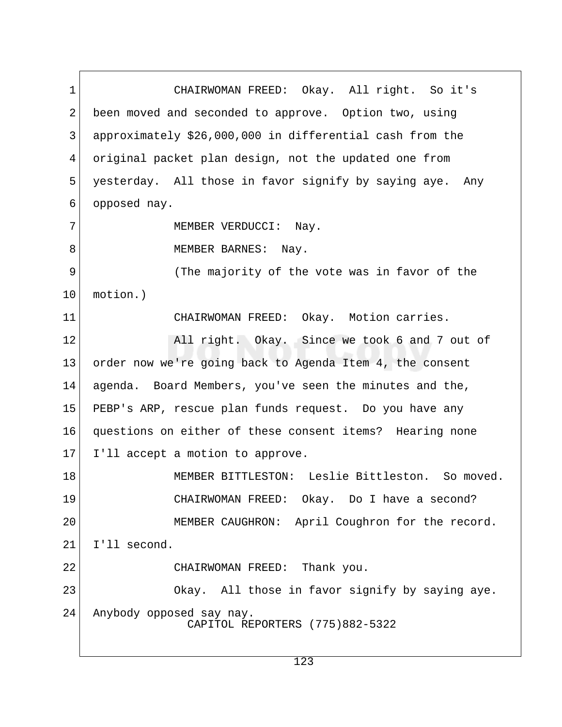1 CHAIRWOMAN FREED: Okay. All right. So it's 2 been moved and seconded to approve. Option two, using 3 approximately \$26,000,000 in differential cash from the 4 original packet plan design, not the updated one from 5 yesterday. All those in favor signify by saying aye. Any 6 opposed nay. 7 MEMBER VERDUCCI: Nay. 8 MEMBER BARNES: Nay. 9 (The majority of the vote was in favor of the 10 motion.) 11 CHAIRWOMAN FREED: Okay. Motion carries. 12 All right. Okay. Since we took 6 and 7 out of 13 order now we're going back to Agenda Item 4, the consent 14 agenda. Board Members, you've seen the minutes and the, 15 PEBP's ARP, rescue plan funds request. Do you have any 16 questions on either of these consent items? Hearing none 17 I'll accept a motion to approve. 18 MEMBER BITTLESTON: Leslie Bittleston. So moved. 19 CHAIRWOMAN FREED: Okay. Do I have a second? 20 MEMBER CAUGHRON: April Coughron for the record. 21 I'll second. 22 CHAIRWOMAN FREED: Thank you. 23 Okay. All those in favor signify by saying aye. 24 Anybody opposed say nay. CAPITOL REPORTERS (775)882-5322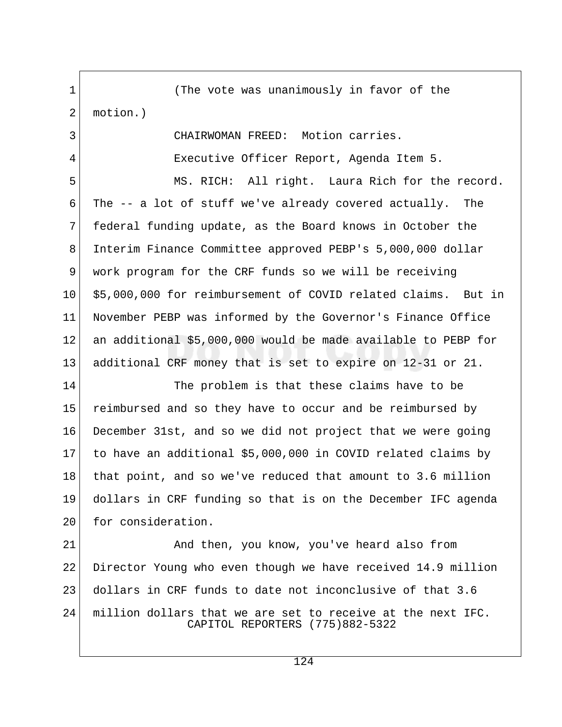1 (The vote was unanimously in favor of the 2 motion.) 3 CHAIRWOMAN FREED: Motion carries. 4 Executive Officer Report, Agenda Item 5. 5 MS. RICH: All right. Laura Rich for the record. 6 The -- a lot of stuff we've already covered actually. The 7 federal funding update, as the Board knows in October the 8 Interim Finance Committee approved PEBP's 5,000,000 dollar 9 work program for the CRF funds so we will be receiving 10 \$5,000,000 for reimbursement of COVID related claims. But in 11 November PEBP was informed by the Governor's Finance Office 12 an additional \$5,000,000 would be made available to PEBP for 13 additional CRF money that is set to expire on 12-31 or 21. 14 The problem is that these claims have to be 15 reimbursed and so they have to occur and be reimbursed by 16 December 31st, and so we did not project that we were going 17 to have an additional \$5,000,000 in COVID related claims by 18 that point, and so we've reduced that amount to 3.6 million 19 dollars in CRF funding so that is on the December IFC agenda 20 for consideration. 21 And then, you know, you've heard also from 22 Director Young who even though we have received 14.9 million 23 dollars in CRF funds to date not inconclusive of that 3.6 24 million dollars that we are set to receive at the next IFC. CAPITOL REPORTERS (775)882-5322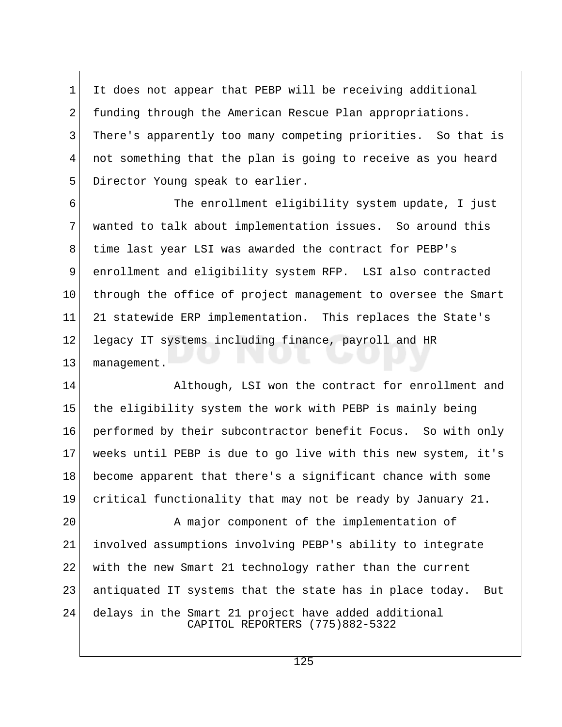1 It does not appear that PEBP will be receiving additional 2 funding through the American Rescue Plan appropriations. 3 There's apparently too many competing priorities. So that is 4 not something that the plan is going to receive as you heard 5 Director Young speak to earlier.

6 The enrollment eligibility system update, I just 7 wanted to talk about implementation issues. So around this 8 time last year LSI was awarded the contract for PEBP's 9 enrollment and eligibility system RFP. LSI also contracted 10 through the office of project management to oversee the Smart 11 21 statewide ERP implementation. This replaces the State's 12 legacy IT systems including finance, payroll and HR 13 management.

14 Although, LSI won the contract for enrollment and 15 the eligibility system the work with PEBP is mainly being 16 performed by their subcontractor benefit Focus. So with only 17 weeks until PEBP is due to go live with this new system, it's 18 become apparent that there's a significant chance with some 19 critical functionality that may not be ready by January 21.

20 A major component of the implementation of 21 involved assumptions involving PEBP's ability to integrate 22 with the new Smart 21 technology rather than the current 23 antiquated IT systems that the state has in place today. But 24 delays in the Smart 21 project have added additional CAPITOL REPORTERS (775)882-5322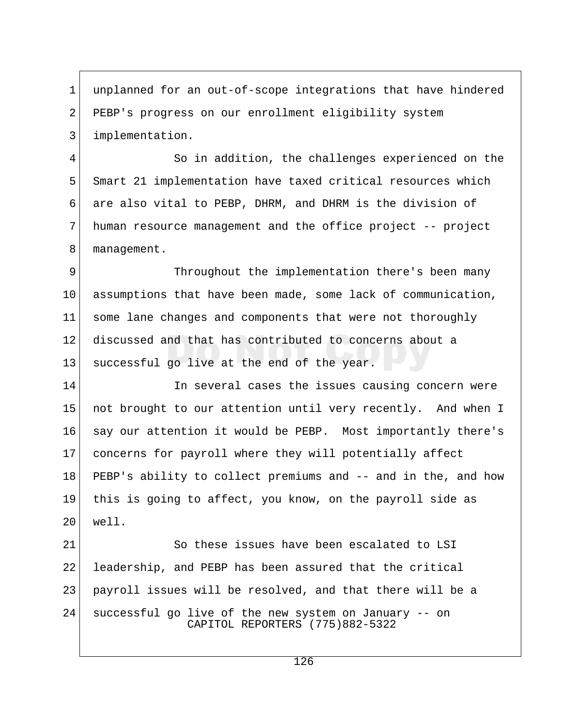1 unplanned for an out-of-scope integrations that have hindered 2 PEBP's progress on our enrollment eligibility system 3 implementation.

 4 So in addition, the challenges experienced on the 5 Smart 21 implementation have taxed critical resources which 6 are also vital to PEBP, DHRM, and DHRM is the division of 7 human resource management and the office project -- project 8 management.

9 Throughout the implementation there's been many 10 assumptions that have been made, some lack of communication, 11 some lane changes and components that were not thoroughly 12 discussed and that has contributed to concerns about a 13 successful go live at the end of the year.

14 14 In several cases the issues causing concern were 15 not brought to our attention until very recently. And when I 16 say our attention it would be PEBP. Most importantly there's 17 concerns for payroll where they will potentially affect 18 PEBP's ability to collect premiums and -- and in the, and how 19 this is going to affect, you know, on the payroll side as 20 well.

21 So these issues have been escalated to LSI 22 leadership, and PEBP has been assured that the critical 23 payroll issues will be resolved, and that there will be a 24 successful go live of the new system on January -- on CAPITOL REPORTERS (775)882-5322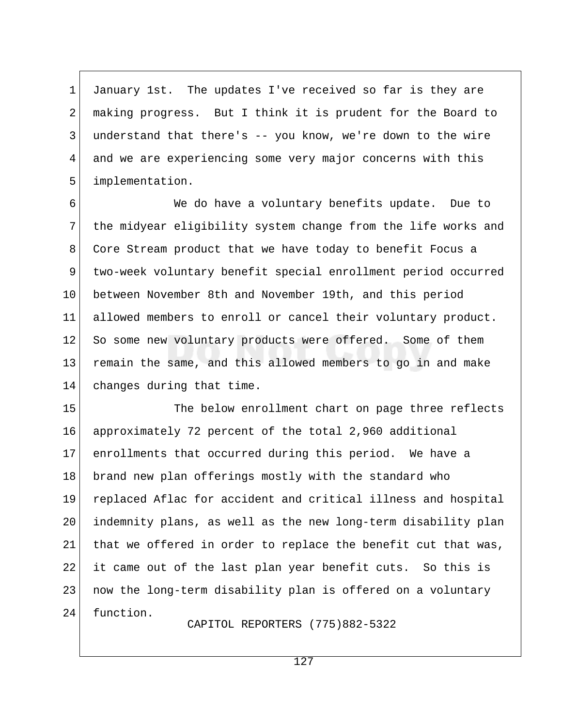1 January 1st. The updates I've received so far is they are 2 making progress. But I think it is prudent for the Board to  $3$  understand that there's  $-$  you know, we're down to the wire 4 and we are experiencing some very major concerns with this 5 implementation.

 6 We do have a voluntary benefits update. Due to 7 the midyear eligibility system change from the life works and 8 Core Stream product that we have today to benefit Focus a 9 two-week voluntary benefit special enrollment period occurred 10 between November 8th and November 19th, and this period 11 allowed members to enroll or cancel their voluntary product. 12 So some new voluntary products were offered. Some of them 13 remain the same, and this allowed members to go in and make 14 changes during that time.

15 The below enrollment chart on page three reflects 16 approximately 72 percent of the total 2,960 additional 17 enrollments that occurred during this period. We have a 18 brand new plan offerings mostly with the standard who 19 replaced Aflac for accident and critical illness and hospital 20 indemnity plans, as well as the new long-term disability plan  $21$  that we offered in order to replace the benefit cut that was, 22 it came out of the last plan year benefit cuts. So this is 23 | now the long-term disability plan is offered on a voluntary 24 function.

CAPITOL REPORTERS (775)882-5322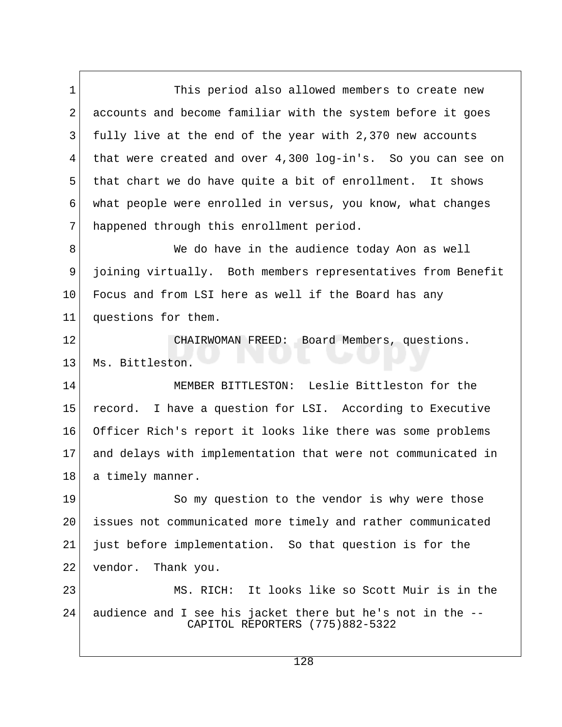1 This period also allowed members to create new 2 accounts and become familiar with the system before it goes 3 fully live at the end of the year with 2,370 new accounts 4 that were created and over 4,300 log-in's. So you can see on 5 that chart we do have quite a bit of enrollment. It shows 6 what people were enrolled in versus, you know, what changes 7 happened through this enrollment period.

8 We do have in the audience today Aon as well 9 joining virtually. Both members representatives from Benefit 10 Focus and from LSI here as well if the Board has any 11 questions for them.

12 CHAIRWOMAN FREED: Board Members, questions. 13 Ms. Bittleston.

14 MEMBER BITTLESTON: Leslie Bittleston for the 15 record. I have a question for LSI. According to Executive 16 Officer Rich's report it looks like there was some problems 17 and delays with implementation that were not communicated in 18 a timely manner.

19 So my question to the vendor is why were those 20 issues not communicated more timely and rather communicated 21 just before implementation. So that question is for the 22 vendor. Thank you.

23 MS. RICH: It looks like so Scott Muir is in the 24 audience and I see his jacket there but he's not in the -- CAPITOL REPORTERS (775)882-5322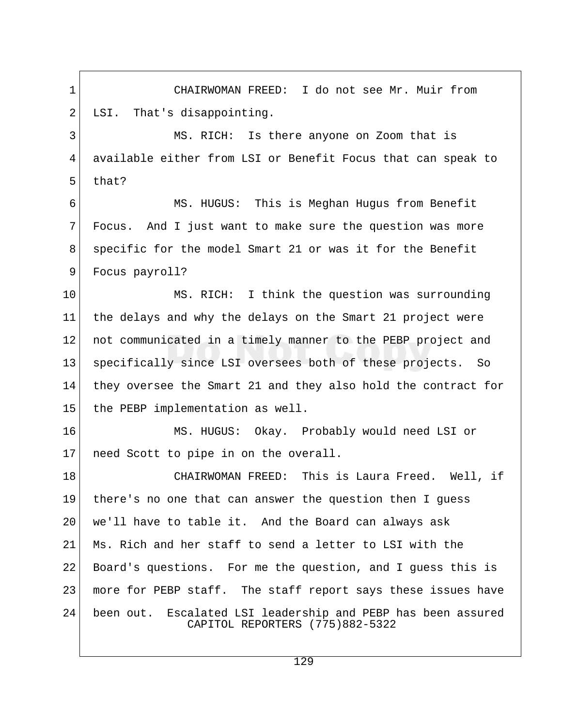1 CHAIRWOMAN FREED: I do not see Mr. Muir from 2 LSI. That's disappointing. 3 MS. RICH: Is there anyone on Zoom that is 4 available either from LSI or Benefit Focus that can speak to 5 that? 6 MS. HUGUS: This is Meghan Hugus from Benefit 7 Focus. And I just want to make sure the question was more 8 specific for the model Smart 21 or was it for the Benefit 9 Focus payroll? 10 MS. RICH: I think the question was surrounding 11 the delays and why the delays on the Smart 21 project were 12 not communicated in a timely manner to the PEBP project and 13 specifically since LSI oversees both of these projects. So 14 they oversee the Smart 21 and they also hold the contract for 15 the PEBP implementation as well. 16 MS. HUGUS: Okay. Probably would need LSI or 17 need Scott to pipe in on the overall. 18 CHAIRWOMAN FREED: This is Laura Freed. Well, if 19 there's no one that can answer the question then I guess 20 | we'll have to table it. And the Board can always ask 21 Ms. Rich and her staff to send a letter to LSI with the 22 Board's questions. For me the question, and I guess this is 23 more for PEBP staff. The staff report says these issues have 24 been out. Escalated LSI leadership and PEBP has been assured CAPITOL REPORTERS (775)882-5322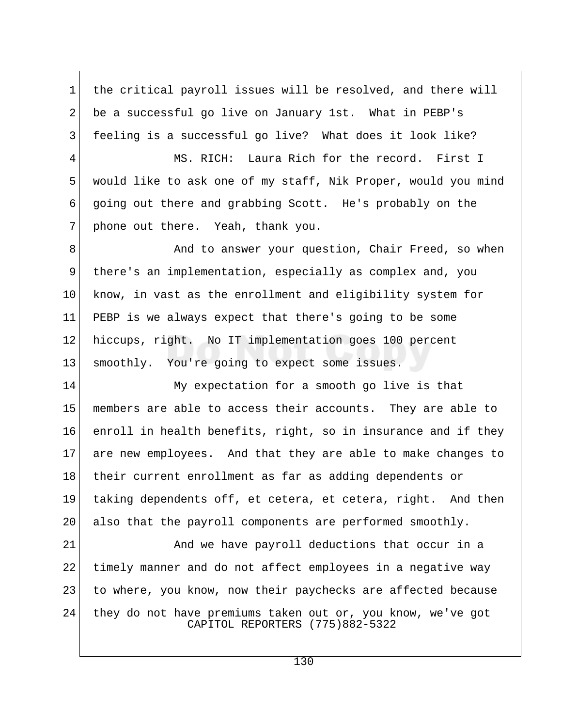1 the critical payroll issues will be resolved, and there will 2 be a successful go live on January 1st. What in PEBP's 3 feeling is a successful go live? What does it look like?

4 MS. RICH: Laura Rich for the record. First I 5 would like to ask one of my staff, Nik Proper, would you mind 6 going out there and grabbing Scott. He's probably on the 7 phone out there. Yeah, thank you.

8 And to answer your question, Chair Freed, so when 9 there's an implementation, especially as complex and, you 10 know, in vast as the enrollment and eligibility system for 11 PEBP is we always expect that there's going to be some 12 hiccups, right. No IT implementation goes 100 percent 13 smoothly. You're going to expect some issues.

14 My expectation for a smooth go live is that 15 members are able to access their accounts. They are able to 16 enroll in health benefits, right, so in insurance and if they 17 are new employees. And that they are able to make changes to 18 their current enrollment as far as adding dependents or 19 taking dependents off, et cetera, et cetera, right. And then 20 also that the payroll components are performed smoothly.

21 And we have payroll deductions that occur in a 22 timely manner and do not affect employees in a negative way 23 to where, you know, now their paychecks are affected because 24 they do not have premiums taken out or, you know, we've got CAPITOL REPORTERS (775)882-5322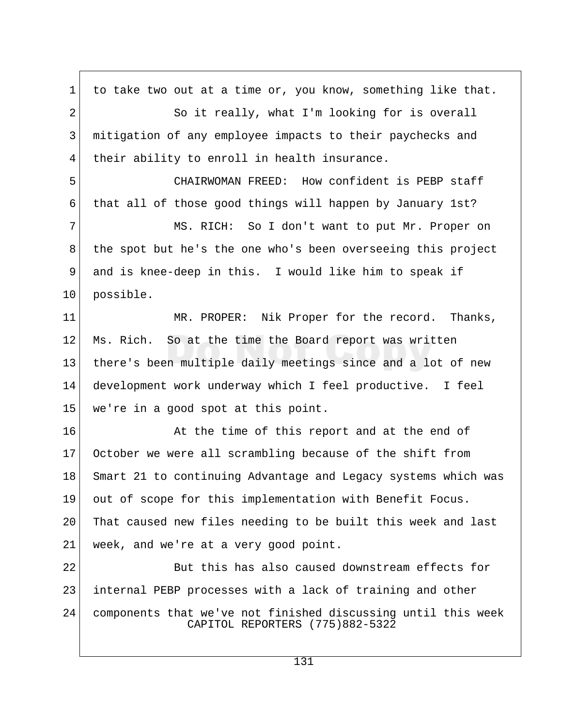1 to take two out at a time or, you know, something like that. 2 So it really, what I'm looking for is overall 3 mitigation of any employee impacts to their paychecks and 4 their ability to enroll in health insurance. 5 CHAIRWOMAN FREED: How confident is PEBP staff 6 that all of those good things will happen by January 1st? 7 MS. RICH: So I don't want to put Mr. Proper on 8 the spot but he's the one who's been overseeing this project 9 and is knee-deep in this. I would like him to speak if 10 possible. 11 MR. PROPER: Nik Proper for the record. Thanks, 12 Ms. Rich. So at the time the Board report was written 13 there's been multiple daily meetings since and a lot of new 14 development work underway which I feel productive. I feel 15 we're in a good spot at this point. 16 At the time of this report and at the end of 17 October we were all scrambling because of the shift from 18 Smart 21 to continuing Advantage and Legacy systems which was 19 out of scope for this implementation with Benefit Focus. 20 That caused new files needing to be built this week and last 21 | week, and we're at a very good point. 22 But this has also caused downstream effects for 23 internal PEBP processes with a lack of training and other 24 components that we've not finished discussing until this week CAPITOL REPORTERS (775)882-5322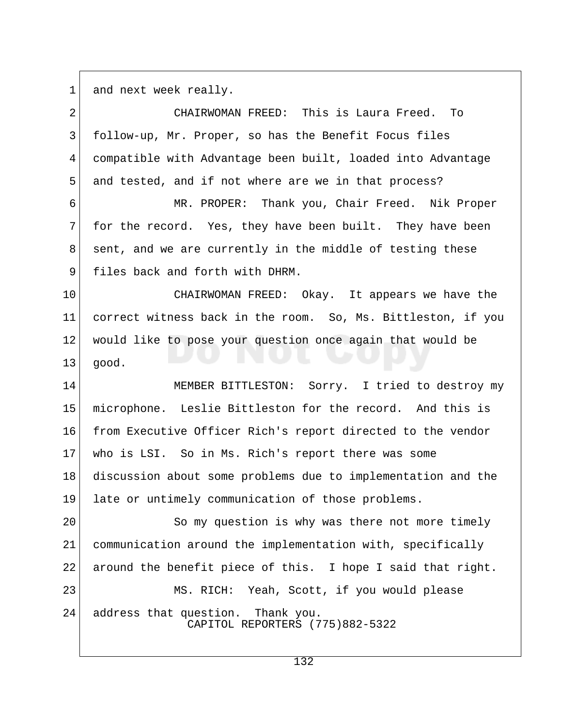$1$  and next week really.

| $\overline{2}$ | CHAIRWOMAN FREED: This is Laura Freed.<br>To                            |
|----------------|-------------------------------------------------------------------------|
| 3              | follow-up, Mr. Proper, so has the Benefit Focus files                   |
| 4              | compatible with Advantage been built, loaded into Advantage             |
| 5              | and tested, and if not where are we in that process?                    |
| 6              | MR. PROPER: Thank you, Chair Freed. Nik Proper                          |
| 7              | for the record. Yes, they have been built. They have been               |
| 8              | sent, and we are currently in the middle of testing these               |
| 9              | files back and forth with DHRM.                                         |
| 10             | CHAIRWOMAN FREED: Okay. It appears we have the                          |
| 11             | correct witness back in the room. So, Ms. Bittleston, if you            |
| 12             | would like to pose your question once again that would be               |
| 13             | good.                                                                   |
| 14             | MEMBER BITTLESTON: Sorry. I tried to destroy my                         |
| 15             | microphone. Leslie Bittleston for the record. And this is               |
| 16             | from Executive Officer Rich's report directed to the vendor             |
| 17             | who is LSI. So in Ms. Rich's report there was some                      |
| 18             | discussion about some problems due to implementation and the            |
| 19             | late or untimely communication of those problems.                       |
| 20             | So my question is why was there not more timely                         |
| 21             | communication around the implementation with, specifically              |
| 22             | around the benefit piece of this. I hope I said that right.             |
| 23             | MS. RICH: Yeah, Scott, if you would please                              |
| 24             | address that question.<br>Thank you.<br>CAPITOL REPORTERS (775)882-5322 |
|                |                                                                         |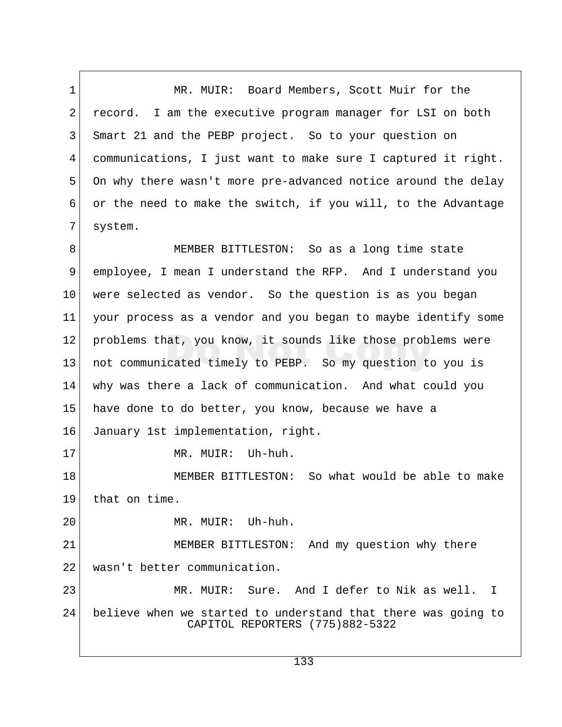1 MR. MUIR: Board Members, Scott Muir for the 2 record. I am the executive program manager for LSI on both 3 Smart 21 and the PEBP project. So to your question on 4 communications, I just want to make sure I captured it right. 5 On why there wasn't more pre-advanced notice around the delay 6 or the need to make the switch, if you will, to the Advantage 7 system.

8 MEMBER BITTLESTON: So as a long time state 9 employee, I mean I understand the RFP. And I understand you 10 were selected as vendor. So the question is as you began 11 your process as a vendor and you began to maybe identify some 12 problems that, you know, it sounds like those problems were 13 not communicated timely to PEBP. So my question to you is 14 why was there a lack of communication. And what could you 15 have done to do better, you know, because we have a 16 January 1st implementation, right. 17 MR. MUIR: Uh-huh.

18 MEMBER BITTLESTON: So what would be able to make 19 that on time.

20 MR. MUIR: Uh-huh.

21 MEMBER BITTLESTON: And my question why there 22 wasn't better communication.

23 MR. MUIR: Sure. And I defer to Nik as well. I 24 believe when we started to understand that there was going to CAPITOL REPORTERS (775)882-5322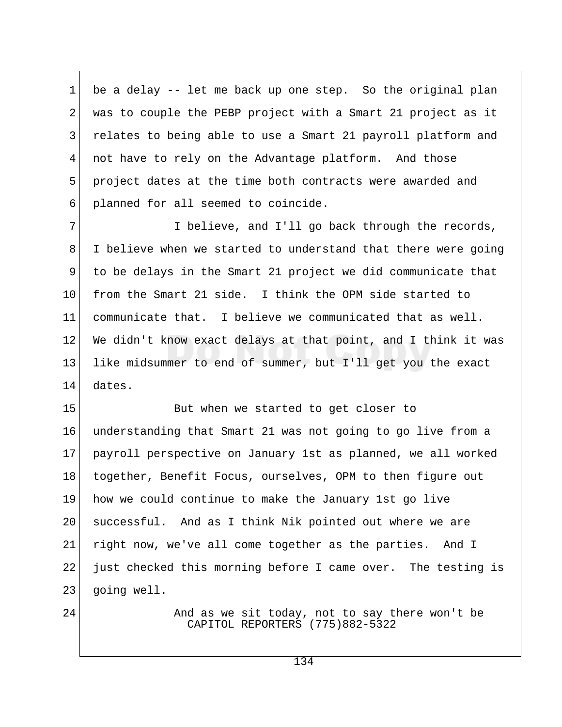1 be a delay -- let me back up one step. So the original plan 2 was to couple the PEBP project with a Smart 21 project as it 3 relates to being able to use a Smart 21 payroll platform and 4 not have to rely on the Advantage platform. And those 5 project dates at the time both contracts were awarded and 6 planned for all seemed to coincide.

7 I believe, and I'll go back through the records, 8 I believe when we started to understand that there were going 9 to be delays in the Smart 21 project we did communicate that 10 from the Smart 21 side. I think the OPM side started to 11 communicate that. I believe we communicated that as well. 12 We didn't know exact delays at that point, and I think it was 13 like midsummer to end of summer, but I'll get you the exact 14 dates.

15 But when we started to get closer to 16 understanding that Smart 21 was not going to go live from a 17 payroll perspective on January 1st as planned, we all worked 18 together, Benefit Focus, ourselves, OPM to then figure out 19 how we could continue to make the January 1st go live 20 | successful. And as I think Nik pointed out where we are 21 right now, we've all come together as the parties. And I 22 just checked this morning before I came over. The testing is 23 going well.

24 And as we sit today, not to say there won't be CAPITOL REPORTERS (775)882-5322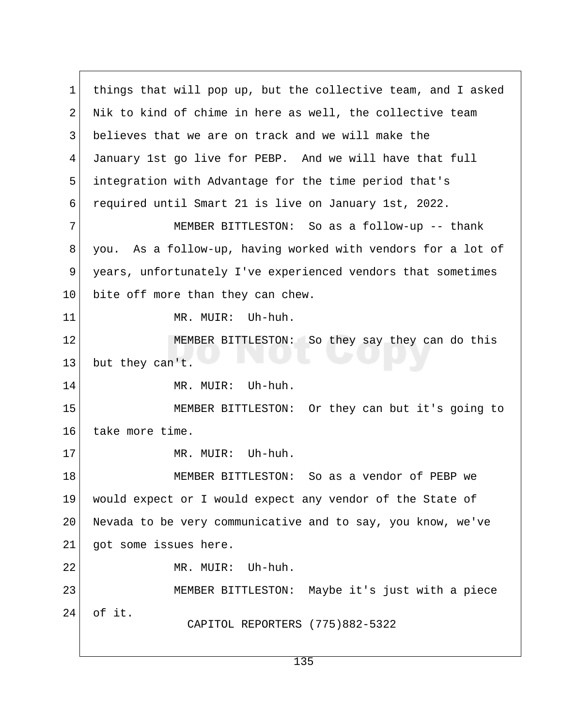1 things that will pop up, but the collective team, and I asked 2 Nik to kind of chime in here as well, the collective team 3 believes that we are on track and we will make the 4 January 1st go live for PEBP. And we will have that full 5 integration with Advantage for the time period that's 6 required until Smart 21 is live on January 1st, 2022. 7 MEMBER BITTLESTON: So as a follow-up -- thank 8 you. As a follow-up, having worked with vendors for a lot of 9 years, unfortunately I've experienced vendors that sometimes 10 bite off more than they can chew. 11 MR. MUIR: Uh-huh. 12 MEMBER BITTLESTON: So they say they can do this 13 but they can't. 14 MR. MUIR: Uh-huh. 15 MEMBER BITTLESTON: Or they can but it's going to 16 take more time. 17 MR. MUIR: Uh-huh. 18 MEMBER BITTLESTON: So as a vendor of PEBP we 19 would expect or I would expect any vendor of the State of 20 Nevada to be very communicative and to say, you know, we've 21 got some issues here. 22 MR. MUIR: Uh-huh. 23 MEMBER BITTLESTON: Maybe it's just with a piece 24 of it. CAPITOL REPORTERS (775)882-5322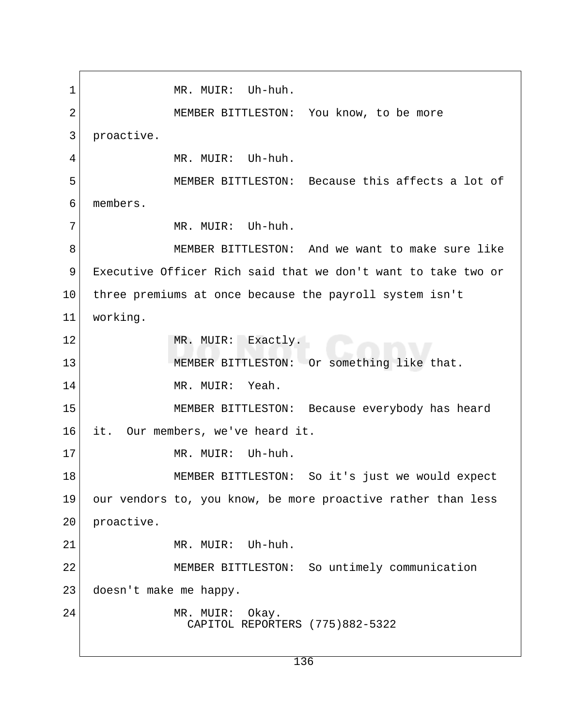1 MR. MUIR: Uh-huh. 2 MEMBER BITTLESTON: You know, to be more 3 proactive. 4 MR. MUIR: Uh-huh. 5 MEMBER BITTLESTON: Because this affects a lot of 6 members. 7 MR. MUIR: Uh-huh. 8 MEMBER BITTLESTON: And we want to make sure like 9 Executive Officer Rich said that we don't want to take two or 10 three premiums at once because the payroll system isn't 11 working. 12 MR. MUIR: Exactly. 13 MEMBER BITTLESTON: Or something like that. 14 MR. MIITR: Yeah. 15 MEMBER BITTLESTON: Because everybody has heard 16 it. Our members, we've heard it. 17 MR. MUIR: Uh-huh. 18 MEMBER BITTLESTON: So it's just we would expect 19 our vendors to, you know, be more proactive rather than less 20 proactive. 21 MR. MUIR: Uh-huh. 22 MEMBER BITTLESTON: So untimely communication 23 doesn't make me happy. 24 MR. MUIR: Okay. CAPITOL REPORTERS (775)882-5322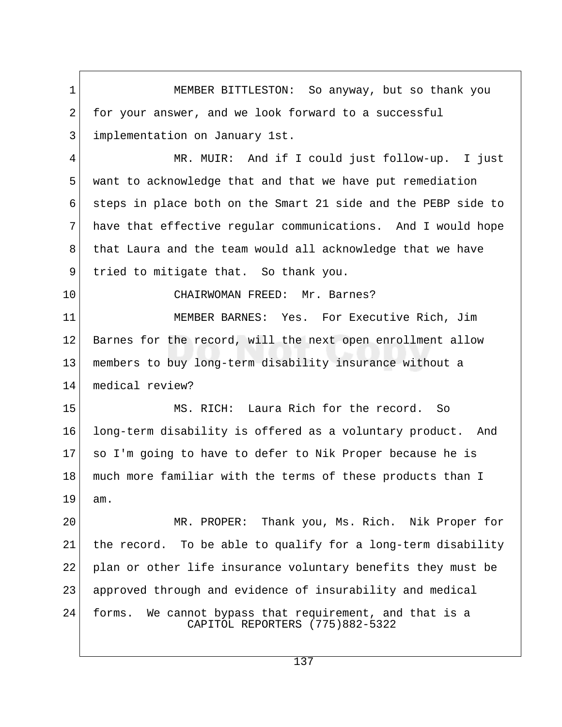1 MEMBER BITTLESTON: So anyway, but so thank you 2 for your answer, and we look forward to a successful 3 implementation on January 1st. 4 MR. MUIR: And if I could just follow-up. I just 5 want to acknowledge that and that we have put remediation 6 steps in place both on the Smart 21 side and the PEBP side to 7 have that effective regular communications. And I would hope 8 that Laura and the team would all acknowledge that we have 9 tried to mitigate that. So thank you. 10 CHAIRWOMAN FREED: Mr. Barnes? 11 MEMBER BARNES: Yes. For Executive Rich, Jim 12 Barnes for the record, will the next open enrollment allow 13 members to buy long-term disability insurance without a 14 medical review? 15 MS. RICH: Laura Rich for the record. So 16 long-term disability is offered as a voluntary product. And 17 so I'm going to have to defer to Nik Proper because he is 18 much more familiar with the terms of these products than I 19 am. 20 MR. PROPER: Thank you, Ms. Rich. Nik Proper for 21 the record. To be able to qualify for a long-term disability 22 | plan or other life insurance voluntary benefits they must be 23 approved through and evidence of insurability and medical 24 forms. We cannot bypass that requirement, and that is a CAPITOL REPORTERS (775)882-5322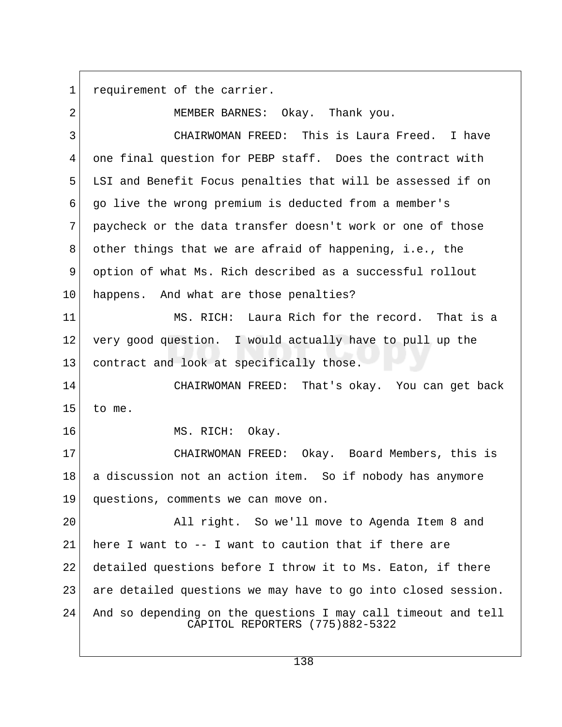1 requirement of the carrier.

2 MEMBER BARNES: Okay. Thank you. 3 CHAIRWOMAN FREED: This is Laura Freed. I have 4 one final question for PEBP staff. Does the contract with 5 LSI and Benefit Focus penalties that will be assessed if on 6 go live the wrong premium is deducted from a member's 7 paycheck or the data transfer doesn't work or one of those 8 other things that we are afraid of happening, i.e., the 9 option of what Ms. Rich described as a successful rollout 10 happens. And what are those penalties? 11 MS. RICH: Laura Rich for the record. That is a  $12$  very good question. I would actually have to pull up the 13 contract and look at specifically those. 14 CHAIRWOMAN FREED: That's okay. You can get back  $15$  to me. 16 MS. RICH: Okay. 17 CHAIRWOMAN FREED: Okay. Board Members, this is 18 a discussion not an action item. So if nobody has anymore 19 questions, comments we can move on. 20 All right. So we'll move to Agenda Item 8 and 21 here I want to  $-$ - I want to caution that if there are 22 detailed questions before I throw it to Ms. Eaton, if there 23 are detailed questions we may have to go into closed session. 24 And so depending on the questions I may call timeout and tell CAPITOL REPORTERS (775)882-5322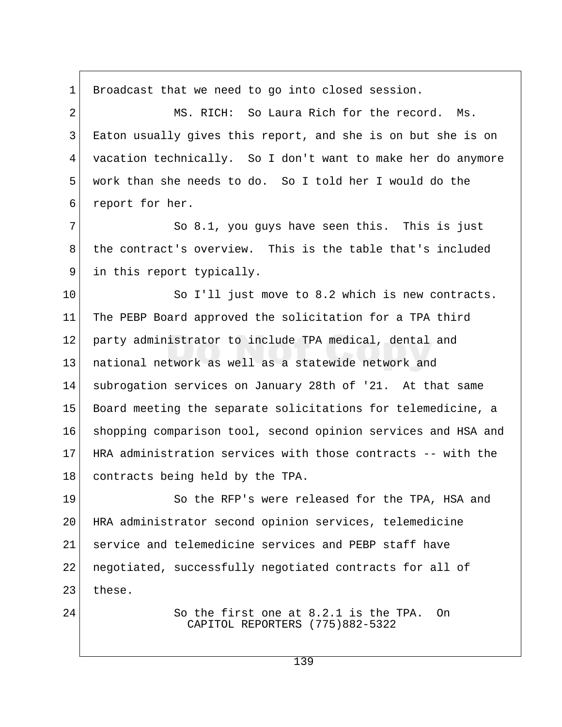1 Broadcast that we need to go into closed session. 2 MS. RICH: So Laura Rich for the record. Ms. 3 Eaton usually gives this report, and she is on but she is on 4 vacation technically. So I don't want to make her do anymore 5 work than she needs to do. So I told her I would do the 6 report for her. 7 So 8.1, you guys have seen this. This is just 8 the contract's overview. This is the table that's included 9 in this report typically. 10 So I'll just move to 8.2 which is new contracts. 11 The PEBP Board approved the solicitation for a TPA third 12 party administrator to include TPA medical, dental and 13 national network as well as a statewide network and 14 subrogation services on January 28th of '21. At that same 15 Board meeting the separate solicitations for telemedicine, a 16 shopping comparison tool, second opinion services and HSA and 17 HRA administration services with those contracts -- with the 18 contracts being held by the TPA. 19 So the RFP's were released for the TPA, HSA and 20 HRA administrator second opinion services, telemedicine 21 service and telemedicine services and PEBP staff have 22 | negotiated, successfully negotiated contracts for all of  $23$  these. 24 So the first one at 8.2.1 is the TPA. On CAPITOL REPORTERS (775)882-5322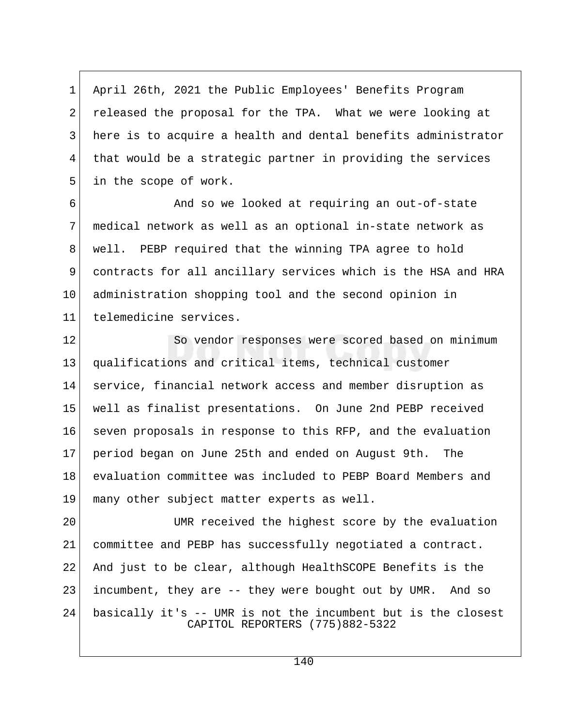1 April 26th, 2021 the Public Employees' Benefits Program 2 released the proposal for the TPA. What we were looking at 3 here is to acquire a health and dental benefits administrator 4 that would be a strategic partner in providing the services 5 in the scope of work.

6 6 And so we looked at requiring an out-of-state 7 medical network as well as an optional in-state network as 8 well. PEBP required that the winning TPA agree to hold 9 contracts for all ancillary services which is the HSA and HRA 10 administration shopping tool and the second opinion in 11 telemedicine services.

12 So vendor responses were scored based on minimum 13 qualifications and critical items, technical customer 14 service, financial network access and member disruption as 15 well as finalist presentations. On June 2nd PEBP received 16 seven proposals in response to this RFP, and the evaluation 17 period began on June 25th and ended on August 9th. The 18 evaluation committee was included to PEBP Board Members and 19 many other subject matter experts as well.

20 UMR received the highest score by the evaluation 21 committee and PEBP has successfully negotiated a contract. 22 And just to be clear, although HealthSCOPE Benefits is the 23 incumbent, they are -- they were bought out by UMR. And so 24 basically it's -- UMR is not the incumbent but is the closest CAPITOL REPORTERS (775)882-5322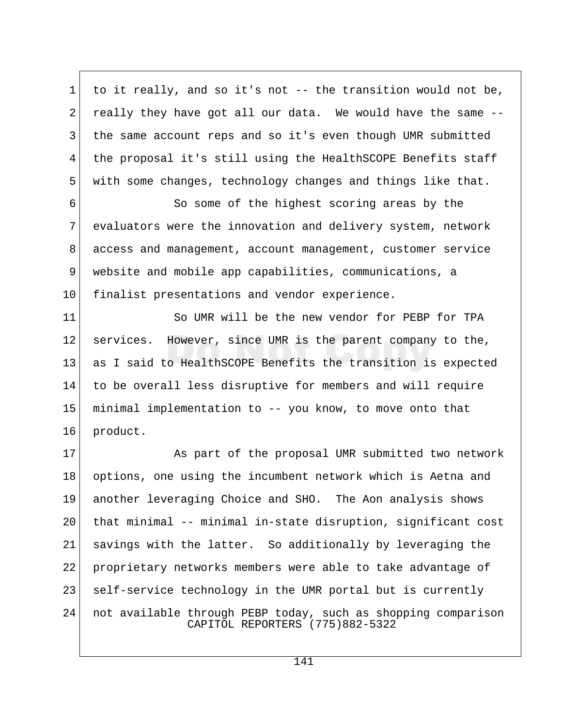1 to it really, and so it's not  $-$ - the transition would not be,  $2$  really they have got all our data. We would have the same  $-$ -3 the same account reps and so it's even though UMR submitted 4 the proposal it's still using the HealthSCOPE Benefits staff 5 with some changes, technology changes and things like that.

 6 So some of the highest scoring areas by the 7 evaluators were the innovation and delivery system, network 8 access and management, account management, customer service 9 website and mobile app capabilities, communications, a 10 finalist presentations and vendor experience.

11 So UMR will be the new vendor for PEBP for TPA 12 services. However, since UMR is the parent company to the, 13 as I said to HealthSCOPE Benefits the transition is expected 14 to be overall less disruptive for members and will require 15 minimal implementation to -- you know, to move onto that 16 product.

17 As part of the proposal UMR submitted two network 18 options, one using the incumbent network which is Aetna and 19 another leveraging Choice and SHO. The Aon analysis shows 20 that minimal -- minimal in-state disruption, significant cost 21 savings with the latter. So additionally by leveraging the 22 proprietary networks members were able to take advantage of 23 self-service technology in the UMR portal but is currently 24 not available through PEBP today, such as shopping comparison CAPITOL REPORTERS (775)882-5322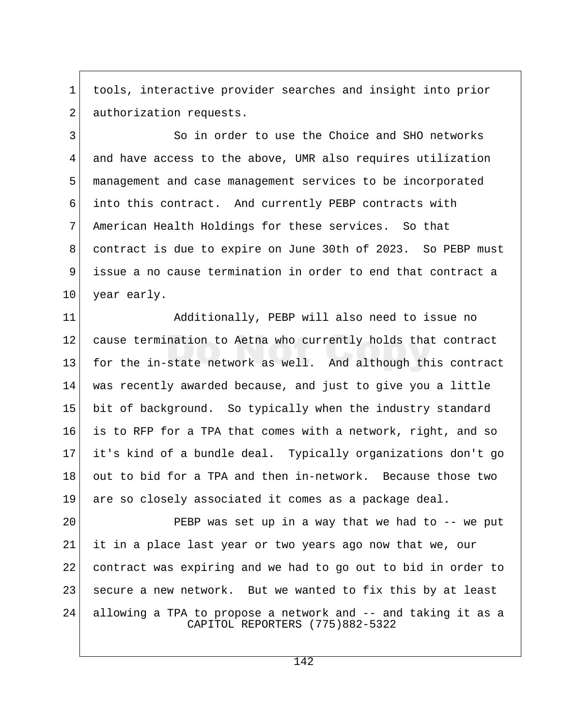1 tools, interactive provider searches and insight into prior 2 authorization requests.

3 So in order to use the Choice and SHO networks 4 and have access to the above, UMR also requires utilization 5 management and case management services to be incorporated 6 into this contract. And currently PEBP contracts with 7 American Health Holdings for these services. So that 8 contract is due to expire on June 30th of 2023. So PEBP must 9 issue a no cause termination in order to end that contract a 10 year early.

11 Additionally, PEBP will also need to issue no 12 cause termination to Aetna who currently holds that contract 13 for the in-state network as well. And although this contract 14 was recently awarded because, and just to give you a little 15 bit of background. So typically when the industry standard 16 is to RFP for a TPA that comes with a network, right, and so 17 it's kind of a bundle deal. Typically organizations don't go 18 out to bid for a TPA and then in-network. Because those two 19 are so closely associated it comes as a package deal.

20 PEBP was set up in a way that we had to -- we put 21 it in a place last year or two years ago now that we, our 22 contract was expiring and we had to go out to bid in order to 23 | secure a new network. But we wanted to fix this by at least 24 allowing a TPA to propose a network and -- and taking it as a CAPITOL REPORTERS (775)882-5322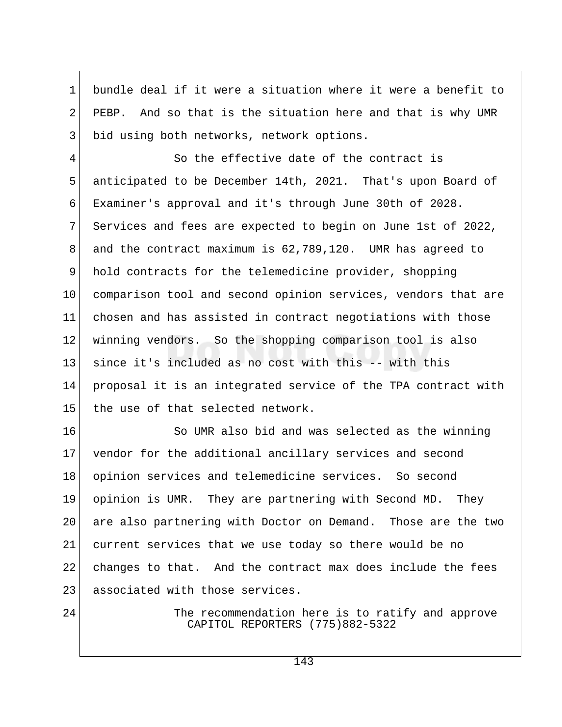1 bundle deal if it were a situation where it were a benefit to  $2^{\dagger}$  PEBP. And so that is the situation here and that is why UMR 3 bid using both networks, network options.

 4 So the effective date of the contract is 5 anticipated to be December 14th, 2021. That's upon Board of 6 Examiner's approval and it's through June 30th of 2028. 7 Services and fees are expected to begin on June 1st of 2022, 8 and the contract maximum is 62,789,120. UMR has agreed to 9 hold contracts for the telemedicine provider, shopping 10 comparison tool and second opinion services, vendors that are 11 chosen and has assisted in contract negotiations with those 12 winning vendors. So the shopping comparison tool is also 13 since it's included as no cost with this -- with this 14 proposal it is an integrated service of the TPA contract with 15 the use of that selected network.

16 So UMR also bid and was selected as the winning 17 vendor for the additional ancillary services and second 18 opinion services and telemedicine services. So second 19 opinion is UMR. They are partnering with Second MD. They 20 are also partnering with Doctor on Demand. Those are the two 21 current services that we use today so there would be no 22 changes to that. And the contract max does include the fees 23 associated with those services.

24 The recommendation here is to ratify and approve CAPITOL REPORTERS (775)882-5322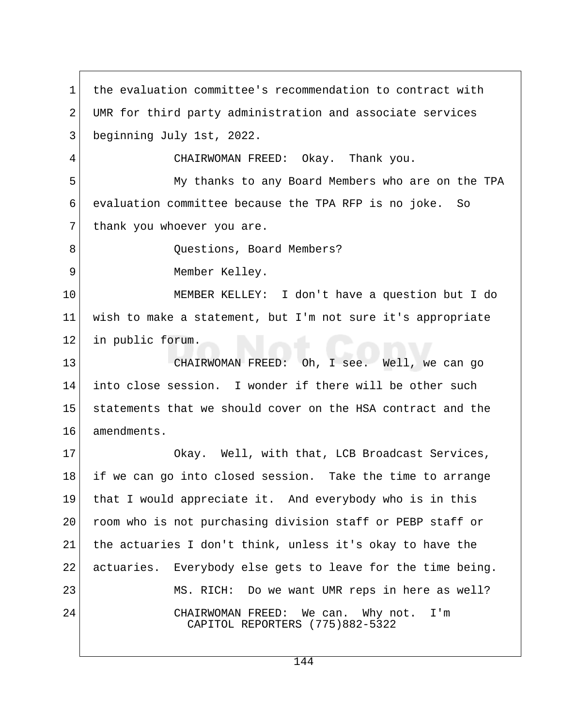1 the evaluation committee's recommendation to contract with 2 UMR for third party administration and associate services 3 beginning July 1st, 2022. 4 CHAIRWOMAN FREED: Okay. Thank you. 5 My thanks to any Board Members who are on the TPA 6 evaluation committee because the TPA RFP is no joke. So 7 thank you whoever you are. 8 Ouestions, Board Members? 9 Member Kelley. 10 MEMBER KELLEY: I don't have a question but I do 11 wish to make a statement, but I'm not sure it's appropriate 12 in public forum. 13 CHAIRWOMAN FREED: Oh, I see. Well, we can go 14 into close session. I wonder if there will be other such 15 statements that we should cover on the HSA contract and the 16 amendments. 17 Okay. Well, with that, LCB Broadcast Services, 18 if we can go into closed session. Take the time to arrange 19 that I would appreciate it. And everybody who is in this 20 room who is not purchasing division staff or PEBP staff or 21 the actuaries I don't think, unless it's okay to have the 22 actuaries. Everybody else gets to leave for the time being. 23 MS. RICH: Do we want UMR reps in here as well? 24 CHAIRWOMAN FREED: We can. Why not. I'm CAPITOL REPORTERS (775)882-5322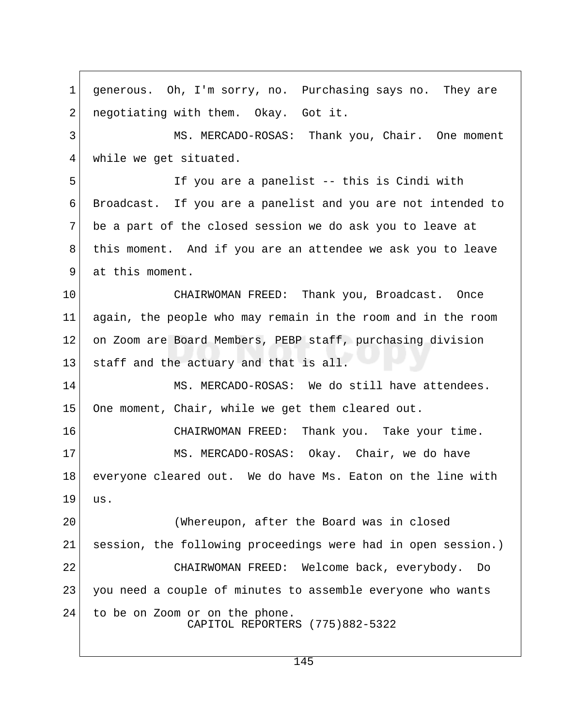1 generous. Oh, I'm sorry, no. Purchasing says no. They are  $2$  negotiating with them. Okay. Got it. 3 MS. MERCADO-ROSAS: Thank you, Chair. One moment 4 while we get situated. 5 If you are a panelist -- this is Cindi with 6 Broadcast. If you are a panelist and you are not intended to 7 be a part of the closed session we do ask you to leave at 8 this moment. And if you are an attendee we ask you to leave 9 at this moment. 10 CHAIRWOMAN FREED: Thank you, Broadcast. Once 11 again, the people who may remain in the room and in the room 12 on Zoom are Board Members, PEBP staff, purchasing division 13 staff and the actuary and that is all. 14 MS. MERCADO-ROSAS: We do still have attendees. 15 One moment, Chair, while we get them cleared out. 16 CHAIRWOMAN FREED: Thank you. Take your time. 17 MS. MERCADO-ROSAS: Okay. Chair, we do have 18 | everyone cleared out. We do have Ms. Eaton on the line with 19 us. 20 (Whereupon, after the Board was in closed 21 session, the following proceedings were had in open session.) 22 CHAIRWOMAN FREED: Welcome back, everybody. Do 23 you need a couple of minutes to assemble everyone who wants 24 to be on Zoom or on the phone. CAPITOL REPORTERS (775)882-5322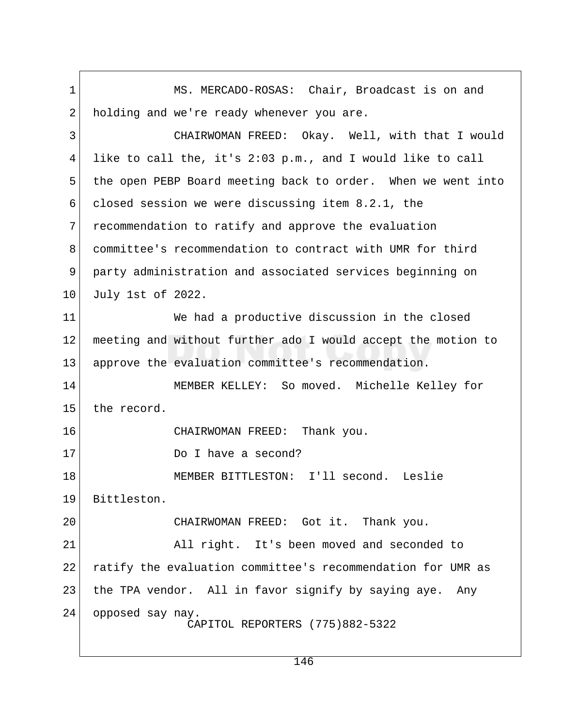1 MS. MERCADO-ROSAS: Chair, Broadcast is on and 2 holding and we're ready whenever you are. 3 CHAIRWOMAN FREED: Okay. Well, with that I would 4 like to call the, it's 2:03 p.m., and I would like to call 5 the open PEBP Board meeting back to order. When we went into 6 closed session we were discussing item 8.2.1, the 7 recommendation to ratify and approve the evaluation 8 committee's recommendation to contract with UMR for third 9 party administration and associated services beginning on 10 July 1st of 2022. 11 We had a productive discussion in the closed 12 meeting and without further ado I would accept the motion to 13 approve the evaluation committee's recommendation. 14 MEMBER KELLEY: So moved. Michelle Kelley for 15 the record. 16 CHAIRWOMAN FREED: Thank you. 17 Do I have a second? 18 MEMBER BITTLESTON: I'll second. Leslie 19 Bittleston. 20 CHAIRWOMAN FREED: Got it. Thank you. 21 All right. It's been moved and seconded to 22 ratify the evaluation committee's recommendation for UMR as 23 the TPA vendor. All in favor signify by saying aye. Any 24 opposed say nay. CAPITOL REPORTERS (775)882-5322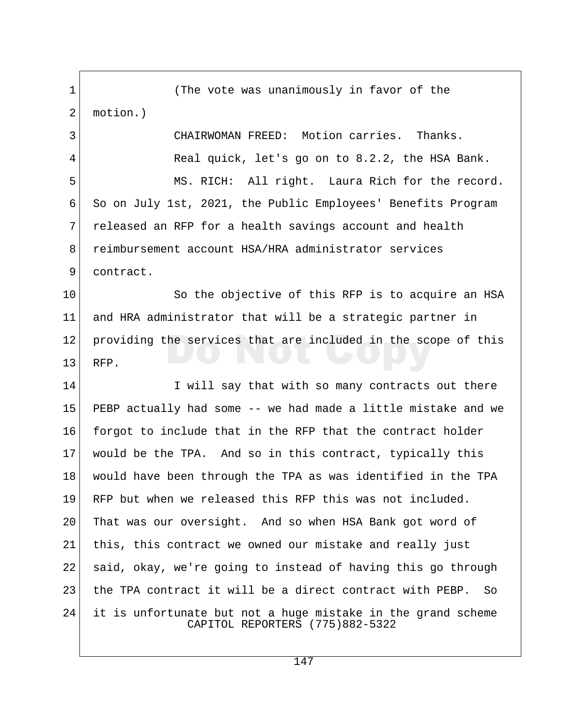1 (The vote was unanimously in favor of the 2 motion.) 3 CHAIRWOMAN FREED: Motion carries. Thanks. 4 Real quick, let's go on to 8.2.2, the HSA Bank. 5 MS. RICH: All right. Laura Rich for the record. 6 So on July 1st, 2021, the Public Employees' Benefits Program 7 released an RFP for a health savings account and health 8 reimbursement account HSA/HRA administrator services 9 contract. 10 So the objective of this RFP is to acquire an HSA 11 and HRA administrator that will be a strategic partner in 12 providing the services that are included in the scope of this 13 RFP. 14 I will say that with so many contracts out there 15 PEBP actually had some -- we had made a little mistake and we 16 forgot to include that in the RFP that the contract holder 17 would be the TPA. And so in this contract, typically this 18 would have been through the TPA as was identified in the TPA 19 RFP but when we released this RFP this was not included. 20 That was our oversight. And so when HSA Bank got word of 21 | this, this contract we owned our mistake and really just 22 said, okay, we're going to instead of having this go through 23 the TPA contract it will be a direct contract with PEBP. So 24 it is unfortunate but not a huge mistake in the grand scheme CAPITOL REPORTERS (775)882-5322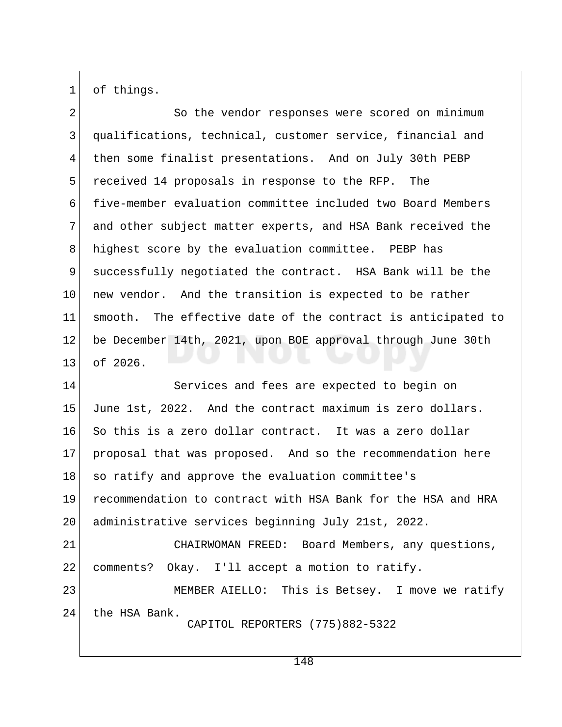1 of things.

2 So the vendor responses were scored on minimum 3 qualifications, technical, customer service, financial and 4 then some finalist presentations. And on July 30th PEBP 5 received 14 proposals in response to the RFP. The 6 five-member evaluation committee included two Board Members 7 and other subject matter experts, and HSA Bank received the 8 highest score by the evaluation committee. PEBP has 9 successfully negotiated the contract. HSA Bank will be the 10 new vendor. And the transition is expected to be rather 11 smooth. The effective date of the contract is anticipated to 12 be December 14th, 2021, upon BOE approval through June 30th 13 of 2026.

14 Services and fees are expected to begin on 15 June 1st, 2022. And the contract maximum is zero dollars. 16 So this is a zero dollar contract. It was a zero dollar 17 proposal that was proposed. And so the recommendation here 18 so ratify and approve the evaluation committee's 19 recommendation to contract with HSA Bank for the HSA and HRA 20 administrative services beginning July 21st, 2022. 21 CHAIRWOMAN FREED: Board Members, any questions, 22 comments? Okay. I'll accept a motion to ratify. 23 MEMBER AIELLO: This is Betsey. I move we ratify

24 the HSA Bank.

CAPITOL REPORTERS (775)882-5322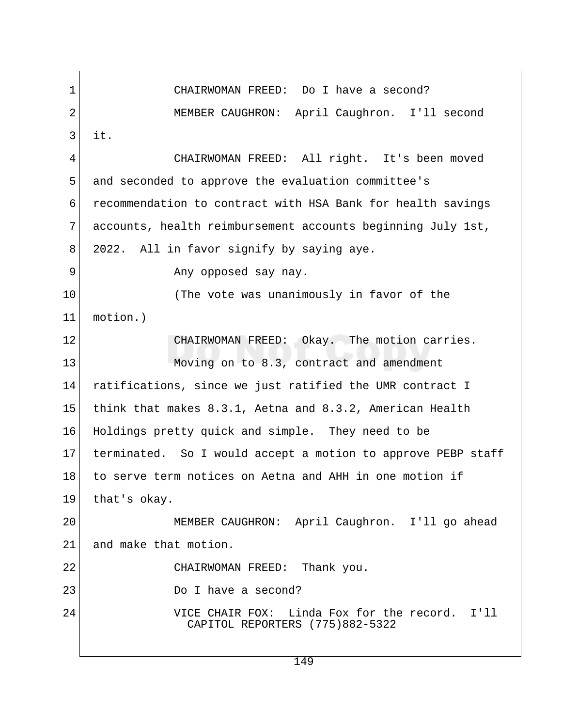1 CHAIRWOMAN FREED: Do I have a second? 2 MEMBER CAUGHRON: April Caughron. I'll second  $3$  it. 4 CHAIRWOMAN FREED: All right. It's been moved 5 and seconded to approve the evaluation committee's 6 recommendation to contract with HSA Bank for health savings 7 accounts, health reimbursement accounts beginning July 1st, 8 2022. All in favor signify by saying aye. 9 Any opposed say nay. 10 (The vote was unanimously in favor of the 11 motion.) 12 CHAIRWOMAN FREED: Okay. The motion carries. 13 Moving on to 8.3, contract and amendment 14 ratifications, since we just ratified the UMR contract I 15 think that makes 8.3.1, Aetna and 8.3.2, American Health 16 Holdings pretty quick and simple. They need to be 17 terminated. So I would accept a motion to approve PEBP staff 18 to serve term notices on Aetna and AHH in one motion if 19 that's okay. 20 MEMBER CAUGHRON: April Caughron. I'll go ahead 21 and make that motion. 22 CHAIRWOMAN FREED: Thank you. 23 Do I have a second? 24 VICE CHAIR FOX: Linda Fox for the record. I'll CAPITOL REPORTERS (775)882-5322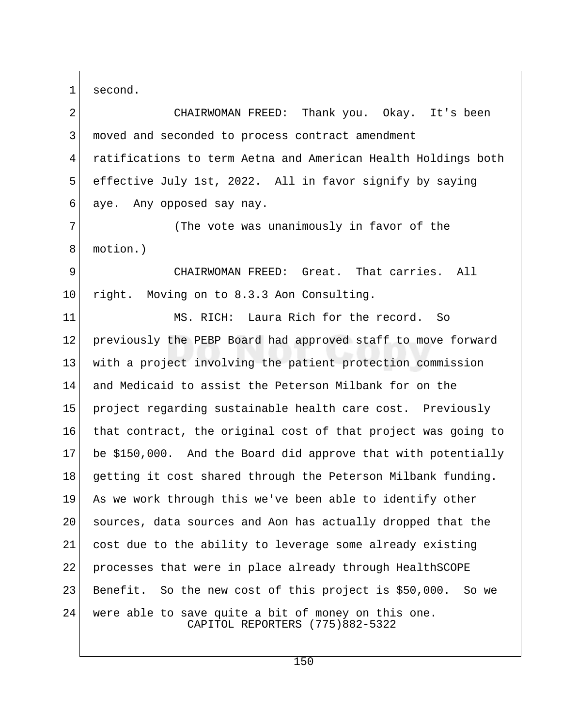1 second.

2 CHAIRWOMAN FREED: Thank you. Okay. It's been 3 moved and seconded to process contract amendment 4 ratifications to term Aetna and American Health Holdings both 5 effective July 1st, 2022. All in favor signify by saying 6 aye. Any opposed say nay.

7 (The vote was unanimously in favor of the 8 motion.)

 9 CHAIRWOMAN FREED: Great. That carries. All 10 right. Moving on to 8.3.3 Aon Consulting.

11 MS. RICH: Laura Rich for the record. So 12 previously the PEBP Board had approved staff to move forward 13 with a project involving the patient protection commission 14 and Medicaid to assist the Peterson Milbank for on the 15 project regarding sustainable health care cost. Previously 16 that contract, the original cost of that project was going to 17 be \$150,000. And the Board did approve that with potentially 18 getting it cost shared through the Peterson Milbank funding. 19 As we work through this we've been able to identify other 20 sources, data sources and Aon has actually dropped that the 21 cost due to the ability to leverage some already existing 22 processes that were in place already through HealthSCOPE 23 Benefit. So the new cost of this project is \$50,000. So we 24 were able to save quite a bit of money on this one. CAPITOL REPORTERS (775)882-5322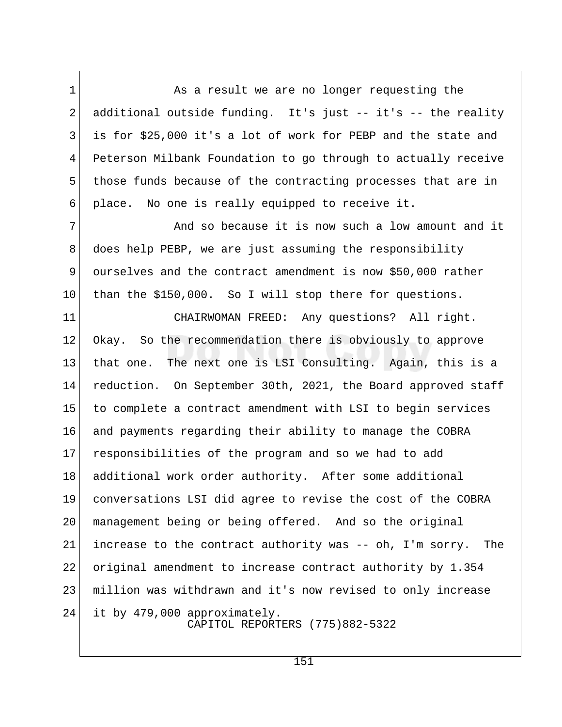1 As a result we are no longer requesting the 2 additional outside funding. It's just  $-$  it's  $-$  the reality 3 is for \$25,000 it's a lot of work for PEBP and the state and 4 Peterson Milbank Foundation to go through to actually receive 5 those funds because of the contracting processes that are in 6 place. No one is really equipped to receive it.

7 And so because it is now such a low amount and it 8 does help PEBP, we are just assuming the responsibility 9 ourselves and the contract amendment is now \$50,000 rather 10 than the \$150,000. So I will stop there for questions.

11 CHAIRWOMAN FREED: Any questions? All right. 12 Okay. So the recommendation there is obviously to approve 13 that one. The next one is LSI Consulting. Again, this is a 14 reduction. On September 30th, 2021, the Board approved staff 15 to complete a contract amendment with LSI to begin services 16 and payments regarding their ability to manage the COBRA 17 responsibilities of the program and so we had to add 18 additional work order authority. After some additional 19 conversations LSI did agree to revise the cost of the COBRA 20 management being or being offered. And so the original 21 increase to the contract authority was -- oh, I'm sorry. The 22 original amendment to increase contract authority by 1.354 23 million was withdrawn and it's now revised to only increase 24 it by 479,000 approximately. CAPITOL REPORTERS (775)882-5322

151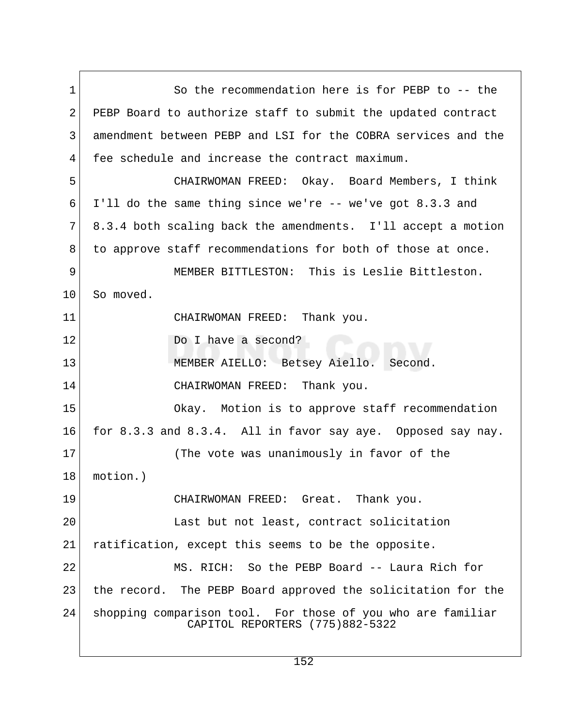1 So the recommendation here is for PEBP to -- the 2 PEBP Board to authorize staff to submit the updated contract 3 amendment between PEBP and LSI for the COBRA services and the 4 fee schedule and increase the contract maximum. 5 CHAIRWOMAN FREED: Okay. Board Members, I think 6 I'll do the same thing since we're -- we've got 8.3.3 and 7 8.3.4 both scaling back the amendments. I'll accept a motion 8 to approve staff recommendations for both of those at once. 9 MEMBER BITTLESTON: This is Leslie Bittleston. 10 So moved. 11 CHAIRWOMAN FREED: Thank you. 12 Do I have a second? 13 MEMBER AIELLO: Betsey Aiello. Second. 14 CHAIRWOMAN FREED: Thank you. 15 Okay. Motion is to approve staff recommendation 16 for 8.3.3 and 8.3.4. All in favor say aye. Opposed say nay. 17 (The vote was unanimously in favor of the 18 motion.) 19 CHAIRWOMAN FREED: Great. Thank you. 20 Last but not least, contract solicitation 21 ratification, except this seems to be the opposite. 22 MS. RICH: So the PEBP Board -- Laura Rich for 23 | the record. The PEBP Board approved the solicitation for the 24 shopping comparison tool. For those of you who are familiar CAPITOL REPORTERS (775)882-5322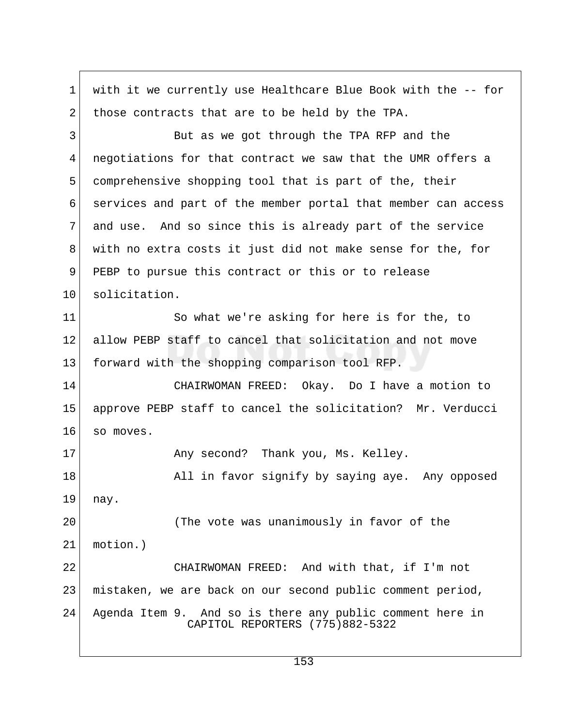1 with it we currently use Healthcare Blue Book with the -- for 2 those contracts that are to be held by the TPA. 3 But as we got through the TPA RFP and the 4 negotiations for that contract we saw that the UMR offers a 5 comprehensive shopping tool that is part of the, their 6 services and part of the member portal that member can access 7 and use. And so since this is already part of the service 8 with no extra costs it just did not make sense for the, for 9 PEBP to pursue this contract or this or to release 10 solicitation. 11 So what we're asking for here is for the, to 12 allow PEBP staff to cancel that solicitation and not move 13 forward with the shopping comparison tool RFP. 14 CHAIRWOMAN FREED: Okay. Do I have a motion to 15 approve PEBP staff to cancel the solicitation? Mr. Verducci 16 so moves. 17 Any second? Thank you, Ms. Kelley. 18 | All in favor signify by saying aye. Any opposed 19 nay. 20 (The vote was unanimously in favor of the 21 motion.) 22 CHAIRWOMAN FREED: And with that, if I'm not 23 mistaken, we are back on our second public comment period, 24 Agenda Item 9. And so is there any public comment here in CAPITOL REPORTERS (775)882-5322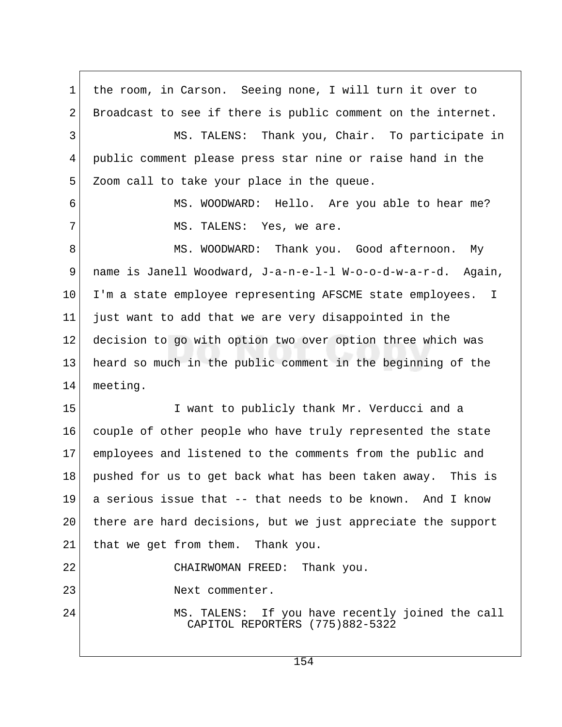1 the room, in Carson. Seeing none, I will turn it over to 2 Broadcast to see if there is public comment on the internet. 3 MS. TALENS: Thank you, Chair. To participate in 4 public comment please press star nine or raise hand in the 5 Zoom call to take your place in the queue. 6 MS. WOODWARD: Hello. Are you able to hear me? 7 MS. TALENS: Yes, we are. 8 MS. WOODWARD: Thank you. Good afternoon. My 9 name is Janell Woodward, J-a-n-e-l-l W-o-o-d-w-a-r-d. Again, 10 I'm a state employee representing AFSCME state employees. I 11 just want to add that we are very disappointed in the 12 decision to go with option two over option three which was 13 heard so much in the public comment in the beginning of the 14 meeting. 15 I want to publicly thank Mr. Verducci and a 16 couple of other people who have truly represented the state 17 employees and listened to the comments from the public and 18 pushed for us to get back what has been taken away. This is 19 a serious issue that -- that needs to be known. And I know 20 there are hard decisions, but we just appreciate the support 21 | that we get from them. Thank you. 22 CHAIRWOMAN FREED: Thank you. 23 Next commenter. 24 MS. TALENS: If you have recently joined the call CAPITOL REPORTERS (775)882-5322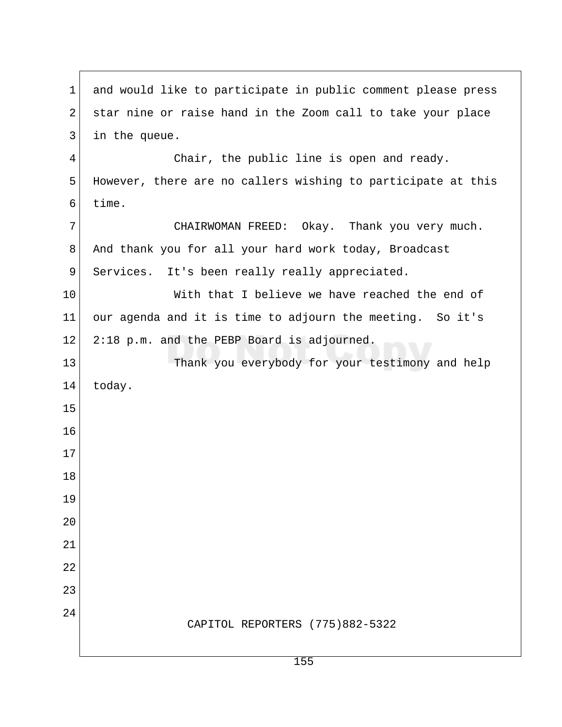| 1              | and would like to participate in public comment please press |
|----------------|--------------------------------------------------------------|
| 2              | star nine or raise hand in the Zoom call to take your place  |
| 3              | in the queue.                                                |
| $\overline{4}$ | Chair, the public line is open and ready.                    |
| 5              | However, there are no callers wishing to participate at this |
| 6              | time.                                                        |
| 7              | CHAIRWOMAN FREED: Okay. Thank you very much.                 |
| 8              | And thank you for all your hard work today, Broadcast        |
| 9              | Services. It's been really really appreciated.               |
| 10             | With that I believe we have reached the end of               |
| 11             | our agenda and it is time to adjourn the meeting. So it's    |
| $12 \,$        | 2:18 p.m. and the PEBP Board is adjourned.                   |
| 13             | Thank you everybody for your testimony and help              |
| 14             | today.                                                       |
| 15             |                                                              |
| 16             |                                                              |
| 17             |                                                              |
| 18             |                                                              |
| 19             |                                                              |
| 20             |                                                              |
| 21             |                                                              |
| 22             |                                                              |
| 23             |                                                              |
| 24             | CAPITOL REPORTERS (775)882-5322                              |
|                |                                                              |
|                |                                                              |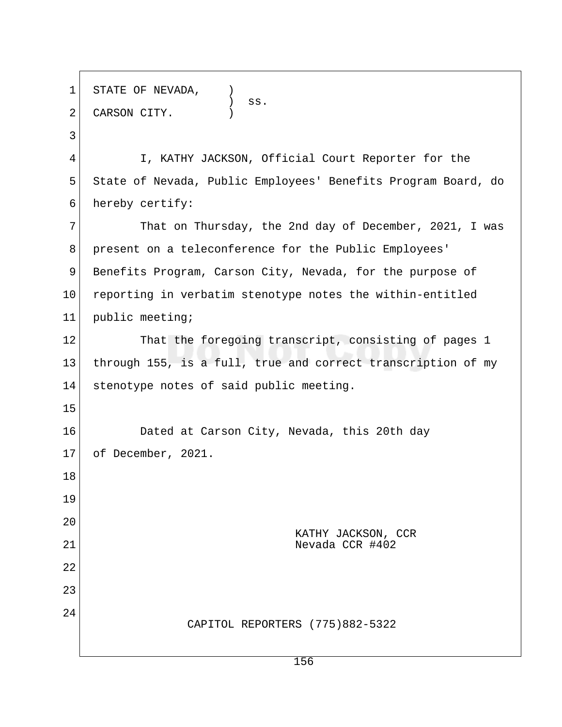1 STATE OF NEVADA,  $\qquad \qquad \text{ss.}$ 2 CARSON CITY. 3 4 I, KATHY JACKSON, Official Court Reporter for the 5 State of Nevada, Public Employees' Benefits Program Board, do 6 hereby certify: 7 That on Thursday, the 2nd day of December, 2021, I was 8 present on a teleconference for the Public Employees' 9 Benefits Program, Carson City, Nevada, for the purpose of 10 reporting in verbatim stenotype notes the within-entitled 11 public meeting; 12 That the foregoing transcript, consisting of pages 1 13 through 155, is a full, true and correct transcription of my 14 stenotype notes of said public meeting. 15 16 Dated at Carson City, Nevada, this 20th day 17 of December, 2021. 18 19 20 KATHY JACKSON, CCR 21 Nevada CCR #402 22 23 24 CAPITOL REPORTERS (775)882-5322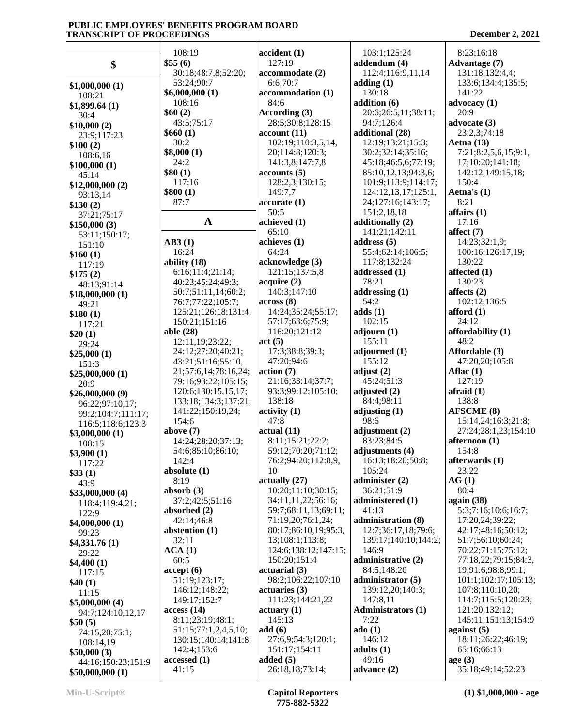|                                   | 108:19                          | accident(1)                                | 103:1;125:24              | 8:23;16:18           |
|-----------------------------------|---------------------------------|--------------------------------------------|---------------------------|----------------------|
| \$                                | \$55(6)                         | 127:19                                     | addendum (4)              | <b>Advantage (7)</b> |
|                                   | 30:18;48:7,8;52:20;             | accommodate (2)                            | 112:4;116:9,11,14         | 131:18;132:4,4;      |
|                                   | 53:24;90:7                      | 6:6;70:7                                   | adding(1)                 | 133:6;134:4;135:5;   |
| \$1,000,000(1)                    | \$6,000,000 (1)                 | accommodation (1)                          | 130:18                    | 141:22               |
| 108:21                            | 108:16                          | 84:6                                       | addition (6)              | advocacy $(1)$       |
| \$1,899.64(1)                     | \$60(2)                         | According (3)                              | 20:6;26:5,11;38:11;       | 20:9                 |
| 30:4                              | 43:5;75:17                      | 28:5;30:8;128:15                           | 94:7;126:4                | advocate $(3)$       |
| \$10,000(2)                       | \$660(1)                        | account(11)                                | additional (28)           | 23:2,3;74:18         |
| 23:9;117:23                       | 30:2                            | 102:19;110:3,5,14,                         | 12:19;13:21;15:3;         | Aetna $(13)$         |
| \$100(2)                          | \$8,000(1)                      | 20;114:8;120:3;                            | 30:2;32:14;35:16;         | 7:21;8:2,5,6,15;9:1, |
| 108:6,16                          | 24:2                            | 141:3,8;147:7,8                            | 45:18;46:5,6;77:19;       | 17;10:20;141:18;     |
| \$100,000(1)                      | \$80(1)                         | accounts(5)                                | 85:10,12,13;94:3,6;       | 142:12;149:15,18;    |
| 45:14<br>\$12,000,000(2)          | 117:16                          | 128:2,3;130:15;                            | 101:9;113:9;114:17;       | 150:4                |
| 93:13,14                          | \$800(1)                        | 149:7,7                                    | 124:12,13,17;125:1,       | Aetna's $(1)$        |
| \$130(2)                          | 87:7                            | accurate(1)                                | 24;127:16;143:17;         | 8:21                 |
| 37:21;75:17                       |                                 | 50:5                                       | 151:2,18,18               | affairs $(1)$        |
| \$150,000(3)                      | $\mathbf{A}$                    | achieved (1)                               | additionally (2)          | 17:16                |
| 53:11;150:17;                     |                                 | 65:10                                      | 141:21;142:11             | affect $(7)$         |
| 151:10                            | AB3(1)                          | achieves (1)                               | address $(5)$             | 14:23;32:1,9;        |
| \$160(1)                          | 16:24                           | 64:24                                      | 55:4;62:14;106:5;         | 100:16;126:17,19;    |
| 117:19                            | ability (18)                    | acknowledge (3)                            | 117:8;132:24              | 130:22               |
| \$175(2)                          | 6:16;11:4;21:14;                | 121:15;137:5,8                             | addressed (1)             | affected $(1)$       |
| 48:13:91:14                       | 40:23;45:24;49:3;               | acquire (2)                                | 78:21                     | 130:23               |
| \$18,000,000(1)                   | 50:7;51:11,14;60:2;             | 140:3;147:10                               | addressing $(1)$          | affects $(2)$        |
| 49:21                             | 76:7;77:22;105:7;               | across(8)                                  | 54:2                      | 102:12;136:5         |
| \$180(1)                          | 125:21;126:18;131:4;            | 14:24;35:24;55:17;                         | adds(1)                   | afford $(1)$         |
| 117:21                            | 150:21;151:16                   | 57:17;63:6;75:9;                           | 102:15                    | 24:12                |
| \$20(1)                           | able (28)                       | 116:20;121:12                              | adjourn(1)                | affordability (1)    |
| 29:24                             | 12:11,19;23:22;                 | act(5)                                     | 155:11                    | 48:2                 |
| \$25,000(1)                       | 24:12;27:20;40:21;              | 17:3;38:8;39:3;                            | adjourned (1)             | Affordable (3)       |
| 151:3                             | 43:21;51:16;55:10,              | 47:20;94:6                                 | 155:12                    | 47:20,20;105:8       |
| \$25,000,000(1)                   | 21;57:6,14;78:16,24;            | action (7)                                 | adjust $(2)$              | Aflac $(1)$          |
| 20:9                              | 79:16;93:22;105:15;             | 21:16;33:14;37:7;                          | 45:24;51:3                | 127:19               |
| \$26,000,000(9)                   | 120:6;130:15,15,17;             | 93:3;99:12;105:10;                         | adjusted $(2)$            | afraid $(1)$         |
| 96:22;97:10,17;                   | 133:18;134:3;137:21;            | 138:18                                     | 84:4;98:11                | 138:8                |
| 99:2;104:7;111:17;                | 141:22;150:19,24;               | $\text{activity} (1)$                      | adjusting $(1)$           | <b>AFSCME</b> (8)    |
| 116:5;118:6;123:3                 | 154:6                           | 47:8                                       | 98:6                      | 15:14,24;16:3;21:8;  |
| \$3,000,000(1)                    | above $(7)$                     | actual(11)                                 | adjustment (2)            | 27:24;28:1,23;154:10 |
| 108:15                            | 14:24;28:20;37:13;              | 8:11;15:21;22:2;                           | 83:23;84:5                | afternoon (1)        |
| \$3,900(1)                        | 54:6;85:10;86:10;               | 59:12;70:20;71:12;                         | adjustments (4)           | 154:8                |
| 117:22                            | 142:4                           | 76:2;94:20;112:8,9,                        | 16:13;18:20;50:8;         | afterwards (1)       |
| \$33(1)                           | absolute $(1)$                  | 10                                         | 105:24                    | 23:22                |
| 43:9                              | 8:19                            | actually (27)                              | administer (2)            | AG(1)                |
| \$33,000,000(4)                   | absorb $(3)$<br>37:2;42:5;51:16 | 10:20;11:10;30:15;                         | 36:21;51:9                | 80:4<br>again $(38)$ |
| 118:4;119:4,21;                   |                                 | 34:11,11,22;56:16;<br>59:7;68:11,13;69:11; | administered (1)<br>41:13 | 5:3;7:16;10:6;16:7;  |
| 122:9                             | absorbed $(2)$<br>42:14;46:8    | 71:19,20;76:1,24;                          | administration (8)        | 17:20,24;39:22;      |
| \$4,000,000(1)                    | abstention (1)                  | 80:17;86:10,19;95:3,                       | 12:7;36:17,18;79:6;       | 42:17;48:16;50:12;   |
| 99:23                             | 32:11                           | 13;108:1;113:8;                            | 139:17;140:10;144:2;      | 51:7;56:10;60:24;    |
| \$4,331.76(1)                     | ACA(1)                          | 124:6;138:12;147:15;                       | 146:9                     | 70:22;71:15;75:12;   |
| 29:22                             | 60:5                            | 150:20;151:4                               | administrative (2)        | 77:18,22;79:15;84:3, |
| \$4,400(1)                        | accept(6)                       | actuarial (3)                              | 84:5;148:20               | 19;91:6;98:8;99:1;   |
| 117:15                            | 51:19;123:17;                   | 98:2;106:22;107:10                         | administrator (5)         | 101:1;102:17;105:13; |
| \$40(1)                           | 146:12;148:22;                  | actuaries(3)                               | 139:12,20;140:3;          | 107:8;110:10,20;     |
| 11:15                             | 149:17;152:7                    | 111:23;144:21,22                           | 147:8,11                  | 114:7;115:5;120:23;  |
| \$5,000,000(4)                    | access(14)                      | $\arct{array}(1)$                          | <b>Administrators (1)</b> | 121:20;132:12;       |
| 94:7;124:10,12,17                 | 8:11;23:19;48:1;                | 145:13                                     | 7:22                      | 145:11;151:13;154:9  |
| \$50(5)                           | 51:15;77:1,2,4,5,10;            | add(6)                                     | ado(1)                    | against $(5)$        |
| 74:15,20;75:1;                    | 130:15;140:14;141:8;            | 27:6,9;54:3;120:1;                         | 146:12                    | 18:11;26:22;46:19;   |
| 108:14,19                         | 142:4;153:6                     | 151:17;154:11                              | adults $(1)$              | 65:16;66:13          |
| \$50,000(3)<br>44:16;150:23;151:9 | accessed (1)                    | added $(5)$                                | 49:16                     | age(3)               |
| \$50,000,000(1)                   | 41:15                           | 26:18,18;73:14;                            | advance (2)               | 35:18;49:14;52:23    |
|                                   |                                 |                                            |                           |                      |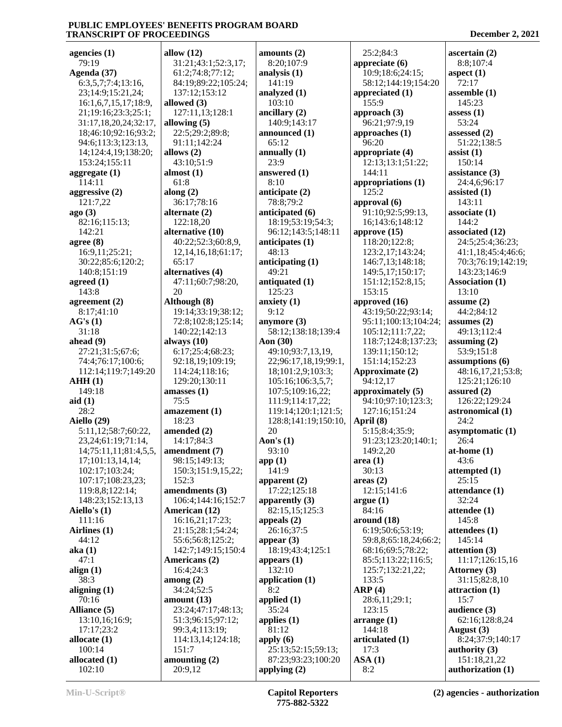| agencies $(1)$          | allow $(12)$               | amounts (2)                          | 25:2:84:3             | $\arctan(2)$                      |
|-------------------------|----------------------------|--------------------------------------|-----------------------|-----------------------------------|
| 79:19                   | 31:21;43:1;52:3,17;        | 8:20;107:9                           | appreciate $(6)$      | 8:8;107:4                         |
| Agenda (37)             | 61:2;74:8;77:12;           | analysis $(1)$                       | 10:9;18:6;24:15;      | aspect $(1)$                      |
| 6:3,5,7;7:4;13:16,      | 84:19;89:22;105:24;        | 141:19                               | 58:12;144:19;154:20   | 72:17                             |
| 23;14:9;15:21,24;       | 137:12;153:12              | analyzed (1)                         | appreciated (1)       | assemble $(1)$                    |
| 16:1,6,7,15,17;18:9,    | allowed (3)                | 103:10                               | 155:9                 | 145:23                            |
| 21;19:16;23:3;25:1;     | 127:11,13;128:1            | ancillary (2)                        | approach (3)          | assess $(1)$                      |
| 31:17,18,20,24;32:17,   | allowing $(5)$             | 140:9;143:17                         | 96:21;97:9,19         | 53:24                             |
| 18;46:10;92:16;93:2;    | 22:5;29:2;89:8;            | announced (1)                        | approaches $(1)$      | assessed (2)                      |
| 94:6;113:3;123:13,      | 91:11;142:24               | 65:12                                | 96:20                 | 51:22;138:5                       |
| 14;124:4,19;138:20;     | allows $(2)$               | annually $(1)$                       | appropriate (4)       | assist $(1)$                      |
| 153:24;155:11           | 43:10;51:9                 | 23:9                                 | 12:13;13:1;51:22;     | 150:14                            |
| aggregate $(1)$         | almost $(1)$               | answered (1)                         | 144:11                | assistance $(3)$                  |
| 114:11                  | 61:8                       | 8:10                                 | appropriations (1)    | 24:4,6;96:17                      |
| aggressive $(2)$        | along $(2)$                | anticipate $(2)$                     | 125:2                 | assisted $(1)$                    |
| 121:7,22                | 36:17;78:16                | 78:8;79:2                            | approval (6)          | 143:11                            |
| ago(3)                  | alternate $(2)$            | anticipated (6)                      | 91:10;92:5;99:13,     | associate(1)                      |
| 82:16;115:13;           | 122:18,20                  | 18:19;53:19;54:3;                    | 16;143:6;148:12       | 144:2                             |
| 142:21                  | alternative (10)           | 96:12;143:5;148:11                   | approve $(15)$        | associated (12)                   |
| agree $(8)$             | 40:22;52:3;60:8,9,         | anticipates $(1)$                    | 118:20;122:8;         | 24:5;25:4;36:23;                  |
| 16:9,11;25:21;          | 12, 14, 16, 18; 61: 17;    | 48:13                                | 123:2,17;143:24;      | 41:1,18;45:4;46:6;                |
| 30:22;85:6;120:2;       | 65:17                      | anticipating $(1)$                   | 146:7,13;148:18;      | 70:3;76:19;142:19;                |
| 140:8;151:19            | alternatives (4)           | 49:21                                | 149:5,17;150:17;      | 143:23;146:9                      |
| agreed $(1)$            | 47:11;60:7;98:20,          | antiquated (1)                       | 151:12;152:8,15;      | <b>Association (1)</b>            |
| 143:8                   | 20                         | 125:23                               | 153:15                | 13:10                             |
| agreement $(2)$         | Although (8)               | anxiety $(1)$                        | approved (16)         | assume $(2)$                      |
| 8:17;41:10              | 19:14;33:19;38:12;         | 9:12                                 | 43:19;50:22;93:14;    | 44:2;84:12                        |
| AG's(1)                 | 72:8;102:8;125:14;         | anymore $(3)$                        | 95:11;100:13;104:24;  | assumes $(2)$                     |
| 31:18                   | 140:22;142:13              | 58:12;138:18;139:4                   | 105:12;111:7,22;      | 49:13;112:4                       |
| ahead $(9)$             | always $(10)$              | Aon (30)                             | 118:7;124:8;137:23;   | assuming $(2)$                    |
| 27:21;31:5;67:6;        | 6:17;25:4;68:23;           | 49:10;93:7,13,19,                    | 139:11;150:12;        | 53:9;151:8                        |
| 74:4;76:17;100:6;       | 92:18,19;109:19;           | 22;96:17,18,19;99:1,                 | 151:14;152:23         | assumptions (6)                   |
| 112:14;119:7;149:20     | 114:24;118:16;             | 18;101:2,9;103:3;                    | Approximate (2)       | 48:16,17,21;53:8;                 |
| AHH(1)                  | 129:20;130:11              | 105:16;106:3,5,7;                    | 94:12,17              | 125:21;126:10                     |
| 149:18                  | amasses (1)                | 107:5;109:16,22;                     | approximately (5)     | assured $(2)$                     |
| aid(1)                  | 75:5                       | 111:9;114:17,22;                     | 94:10;97:10;123:3;    | 126:22;129:24                     |
| 28:2                    | amazement (1)              | 119:14;120:1;121:5;                  | 127:16;151:24         | astronomical (1)                  |
| Aiello (29)             | 18:23                      | 128:8;141:19;150:10,                 | April (8)             | 24:2                              |
| 5:11,12;58:7;60:22,     | amended (2)                | 20                                   | 5:15;8:4;35:9;        | asymptomatic (1)                  |
| 23, 24; 61: 19; 71: 14, | 14:17;84:3                 | Aon's $(1)$                          | 91:23;123:20;140:1;   | 26:4                              |
| 14;75:11,11;81:4,5,5,   | amendment (7)              | 93:10                                | 149:2,20              | at-home $(1)$                     |
| 17;101:13,14,14;        | 98:15;149:13;              | app(1)                               | area(1)               | 43:6                              |
| 102:17;103:24;          | 150:3;151:9,15,22;         | 141:9                                | 30:13                 | attempted $(1)$                   |
| 107:17;108:23,23;       | 152:3                      |                                      |                       |                                   |
| 119:8,8;122:14;         |                            |                                      |                       |                                   |
| 148:23;152:13,13        |                            | apparent $(2)$                       | areas(2)              | 25:15                             |
|                         | amendments (3)             | 17:22;125:18                         | 12:15;141:6           | attendance (1)                    |
|                         | 106:4;144:16;152:7         | apparently $(3)$                     | argue(1)              | 32:24                             |
| Aiello's $(1)$          | American (12)              | 82:15,15;125:3                       | 84:16                 | attendee $(1)$                    |
| 111:16                  | 16:16,21;17:23;            | appeals $(2)$                        | around (18)           | 145:8                             |
| Airlines (1)            | 21:15;28:1;54:24;          | 26:16;37:5                           | 6:19;50:6;53:19;      | attendees (1)                     |
| 44:12                   | 55:6;56:8;125:2;           | appear $(3)$                         | 59:8,8;65:18,24;66:2; | 145:14                            |
| aka(1)                  | 142:7;149:15;150:4         | 18:19;43:4;125:1                     | 68:16;69:5;78:22;     | attention $(3)$                   |
| 47:1                    | Americans (2)              | appears $(1)$                        | 85:5;113:22;116:5;    | 11:17;126:15,16                   |
| align $(1)$             | 16:4;24:3                  | 132:10                               | 125:7;132:21,22;      | Attorney (3)                      |
| 38:3                    | among(2)                   | application $(1)$                    | 133:5                 | 31:15;82:8,10                     |
| aligning $(1)$          | 34:24;52:5                 | 8:2                                  | ARP(4)                | attraction (1)                    |
| 70:16                   | amount $(13)$              | applied (1)                          | 28:6,11;29:1;         | 15:7                              |
| Alliance (5)            | 23:24;47:17;48:13;         | 35:24                                | 123:15                | audience $(3)$                    |
| 13:10,16;16:9;          | 51:3;96:15;97:12;          | applies $(1)$                        | arrange(1)            | 62:16;128:8,24                    |
| 17:17;23:2              | 99:3,4;113:19;             | 81:12                                | 144:18                | August (3)                        |
| allocate $(1)$          | 114:13,14;124:18;          | apply $(6)$                          | articulated (1)       | 8:24;37:9;140:17                  |
| 100:14                  | 151:7                      | 25:13;52:15;59:13;                   | 17:3                  | authority $(3)$                   |
| allocated (1)<br>102:10 | amounting $(2)$<br>20:9,12 | 87:23;93:23;100:20<br>applying $(2)$ | ASA(1)<br>8:2         | 151:18,21,22<br>authorization (1) |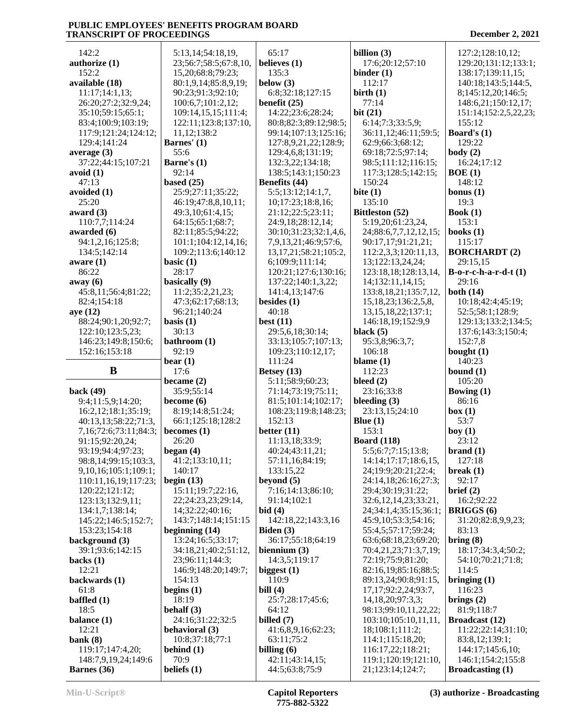| 142:2                              | 5:13,14;54:18,19,     | 65:17                             | billion $(3)$                            | 127:2;128:10,12;                             |
|------------------------------------|-----------------------|-----------------------------------|------------------------------------------|----------------------------------------------|
| authorize $(1)$                    | 23;56:7;58:5;67:8,10, | believes $(1)$                    | 17:6;20:12;57:10                         | 129:20;131:12;133:1;                         |
| 152:2                              | 15,20;68:8;79:23;     | 135:3                             | binder $(1)$                             | 138:17;139:11,15;                            |
| available (18)                     | 80:1,9,14;85:8,9,19;  | below $(3)$                       | 112:17                                   | 140:18;143:5;144:5,                          |
| 11:17;14:1,13;                     | 90:23;91:3;92:10;     | 6:8;32:18;127:15                  | birth $(1)$                              | 8;145:12,20;146:5;                           |
| 26:20;27:2;32:9,24;                | 100:6,7;101:2,12;     | benefit $(25)$                    | 77:14                                    | 148:6,21;150:12,17;                          |
| 35:10;59:15;65:1;                  | 109:14,15,15;111:4;   | 14:22;23:6;28:24;                 | bit(21)                                  | 151:14;152:2,5,22,23;                        |
| 83:4;100:9;103:19;                 | 122:11;123:8;137:10,  | 80:8;82:3;89:12;98:5;             | 6:14;7:3;33:5,9;                         | 155:12                                       |
| 117:9;121:24;124:12;               | 11, 12; 138: 2        | 99:14;107:13;125:16;              | 36:11,12;46:11;59:5;                     | Board's $(1)$                                |
| 129:4;141:24                       | Barnes' (1)           | 127:8,9,21,22;128:9;              | 62:9;66:3;68:12;                         | 129:22                                       |
| average $(3)$                      | 55:6                  | 129:4,6,8;131:19;                 | 69:18;72:5;97:14;                        | body(2)                                      |
| 37:22;44:15;107:21                 | Barne's (1)           | 132:3,22;134:18;                  | 98:5;111:12;116:15;                      | 16:24;17:12                                  |
| avoid (1)                          | 92:14                 | 138:5;143:1;150:23                | 117:3;128:5;142:15;                      | BOE(1)                                       |
| 47:13                              | based $(25)$          | Benefits (44)                     | 150:24                                   | 148:12                                       |
| avoided (1)                        | 25:9;27:11;35:22;     | 5:5;13:12;14:1,7,                 | bite $(1)$                               | bonus $(1)$                                  |
| 25:20                              | 46:19;47:8,8,10,11;   | 10;17:23;18:8,16;                 | 135:10                                   | 19:3                                         |
| award $(3)$                        | 49:3,10;61:4,15;      | 21:12;22:5;23:11;                 | Bittleston (52)                          | Book $(1)$                                   |
| 110:7,7;114:24                     | 64:15;65:1;68:7;      | 24:9,18;28:12,14;                 | 5:19,20;61:23,24,                        | 153:1                                        |
| awarded (6)                        | 82:11;85:5;94:22;     | 30:10;31:23;32:1,4,6,             | 24;88:6,7,7,12,12,15;                    | books $(1)$                                  |
| 94:1,2,16;125:8;                   | 101:1;104:12,14,16;   | 7,9,13,21;46:9;57:6,              | 90:17,17;91:21,21;                       | 115:17                                       |
| 134:5;142:14                       | 109:2;113:6;140:12    | 13, 17, 21; 58: 21; 105: 2,       | 112:2,3,3;120:11,13,                     | <b>BORCHARDT (2)</b>                         |
| aware $(1)$                        | basic $(1)$           | 6;109:9;111:14;                   | 13;122:13,24,24;                         | 29:15,15                                     |
| 86:22                              | 28:17                 | 120:21;127:6;130:16;              | 123:18,18;128:13,14,                     | $B$ -o-r-c-h-a-r-d-t $(1)$                   |
| away (6)                           | basically (9)         | 137:22;140:1,3,22;                | 14;132:11,14,15;                         | 29:16                                        |
| 45:8,11;56:4;81:22;                | 11:2;35:2,21,23;      | 141:4,13;147:6                    | 133:8, 18, 21; 135: 7, 12,               | both $(14)$                                  |
| 82:4;154:18                        | 47:3;62:17;68:13;     | besides $(1)$                     |                                          |                                              |
| aye (12)                           | 96:21;140:24          | 40:18                             | 15, 18, 23; 136: 2, 5, 8,                | 10:18;42:4;45:19;<br>52:5;58:1;128:9;        |
|                                    |                       |                                   | 13, 15, 18, 22; 137: 1;                  |                                              |
| 88:24;90:1,20;92:7;                | basis $(1)$<br>30:13  | best $(11)$<br>29:5,6,18;30:14;   | 146:18,19;152:9,9                        | 129:13;133:2;134:5;                          |
| 122:10;123:5,23;                   |                       |                                   | black $(5)$                              | 137:6;143:3;150:4;                           |
| 146:23;149:8;150:6;                | bathroom (1)          | 33:13;105:7;107:13;               | 95:3,8;96:3,7;                           | 152:7,8                                      |
| 152:16;153:18                      | 92:19                 | 109:23;110:12,17;                 | 106:18                                   | bought $(1)$                                 |
|                                    |                       |                                   |                                          |                                              |
|                                    | bear $(1)$            | 111:24                            | blame $(1)$                              | 140:23                                       |
| B                                  | 17:6                  | Betsey $(13)$                     | 112:23                                   | bound $(1)$                                  |
|                                    | became $(2)$          | 5:11;58:9;60:23;                  | bleed $(2)$                              | 105:20                                       |
| back $(49)$                        | 35:9;55:14            | 71:14;73:19;75:11;                | 23:16;33:8                               | Bowing $(1)$                                 |
| 9:4;11:5,9;14:20;                  | become $(6)$          | 81:5;101:14;102:17;               | bleeding $(3)$                           | 86:16                                        |
| 16:2,12;18:1;35:19;                | 8:19;14:8;51:24;      | 108:23;119:8;148:23;              | 23:13,15;24:10                           | box(1)                                       |
| 40:13,13;58:22;71:3,               | 66:1;125:18;128:2     | 152:13                            | Blue $(1)$                               | 53:7                                         |
| 7,16;72:6;73:11;84:3;              | becomes $(1)$         | better $(11)$                     | 153:1                                    | boy(1)                                       |
| 91:15;92:20,24;                    | 26:20                 | 11:13,18;33:9;                    | <b>Board</b> (118)                       | 23:12                                        |
| 93:19;94:4;97:23;                  | began $(4)$           | 40:24;43:11,21;                   | 5:5;6:7;7:15;13:8;                       | brand(1)                                     |
| 98:8,14;99:15;103:3,               | 41:2;133:10,11;       | 57:11,16;84:19;                   | 14:14;17:17;18:6,15,                     | 127:18                                       |
| 9, 10, 16; 105: 1; 109: 1;         | 140:17                | 133:15,22                         | 24;19:9;20:21;22:4;                      | break $(1)$                                  |
| 110:11,16,19;117:23;               | begin $(13)$          | beyond $(5)$                      | 24:14,18;26:16;27:3;                     | 92:17                                        |
| 120:22;121:12;                     | 15:11;19:7;22:16,     | 7:16;14:13;86:10;                 | 29:4;30:19;31:22;                        | brief $(2)$                                  |
| 123:13;132:9,11;                   | 22;24:23,23;29:14,    | 91:14;102:1                       | 32:6,12,14,23;33:21,                     | 16:2;92:22                                   |
| 134:1,7;138:14;                    | 14;32:22;40:16;       | bid(4)                            | 24;34:1,4;35:15;36:1;                    | <b>BRIGGS</b> (6)                            |
| 145:22;146:5;152:7;                | 143:7;148:14;151:15   | 142:18,22;143:3,16                | 45:9,10;53:3;54:16;                      | 31:20;82:8,9,9,23;                           |
| 153:23;154:18                      | beginning $(14)$      | Biden (3)                         | 55:4,5;57:17;59:24;                      | 83:13                                        |
| background (3)                     | 13:24;16:5;33:17;     | 36:17;55:18;64:19                 | 63:6;68:18,23;69:20;                     | bring (8)                                    |
| 39:1;93:6;142:15                   | 34:18,21;40:2;51:12,  | biennium $(3)$                    | 70:4,21,23;71:3,7,19;                    | 18:17;34:3,4;50:2;                           |
| backs $(1)$                        | 23;96:11;144:3;       | 14:3,5;119:17                     | 72:19;75:9;81:20;                        | 54:10;70:21;71:8;                            |
| 12:21                              | 146:9;148:20;149:7;   | biggest $(1)$                     | 82:16,19;85:16;88:5;                     | 114:5                                        |
| backwards (1)                      | 154:13                | 110:9                             | 89:13,24;90:8;91:15,                     | bringing $(1)$                               |
| 61:8                               | begins $(1)$          | bill $(4)$                        | 17, 17, 92: 2, 24, 93: 7,                | 116:23                                       |
| baffled $(1)$                      | 18:19                 | 25:7;28:17;45:6;                  | 14, 18, 20; 97: 3, 3;                    | brings $(2)$                                 |
| 18:5                               | behalf $(3)$          | 64:12                             | 98:13;99:10,11,22,22;                    | 81:9;118:7                                   |
| balance $(1)$                      | 24:16;31:22;32:5      | billed $(7)$                      | 103:10;105:10,11,11,                     | <b>Broadcast</b> (12)                        |
| 12:21                              | behavioral (3)        | 41:6,8,9,16;62:23;                | 18;108:1;111:2;                          | 11:22;22:14;31:10;                           |
| bank $(8)$                         | 10:8;37:18;77:1       | 63:11;75:2                        | 114:1;115:18,20;                         | 83:8,12;139:1;                               |
| 119:17;147:4,20;                   | behind $(1)$          | billing $(6)$                     | 116:17,22;118:21;                        | 144:17;145:6,10;                             |
| 148:7,9,19,24;149:6<br>Barnes (36) | 70:9<br>beliefs $(1)$ | 42:11;43:14,15;<br>44:5;63:8;75:9 | 119:1;120:19;121:10,<br>21;123:14;124:7; | 146:1;154:2;155:8<br><b>Broadcasting (1)</b> |

Т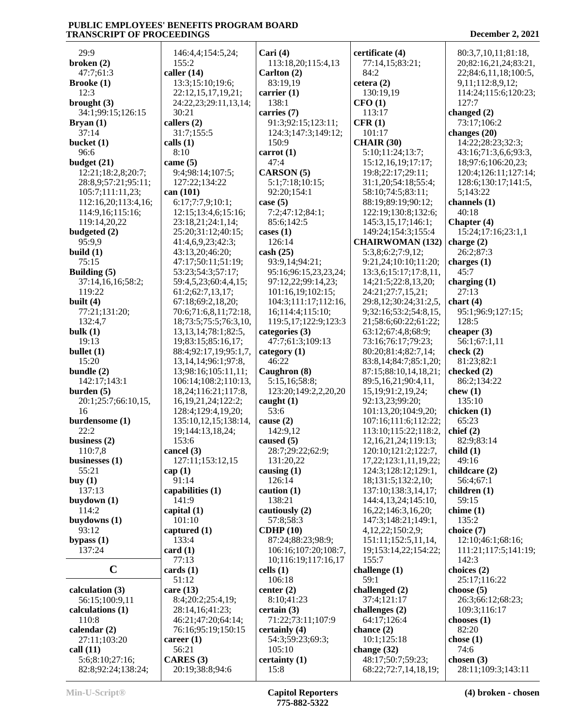| 29:9                                  | 146:4,4;154:5,24;                          | Cari $(4)$                                  | certificate (4)                              | 80:3,7,10,11;81:18,                |
|---------------------------------------|--------------------------------------------|---------------------------------------------|----------------------------------------------|------------------------------------|
| broken $(2)$                          | 155:2                                      | 113:18,20;115:4,13                          | 77:14,15;83:21;                              | 20;82:16,21,24;83:21,              |
| 47:7;61:3                             | caller $(14)$                              | Carlton (2)                                 | 84:2                                         | 22;84:6,11,18;100:5,               |
| <b>Brooke</b> (1)                     | 13:3;15:10;19:6;                           | 83:19,19                                    | cetera $(2)$                                 | 9,11;112:8,9,12;                   |
| 12:3                                  | 22:12,15,17,19,21;                         | carrier $(1)$                               | 130:19,19                                    | 114:24;115:6;120:23;               |
| brought $(3)$                         | 24:22,23;29:11,13,14;                      | 138:1                                       | CFO(1)                                       | 127:7                              |
| 34:1;99:15;126:15                     | 30:21                                      | carries (7)                                 | 113:17                                       | changed (2)                        |
| Bryan(1)                              | callers $(2)$                              | 91:3;92:15;123:11;                          | CFR(1)                                       | 73:17;106:2                        |
| 37:14<br>bucket $(1)$                 | 31:7;155:5<br>calls $(1)$                  | 124:3;147:3;149:12;<br>150:9                | 101:17<br><b>CHAIR (30)</b>                  | changes (20)<br>14:22;28:23;32:3;  |
| 96:6                                  | 8:10                                       | carrot $(1)$                                | 5:10;11:24;13:7;                             | 43:16;71:3,6,6;93:3,               |
| budget (21)                           | came $(5)$                                 | 47:4                                        | 15:12,16,19;17:17;                           | 18;97:6;106:20,23;                 |
| 12:21;18:2,8;20:7;                    | 9:4;98:14;107:5;                           | CARSON (5)                                  | 19:8;22:17;29:11;                            | 120:4;126:11;127:14;               |
| 28:8,9;57:21;95:11;                   | 127:22;134:22                              | 5:1;7:18;10:15;                             | 31:1,20;54:18;55:4;                          | 128:6;130:17;141:5,                |
| 105:7;111:11,23;                      | can (101)                                  | 92:20;154:1                                 | 58:10;74:5;83:11;                            | 5;143:22                           |
| 112:16,20;113:4,16;                   | 6:17;7:7,9;10:1;                           | case $(5)$                                  | 88:19;89:19;90:12;                           | channels (1)                       |
| 114:9,16;115:16;                      | 12:15;13:4,6;15:16;                        | 7:2;47:12;84:1;                             | 122:19;130:8;132:6;                          | 40:18                              |
| 119:14,20,22                          | 23:18,21;24:1,14;                          | 85:6;142:5                                  | 145:3,15,17;146:1;                           | Chapter (4)                        |
| budgeted (2)                          | 25:20;31:12;40:15;                         | cases $(1)$                                 | 149:24;154:3;155:4                           | 15:24;17:16;23:1,1                 |
| 95:9,9                                | 41:4,6,9,23;42:3;                          | 126:14                                      | <b>CHAIRWOMAN (132)</b>                      | charge $(2)$                       |
| build $(1)$                           | 43:13,20;46:20;                            | $\cosh(25)$                                 | 5:3,8;6:2;7:9,12;                            | 26:2;87:3                          |
| 75:15<br>Building $(5)$               | 47:17;50:11;51:19;<br>53:23;54:3;57:17;    | 93:9,14;94:21;                              | 9:21,24;10:10;11:20;                         | charges $(1)$<br>45:7              |
| 37:14,16,16;58:2;                     | 59:4,5,23;60:4,4,15;                       | 95:16;96:15,23,23,24;<br>97:12,22;99:14,23; | 13:3,6;15:17;17:8,11,<br>14;21:5;22:8,13,20; | charging $(1)$                     |
| 119:22                                | 61:2;62:7,13,17;                           | 101:16,19;102:15;                           | 24:21;27:7,15,21;                            | 27:13                              |
| built $(4)$                           | 67:18;69:2,18,20;                          | 104:3;111:17;112:16,                        | 29:8,12;30:24;31:2,5,                        | chart $(4)$                        |
| 77:21;131:20;                         | 70:6;71:6,8,11;72:18,                      | 16;114:4;115:10;                            | 9;32:16;53:2;54:8,15,                        | 95:1;96:9;127:15;                  |
| 132:4,7                               | 18;73:5;75:5;76:3,10,                      | 119:5,17;122:9;123:3                        | 21;58:6;60:22;61:22;                         | 128:5                              |
| bulk $(1)$                            | 13, 13, 14; 78: 1; 82: 5,                  | categories (3)                              | 63:12;67:4,8;68:9;                           | cheaper $(3)$                      |
| 19:13                                 | 19;83:15;85:16,17;                         | 47:7;61:3;109:13                            | 73:16;76:17;79:23;                           | 56:1;67:1,11                       |
| bullet $(1)$                          | 88:4;92:17,19;95:1,7,                      | category $(1)$                              | 80:20;81:4;82:7,14;                          | check $(2)$                        |
| 15:20                                 | 13, 14, 14; 96: 1; 97: 8,                  | 46:22                                       | 83:8,14;84:7;85:1,20;                        | 81:23;82:1                         |
| bundle $(2)$                          | 13;98:16;105:11,11;                        | Caughron (8)                                | 87:15;88:10,14,18,21;                        | checked (2)                        |
| 142:17;143:1                          | 106:14;108:2;110:13,                       | 5:15,16;58:8;                               | 89:5,16,21;90:4,11,                          | 86:2;134:22                        |
| burden $(5)$                          | 18, 24; 116: 21; 117: 8,                   | 123:20;149:2,2,20,20                        | 15,19;91:2,19,24;                            | chew $(1)$                         |
| 20:1;25:7;66:10,15,<br>16             | 16, 19, 21, 24; 122: 2;                    | caught $(1)$<br>53:6                        | 92:13,23;99:20;                              | 135:10<br>chicken (1)              |
| burdensome (1)                        | 128:4;129:4,19,20;<br>135:10,12,15;138:14, | cause $(2)$                                 | 101:13,20;104:9,20;<br>107:16;111:6;112:22;  | 65:23                              |
| 22:2                                  | 19;144:13,18,24;                           | 142:9,12                                    | 113:10;115:22;118:2,                         | chief $(2)$                        |
| business $(2)$                        | 153:6                                      | caused (5)                                  | 12, 16, 21, 24; 119: 13;                     | 82:9;83:14                         |
| 110:7,8                               | cancel $(3)$                               | 28:7;29:22;62:9;                            | 120:10;121:2;122:7,                          | child(1)                           |
| businesses $(1)$                      | 127:11;153:12,15                           | 131:20,22                                   | 17, 22; 123: 1, 11, 19, 22;                  | 49:16                              |
| 55:21                                 | cap $(1)$                                  | causing $(1)$                               | 124:3;128:12;129:1,                          | childcare (2)                      |
| buy $(1)$                             | 91:14                                      | 126:14                                      | 18;131:5;132:2,10;                           | 56:4;67:1                          |
| 137:13                                | capabilities (1)                           | caution $(1)$                               | 137:10;138:3,14,17;                          | children (1)                       |
| buydown $(1)$                         | 141:9                                      | 138:21                                      | 144:4, 13, 24; 145: 10,                      | 59:15                              |
| 114:2                                 | capital $(1)$                              | cautiously (2)                              | 16,22;146:3,16,20;                           | chime $(1)$                        |
| buydowns $(1)$<br>93:12               | 101:10<br>captured $(1)$                   | 57:8;58:3<br>CDHP(10)                       | 147:3;148:21;149:1,<br>4, 12, 22; 150: 2, 9; | 135:2<br>choice (7)                |
| bypass $(1)$                          | 133:4                                      | 87:24;88:23;98:9;                           | 151:11;152:5,11,14,                          | 12:10;46:1;68:16;                  |
| 137:24                                | card(1)                                    | 106:16;107:20;108:7,                        | 19;153:14,22;154:22;                         | 111:21;117:5;141:19;               |
|                                       | 77:13                                      | 10;116:19;117:16,17                         | 155:7                                        | 142:3                              |
| $\mathbf C$                           | cards(1)                                   | cells $(1)$                                 | challenge (1)                                | choices (2)                        |
|                                       | 51:12                                      | 106:18                                      | 59:1                                         | 25:17;116:22                       |
| calculation $(3)$                     | care $(13)$                                | center $(2)$                                | challenged (2)                               | choose $(5)$                       |
| 56:15;100:9,11                        | 8:4;20:2;25:4,19;                          | 8:10;41:23                                  | 37:4;121:17                                  | 26:3;66:12;68:23;                  |
| calculations (1)                      | 28:14,16;41:23;                            | certain $(3)$                               | challenges $(2)$                             | 109:3;116:17                       |
| 110:8                                 | 46:21;47:20;64:14;                         | 71:22;73:11;107:9                           | 64:17;126:4                                  | chooses $(1)$                      |
| calendar $(2)$                        | 76:16;95:19;150:15                         | certainly (4)                               | chance $(2)$                                 | 82:20                              |
| 27:11;103:20                          | career $(1)$                               | 54:3;59:23;69:3;                            | 10:1;125:18                                  | chose $(1)$                        |
| call $(11)$                           | 56:21                                      | 105:10                                      | change $(32)$                                | 74:6                               |
| 5:6;8:10;27:16;<br>82:8;92:24;138:24; | CARES (3)<br>20:19;38:8;94:6               | certainty (1)<br>15:8                       | 48:17;50:7;59:23;<br>68:22;72:7,14,18,19;    | chosen $(3)$<br>28:11;109:3;143:11 |
|                                       |                                            |                                             |                                              |                                    |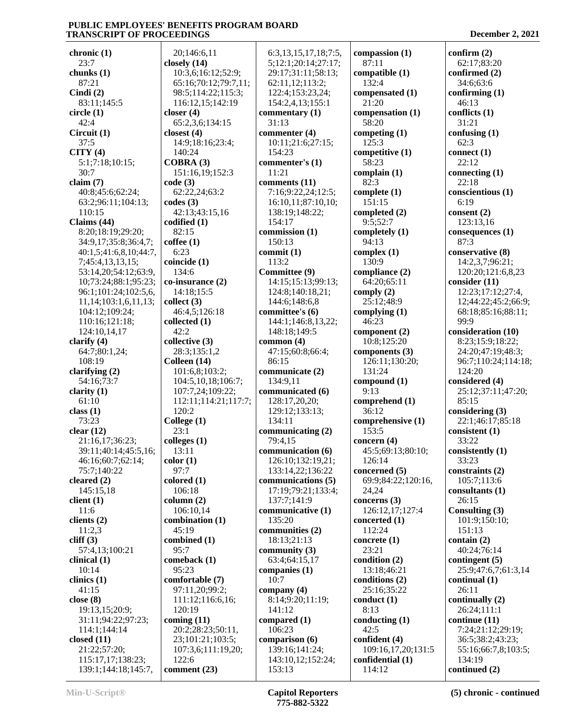140:24

6:23

134:6

42:2

120:2

23:1

13:11

97:7

106:18

45:19

95:7

120:19

122:6

**chronic (1)** 23:7 **chunks (1)** 87:21 **Cindi (2)** 83:11;145:5 **circle (1)** 42:4 **Circuit (1)** 37:5 **CITY (4)** 5:1;7:18;10:15; 30:7 **claim (7)** 40:8;45:6;62:24; 63:2;96:11;104:13; 110:15 **Claims (44)** 8:20;18:19;29:20; 34:9,17;35:8;36:4,7; 40:1,5;41:6,8,10;44:7, 7;45:4,13,13,15; 53:14,20;54:12;63:9, 10;73:24;88:1;95:23; 96:1;101:24;102:5,6, 11,14;103:1,6,11,13; 104:12;109:24; 110:16;121:18; 124:10,14,17 **clarify (4)** 64:7;80:1,24; 108:19 **clarifying (2)** 54:16;73:7 **clarity (1)** 61:10 **class (1)** 73:23 **clear (12)** 21:16,17;36:23; 39:11;40:14;45:5,16; 46:16;60:7;62:14; 75:7;140:22 **cleared (2)** 145:15,18 **client (1)** 11:6 **clients (2)** 11:2,3 **cliff (3)** 57:4,13;100:21 **clinical (1)** 10:14 **clinics (1)** 41:15 **close (8)** 19:13,15;20:9; 31:11;94:22;97:23; 114:1;144:14 **closed (11)** 21:22;57:20; 115:17,17;138:23; 139:1;144:18;145:7, **closely (14) closer (4) closest (4) COBRA (3) code (3) codes (3) codified (1)** 82:15 **coffee (1) coincide (1) collect (3) collected (1) collective (3) Colleen (14) College (1) colleges (1) color (1) colored (1) column (2)** 95:23 **coming (11)**

 20;146:6,11 10:3,6;16:12;52:9; 65:16;70:12;79:7,11; 98:5;114:22;115:3; 116:12,15;142:19 65:2,3,6;134:15 14:9;18:16;23:4; 151:16,19;152:3 62:22,24;63:2 42:13;43:15,16 **co-insurance (2)** 14:18;15:5 46:4,5;126:18 28:3;135:1,2 101:6,8;103:2; 104:5,10,18;106:7; 107:7,24;109:22; 112:11;114:21;117:7; 106:10,14 **combination (1) combined (1) comeback (1) comfortable (7)** 97:11,20;99:2; 111:12;116:6,16; 20:2;28:23;50:11, 23;101:21;103:5; 107:3,6;111:19,20; **comment (23)** 6:3,13,15,17,18;7:5, 5;12:1;20:14;27:17; 29:17;31:11;58:13; 62:11,12;113:2; 122:4;153:23,24; 154:2,4,13;155:1 **commentary (1)** 31:13 **commenter (4)** 10:11;21:6;27:15; 154:23 **commenter's (1)** 11:21 **comments (11)** 7:16;9:22,24;12:5; 16:10,11;87:10,10; 138:19;148:22; 154:17 **commission (1)** 150:13 **commit (1)** 113:2 **Committee (9)** 14:15;15:13;99:13; 124:8;140:18,21; 144:6;148:6,8 **committee's (6)** 144:1;146:8,13,22; 148:18;149:5 **common (4)** 47:15;60:8;66:4; 86:15 **communicate (2)** 134:9,11 **communicated (6)** 128:17,20,20; 129:12;133:13; 134:11 **communicating (2)** 79:4,15 **communication (6)** 126:10;132:19,21; 133:14,22;136:22 **communications (5)** 17:19;79:21;133:4; 137:7;141:9 **communicative (1)** 135:20 **communities (2)** 18:13;21:13 **community (3)** 63:4;64:15,17 **companies (1)** 10:7 **company (4)** 8:14;9:20;11:19; 141:12 **compared (1)** 106:23 **comparison (6)** 139:16;141:24; 143:10,12;152:24; 153:13

**compassion (1)** 87:11 **compatible (1)** 132:4 **compensated (1)** 21:20 **compensation (1)** 58:20 **competing (1)** 125:3 **competitive (1)** 58:23 **complain (1)** 82:3 **complete (1)** 151:15 **completed (2)** 9:5;52:7 **completely (1)** 94:13 **complex (1)** 130:9 **compliance (2)** 64:20;65:11 **comply (2)** 25:12;48:9 **complying (1)** 46:23 **component (2)** 10:8;125:20 **components (3)** 126:11;130:20; 131:24 **compound (1)** 9:13 **comprehend (1)** 36:12 **comprehensive (1)** 153:5 **concern (4)** 45:5;69:13;80:10; 126:14 **concerned (5)** 69:9;84:22;120:16, 24,24 **concerns (3)** 126:12,17;127:4 **concerted (1)** 112:24 **concrete (1)** 23:21 **condition (2)** 13:18;46:21 **conditions (2)** 25:16;35:22 **conduct (1)** 8:13 **conducting (1)** 42:5 **confident (4)** 109:16,17,20;131:5 **confidential (1)** 114:12

**confirm (2)** 62:17;83:20 **confirmed (2)** 34:6;63:6 **confirming (1)** 46:13 **conflicts (1)** 31:21 **confusing (1)** 62:3 **connect (1)** 22:12 **connecting (1)** 22:18 **conscientious (1)** 6:19 **consent (2)** 123:13,16 **consequences (1)** 87:3 **conservative (8)** 14:2,3,7;96:21; 120:20;121:6,8,23 **consider (11)** 12:23;17:12;27:4, 12;44:22;45:2;66:9; 68:18;85:16;88:11; 99:9 **consideration (10)** 8:23;15:9;18:22; 24:20;47:19;48:3; 96:7;110:24;114:18; 124:20 **considered (4)** 25:12;37:11;47:20;  $85:15$ **considering (3)** 22:1;46:17;85:18 **consistent (1)** 33:22 **consistently (1)** 33:23 **constraints (2)** 105:7;113:6 **consultants (1)** 26:15 **Consulting (3)** 101:9;150:10; 151:13 **contain (2)** 40:24;76:14 **contingent (5)** 25:9;47:6,7;61:3,14 **continual (1)**  $26:11$ **continually (2)** 26:24;111:1 **continue (11)** 7:24;21:12;29:19; 36:5;38:2;43:23; 55:16;66:7,8;103:5; 134:19 **continued (2)**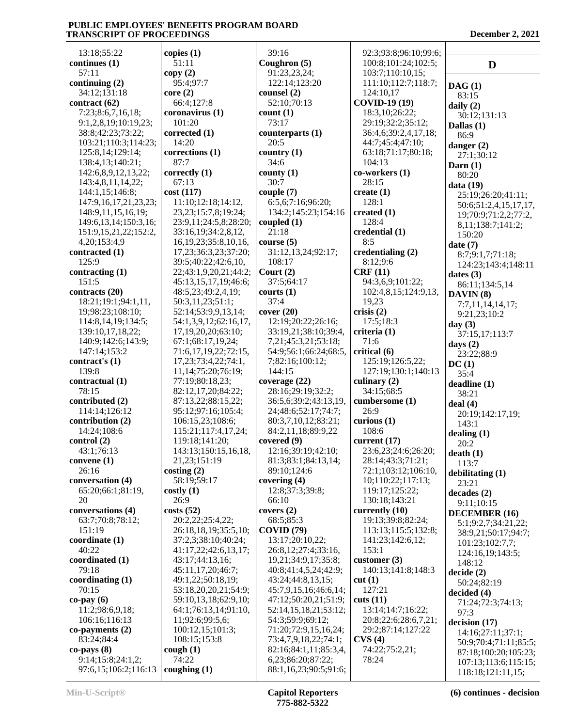13:18;55:22 **continues (1)** 57:11 **continuing (2)** 34:12;131:18 **contract (62)** 7:23;8:6,7,16,18; 9:1,2,8,19;10:19,23; 38:8;42:23;73:22; 103:21;110:3;114:23; 125:8,14;129:14; 138:4,13;140:21; 142:6,8,9,12,13,22; 143:4,8,11,14,22; 144:1,15;146:8; 147:9,16,17,21,23,23; 148:9,11,15,16,19; 149:6,13,14;150:3,16; 151:9,15,21,22;152:2, 4,20;153:4,9 **contracted (1)** 125:9 **contracting (1)** 151:5 **contracts (20)** 18:21;19:1;94:1,11, 19;98:23;108:10; 114:8,14,19;134:5; 139:10,17,18,22; 140:9;142:6;143:9; 147:14;153:2 **contract's (1)** 139:8 **contractual (1)** 78:15 **contributed (2)** 114:14;126:12 **contribution (2)** 14:24;108:6 **control (2)** 43:1;76:13 **convene (1)** 26:16 **conversation (4)** 65:20;66:1;81:19,  $20$ **conversations (4)** 63:7;70:8;78:12; 151:19 **coordinate (1)** 40:22 **coordinated (1)** 79:18 **coordinating (1)** 70:15 **co-pay (6)** 11:2;98:6,9,18; 106:16;116:13 **co-payments (2)** 83:24;84:4 **co-pays (8)** 9:14;15:8;24:1,2; 97:6,15;106:2;116:13 **copies (1)** 51:11 **copy (2)** 95:4;97:7 **core (2)** 66:4;127:8 **coronavirus (1)** 101:20 **corrected (1)** 14:20 **corrections (1)** 87:7 **correctly (1)** 67:13 **cost (117)** 11:10;12:18;14:12, 23,23;15:7,8;19:24; 23:9,11;24:5,8;28:20; 33:16,19;34:2,8,12, 16,19,23;35:8,10,16, 17,23;36:3,23;37:20; 39:5;40:22;42:6,10, 22;43:1,9,20,21;44:2; 45:13,15,17,19;46:6; 48:5,23;49:2,4,19; 50:3,11,23;51:1; 52:14;53:9,9,13,14; 54:1,3,9,12;62:16,17, 17,19,20,20;63:10; 67:1;68:17,19,24; 71:6,17,19,22;72:15, 17,23;73:4,22;74:1, 11,14;75:20;76:19; 77:19;80:18,23; 82:12,17,20;84:22; 87:13,22;88:15,22; 95:12;97:16;105:4; 106:15,23;108:6; 115:21;117:4,17,24; 119:18;141:20; 143:13;150:15,16,18, 21,23;151:19 **costing (2)** 58:19;59:17 **costly (1)** 26:9 **costs (52)** 20:2,22;25:4,22; 26:18,18,19;35:5,10; 37:2,3;38:10;40:24; 41:17,22;42:6,13,17; 43:17;44:13,16; 45:11,17,20;46:7; 49:1,22;50:18,19; 53:18,20,20,21;54:9; 59:10,13,18;62:9,10; 64:1;76:13,14;91:10, 11;92:6;99:5,6; 100:12,15;101:3; 108:15;153:8 **cough (1)** 74:22 **coughing (1)**

 39:16 **Coughron (5)** 91:23,23,24; 122:14;123:20 **counsel (2)** 52:10;70:13 **count (1)** 73:17 **counterparts (1)** 20:5 **country (1)** 34:6 **county (1)** 30:7 **couple (7)** 6:5,6;7:16;96:20; 134:2;145:23;154:16 **coupled (1)** 21:18 **course (5)** 31:12,13,24;92:17; 108:17 **Court (2)** 37:5;64:17 **courts (1)** 37:4 **cover (20)** 12:19;20:22;26:16; 33:19,21;38:10;39:4, 7,21;45:3,21;53:18; 54:9;56:1;66:24;68:5, 7;82:16;100:12; 144:15 **coverage (22)** 28:16;29:19;32:2; 36:5,6;39:2;43:13,19, 24;48:6;52:17;74:7; 80:3,7,10,12;83:21; 84:2,11,18;89:9,22 **covered (9)** 12:16;39:19;42:10; 81:3;83:1;84:13,14; 89:10;124:6 **covering (4)** 12:8;37:3;39:8; 66:10 **covers (2)** 68:5;85:3 **COVID (79)** 13:17;20:10,22; 26:8,12;27:4;33:16, 19,21;34:9,17;35:8; 40:8;41:4,5,24;42:9; 43:24;44:8,13,15; 45:7,9,15,16;46:6,14; 47:12;50:20,21;51:9; 52:14,15,18,21;53:12; 54:3;59:9;69:12; 71:20;72:9,15,16,24; 73:4,7,9,18,22;74:1; 82:16;84:1,11;85:3,4, 6,23;86:20;87:22; 88:1,16,23;90:5;91:6; 104:13 28:15 **create (1)** 128:1 **created (1)** 128:4 8:5 **CRF (11)** 19,23 **crisis (2) criteria (1)** 71:6 **critical (6)** 26:9 **curious (1)** 108:6 153:1 **cut (1)** 127:21 **cuts (11) CVS (4)** 78:24

 92:3;93:8;96:10;99:6; 100:8;101:24;102:5; 103:7;110:10,15; 111:10;112:7;118:7; 124:10,17 **COVID-19 (19)** 18:3,10;26:22; 29:19;32:2;35:12; 36:4,6;39:2,4,17,18; 44:7;45:4;47:10; 63:18;71:17;80:18; **co-workers (1) credential (1) credentialing (2)** 8:12;9:6 94:3,6,9;101:22; 102:4,8,15;124:9,13, 17:5;18:3 125:19;126:5,22; 127:19;130:1;140:13 **culinary (2)** 34:15;68:5 **cumbersome (1) current (17)** 23:6,23;24:6;26:20; 28:14;43:3;71:21; 72:1;103:12;106:10, 10;110:22;117:13; 119:17;125:22; 130:18;143:21 **currently (10)** 19:13;39:8;82:24; 113:13;115:5;132:8; 141:23;142:6,12; **customer (3)** 140:13;141:8;148:3 13:14;14:7;16:22; 20:8;22:6;28:6,7,21; 29:2;87:14;127:22 74:22;75:2,21;

**D DAG (1)** 83:15 **daily (2)** 30:12;131:13 **Dallas (1)** 86:9 **danger (2)** 27:1;30:12 **Darn (1)** 80:20 **data (19)** 25:19;26:20;41:11; 50:6;51:2,4,15,17,17, 19;70:9;71:2,2;77:2, 8,11;138:7;141:2; 150:20 **date (7)** 8:7;9:1,7;71:18; 124:23;143:4;148:11 **dates (3)** 86:11;134:5,14 **DAVIN (8)** 7:7,11,14,14,17; 9:21,23;10:2 **day (3)** 37:15,17;113:7 **days (2)** 23:22;88:9 **DC (1)** 35:4 **deadline (1)** 38:21 **deal (4)** 20:19;142:17,19; 143:1 **dealing (1)** 20:2 **death (1)** 113:7 **debilitating (1)** 23:21 **decades (2)** 9:11;10:15 **DECEMBER (16)** 5:1;9:2,7;34:21,22; 38:9,21;50:17;94:7; 101:23;102:7,7; 124:16,19;143:5; 148:12 **decide (2)** 50:24;82:19 **decided (4)** 71:24;72:3;74:13; 97:3 **decision (17)** 14:16;27:11;37:1; 50:9;70:4;71:11;85:5; 87:18;100:20;105:23; 107:13;113:6;115:15; 118:18;121:11,15;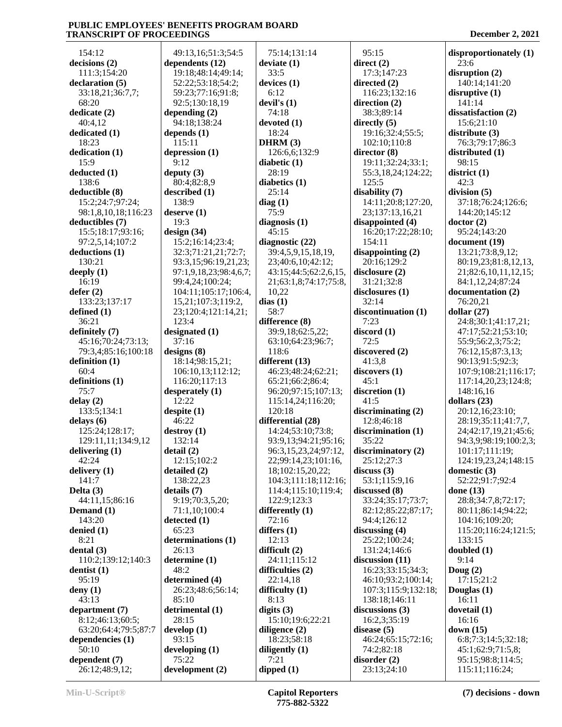9:12

138:9

19:3

48:2

93:15

 154:12 **decisions (2)** 111:3;154:20 **declaration (5)** 33:18,21;36:7,7; 68:20 **dedicate (2)** 40:4,12 **dedicated (1)** 18:23 **dedication (1)** 15:9 **deducted (1)** 138:6 **deductible (8)** 15:2;24:7;97:24; 98:1,8,10,18;116:23 **deductibles (7)** 15:5;18:17;93:16; 97:2,5,14;107:2 **deductions (1)** 130:21 **deeply (1)** 16:19 **defer (2)** 133:23;137:17 **defined (1)** 36:21 **definitely (7)** 45:16;70:24;73:13; 79:3,4;85:16;100:18 **definition (1)** 60:4 **definitions (1)** 75:7 **delay (2)** 133:5;134:1 **delays (6)** 125:24;128:17; 129:11,11;134:9,12 **delivering (1)** 42:24 **delivery (1)** 141:7 **Delta (3)** 44:11,15;86:16 **Demand (1)** 143:20 **denied (1)** 8:21 **dental (3)** 110:2;139:12;140:3 **dentist (1)** 95:19 **deny (1)** 43:13 **department (7)** 8:12;46:13;60:5; 63:20;64:4;79:5;87:7 **dependencies (1)** 50:10 **dependent (7)** 26:12;48:9,12; **detail (2)**

 49:13,16;51:3;54:5 **dependents (12)** 19:18;48:14;49:14; 52:22;53:18;54:2; 59:23;77:16;91:8; 92:5;130:18,19 **depending (2)** 94:18;138:24 **depends (1)** 115:11 **depression (1) deputy (3)** 80:4;82:8,9 **described (1) deserve (1) design (34)** 15:2;16:14;23:4; 32:3;71:21,21;72:7; 93:3,15;96:19,21,23; 97:1,9,18,23;98:4,6,7; 99:4,24;100:24; 104:11;105:17;106:4, 15,21;107:3;119:2, 23;120:4;121:14,21; 123:4 **designated (1)** 37:16 **designs (8)** 18:14;98:15,21; 106:10,13;112:12; 116:20;117:13 **desperately (1)** 12:22 **despite (1)** 46:22 **destroy (1)** 132:14 12:15;102:2 **detailed (2)** 138:22,23 **details (7)** 9:19;70:3,5,20; 71:1,10;100:4 **detected (1)** 65:23 **determinations (1)** 26:13 **determine (1) determined (4)** 26:23;48:6;56:14; 85:10 **detrimental (1)** 28:15 **develop (1) developing (1)** 75:22 **development (2)** 75:14;131:14 **deviate (1)** 33:5 **devices (1)** 6:12 **devil's (1)** 74:18 **devoted (1)** 18:24 **DHRM (3)** 126:6,6;132:9 **diabetic (1)** 28:19 **diabetics (1)** 25:14 **diag (1)** 75:9 **diagnosis (1)** 45:15 **diagnostic (22)** 39:4,5,9,15,18,19, 23;40:6,10;42:12; 43:15;44:5;62:2,6,15, 21;63:1,8;74:17;75:8, 10,22 **dias (1)** 58:7 **difference (8)** 39:9,18;62:5,22; 63:10;64:23;96:7; 118:6 **different (13)** 46:23;48:24;62:21; 65:21;66:2;86:4; 96:20;97:15;107:13; 115:14,24;116:20; 120:18 **differential (28)** 14:24;53:10;73:8; 93:9,13;94:21;95:16; 96:3,15,23,24;97:12, 22;99:14,23;101:16, 18;102:15,20,22; 104:3;111:18;112:16; 114:4;115:10;119:4; 122:9;123:3 **differently (1)** 72:16 **differs (1)** 12:13 **difficult (2)** 24:11;115:12 **difficulties (2)** 22:14,18 **difficulty (1)** 8:13 **digits (3)** 15:10;19:6;22:21 **diligence (2)** 18:23;58:18 **diligently (1)** 7:21 **dipped (1)**

 95:15 **direct (2)** 17:3;147:23 **directed (2)** 116:23;132:16 **direction (2)** 38:3;89:14 **directly (5)** 19:16;32:4;55:5; 102:10;110:8 **director (8)** 19:11;32:24;33:1; 55:3,18,24;124:22; 125:5 **disability (7)** 14:11;20:8;127:20, 23;137:13,16,21 **disappointed (4)** 16:20;17:22;28:10; 154:11 **disappointing (2)** 20:16;129:2 **disclosure (2)** 31:21;32:8 **disclosures (1)** 32:14 **discontinuation (1)** 7:23 **discord (1)** 72:5 **discovered (2)** 41:3,8 **discovers (1)** 45:1 **discretion (1)**  $41:5$ **discriminating (2)** 12:8;46:18 **discrimination (1)** 35:22 **discriminatory (2)** 25:12;27:3 **discuss (3)** 53:1;115:9,16 **discussed (8)** 33:24;35:17;73:7; 82:12;85:22;87:17; 94:4;126:12 **discussing (4)** 25:22;100:24; 131:24;146:6 **discussion (11)** 16:23;33:15;34:3; 46:10;93:2;100:14; 107:3;115:9;132:18; 138:18;146:11 **discussions (3)** 16:2,3;35:19 **disease (5)** 46:24;65:15;72:16; 74:2;82:18 **disorder (2)** 23:13;24:10

**disproportionately (1)** 23:6 **disruption (2)** 140:14;141:20 **disruptive (1)** 141:14 **dissatisfaction (2)** 15:6;21:10 **distribute (3)** 76:3;79:17;86:3 **distributed (1)** 98:15 **district (1)** 42:3 **division (5)** 37:18;76:24;126:6; 144:20;145:12 **doctor (2)** 95:24;143:20 **document (19)** 13:21;73:8,9,12; 80:19,23;81:8,12,13, 21;82:6,10,11,12,15; 84:1,12,24;87:24 **documentation (2)** 76:20,21 **dollar (27)** 24:8;30:1;41:17,21; 47:17;52:21;53:10; 55:9;56:2,3;75:2; 76:12,15;87:3,13; 90:13;91:5;92:3; 107:9;108:21;116:17; 117:14,20,23;124:8; 148:16,16 **dollars (23)** 20:12,16;23:10; 28:19;35:11;41:7,7, 24;42:17,19,21;45:6; 94:3,9;98:19;100:2,3; 101:17;111:19; 124:19,23,24;148:15 **domestic (3)** 52:22;91:7;92:4 **done (13)** 28:8;34:7,8;72:17; 80:11;86:14;94:22; 104:16;109:20; 115:20;116:24;121:5; 133:15 **doubled (1)** 9:14 **Doug (2)** 17:15;21:2 **Douglas (1)** 16:11 **dovetail (1)** 16:16 **down (15)** 6:8;7:3;14:5;32:18; 45:1;62:9;71:5,8; 95:15;98:8;114:5; 115:11;116:24;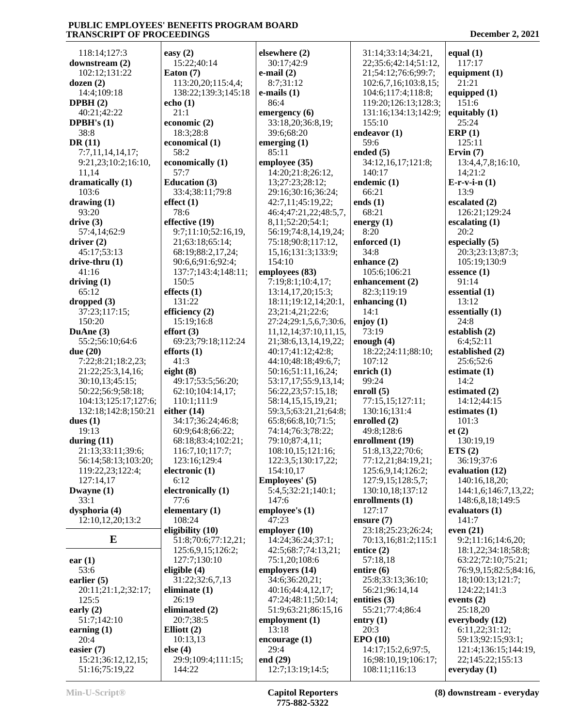| 118:14;127:3                                | easy (2)                          |
|---------------------------------------------|-----------------------------------|
| downstream (2)                              | 15:22;40:14                       |
| 102:12;131:22                               | Eaton (7)                         |
| dozen $(2)$                                 | 113:20,20;11:                     |
| 14:4;109:18                                 | 138:22;139:3                      |
| DPBH(2)                                     | echo(1)                           |
| 40:21;42:22                                 | 21:1                              |
| <b>DPBH's</b> $(1)$                         | economic (2)                      |
| 38:8                                        | 18:3;28:8                         |
| DR(11)                                      | economical (1)                    |
| 7:7,11,14,14,17;                            | 58:2                              |
| 9:21,23;10:2;16:10,                         | economically (1                   |
| 11,14                                       | 57:7                              |
| dramatically (1)                            | <b>Education</b> (3)              |
| 103:6                                       | 33:4;38:11;79                     |
| drawing (1)                                 | effect(1)                         |
| 93:20                                       | 78:6                              |
| drive(3)                                    | effective (19)                    |
| 57:4,14;62:9                                | 9:7;11:10;52:                     |
| driver $(2)$                                | 21;63:18;65:1                     |
| 45:17;53:13                                 | 68:19;88:2,17                     |
| drive-thru (1)                              | 90:6,6;91:6;9                     |
| 41:16                                       | 137:7;143:4;1                     |
| driving $(1)$                               | 150:5                             |
| 65:12                                       | effects $(1)$                     |
| dropped (3)                                 | 131:22                            |
| 37:23;117:15;                               | efficiency (2)                    |
| 150:20                                      | 15:19;16:8                        |
| DuAne (3)                                   | effort(3)                         |
| 55:2;56:10;64:6                             | 69:23;79:18;1                     |
| due (20)                                    | efforts $(1)$                     |
| 7:22;8:21;18:2,23;                          | 41:3                              |
| 21:22;25:3,14,16;                           | eight $(8)$                       |
| 30:10,13;45:15;                             | 49:17;53:5;56                     |
| 50:22;56:9;58:18;                           | 62:10;104:14                      |
| 104:13;125:17;127:6;<br>132:18;142:8;150:21 | 110:1;111:9<br>either (14)        |
| dues $(1)$                                  | 34:17;36:24;4                     |
| 19:13                                       | 60:9;64:8;66:                     |
|                                             |                                   |
|                                             |                                   |
| during $(11)$                               | 68:18;83:4;10                     |
| 21:13;33:11;39:6;                           | 116:7,10;117                      |
| 56:14;58:13;103:20;                         | 123:16;129:4                      |
| 119:22,23;122:4;                            | electronic (1)                    |
| 127:14,17                                   | 6:12                              |
| Dwayne (1)                                  | electronically (                  |
| 33:1                                        | 77:6                              |
| dysphoria (4)                               | elementary (1)                    |
| 12:10,12,20;13:2                            | 108:24                            |
| E                                           | eligibility (10)<br>51:8;70:6;77: |
|                                             | 125:6,9,15;12                     |
| ear(1)                                      | 127:7;130:10                      |
| 53:6                                        | eligible (4)                      |
| earlier (5)                                 | 31:22;32:6,7,                     |
| 20:11;21:1,2;32:17;                         | eliminate (1)                     |
| 125:5                                       | 26:19                             |
| early $(2)$                                 | eliminated (2)                    |
| 51:7;142:10                                 | 20:7;38:5                         |
| earning $(1)$                               | Elliott $(2)$                     |
| 20:4                                        | 10:13,13                          |
| easier (7)                                  | else (4)                          |
| 15:21;36:12,12,15;<br>51:16;75:19,22        | 29:9;109:4;11<br>144:22           |

| (2)                                          | elsewhere (2)                             |     |
|----------------------------------------------|-------------------------------------------|-----|
| 22;40:14                                     | 30:17;42:9                                |     |
| 1(7)                                         | e-mail $(2)$                              |     |
| 3:20,20;115:4,4;<br>3:22;139:3;145:18        | 8:7;31:12<br>$e$ -mails $(1)$             |     |
| $\bf{(1)}$                                   | 86:4                                      |     |
| 1                                            | emergency (6)                             |     |
| $\text{mic}$ (2)                             | 33:18,20;36:8,19;                         |     |
| 3;28:8                                       | 39:6;68:20                                | eno |
| omical (1)                                   | emerging (1)                              |     |
| 2                                            | 85:11                                     | eno |
| mically (1)                                  | employee (35)<br>14:20;21:8;26:12,        |     |
| 7<br>ation $(3)$                             | 13;27:23;28:12;                           | en  |
| 4;38:11;79:8                                 | 29:16;30:16;36:24;                        |     |
| $\colon$ (1)                                 | 42:7,11;45:19,22;                         | eno |
| 6                                            | 46:4;47:21,22;48:5,7,                     |     |
| ive (19)                                     | 8,11;52:20;54:1;                          | eno |
| ;11:10;52:16,19,                             | 56:19;74:8,14,19,24;                      |     |
| 63:18;65:14;                                 | 75:18;90:8;117:12,                        | enf |
| 19;88:2,17,24;<br>6,6;91:6;92:4;             | 15, 16; 131: 3; 133: 9;<br>154:10         | enl |
| 7:7;143:4;148:11;                            | employees (83)                            |     |
| ): 5                                         | 7:19;8:1;10:4,17;                         | enl |
| s(1)                                         | 13:14,17,20;15:3;                         |     |
| 1:22                                         | 18:11;19:12,14;20:1,                      | enl |
| $\text{ency}$ (2)                            | 23;21:4,21;22:6;                          |     |
| 19;16:8                                      | 27:24;29:1,5,6,7;30:6,                    | enj |
| t(3)                                         | 11, 12, 14; 37: 10, 11, 15,               |     |
| 23;79:18;112:24<br>$\text{ts}\left(1\right)$ | 21;38:6,13,14,19,22;<br>40:17;41:12;42:8; | eno |
| 3                                            | 44:10;48:18;49:6,7;                       |     |
| (8)                                          | 50:16;51:11,16,24;                        | en  |
| 17;53:5;56:20;                               | 53:17,17;55:9,13,14;                      |     |
| 10;104:14,17;                                | 56:22,23;57:15,18;                        | eni |
| :1;111:9                                     | 58:14,15,15,19,21;                        |     |
| r(14)                                        | 59:3,5;63:21,21;64:8;                     |     |
| 17;36:24;46:8;<br>9;64:8;66:22;              | 65:8;66:8,10;71:5;<br>74:14;76:3;78:22;   | en  |
| 18;83:4;102:21;                              | 79:10;87:4,11;                            | en  |
| 5:7,10;117:7;                                | 108:10,15;121:16;                         |     |
| 3:16;129:4                                   | 122:3,5;130:17,22;                        |     |
| $\text{onic}$ (1)                            | 154:10,17                                 |     |
| 2                                            | Employees' (5)                            |     |
| onically (1)                                 | 5:4,5;32:21;140:1;                        |     |
| 6                                            | 147:6                                     | en  |
| entary $(1)$<br>3:24                         | employee's (1)<br>47:23                   | ens |
| ility $(10)$                                 | employer (10)                             |     |
| 8;70:6;77:12,21;                             | 14:24;36:24;37:1;                         |     |
| 5:6,9,15;126:2;                              | 42:5;68:7;74:13,21;                       | ent |
| 7:7;130:10                                   | 75:1,20;108:6                             |     |
| le (4)                                       | employers (14)                            | ent |
| 22;32:6,7,13                                 | 34:6;36:20,21;                            |     |
| nate $(1)$<br>19                             | 40:16;44:4,12,17;                         |     |
| nated (2)                                    | 47:24;48:11;50:14;<br>51:9;63:21;86:15,16 | ent |
| 7;38:5                                       | employment (1)                            | ent |
| t(2)                                         | 13:18                                     |     |
| 13,13                                        | encourage (1)                             | EP  |
| 4)                                           | 29:4                                      |     |
| 9;109:4;111:15;                              | end (29)                                  |     |
| 1:22                                         | 12:7;13:19;14:5;                          |     |

 51:9;63:21;86:15,16 55:21;77:4;86:4 31:14;33:14;34:21, 22;35:6;42:14;51:12, 21;54:12;76:6;99:7; 102:6,7,16;103:8,15; 104:6;117:4;118:8; 119:20;126:13;128:3; 131:16;134:13;142:9; 155:10 **endeavor (1)** 59:6 **ended (5)** 34:12,16,17;121:8; 140:17 **endemic (1)** 66:21 **ends (1)** 68:21 **energy (1)** 8:20 **enforced (1)** 34:8 **enhance (2)** 105:6;106:21 **enhancement (2)** 82:3;119:19 **enhancing (1)** 14:1 **enjoy (1)** 73:19 **enough (4)** 18:22;24:11;88:10; 107:12 **enrich (1)** 99:24 **enroll (5)** 77:15,15;127:11; 130:16;131:4 **enrolled (2)** 49:8;128:6 **enrollment (19)** 51:8,13,22;70:6; 77:12,21;84:19,21; 125:6,9,14;126:2; 127:9,15;128:5,7; 130:10,18;137:12 **enrollments (1)** 127:17 **ensure (7)** 23:18;25:23;26:24; 70:13,16;81:2;115:1 **entice (2)** 57:18,18 **entire (6)** 25:8;33:13;36:10; 56:21;96:14,14 **entities (3) entry (1)** 20:3 **EPO (10)** 14:17;15:2,6;97:5, 16;98:10,19;106:17; 108:11;116:13

| $\overline{\phantom{a}}$                  |  |
|-------------------------------------------|--|
| equal $(1)$                               |  |
| 117:17<br>equipment $(1)$                 |  |
| 21:21<br>equipped (1)                     |  |
| 151:6                                     |  |
| equitably (1)<br>25:24                    |  |
| $\mathbb{R}$ RP $(1)$<br>125:11           |  |
| Ervin $(7)$                               |  |
| 13:4,4,7,8;16:10,<br>14;21:2              |  |
| $E-r-v-i-n(1)$<br>13:9                    |  |
| escalated (2)                             |  |
| 126:21;129:24<br>escalating (1)           |  |
| 20:2<br>especially (5)                    |  |
| 20:3;23:13;87:3;<br>105:19;130:9          |  |
| essence (1)                               |  |
| 91:14<br>essential $(1)$                  |  |
| 13:12<br>essentially $(1)$                |  |
| 24:8                                      |  |
| establish (2)<br>6:4;52:11                |  |
| established (2)<br>25:6;52:6              |  |
| estimate $(1)$                            |  |
| 14:2<br>estimated (2)                     |  |
| 14:12;44:15<br>estimates (1)              |  |
| 101:3                                     |  |
| et(2)<br>130:19,19                        |  |
| ETS(2)<br>36:19;37:6                      |  |
| evaluation (12)                           |  |
| 140:16,18,20;<br>144:1,6;146:7,13,22;     |  |
| 148:6,8,18;149:5<br>evaluators (1)        |  |
| 141:7                                     |  |
| even $(21)$<br>9:2;11:16;14:6,20;         |  |
| 18:1,22;34:18;58:8;<br>63:22;72:10;75:21; |  |
| 76:9,9,15;82:5;84:16,<br>18;100:13;121:7; |  |
| 124:22;141:3                              |  |
| events $(2)$<br>25:18,20                  |  |
| everybody (12)<br>6:11,22;31:12;          |  |
| 59:13;92:15;93:1;                         |  |
| 121:4;136:15;144:19,<br>22;145:22;155:13  |  |
| everyday (1)                              |  |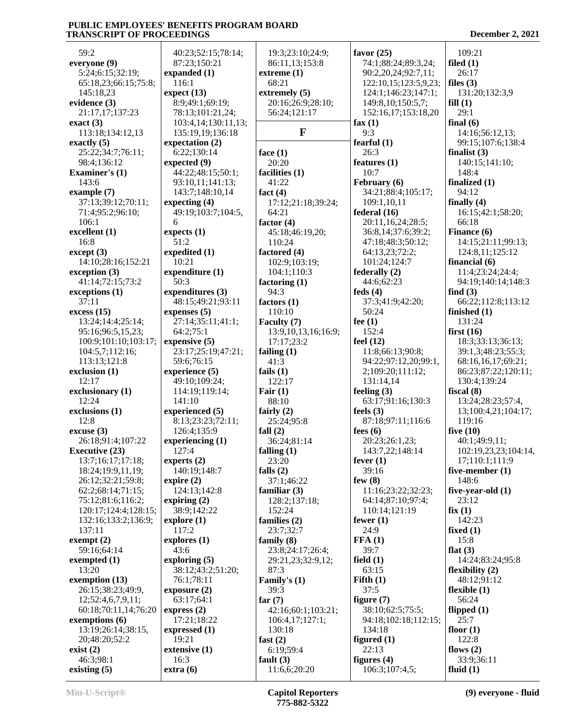59:2 **everyone (9)** 5:24;6:15;32:19; 65:18,23;66:15;75:8; 145:18,23 **evidence (3)** 21:17,17;137:23 **exact (3)** 113:18;134:12,13 **exactly (5)** 25:22;34:7;76:11; 98:4;136:12 **Examiner's (1)** 143:6 **example (7)** 37:13;39:12;70:11; 71:4;95:2;96:10; 106:1 **excellent (1)** 16:8 **except (3)** 14:10;28:16;152:21 **exception (3)** 41:14;72:15;73:2 **exceptions (1)** 37:11 **excess (15)** 13:24;14:4;25:14; 95:16;96:5,15,23; 100:9;101:10;103:17; 104:5,7;112:16; 113:13;121:8 **exclusion (1)** 12:17 **exclusionary (1)** 12:24 **exclusions (1)** 12:8 **excuse (3)** 26:18;91:4;107:22 **Executive (23)** 13:7;16:17;17:18; 18:24;19:9,11,19; 26:12;32:21;59:8; 62:2;68:14;71:15; 75:12;81:6;116:2; 120:17;124:4;128:15; 132:16;133:2;136:9; 137:11 **exempt (2)** 59:16;64:14 **exempted (1)** 13:20 **exemption (13)** 26:15;38:23;49:9, 12;52:4,6,7,9,11; 60:18;70:11,14;76:20 **exemptions (6)** 13:19;26:14;38:15, 20;48:20;52:2 **exist (2)** 46:3;98:1 **existing (5)** 116:1 51:2 10:21 50:3 **expire (2)** 43:6 19:21 16:3 **extra (6)**

 40:23;52:15;78:14; 87:23;150:21 **expanded (1) expect (13)** 8:9;49:1;69:19; 78:13;101:21,24; 103:4,14;130:11,13; 135:19,19;136:18 **expectation (2)** 6:22;130:14 **expected (9)** 44:22;48:15;50:1; 93:10,11;141:13; 143:7;148:10,14 **expecting (4)** 49:19;103:7;104:5, 6 **expects (1) expedited (1) expenditure (1) expenditures (3)** 48:15;49:21;93:11 **expenses (5)** 27:14;35:11;41:1; 64:2;75:1 **expensive (5)** 23:17;25:19;47:21; 59:6;76:15 **experience (5)** 49:10;109:24; 114:19;119:14; 141:10 **experienced (5)** 8:13;23:23;72:11; 126:4;135:9 **experiencing (1)** 127:4 **experts (2)** 140:19;148:7 124:13;142:8 **expiring (2)** 38:9;142:22 **explore (1)** 117:2 **explores (1) exploring (5)** 38:12;43:2;51:20; 76:1;78:11 **exposure (2)** 63:17;64:1 **express (2)** 17:21;18:22 **expressed (1) extensive (1)** 86:11,13;153:8 **extreme (1)** 68:21 **extremely (5)** 56:24;121:17 **face (1)** 20:20 **facilities (1)** 41:22 **fact (4)** 64:21 **factor (4)** 45:18;46:19,20; 110:24 **factored (4)** 102:9;103:19; 104:1;110:3 **factoring (1)** 94:3 **factors (1)** 110:10 **Faculty (7)** 17:17;23:2 **failing (1)** 41:3 **fails (1)**  $122:17$ **Fair (1)** 88:10 **fairly (2)** 25:24;95:8 **fall (2)** 36:24;81:14 **falling (1)** 23:20 **falls (2)** 37:1;46:22 **familiar (3)** 128:2;137:18; 152:24 **families (2)** 23:7;32:7 **family (8)** 23:8;24:17;26:4; 87:3 **Family's (1)** 39:3 **far (7)** 106:4,17;127:1; 130:18 **fast (2)** 6:19;59:4 **fault (3)** 11:6,6;20:20

 19:3;23:10;24:9; 20:16;26:9;28:10; **F** 17:12;21:18;39:24; 13:9,10,13,16;16:9; 29:21,23;32:9,12; 42:16;60:1;103:21; **favor (25)** 74:1;88:24;89:3,24; 90:2,20,24;92:7,11; 122:10,15;123:5,9,23; 124:1;146:23;147:1; 149:8,10;150:5,7; 152:16,17;153:18,20 **fax (1)** 9:3 **fearful (1)** 26:3 **features (1)** 10:7 **February (6)** 34:21;88:4;105:17; 109:1,10,11 **federal (16)** 20:11,16,24;28:5; 36:8,14;37:6;39:2; 47:18;48:3;50:12; 64:13,23;72:2; 101:24;124:7 **federally (2)** 44:6;62:23 **feds (4)** 37:3;41:9;42:20; 50:24 **fee (1)** 152:4 **feel (12)** 11:8;66:13;90:8; 94:22;97:12,20;99:1, 2;109:20;111:12; 131:14,14 **feeling (3)** 63:17;91:16;130:3 **feels (3)** 87:18;97:11;116:6 **fees (6)** 20:23;26:1,23; 143:7,22;148:14 **fever (1)** 39:16 **few (8)** 11:16;23:22;32:23; 64:14;87:10;97:4; 110:14;121:19 **fewer (1)** 24:9 **FFA (1)** 39:7 **field (1)** 63:15 **Fifth (1)** 37:5 **figure (7)** 38:10;62:5;75:5; 94:18;102:18;112:15; 134:18 **figured (1)** 22:13 **figures (4)** 106:3;107:4,5;

 109:21 **filed (1)** 26:17 **files (3)** 131:20;132:3,9 **fill (1)** 29:1 **final (6)** 14:16;56:12,13; 99:15;107:6;138:4 **finalist (3)** 140:15;141:10; 148:4 **finalized (1)** 94:12 **finally (4)** 16:15;42:1;58:20; 66:18 **Finance (6)** 14:15;21:11;99:13; 124:8,11;125:12 **financial (6)** 11:4;23:24;24:4; 94:19;140:14;148:3 **find (3)** 66:22;112:8;113:12 **finished (1)** 131:24 **first (16)** 18:3;33:13;36:13; 39:1,3;48:23;55:3; 68:16,16,17;69:21; 86:23;87:22;120:11; 130:4;139:24 **fiscal (8)** 13:24;28:23;57:4, 13;100:4,21;104:17; 119:16 **five (10)** 40:1;49:9,11; 102:19,23,23;104:14, 17;110:1;111:9 **five-member (1)** 148:6 **five-year-old (1)** 23:12 **fix (1)** 142:23 **fixed (1)** 15:8 **flat (3)** 14:24;83:24;95:8 **flexibility (2)** 48:12;91:12 **flexible (1)** 56:24 **flipped (1)** 25:7 **floor (1)** 122:8 **flows (2)** 33:9;36:11 **fluid (1)**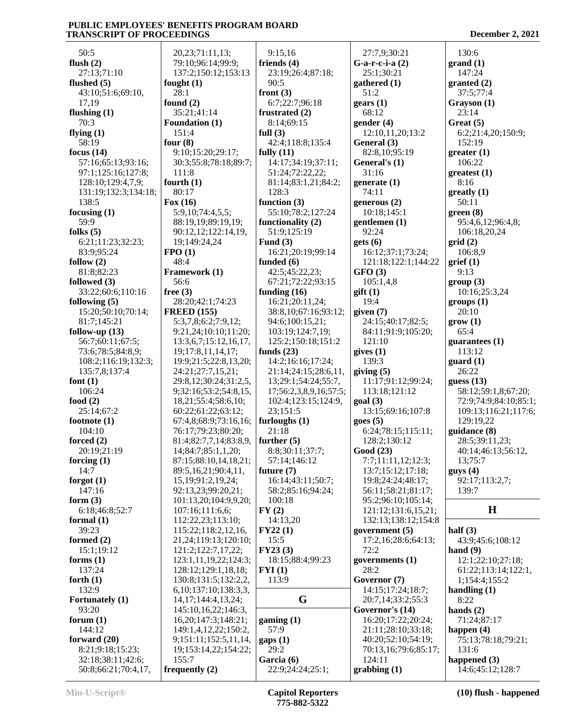50:5 **flush (2)** 27:13;71:10 **flushed (5)** 43:10;51:6;69:10, 17,19 **flushing (1)** 70:3 **flying (1)** 58:19 **focus (14)** 57:16;65:13;93:16; 97:1;125:16;127:8; 128:10;129:4,7,9; 131:19;132:3;134:18; 138:5 **focusing (1)** 59:9 **folks (5)** 6:21;11:23;32:23; 83:9;95:24 **follow (2)** 81:8;82:23 **followed (3)** 33:22;60:6;110:16 **following (5)** 15:20;50:10;70:14; 81:7;145:21 **follow-up (13)** 56:7;60:11;67:5; 73:6;78:5;84:8,9; 108:2;116:19;132:3; 135:7,8;137:4 **font (1)** 106:24 **food (2)** 25:14;67:2 **footnote (1)** 104:10 **forced (2)** 20:19;21:19 **forcing (1)** 14:7 **forgot (1)** 147:16 **form (3)** 6:18;46:8;52:7 **formal (1)** 39:23 **formed (2)** 15:1;19:12 **forms (1)** 137:24 **forth (1)** 132:9 **Fortunately (1)** 93:20 **forum (1)** 144:12 **forward (20)** 8:21;9:18;15:23; 32:18;38:11;42:6; **fought (1) found (2) Founda four (8) fourth (1) Fox (16) FPO (1) Framey free (3) FREED (155)**

| 20,23;71:11,13;           | 9:15,16                | 27:7,9;30:21         |
|---------------------------|------------------------|----------------------|
| 79:10;96:14;99:9;         | friends $(4)$          | $G$ -a-r-c-i-a $(2)$ |
| 137:2;150:12;153:13       | 23:19;26:4;87:18;      | 25:1;30:21           |
| fought $(1)$              | 90:5                   | gathered (1)         |
| 28:1                      | front $(3)$            | 51:2                 |
| found $(2)$               | 6:7;22:7;96:18         | gears(1)             |
| 35:21;41:14               | frustrated (2)         | 68:12                |
| <b>Foundation (1)</b>     | 8:14;69:15             | gender(4)            |
| 151:4                     | full $(3)$             | 12:10,11,20;13:2     |
| four $(8)$                | 42:4;118:8;135:4       | General (3)          |
| 9:10;15:20;29:17;         | fully $(11)$           | 82:8,10;95:19        |
| 30:3;55:8;78:18;89:7;     | 14:17;34:19;37:11;     | General's (1)        |
| 111:8                     | 51:24;72:22,22;        | 31:16                |
| fourth $(1)$              | 81:14;83:1,21;84:2;    | generate $(1)$       |
| 80:17                     | 128:3                  | 74:11                |
| Fox $(16)$                | function $(3)$         | generous $(2)$       |
| 5:9,10;74:4,5,5;          | 55:10;78:2;127:24      | 10:18;145:1          |
| 88:19,19;89:19,19;        | functionality (2)      | gentlemen (1)        |
| 90:12,12;122:14,19,       | 51:9;125:19            | 92:24                |
| 19;149:24,24              | Fund $(3)$             | gets(6)              |
| FPO(1)                    | 16:21;20:19;99:14      | 16:12;37:1;73:24;    |
| 48:4                      | funded (6)             | 121:18;122:1;144:22  |
| Framework (1)             | 42:5;45:22,23;         | GFO(3)               |
| 56:6                      | 67:21;72:22;93:15      | 105:1,4,8            |
| free $(3)$                | funding $(16)$         | $g$ ift $(1)$        |
| 28:20;42:1;74:23          | 16:21;20:11,24;        | 19:4                 |
| <b>FREED (155)</b>        | 38:8,10;67:16;93:12;   | given (7)            |
| 5:3,7,8;6:2;7:9,12;       | 94:6;100:15,21;        | 24:15;40:17;82:5;    |
| 9:21,24;10:10;11:20;      | 103:19;124:7,19;       | 84:11;91:9;105:20;   |
| 13:3,6,7;15:12,16,17,     | 125:2;150:18;151:2     | 121:10               |
| 19;17:8,11,14,17;         | funds $(23)$           | gives(1)             |
| 19:9;21:5;22:8,13,20;     | 14:2;16:16;17:24;      | 139:3                |
| 24:21;27:7,15,21;         | 21:14;24:15;28:6,11,   | giving (5)           |
| 29:8,12;30:24;31:2,5,     | 13;29:1;54:24;55:7,    | 11:17;91:12;99:24;   |
| 9;32:16;53:2;54:8,15,     | 17;56:2,3,8,9,16;57:5; | 113:18;121:12        |
| 18,21;55:4;58:6,10;       | 102:4;123:15;124:9,    | goal(3)              |
| 60:22;61:22;63:12;        | 23;151:5               | 13:15;69:16;107:8    |
| 67:4,8;68:9;73:16,16;     | furloughs $(1)$        | goes(5)              |
| 76:17;79:23;80:20;        | 21:18                  | 6:24;78:15;115:11;   |
| 81:4;82:7,7,14;83:8,9,    | further $(5)$          | 128:2;130:12         |
| 14;84:7;85:1,1,20;        | 8:8;30:11;37:7;        | Good (23)            |
| 87:15;88:10,14,18,21;     | 57:14;146:12           | 7:7;11:11,12;12:3;   |
| 89:5,16,21;90:4,11,       | future $(7)$           | 13:7;15:12;17:18;    |
| 15,19;91:2,19,24;         | 16:14;43:11;50:7;      | 19:8;24:24;48:17;    |
| 92:13,23;99:20,21;        | 58:2;85:16;94:24;      | 56:11;58:21;81:17;   |
| 101:13,20;104:9,9,20;     | 100:18                 | 95:2;96:10;105:14;   |
| 107:16;111:6,6;           | FY(2)                  | 121:12;131:6,15,21;  |
| 112:22,23;113:10;         | 14:13,20               | 132:13;138:12;154:8  |
| 115:22;118:2,12,16,       | FY22(1)                | government (5)       |
| 21, 24; 119: 13; 120: 10; | 15:5                   | 17:2,16;28:6;64:13;  |
| 121:2;122:7,17,22;        | FY23(3)                | 72:2                 |
| 123:1,11,19,22;124:3;     | 18:15;88:4;99:23       | governments $(1)$    |
| 128:12;129:1,18,18;       | FYI(1)                 | 28:2                 |
| 130:8;131:5;132:2,2,      | 113:9                  | Governor (7)         |
| 6,10;137:10;138:3,3,      | G                      | 14:15;17:24;18:7;    |
| 14, 17; 144: 4, 13, 24;   |                        | 20:7,14;33:2;55:3    |
| 145:10,16,22;146:3,       |                        | Governor's (14)      |
| 16, 20; 147: 3; 148: 21;  | gamma(1)               | 16:20;17:22;20:24;   |
| 149:1,4,12,22;150:2,      | 57:9                   | 21:11;28:10;33:18;   |
| 9;151:11;152:5,11,14,     | $\text{gaps}(1)$       | 40:20;52:10;54:19;   |
| 19;153:14,22;154:22;      | 29:2<br>Garcia (6)     | 70:13,16;79:6;85:17; |
| 155:7                     |                        | 124:11               |
| frequently $(2)$          | 22:9;24:24;25:1;       | graphing(1)          |

 27:7,9;30:21 **G-a-r-c-i-a (2)** 25:1;30:21 **gathered (1)** 51:2 **gears (1)** 68:12 **gender (4)** 12:10,11,20;13:2 **General (3)** 82:8,10;95:19 **General's (1)** 31:16 **generate (1)** 74:11 **generous (2)** 10:18;145:1 **gentlemen (1)** 92:24 **gets (6)** 16:12;37:1;73:24; 121:18;122:1;144:22 **GFO (3)** 105:1,4,8 **gift (1)** 19:4 **given (7)** 24:15;40:17;82:5; 84:11;91:9;105:20; 121:10 **gives (1)** 139:3 **giving (5)** 11:17;91:12;99:24; 113:18;121:12 **goal (3)** 13:15;69:16;107:8 **goes (5)** 6:24;78:15;115:11; 128:2;130:12 **Good (23)** 7:7;11:11,12;12:3; 13:7;15:12;17:18; 19:8;24:24;48:17; 56:11;58:21;81:17; 95:2;96:10;105:14; 121:12;131:6,15,21; 132:13;138:12;154:8 **government (5)** 17:2,16;28:6;64:13; 72:2 28:2 **Governor (7)** 14:15;17:24;18:7; 20:7,14;33:2;55:3 **Governor's (14)** 16:20;17:22;20:24; 21:11;28:10;33:18; 40:20;52:10;54:19; 70:13,16;79:6;85:17; 124:11 **grabbing (1)**

| 130:6                                |
|--------------------------------------|
| grand (1)                            |
| 147:24                               |
| granted (2)<br>37:5;77:4             |
| Grayson (1)                          |
| 23:14                                |
| Great (5)                            |
| 6:2;21:4,20;150:9;                   |
| 152:19<br>greater (1)                |
| 106:22                               |
| greatest (1)                         |
| 8:16                                 |
| greatly (1)<br>50:11                 |
| green (8)                            |
| 95:4,6,12;96:4,8;                    |
| 106:18,20,24                         |
| grid(2)                              |
| 106:8,9                              |
| grief(1)<br>9:13                     |
| group (3)                            |
| 10:16;25:3,24                        |
| groups (1)                           |
| 20:10<br>$grow(1)$                   |
| 65:4                                 |
| guarantees (1)                       |
| 113:12                               |
| guard (1)<br>26:22                   |
| guess $(13)$                         |
| 58:12;59:1,8;67:20;                  |
| 72:9;74:9;84:10;85:1;                |
| 109:13;116:21;117:6;                 |
| 129:19,22<br>guidance (8)            |
| 28:5;39:11,23;                       |
| 40:14;46:13;56:12,                   |
| 13;75:7                              |
| guys(4)                              |
| 92:17;113:2,7;<br>139:7              |
|                                      |
| Н                                    |
| half $(3)$                           |
| 43:9;45:6;108:12                     |
| hand $(9)$                           |
| 12:1;22:10;27:18;                    |
| 61:22;113:14;122:1,<br>1;154:4;155:2 |
| handling (1)                         |
| 8:22                                 |
| hands (2)                            |
| 71:24;87:17<br>happen (4)            |
| 75:13;78:18;79:21;                   |
| 131:6                                |
| happened (3)                         |

50:8;66:21;70:4,17,

14:6;45:12;128:7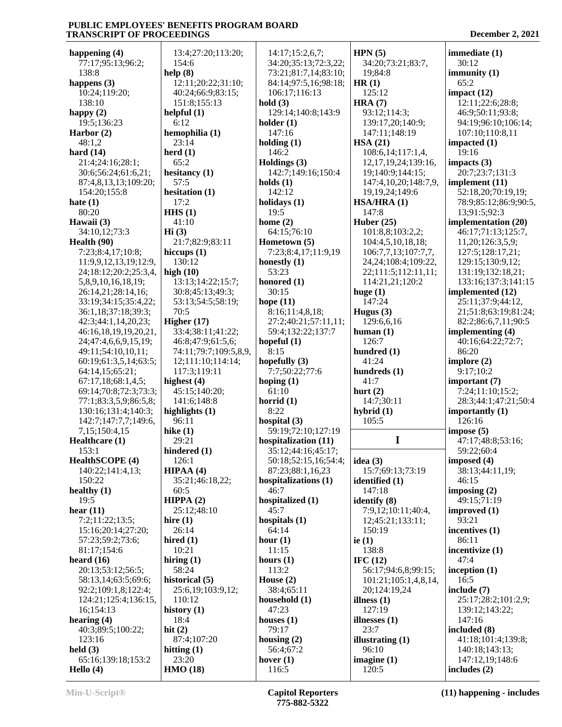**happening (4)** 77:17;95:13;96:2; 138:8 **happens (3)** 10:24;119:20; 138:10 **happy (2)** 19:5;136:23 **Harbor (2)** 48:1,2 **hard (14)** 21:4;24:16;28:1; 30:6;56:24;61:6,21; 87:4,8,13,13;109:20; 154:20;155:8 **hate (1)** 80:20 **Hawaii (3)** 34:10,12;73:3 **Health (90)** 7:23;8:4,17;10:8; 11:9,9,12,13,19;12:9, 24;18:12;20:2;25:3,4, 5,8,9,10,16,18,19; 26:14,21;28:14,16; 33:19;34:15;35:4,22; 36:1,18;37:18;39:3; 42:3;44:1,14,20,23; 46:16,18,19,19,20,21, 24;47:4,6,6,9,15,19; 49:11;54:10,10,11; 60:19;61:3,5,14;63:5; 64:14,15;65:21; 67:17,18;68:1,4,5; 69:14;70:8;72:3;73:3; 77:1;83:3,5,9;86:5,8; 130:16;131:4;140:3; 142:7;147:7,7;149:6, 7,15;150:4,15 **Healthcare (1)** 153:1 **HealthSCOPE (4)** 140:22;141:4,13; 150:22 **healthy (1)** 19:5 **hear (11)** 7:2;11:22;13:5; 15:16;20:14;27:20; 57:23;59:2;73:6; 81:17;154:6 **heard (16)** 20:13;53:12;56:5; 58:13,14;63:5;69:6; 92:2;109:1,8;122:4; 124:21;125:4;136:15, 16;154:13 **hearing (4)** 40:3;89:5;100:22; 123:16 **held (3)** 65:16;139:18;153:2 **Hello (4)** 154:6 **help (8) helpful (1)** 6:12 **hemophilia (1)** 23:14 **herd (1)** 65:2 **hesitancy (1)** 57:5 **hesitation (1)** 17:2 **HHS (1)** 41:10 **Hi (3) hiccups (1)** 130:12 **high (10)** 70:5 **Higher (17) highest (4) highlights (1)** 96:11 **hike (1)** 29:21 **hindered (1)** 126:1 **HIPAA (4)** 60:5 **HIPPA (2) hire (1)** 26:14 **hired (1)** 10:21 **hiring (1)** 58:24 **historical (5)** 110:12 **history (1)** 18:4 **hit (2) hitting (1)** 23:20 **HMO (18)**

 13:4;27:20;113:20; 12:11;20:22;31:10; 40:24;66:9;83:15; 151:8;155:13 21:7;82:9;83:11 13:13;14:22;15:7; 30:8;45:13;49:3; 53:13;54:5;58:19; 33:4;38:11;41:22; 46:8;47:9;61:5,6; 74:11;79:7;109:5,8,9, 12;111:10;114:14; 117:3;119:11 45:15;140:20; 141:6;148:8 35:21;46:18,22; 25:12;48:10 25:6,19;103:9,12; 87:4;107:20 14:17;15:2,6,7; 34:20;35:13;72:3,22; 73:21;81:7,14;83:10; 84:14;97:5,16;98:18; 106:17;116:13 **hold (3)** 129:14;140:8;143:9 **holder (1)** 147:16 **holding (1)** 146:2 **Holdings (3)** 142:7;149:16;150:4 **holds (1)** 142:12 **holidays (1)** 19:5 **home (2)** 64:15;76:10 **Hometown (5)** 7:23;8:4,17;11:9,19 **honestly (1)** 53:23 **honored (1)** 30:15 **hope (11)** 8:16;11:4,8,18; 27:2;40:21;57:11,11; 59:4;132:22;137:7 **hopeful (1)** 8:15 **hopefully (3)** 7:7;50:22;77:6 **hoping (1)** 61:10 **horrid (1)** 8:22 **hospital (3)** 59:19;72:10;127:19 **hospitalization (11)** 35:12;44:16;45:17; 50:18;52:15,16;54:4; 87:23;88:1,16,23 **hospitalizations (1)** 46:7 **hospitalized (1)** 45:7 **hospitals (1)** 64:14 **hour (1)** 11:15 **hours (1)** 113:2 **House (2)** 38:4;65:11 **household (1)** 47:23 **houses (1)** 79:17 **housing (2)** 56:4;67:2 **hover (1)** 116:5

**HPN (5)** 34:20;73:21;83:7, 19;84:8 **HR (1)** 125:12 **HRA (7)** 93:12;114:3; 139:17,20;140:9; 147:11;148:19 **HSA (21)** 108:6,14;117:1,4, 12,17,19,24;139:16, 19;140:9;144:15; 147:4,10,20;148:7,9, 19,19,24;149:6 **HSA/HRA (1)** 147:8 **Huber (25)** 101:8,8;103:2,2; 104:4,5,10,18,18; 106:7,7,13;107:7,7, 24,24;108:4;109:22, 22;111:5;112:11,11; 114:21,21;120:2 **huge (1)** 147:24 **Hugus (3)** 129:6,6,16 **human (1)** 126:7 **hundred (1)** 41:24 **hundreds (1)** 41:7 **hurt (2)** 14:7;30:11 **hybrid (1)** 105:5 **I idea (3)** 15:7;69:13;73:19 **identified (1)** 147:18 **identify (8)** 7:9,12;10:11;40:4, 12;45:21;133:11; 150:19 **ie (1)** 138:8 **IFC (12)** 56:17;94:6,8;99:15; 101:21;105:1,4,8,14, 20;124:19,24 **illness (1)** 127:19 **illnesses (1)** 23:7 **illustrating (1)** 96:10 **imagine (1)** 120:5

**immediate (1)** 30:12 **immunity (1)** 65:2 **impact (12)** 12:11;22:6;28:8; 46:9;50:11;93:8; 94:19;96:10;106:14; 107:10;110:8,11 **impacted (1)** 19:16 **impacts (3)** 20:7;23:7;131:3 **implement (11)** 52:18,20;70:19,19; 78:9;85:12;86:9;90:5, 13;91:5;92:3 **implementation (20)** 46:17;71:13;125:7, 11,20;126:3,5,9; 127:5;128:17,21; 129:15;130:9,12; 131:19;132:18,21; 133:16;137:3;141:15 **implemented (12)** 25:11;37:9;44:12, 21;51:8;63:19;81:24; 82:2;86:6,7,11;90:5 **implementing (4)** 40:16;64:22;72:7; 86:20 **implore (2)** 9:17;10:2 **important (7)** 7:24;11:10;15:2; 28:3;44:1;47:21;50:4 **importantly (1)** 126:16 **impose (5)** 47:17;48:8;53:16; 59:22;60:4 **imposed (4)** 38:13;44:11,19; 46:15 **imposing (2)** 49:15;71:19 **improved (1)** 93:21 **incentives (1)** 86:11 **incentivize (1)** 47:4 **inception (1)** 16:5 **include (7)** 25:17;28:2;101:2,9; 139:12;143:22; 147:16 **included (8)** 41:18;101:4;139:8; 140:18;143:13; 147:12,19;148:6 **includes (2)**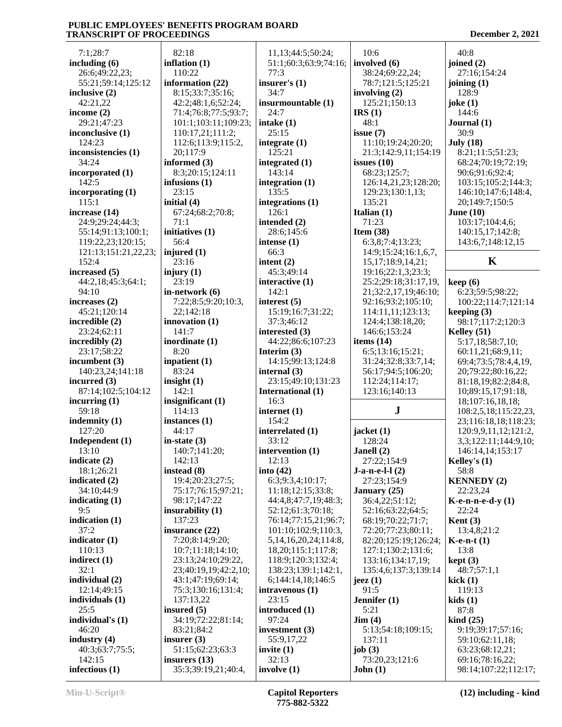7:1;28:7 **including (6)** 26:6;49:22,23; 55:21;59:14;125:12 **inclusive (2)** 42:21,22 **income (2)** 29:21;47:23 **inconclusive (1)** 124:23 **inconsistencies (1)** 34:24 **incorporated (1)** 142:5 **incorporating (1)** 115:1 **increase (14)** 24:9;29:24;44:3; 55:14;91:13;100:1; 119:22,23;120:15; 121:13;151:21,22,23; 152:4 **increased (5)** 44:2,18;45:3;64:1; 94:10 **increases (2)** 45:21;120:14 **incredible (2)** 23:24;62:11 **incredibly (2)** 23:17;58:22 **incumbent (3)** 140:23,24;141:18 **incurred (3)** 87:14;102:5;104:12 **incurring (1)** 59:18 **indemnity (1)** 127:20 **Independent (1)** 13:10 **indicate (2)** 18:1;26:21 **indicated (2)** 34:10;44:9 **indicating (1)** 9:5 **indication (1)** 37:2 **indicator (1)** 110:13 **indirect (1)** 32:1 **individual (2)** 12:14;49:15 **individuals (1)** 25:5 **individual's (1)** 46:20 **industry (4)** 40:3;63:7;75:5; 142:15 **infectious (1)** 82:18 23:15 **initial (4)** 71:1 56:4 **injured (1)** 23:16 **injury (1)** 23:19 141:7 8:20 83:24 **insight (1)** 142:1 44:17 **in-state (3) instead (8) insured (5) insurer (3)**

**inflation (1)** 110:22 **information (22)** 8:15;33:7;35:16; 42:2;48:1,6;52:24; 71:4;76:8;77:5;93:7; 101:1;103:11;109:23; 110:17,21;111:2; 112:6;113:9;115:2, 20;117:9 **informed (3)** 8:3;20:15;124:11 **infusions (1)** 67:24;68:2;70:8; **initiatives (1) in-network (6)** 7:22;8:5;9:20;10:3, 22;142:18 **innovation (1) inordinate (1) inpatient (1) insignificant (1)** 114:13 **instances (1)** 140:7;141:20; 142:13 19:4;20:23;27:5; 75:17;76:15;97:21; 98:17;147:22 **insurability (1)** 137:23 **insurance (22)** 7:20;8:14;9:20; 10:7;11:18;14:10; 23:13;24:10;29:22, 23;40:19,19;42:2,10; 43:1;47:19;69:14; 75:3;130:16;131:4; 137:13,22 34:19;72:22;81:14; 83:21;84:2 51:15;62:23;63:3 **insurers (13)** 35:3;39:19,21;40:4, 11,13;44:5;50:24; 51:1;60:3;63:9;74:16; 77:3 **insurer's (1)** 34:7 **insurmountable (1)** 24:7 **intake (1)** 25:15 **integrate (1)** 125:21 **integrated (1)** 143:14 **integration (1)** 135:5 **integrations (1)** 126:1 **intended (2)** 28:6;145:6 **intense (1)** 66:3 **intent (2)** 45:3;49:14 **interactive (1)** 142:1 **interest (5)** 15:19;16:7;31:22; 37:3;46:12 **interested (3)** 44:22;86:6;107:23 **Interim (3)** 14:15;99:13;124:8 **internal (3)** 23:15;49:10;131:23 **International (1)** 16:3 **internet (1)** 154:2 **interrelated (1)** 33:12 **intervention (1)** 12:13 **into (42)** 6:3;9:3,4;10:17; 11:18;12:15;33:8; 44:4,8;47:7,19;48:3; 52:12;61:3;70:18; 76:14;77:15,21;96:7; 101:10;102:9;110:3, 5,14,16,20,24;114:8, 18,20;115:1;117:8; 118:9;120:3;132:4; 138:23;139:1;142:1, 6;144:14,18;146:5 **intravenous (1)** 23:15 **introduced (1)** 97:24 **investment (3)** 55:9,17,22 **invite (1)** 32:13 **involve (1)**

 10:6 **involved (6)** 38:24;69:22,24; 78:7;121:5;125:21 **involving (2)** 125:21;150:13 **IRS (1)** 48:1 **issue (7)** 11:10;19:24;20:20; 21:3;142:9,11;154:19 **issues (10)** 68:23;125:7; 126:14,21,23;128:20; 129:23;130:1,13; 135:21 **Italian (1)** 71:23 **Item (38)** 6:3,8;7:4;13:23; 14:9;15:24;16:1,6,7, 15,17;18:9,14,21; 19:16;22:1,3;23:3; 25:2;29:18;31:17,19, 21;32:2,17,19;46:10; 92:16;93:2;105:10; 114:11,11;123:13; 124:4;138:18,20; 146:6;153:24 **items (14)** 6:5;13:16;15:21; 31:24;32:8;33:7,14; 56:17;94:5;106:20; 112:24;114:17; 123:16;140:13 **J jacket (1)** 128:24 **Janell (2)** 27:22;154:9 **J-a-n-e-l-l (2)** 27:23;154:9 **January (25)** 36:4,22;51:12; 52:16;63:22;64:5; 68:19;70:22;71:7; 72:20;77:23;80:11; 82:20;125:19;126:24; 127:1;130:2;131:6; 133:16;134:17,19; 135:4,6;137:3;139:14 **jeez (1)** 91:5 **Jennifer (1)** 5:21 **Jim (4)** 5:13;54:18;109:15; 137:11 **job (3)** 73:20,23;121:6 **John (1)**

| 40:8                            |
|---------------------------------|
| joined (2)                      |
| 27:16;154:24                    |
| joining $(1)$                   |
| 128:9                           |
| joke $(1)$                      |
| 144:6                           |
|                                 |
| Journal (1)                     |
| 30:9                            |
| <b>July</b> (18)                |
| 8:21;11:5;51:23;                |
| 68:24;70:19;72:19;              |
| 90:6;91:6;92:4;                 |
| 103:15;105:2;144:3;             |
| 146:10;147:6;148:4,             |
| 20;149:7;150:5                  |
| June $(10)$                     |
| 103:17;104:4,6;                 |
| 140:15,17;142:8;                |
| 143:6,7;148:12,15               |
|                                 |
| K                               |
|                                 |
| keep(6)                         |
| 6:23;59:5;98:22;                |
| 100:22;114:7;121:14             |
| keeping (3)                     |
| 98:17;117:2;120:3               |
| Kelley (51)                     |
| 5:17,18;58:7,10;                |
| 60:11,21;68:9,11;               |
| 69:4;73:5;78:4,4,19,            |
| 20;79:22;80:16,22;              |
| 81:18,19;82:2;84:8,             |
| 10;89:15,17;91:18,              |
| 18;107:16,18,18;                |
| 108:2,5,18;115:22,23,           |
| 23;116:18,18;118:23;            |
| 120:9,9,11,12;121:2,            |
| 3,3;122:11;144:9,10;            |
| 146:14,14;153:17                |
| Kelley's (1)                    |
| 58:8                            |
| <b>KENNEDY (2)</b>              |
| 22:23,24                        |
|                                 |
| $K$ -e-n-n-e-d-y $(1)$          |
| 22:24                           |
| Kent $(3)$                      |
| 13:4,8;21:2                     |
| $K$ -e-n-t $(1)$                |
| 13:8                            |
| kept (3)                        |
| 48:7;57:1,1                     |
| kick(1)                         |
| 119:13                          |
| kids(1)                         |
| 87:8                            |
| $\boldsymbol{\text{kind}}$ (25) |
| 9:19;39:17;57:16;               |
| 59:10;62:11,18;                 |
| 63:23;68:12,21;                 |
| 69:16;78:16,22;                 |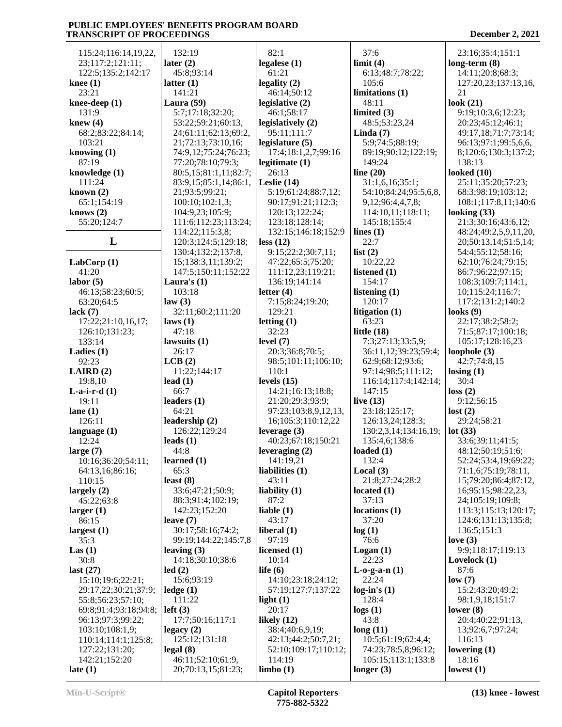| 115:24;116:14,19,22,                       | 132:19                       | 82:1                              | 37:6                       | 23:16;35:4;151:1                 |
|--------------------------------------------|------------------------------|-----------------------------------|----------------------------|----------------------------------|
| 23;117:2;121:11;                           | later $(2)$                  | legalese $(1)$                    | limit(4)                   | $long-term (8)$                  |
| 122:5;135:2;142:17                         | 45:8;93:14                   | 61:21                             | 6:13;48:7;78:22;           | 14:11;20:8;68:3;                 |
| knee $(1)$                                 | latter $(1)$                 | legality $(2)$                    | 105:6                      | 127:20,23;137:13,16,             |
| 23:21                                      | 141:21                       | 46:14;50:12                       | limitations <sub>(1)</sub> | 21                               |
| knee-deep $(1)$                            | Laura $(59)$                 | legislative (2)                   | 48:11                      | look $(21)$                      |
| 131:9                                      | 5:7;17:18;32:20;             | 46:1;58:17                        | limited (3)                | 9:19;10:3,6;12:23;               |
| knew $(4)$                                 | 53:22;59:21;60:13,           | legislatively (2)                 | 48:5;53:23,24              | 20:23;45:12;46:1;                |
| 68:2;83:22;84:14;                          | 24;61:11;62:13;69:2,         | 95:11;111:7                       | Linda $(7)$                | 49:17,18;71:7;73:14;             |
| 103:21                                     | 21;72:13;73:10,16;           | legislature $(5)$                 | 5:9;74:5;88:19;            | 96:13;97:1;99:5,6,6,             |
| knowing $(1)$                              | 74:9,12;75:24;76:23;         | 17:4;18:1,2,7;99:16               | 89:19;90:12;122:19;        | 8;120:6;130:3;137:2;             |
| 87:19                                      | 77:20;78:10;79:3;            | legitimate $(1)$                  | 149:24                     | 138:13                           |
| knowledge (1)                              | 80:5,15;81:1,11;82:7;        | 26:13                             | line $(20)$                | looked $(10)$                    |
| 111:24                                     | 83:9,15;85:1,14;86:1,        | Leslie $(14)$                     | 31:1,6,16;35:1;            | 25:11;35:20;57:23;               |
| known $(2)$                                | 21;93:5;99:21;               | 5:19;61:24;88:7,12;               | 54:10;84:24;95:5,6,8,      | 68:3;98:19;103:12;               |
| 65:1;154:19                                | 100:10;102:1,3;              | 90:17;91:21;112:3;                | 9,12;96:4,4,7,8;           | 108:1;117:8,11;140:6             |
| knows $(2)$                                | 104:9,23;105:9;              | 120:13;122:24;                    | 114:10,11;118:11;          | looking $(33)$                   |
| 55:20;124:7                                | 111:6;112:23;113:24;         | 123:18;128:14;                    | 145:18;155:4               | 21:3;30:16;43:6,12;              |
|                                            | 114:22;115:3,8;              | 132:15;146:18;152:9               | lines $(1)$                | 48:24;49:2,5,9,11,20,            |
| L                                          | 120:3;124:5;129:18;          | less $(12)$                       | 22:7                       | 20;50:13,14;51:5,14;             |
|                                            | 130:4;132:2;137:8,           | 9:15;22:2;30:7,11;                | list $(2)$                 | 54:4;55:12;58:16;                |
| LabCorp(1)                                 | 15;138:3,11;139:2;           | 47:22;65:5;75:20;                 | 10:22,22                   | 62:10;76:24;79:15;               |
| 41:20                                      | 147:5;150:11;152:22          | 111:12,23;119:21;                 | listened (1)               | 86:7;96:22;97:15;                |
| labor(5)                                   | Laura's $(1)$                | 136:19;141:14                     | 154:17                     | 108:3;109:7;114:1,               |
| 46:13;58:23;60:5;                          | 103:18                       | letter $(4)$                      | listening (1)<br>120:17    | 10;115:24;116:7;                 |
| 63:20;64:5                                 | law(3)<br>32:11;60:2;111:20  | 7:15;8:24;19:20;<br>129:21        | litigation (1)             | 117:2;131:2;140:2<br>looks $(9)$ |
| lack $(7)$<br>17:22;21:10,16,17;           | laws(1)                      | letting $(1)$                     | 63:23                      | 22:17;38:2;58:2;                 |
| 126:10;131:23;                             | 47:18                        | 32:23                             | little $(18)$              | 71:5;87:17;100:18;               |
| 133:14                                     | lawsuits $(1)$               | level $(7)$                       | 7:3;27:13;33:5,9;          | 105:17;128:16,23                 |
| Ladies $(1)$                               | 26:17                        | 20:3;36:8;70:5;                   | 36:11,12;39:23;59:4;       | loophole $(3)$                   |
| 92:23                                      | LCB(2)                       | 98:5;101:11;106:10;               | 62:9;68:12;93:6;           | 42:7;74:8,15                     |
| LAIRD(2)                                   | 11:22;144:17                 | 110:1                             | 97:14;98:5;111:12;         | $\text{losing } (1)$             |
| 19:8,10                                    | lead $(1)$                   | levels $(15)$                     | 116:14;117:4;142:14;       | 30:4                             |
| $L-a-i-r-d(1)$                             | 66:7                         | 14:21;16:13;18:8;                 | 147:15                     | loss(2)                          |
| 19:11                                      | leaders $(1)$                | 21:20;29:3;93:9;                  | live $(13)$                | 9:12;56:15                       |
| lane $(1)$                                 | 64:21                        | 97:23;103:8,9,12,13,              | 23:18;125:17;              | lost(2)                          |
| 126:11                                     | leadership (2)               | 16;105:3;110:12,22                | 126:13,24;128:3;           | 29:24;58:21                      |
| language $(1)$                             | 126:22;129:24                | leverage (3)                      | 130:2,3,14;134:16,19;      | lot(33)                          |
| 12:24                                      | leads $(1)$                  | 40:23;67:18;150:21                | 135:4,6;138:6              | 33:6;39:11;41:5;                 |
| large $(7)$                                | 44:8                         | leveraging (2)                    | loaded $(1)$               | 48:12;50:19;51:6;                |
| 10:16;36:20;54:11;                         | learned $(1)$                | 141:19,21                         | 132:4                      | 52:24;53:4,19;69:22;             |
| 64:13,16;86:16;                            | 65:3                         | liabilities (1)                   | Local $(3)$                | 71:1,6;75:19;78:11,              |
| 110:15                                     | least $(8)$                  | 43:11                             | 21:8;27:24;28:2            | 15;79:20;86:4;87:12,             |
| largely $(2)$                              | 33:6;47:21;50:9;             | liability $(1)$                   | located $(1)$              | 16;95:15;98:22,23,               |
| 45:22;63:8                                 | 88:3;91:4;102:19;            | 87:2                              | 37:13                      | 24;105:19;109:8;                 |
| larger $(1)$                               | 142:23:152:20                | liable $(1)$                      | locations(1)               | 113:3;115:13;120:17;             |
| 86:15                                      | leave $(7)$                  | 43:17                             | 37:20                      | 124:6;131:13;135:8;              |
| largest $(1)$                              | 30:17;58:16;74:2;            | liberal $(1)$                     | log(1)                     | 136:5;151:3                      |
| 35:3                                       | 99:19;144:22;145:7,8         | 97:19                             | 76:6                       | love $(3)$                       |
| Las(1)                                     | leaving $(3)$                | licensed (1)                      | Logan(1)                   | 9:9;118:17;119:13                |
| 30:8                                       | 14:18:30:10:38:6             | 10:14                             | 22:23                      | Lovelock $(1)$                   |
| last $(27)$                                | led(2)                       | life $(6)$                        | $L-0-g-a-n(1)$             | 87:6                             |
| 15:10;19:6;22:21;                          | 15:6;93:19                   | 14:10;23:18;24:12;                | 22:24                      | low(7)<br>15:2;43:20;49:2;       |
| 29:17,22;30:21;37:9;                       | $\text{ledge} (1)$<br>111:22 | 57:19;127:7;137:22<br>light $(1)$ | $log-in's(1)$<br>128:4     | 98:1,9,18;151:7                  |
| 55:8;56:23;57:10;<br>69:8;91:4;93:18;94:8; | left(3)                      | 20:17                             | logs(1)                    | lower $(8)$                      |
| 96:13;97:3;99:22;                          | 17:7;50:16;117:1             | likely $(12)$                     | 43:8                       | 20:4;40:22;91:13,                |
| 103:10;108:1,9;                            | legacy(2)                    | 38:4;40:6,9,19;                   | long(11)                   | 13;92:6,7;97:24;                 |
| 110:14;114:1;125:8;                        | 125:12;131:18                | 42:13;44:2;50:7,21;               | 10:5;61:19;62:4,4;         | 116:13                           |
| 127:22;131:20;                             | legal(8)                     | 52:10;109:17;110:12;              | 74:23;78:5,8;96:12;        | lowering $(1)$                   |
| 142:21;152:20                              | 46:11;52:10;61:9,            | 114:19                            | 105:15;113:1;133:8         | 18:16                            |
| late $(1)$                                 | 20;70:13,15;81:23;           | limbo(1)                          | longer $(3)$               | lowest $(1)$                     |
|                                            |                              |                                   |                            |                                  |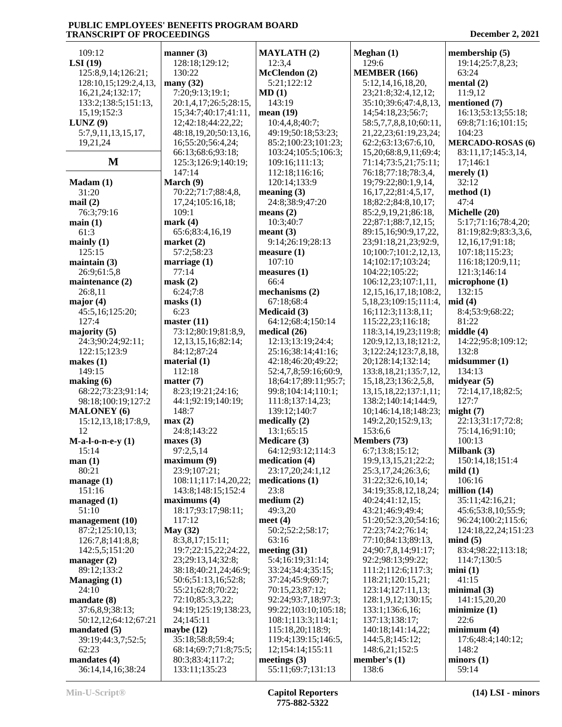| 109:12                               | manner $(3)$                                   | <b>MAYLATH (2)</b>                     | Meghan (1)                                             | membership (5)           |
|--------------------------------------|------------------------------------------------|----------------------------------------|--------------------------------------------------------|--------------------------|
| LSI(19)                              | 128:18;129:12;                                 | 12:3,4                                 | 129:6                                                  | 19:14;25:7,8,23;         |
| 125:8,9,14;126:21;                   | 130:22                                         | McClendon (2)                          | <b>MEMBER (166)</b>                                    | 63:24                    |
| 128:10, 15; 129: 2, 4, 13,           | many $(32)$                                    | 5:21;122:12                            | 5:12, 14, 16, 18, 20,                                  | mental $(2)$             |
| 16,21,24;132:17;                     | 7:20;9:13;19:1;                                | MD(1)                                  | 23;21:8;32:4,12,12;                                    | 11:9,12                  |
| 133:2;138:5;151:13,                  | 20:1,4,17;26:5;28:15,                          | 143:19                                 | 35:10;39:6;47:4,8,13,                                  | mentioned (7)            |
| 15, 19; 152: 3                       | 15;34:7;40:17;41:11,                           | mean $(19)$                            | 14;54:18,23;56:7;                                      | 16:13;53:13;55:18;       |
| LUNZ(9)                              | 12;42:18;44:22,22;                             | 10:4,4,8;40:7;                         | 58:5,7,7,8,8,10;60:11,                                 | 69:8;71:16;101:15;       |
| 5:7,9,11,13,15,17,                   | 48:18,19,20;50:13,16,                          | 49:19;50:18;53:23;                     | 21, 22, 23; 61: 19, 23, 24;                            | 104:23                   |
| 19,21,24                             | 16;55:20;56:4,24;                              | 85:2;100:23;101:23;                    | 62:2;63:13;67:6,10,                                    | <b>MERCADO-ROSAS (6)</b> |
|                                      | 66:13;68:6;93:18;                              | 103:24;105:5;106:3;                    | 15,20;68:8,9,11;69:4;                                  | 83:11,17;145:3,14,       |
| $\mathbf M$                          | 125:3;126:9;140:19;                            | 109:16;111:13;                         | 71:14;73:5,21;75:11;                                   | 17;146:1                 |
|                                      | 147:14                                         | 112:18;116:16;                         | 76:18;77:18;78:3,4,                                    | merely $(1)$             |
| Madam(1)                             | March (9)                                      | 120:14;133:9                           | 19;79:22;80:1,9,14,                                    | 32:12                    |
| 31:20                                | 70:22;71:7;88:4,8,                             | meaning $(3)$                          | 16, 17, 22; 81: 4, 5, 17,                              | method (1)               |
| mail(2)                              | 17,24;105:16,18;                               | 24:8;38:9;47:20                        | 18;82:2;84:8,10,17;                                    | 47:4                     |
| 76:3;79:16                           | 109:1                                          | means $(2)$                            | 85:2,9,19,21;86:18,                                    | Michelle (20)            |
| main(1)                              | mark $(4)$                                     | 10:3;40:7                              | 22;87:1;88:7,12,15;                                    | 5:17;71:16;78:4,20;      |
| 61:3                                 | 65:6;83:4,16,19                                | mean <sub>t</sub> (3)                  | 89:15,16;90:9,17,22,                                   | 81:19;82:9;83:3,3,6,     |
| mainly $(1)$                         | market $(2)$                                   | 9:14;26:19;28:13                       | 23;91:18,21,23;92:9,                                   | 12, 16, 17; 91: 18;      |
| 125:15                               | 57:2;58:23                                     | measure(1)                             | 10;100:7;101:2,12,13,                                  | 107:18;115:23;           |
| maintain (3)                         | marriage $(1)$                                 | 107:10                                 | 14;102:17;103:24;                                      | 116:18;120:9,11;         |
| 26:9;61:5,8                          | 77:14                                          | measures (1)                           | 104:22;105:22;                                         | 121:3;146:14             |
| maintenance $(2)$                    | mask(2)                                        | 66:4                                   | 106:12,23;107:1,11,                                    | microphone (1)           |
| 26:8,11                              | 6:24;7:8                                       | mechanisms $(2)$                       | 12, 15, 16, 17, 18; 108: 2,                            | 132:15                   |
| major $(4)$                          | masks(1)<br>6:23                               | 67:18;68:4                             | 5,18,23;109:15;111:4,                                  | mid(4)                   |
| 45:5,16;125:20;                      |                                                | Medicaid (3)                           | 16;112:3;113:8,11;                                     | 8:4;53:9;68:22;          |
| 127:4                                | master $(11)$                                  | 64:12;68:4;150:14                      | 115:22,23;116:18;                                      | 81:22<br>middle (4)      |
| majority (5)<br>24:3;90:24;92:11;    | 73:12;80:19;81:8,9,<br>12, 13, 15, 16; 82: 14; | medical (26)<br>12:13;13:19;24:4;      | 118:3, 14, 19, 23; 119:8;<br>120:9, 12, 13, 18; 121:2, | 14:22;95:8;109:12;       |
| 122:15;123:9                         | 84:12;87:24                                    | 25:16;38:14;41:16;                     | 3;122:24;123:7,8,18,                                   | 132:8                    |
| makes $(1)$                          | material $(1)$                                 | 42:18;46:20;49:22;                     | 20;128:14;132:14;                                      | mid summer (1)           |
| 149:15                               | 112:18                                         | 52:4,7,8;59:16;60:9,                   | 133:8, 18, 21; 135:7, 12,                              | 134:13                   |
| making (6)                           | matter $(7)$                                   | 18;64:17;89:11;95:7;                   | 15, 18, 23; 136: 2, 5, 8,                              | midyear $(5)$            |
| 68:22;73:23;91:14;                   | 8:23;19:21;24:16;                              | 99:8;104:14;110:1;                     | 13, 15, 18, 22; 137; 1, 11;                            | 72:14,17,18;82:5;        |
| 98:18;100:19;127:2                   | 44:1;92:19;140:19;                             | 111:8;137:14,23;                       | 138:2;140:14;144:9,                                    | 127:7                    |
| <b>MALONEY</b> (6)                   | 148:7                                          | 139:12;140:7                           | 10;146:14,18;148:23;                                   | might(7)                 |
| 15:12,13,18;17:8,9,                  | max(2)                                         | medically $(2)$                        | 149:2,20;152:9,13;                                     | 22:13;31:17;72:8;        |
| 12                                   | 24:8:143:22                                    | 13:1;65:15                             | 153:6,6                                                | 75:14,16;91:10;          |
| $M-a-l-o-n-e-y(1)$                   | maxes $(3)$                                    | Medicare (3)                           | Members (73)                                           | 100:13                   |
| 15:14                                | 97:2,5,14                                      | 64:12;93:12;114:3                      | 6:7;13:8;15:12;                                        | Milbank $(3)$            |
| man(1)                               | maximum (9)                                    | medication (4)                         | 19:9, 13, 15, 21; 22: 2;                               | 150:14,18;151:4          |
| 80:21                                | 23:9;107:21;                                   | 23:17,20;24:1,12                       | 25:3,17,24;26:3,6;                                     | mild(1)                  |
| manage $(1)$                         | 108:11;117:14,20,22;                           | medications (1)                        | 31:22;32:6,10,14;                                      | 106:16                   |
| 151:16                               | 143:8;148:15;152:4                             | 23:8                                   | 34:19;35:8,12,18,24;                                   | million $(14)$           |
| managed (1)                          | maximums(4)                                    | median(2)                              | 40:24;41:12,15;                                        | 35:11;42:16,21;          |
| 51:10                                | 18:17;93:17;98:11;                             | 49:3,20                                | 43:21;46:9;49:4;                                       | 45:6;53:8,10;55:9;       |
| management (10)                      | 117:12                                         | meet $(4)$                             | 51:20;52:3,20;54:16;                                   | 96:24;100:2;115:6;       |
| 87:2;125:10,13;                      | <b>May (32)</b>                                | 50:2;52:2;58:17;                       | 72:23;74:2;76:14;                                      | 124:18,22,24;151:23      |
| 126:7,8;141:8,8;                     | 8:3,8,17;15:11;                                | 63:16                                  | 77:10;84:13;89:13,                                     | mind(5)                  |
| 142:5,5;151:20                       | 19:7;22:15,22;24:22,                           | meeting $(31)$                         | 24;90:7,8,14;91:17;                                    | 83:4;98:22;113:18;       |
| manager $(2)$                        | 23;29:13,14;32:8;                              | 5:4;16:19;31:14;                       | 92:2;98:13;99:22;                                      | 114:7;130:5              |
| 89:12;133:2                          | 38:18;40:21,24;46:9;                           | 33:24;34:4;35:15;                      | 111:2;112:6;117:3;                                     | min(1)                   |
| Managing $(1)$                       | 50:6;51:13,16;52:8;                            | 37:24;45:9;69:7;                       | 118:21;120:15,21;                                      | 41:15                    |
| 24:10                                | 55:21;62:8;70:22;                              | 70:15,23;87:12;                        | 123:14;127:11,13;                                      | minimal(3)               |
| mandate $(8)$                        | 72:10;85:3,3,22;                               | 92:24;93:7,18;97:3;                    | 128:1,9,12;130:15;                                     | 141:15,20,20             |
| 37:6,8,9;38:13;                      | 94:19;125:19;138:23,                           | 99:22;103:10;105:18;                   | 133:1;136:6,16;                                        | minimize(1)<br>22:6      |
| 50:12,12;64:12;67:21                 | 24;145:11<br>maybe $(12)$                      | 108:1;113:3;114:1;<br>115:18,20;118:9; | 137:13;138:17;<br>140:18;141:14,22;                    | minimum(4)               |
| mandated $(5)$<br>39:19;44:3,7;52:5; | 35:18;58:8;59:4;                               | 119:4;139:15;146:5,                    | 144:5,8;145:12;                                        | 17:6;48:4;140:12;        |
| 62:23                                | 68:14;69:7;71:8;75:5;                          | 12;154:14;155:11                       | 148:6,21;152:5                                         | 148:2                    |
| mandates (4)                         | 80:3;83:4;117:2;                               | meetings $(3)$                         | member's $(1)$                                         | minors(1)                |
| 36:14,14,16;38:24                    | 133:11;135:23                                  | 55:11;69:7;131:13                      | 138:6                                                  | 59:14                    |
|                                      |                                                |                                        |                                                        |                          |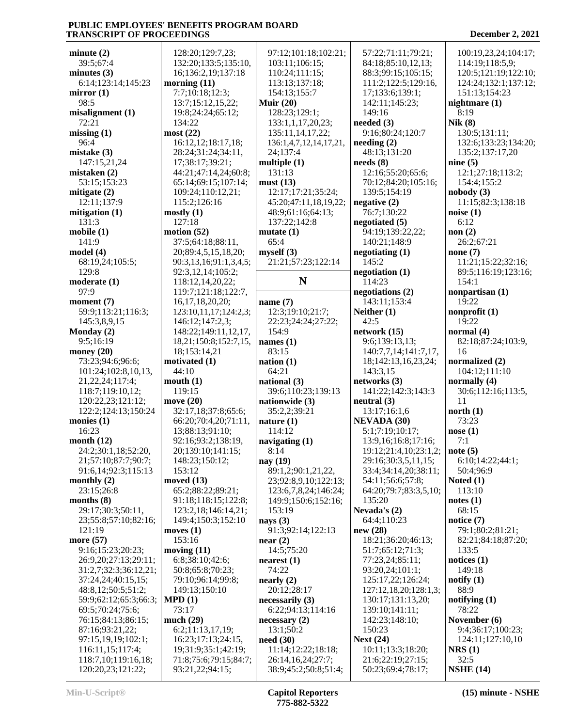| minute(2)                                 | 128:20;129:7,2                   |
|-------------------------------------------|----------------------------------|
| 39:5;67:4                                 | 132:20;133:5;1                   |
| minutes $(3)$                             | 16;136:2,19;13                   |
| 6:14;123:14;145:23                        | morning $(11)$                   |
| mirror(1)                                 | 7:7;10:18;12:3                   |
| 98:5                                      | 13:7;15:12,15,                   |
| misalignment(1)                           | 19:8;24:24;65:                   |
| 72:21                                     | 134:22                           |
| missing(1)                                | most(22)                         |
| 96:4                                      | 16:12,12;18:17                   |
| mistake (3)                               | 28:24;31:24;34                   |
| 147:15,21,24                              | 17;38:17;39:21                   |
| mistaken (2)<br>53:15;153:23              | 44:21;47:14,24                   |
| mitigate (2)                              | 65:14;69:15;10<br>109:24;110:12  |
| 12:11;137:9                               | 115:2;126:16                     |
| mitigation $(1)$                          | mostly(1)                        |
| 131:3                                     | 127:18                           |
| mobile(1)                                 | motion $(52)$                    |
| 141:9                                     | 37:5;64:18;88:                   |
| model (4)                                 | 20;89:4,5,15,1                   |
| 68:19,24;105:5;                           | 90:3,13,16;91:1                  |
| 129:8                                     | 92:3,12,14;105                   |
| moderate (1)                              | 118:12,14,20,2                   |
| 97:9                                      | 119:7;121:18;1                   |
| moment (7)                                | 16, 17, 18, 20, 20               |
| 59:9;113:21;116:3;                        | 123:10,11,17;12                  |
| 145:3,8,9,15                              | 146:12;147:2,3                   |
| Monday (2)                                | 148:22;149:11,                   |
| 9:5;16:19                                 | 18,21;150:8;15                   |
| money $(20)$<br>73:23;94:6;96:6;          | 18;153:14,21<br>motivated (1)    |
|                                           |                                  |
|                                           |                                  |
| 101:24;102:8,10,13,                       | 44:10                            |
| 21, 22, 24; 117: 4;                       | mouth(1)<br>119:15               |
| 118:7;119:10,12;<br>120:22,23;121:12;     | move (20)                        |
| 122:2;124:13;150:24                       | 32:17,18;37:8;                   |
| monies (1)                                | 66:20;70:4,20;                   |
| 16:23                                     | 13;88:13;91:10                   |
| month $(12)$                              | 92:16;93:2;138                   |
| 24:2;30:1,18;52:20,                       | 20;139:10;141                    |
| 21;57:10;87:7;90:7;                       | 148:23;150:12                    |
| 91:6,14;92:3;115:13                       | 153:12                           |
| monthly $(2)$                             | moved $(13)$                     |
| 23:15;26:8                                | 65:2;88:22;89:                   |
| months (8)                                | 91:18;118:15;1                   |
| 29:17;30:3;50:11,<br>23;55:8;57:10;82:16; | 123:2,18;146:1<br>149:4;150:3;15 |
| 121:19                                    | moves $(1)$                      |
| more (57)                                 | 153:16                           |
| 9:16;15:23;20:23;                         | moving $(11)$                    |
| 26:9,20;27:13;29:11;                      | 6:8;38:10;42:6                   |
| 31:2,7;32:3;36:12,21;                     | 50:8;65:8;70:2                   |
| 37:24,24;40:15,15;                        | 79:10;96:14;99                   |
| 48:8,12;50:5;51:2;                        | 149:13;150:10                    |
| 59:9;62:12;65:3;66:3;                     | MPD(1)                           |
| 69:5;70:24;75:6;                          | 73:17                            |
| 76:15;84:13;86:15;                        | much (29)                        |
| 87:16;93:21,22;<br>97:15,19,19;102:1;     | 6:2;11:13,17,1<br>16:23;17:13;24 |
| 116:11,15;117:4;                          | 19;31:9;35:1;4                   |
| 118:7,10;119:16,18;                       | 71:8;75:6;79:1.                  |

| 128:20;129:7,23;       | 97:12;101:18;102:21;   | 57:             |
|------------------------|------------------------|-----------------|
| 132:20;133:5;135:10,   | 103:11;106:15;         | 84:             |
| 16;136:2,19;137:18     | 110:24;111:15;         | 88:             |
|                        |                        |                 |
| orning (11)            | 113:13;137:18;         | 11              |
| 7:7;10:18;12:3;        | 154:13;155:7           | 17;             |
| 13:7;15:12,15,22;      | Muir $(20)$            | 142             |
| 19:8;24:24;65:12;      | 128:23;129:1;          | 149             |
| 134:22                 | 133:1,1,17,20,23;      | need            |
| ost (22)               | 135:11,14,17,22;       | 9:1             |
| 16:12,12;18:17,18;     | 136:1,4,7,12,14,17,21, | needi           |
| 28:24;31:24;34:11,     | 24;137:4               | 48:             |
| 17;38:17;39:21;        | multiple $(1)$         | needs           |
| 44:21;47:14,24;60:8;   | 131:13                 | 12:             |
| 65:14;69:15;107:14;    | must(13)               | 70:             |
| 109:24;110:12,21;      | 12:17;17:21;35:24;     | 13 <sup>0</sup> |
| 115:2;126:16           | 45:20;47:11,18,19,22;  | negat           |
| ostly (1)              | 48:9;61:16;64:13;      | 76:             |
| 127:18                 | 137:22;142:8           | negot           |
| otion (52)             | mutate $(1)$           | 94:             |
| 37:5;64:18;88:11,      | 65:4                   | 14(             |
| 20;89:4,5,15,18,20;    | myself(3)              | negot           |
| 90:3,13,16;91:1,3,4,5; |                        | 14 <sup>4</sup> |
|                        | 21:21;57:23;122:14     |                 |
| 92:3,12,14;105:2;      | N                      | negot           |
| 118:12,14,20,22;       |                        | 114             |
| 119:7;121:18;122:7,    |                        | negot           |
| 16, 17, 18, 20, 20;    | name $(7)$             | 14 <sup>°</sup> |
| 123:10,11,17;124:2,3;  | 12:3;19:10;21:7;       | <b>Neith</b>    |
| 146:12;147:2,3;        | 22:23;24:24;27:22;     | 42:             |
| 148:22;149:11,12,17,   | 154:9                  | netwo           |
| 18,21;150:8;152:7,15,  | names $(1)$            | 9:6             |
| 18;153:14,21           | 83:15                  | 140             |
| otivated (1)           | nation(1)              | 18;             |
| 44:10                  | 64:21                  | 14.             |
| outh (1)               | national (3)           | netwo           |
| 119:15                 | 39:6;110:23;139:13     | 14 <sup>2</sup> |
| ove (20)               | nationwide (3)         | neutr           |
| 32:17,18;37:8;65:6;    | 35:2,2;39:21           | 13:             |
| 66:20;70:4,20;71:11,   | nature $(1)$           | NEV.            |
| 13;88:13;91:10;        | 114:12                 | 5:1             |
| 92:16;93:2;138:19,     | navigating (1)         | 13:             |
| 20;139:10;141:15;      | 8:14                   | 19:             |
| 148:23;150:12;         | nay (19)               | 29:             |
| 153:12                 | 89:1,2;90:1,21,22,     | 33:             |
| oved (13)              | 23;92:8,9,10;122:13;   | 54:             |
| 65:2;88:22;89:21;      | 123:6,7,8,24;146:24;   | 64:             |
| 91:18;118:15;122:8;    | 149:9;150:6;152:16;    | 13.5            |
| 123:2,18;146:14,21;    | 153:19                 | <b>Neva</b>     |
| 149:4;150:3;152:10     | nays $(3)$             | 64:             |
| oves (1)               | 91:3;92:14;122:13      | new (           |
| 153:16                 | near(2)                | 18:             |
| oving (11)             | 14:5;75:20             | 51:             |
| 6:8;38:10;42:6;        | nearest(1)             | 77:             |
| 50:8;65:8;70:23;       | 74:22                  | 93:             |
| 79:10;96:14;99:8;      | nearly (2)             | 12.             |
| 149:13;150:10          | 20:12;28:17            | 127             |
| PD (1)                 | necessarily $(3)$      | 130             |
| 73:17                  | 6:22;94:13;114:16      | 13 <sup>0</sup> |
| uch (29)               | necessary(2)           | 142             |
| 6:2;11:13,17,19;       | 13:1;50:2              | 150             |
| 16:23;17:13;24:15,     | need(30)               | <b>Next</b>     |
| 19;31:9;35:1;42:19;    | 11:14;12:22;18:18;     | 10:             |
| 71:8;75:6;79:15;84:7;  | 26:14,16,24;27:7;      | 21:             |
|                        |                        |                 |
| 93:21,22;94:15;        | 38:9;45:2;50:8;51:4;   | 50:             |

 57:22;71:11;79:21; 84:18;85:10,12,13; 88:3;99:15;105:15; 111:2;122:5;129:16, 17;133:6;139:1; 142:11;145:23; 149:16 **needed (3)** 9:16;80:24;120:7 **needing (2)** 48:13;131:20 **needs (8)** 12:16;55:20;65:6; 70:12;84:20;105:16; 139:5;154:19 **negative (2)** 76:7;130:22 **negotiated (5)** 94:19;139:22,22; 140:21;148:9 **negotiating (1)** 145:2 **negotiation (1)** 114:23 **negotiations (2)** 143:11;153:4 **Neither (1)** 42:5 **network (15)** 9:6;139:13,13; 140:7,7,14;141:7,17, 18;142:13,16,23,24; 143:3,15 **networks (3)** 141:22;142:3;143:3 **neutral (3)** 13:17;16:1,6 **NEVADA (30)** 5:1;7:19;10:17; 13:9,16;16:8;17:16; 19:12;21:4,10;23:1,2; 29:16;30:3,5,11,15; 33:4;34:14,20;38:11; 54:11;56:6;57:8; 64:20;79:7;83:3,5,10; 135:20 **Nevada's (2)** 64:4;110:23 **new (28)** 18:21;36:20;46:13; 51:7;65:12;71:3; 77:23,24;85:11; 93:20,24;101:1; 125:17,22;126:24; 127:12,18,20;128:1,3; 130:17;131:13,20; 139:10;141:11; 142:23;148:10; 150:23 **Next (24)** 10:11;13:3;18:20; 21:6;22:19;27:15; 50:23;69:4;78:17;

 100:19,23,24;104:17; 114:19;118:5,9; 120:5;121:19;122:10; 124:24;132:1;137:12; 151:13;154:23 **nightmare (1)** 8:19 **Nik (8)** 130:5;131:11; 132:6;133:23;134:20; 135:2;137:17,20 **nine (5)** 12:1;27:18;113:2; 154:4;155:2 **nobody (3)** 11:15;82:3;138:18 **noise (1)** 6:12 **non (2)** 26:2;67:21 **none (7)** 11:21;15:22;32:16; 89:5;116:19;123:16; 154:1 **nonpartisan (1)** 19:22 **nonprofit (1)** 19:22 **normal (4)** 82:18;87:24;103:9, 16 **normalized (2)** 104:12;111:10 **normally (4)** 30:6;112:16;113:5, 11 **north (1)** 73:23 **nose (1)** 7:1 **note (5)** 6:10;14:22;44:1; 50:4;96:9 **Noted (1)** 113:10 **notes (1)** 68:15 **notice (7)** 79:1;80:2;81:21; 82:21;84:18;87:20; 133:5 **notices (1)** 149:18 **notify (1)** 88:9 **notifying (1)** 78:22 **November (6)** 9:4;36:17;100:23; 124:11;127:10,10 **NRS (1)** 32:5 **NSHE (14)**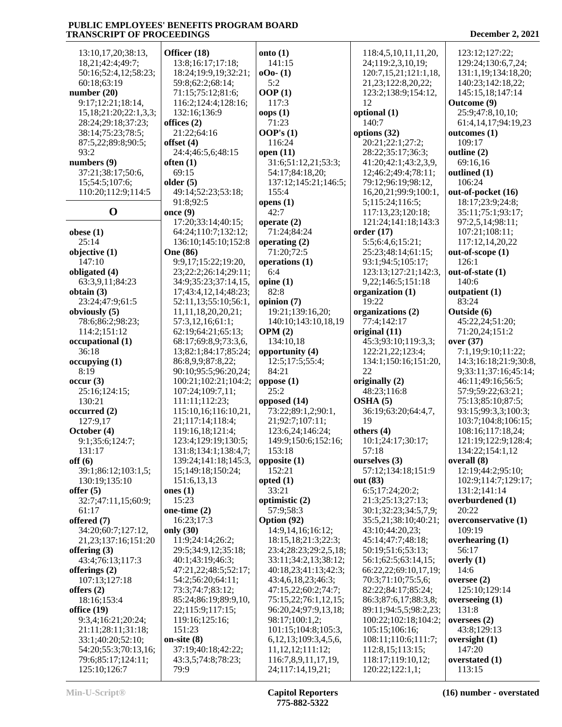| 13:10, 17, 20; 38:13,        | Officer (18)            | onto $(1)$                    | 118:4,5,10,11,11,20,    | 123:12;127:22;          |
|------------------------------|-------------------------|-------------------------------|-------------------------|-------------------------|
| 18,21;42:4;49:7;             | 13:8;16:17;17:18;       | 141:15                        | 24;119:2,3,10,19;       | 129:24;130:6,7,24;      |
| 50:16;52:4,12;58:23;         | 18:24;19:9,19;32:21;    | $000 - (1)$                   | 120:7,15,21;121:1,18,   | 131:1,19;134:18,20;     |
| 60:18;63:19                  | 59:8;62:2;68:14;        | 5:2                           | 21, 23; 122: 8, 20, 22; | 140:23;142:18,22;       |
| number $(20)$                | 71:15;75:12;81:6;       | OOP(1)                        | 123:2;138:9;154:12,     | 145:15,18;147:14        |
| 9:17:12:21:18:14.            | 116:2;124:4;128:16;     | 117:3                         | 12                      | Outcome (9)             |
| 15, 18; 21: 20; 22: 1, 3, 3; | 132:16;136:9            | $^{8}$ oops $(1)$             | optional (1)            | 25:9;47:8,10,10;        |
| 28:24;29:18;37:23;           | offices $(2)$           | 71:23                         | 140:7                   | 61:4,14,17;94:19,23     |
| 38:14;75:23;78:5;            | 21:22;64:16             | OOP's(1)                      | options (32)            | outcomes <sub>(1)</sub> |
| 87:5,22;89:8;90:5;           | offset $(4)$            | 116:24                        | 20:21;22:1;27:2;        | 109:17                  |
| 93:2                         | 24:4;46:5,6;48:15       | open $(11)$                   | 28:22;35:17;36:3;       | outline (2)             |
| numbers $(9)$                | often $(1)$             | 31:6;51:12,21;53:3;           | 41:20;42:1;43:2,3,9,    | 69:16,16                |
| 37:21;38:17;50:6,            | 69:15                   | 54:17;84:18,20;               | 12;46:2;49:4;78:11;     | outlined (1)            |
|                              |                         |                               |                         | 106:24                  |
| 15;54:5;107:6;               | older $(5)$             | 137:12;145:21;146:5;<br>155:4 | 79:12;96:19;98:12,      |                         |
| 110:20;112:9;114:5           | 49:14;52:23;53:18;      |                               | 16,20,21;99:9;100:1,    | out-of-pocket (16)      |
|                              | 91:8;92:5               | opens $(1)$                   | 5;115:24;116:5;         | 18:17;23:9;24:8;        |
| $\mathbf 0$                  | once $(9)$              | 42:7                          | 117:13,23;120:18;       | 35:11;75:1;93:17;       |
|                              | 17:20;33:14;40:15;      | operate $(2)$                 | 121:24;141:18;143:3     | 97:2,5,14;98:11;        |
| obese(1)                     | 64:24;110:7;132:12;     | 71:24;84:24                   | order(17)               | 107:21;108:11;          |
| 25:14                        | 136:10;145:10;152:8     | operating $(2)$               | 5:5;6:4,6;15:21;        | 117:12,14,20,22         |
| objective (1)                | <b>One</b> (86)         | 71:20;72:5                    | 25:23;48:14;61:15;      | out-of-scope (1)        |
| 147:10                       | 9:9,17;15:22;19:20,     | operations (1)                | 93:1;94:5;105:17;       | 126:1                   |
| obligated (4)                | 23;22:2;26:14;29:11;    | 6:4                           | 123:13;127:21;142:3,    | out-of-state (1)        |
| 63:3,9,11;84:23              | 34:9;35:23;37:14,15,    | opine $(1)$                   | 9,22;146:5;151:18       | 140:6                   |
| obtain $(3)$                 | 17;43:4,12,14;48:23;    | 82:8                          | organization (1)        | outpatient (1)          |
| 23:24;47:9;61:5              | 52:11,13;55:10;56:1,    | opinion (7)                   | 19:22                   | 83:24                   |
| obviously $(5)$              | 11, 11, 18, 20, 20, 21; | 19:21;139:16,20;              | organizations (2)       | Outside (6)             |
| 78:6;86:2;98:23;             | 57:3,12,16;61:1;        | 140:10;143:10,18,19           | 77:4;142:17             | 45:22,24;51:20;         |
| 114:2;151:12                 | 62:19;64:21;65:13;      | OPM(2)                        | original (11)           | 71:20,24;151:2          |
| occupational (1)             | 68:17;69:8,9;73:3,6,    | 134:10,18                     | 45:3;93:10;119:3,3;     | over (37)               |
| 36:18                        | 13;82:1;84:17;85:24;    | opportunity (4)               | 122:21,22;123:4;        | 7:1,19;9:10;11:22;      |
| occupying(1)                 | 86:8,9,9;87:8,22;       | 12:5;17:5;55:4;               | 134:1;150:16;151:20,    | 14:3;16:18;21:9;30:8,   |
| 8:19                         | 90:10;95:5;96:20,24;    | 84:21                         | 22                      | 9;33:11;37:16;45:14;    |
| occur(3)                     | 100:21;102:21;104:2;    | oppose(1)                     | originally (2)          | 46:11;49:16;56:5;       |
| 25:16;124:15;                | 107:24;109:7,11;        | 25:2                          | 48:23;116:8             | 57:9;59:22;63:21;       |
| 130:21                       |                         |                               |                         |                         |
|                              | 111:11;112:23;          | opposed (14)                  | OSHA(5)                 | 75:13;85:10;87:5;       |
| occurred(2)                  | 115:10,16;116:10,21,    | 73:22;89:1,2;90:1,            | 36:19;63:20;64:4,7,     | 93:15;99:3,3;100:3;     |
| 127:9,17                     | 21;117:14;118:4;        | 21;92:7;107:11;               | 19                      | 103:7;104:8;106:15;     |
| October (4)                  | 119:16,18;121:4;        | 123:6,24;146:24;              | others $(4)$            | 108:16;117:18,24;       |
| 9:1;35:6;124:7;              | 123:4;129:19;130:5;     | 149:9;150:6;152:16;           | 10:1;24:17;30:17;       | 121:19;122:9;128:4;     |
| 131:17                       | 131:8;134:1;138:4,7;    | 153:18                        | 57:18                   | 134:22;154:1,12         |
| off(6)                       | 139:24;141:18;145:3,    | opposite $(1)$                | ourselves (3)           | overall (8)             |
| 39:1;86:12;103:1,5;          | 15;149:18;150:24;       | 152:21                        | 57:12;134:18;151:9      | 12:19;44:2;95:10;       |
| 130:19;135:10                | 151:6,13,13             | opted $(1)$                   | out (83)                | 102:9;114:7;129:17;     |
| offer $(5)$                  | ones $(1)$              | 33:21                         | 6:5;17:24;20:2;         | 131:2;141:14            |
| 32:7;47:11,15;60:9;          | 15:23                   | optimistic $(2)$              | 21:3;25:13;27:13;       | overburdened (1)        |
| 61:17                        | one-time $(2)$          | 57:9;58:3                     | 30:1;32:23;34:5,7,9;    | 20:22                   |
| offered (7)                  | 16:23;17:3              | Option (92)                   | 35:5,21;38:10;40:21;    | overconservative (1)    |
| 34:20;60:7;127:12,           | only (30)               | 14:9,14,16;16:12;             | 43:10;44:20,23;         | 109:19                  |
| 21, 23; 137: 16; 151: 20     | 11:9;24:14;26:2;        | 18:15,18;21:3;22:3;           | 45:14;47:7;48:18;       | overhearing $(1)$       |
| offering $(3)$               | 29:5;34:9,12;35:18;     | 23:4;28:23;29:2,5,18;         | 50:19;51:6;53:13;       | 56:17                   |
| 43:4;76:13;117:3             | 40:1;43:19;46:3;        | 33:11;34:2,13;38:12;          | 56:1;62:5;63:14,15;     | overly $(1)$            |
| offerings $(2)$              | 47:21,22;48:5;52:17;    | 40:18,23;41:13;42:3;          | 66:22,22;69:10,17,19;   | 14:6                    |
| 107:13;127:18                | 54:2;56:20;64:11;       | 43:4,6,18,23;46:3;            | 70:3;71:10;75:5,6;      | oversee $(2)$           |
| offers $(2)$                 | 73:3;74:7;83:12;        | 47:15,22;60:2;74:7;           | 82:22;84:17;85:24;      | 125:10;129:14           |
| 18:16;153:4                  | 85:24;86:19;89:9,10,    | 75:15,22;76:1,12,15;          | 86:3;87:6,17;88:3,8;    | overseeing $(1)$        |
| office $(19)$                | 22;115:9;117:15;        | 96:20,24;97:9,13,18;          | 89:11;94:5,5;98:2,23;   | 131:8                   |
| 9:3,4;16:21;20:24;           | 119:16;125:16;          | 98:17;100:1,2;                | 100:22;102:18;104:2;    | oversees $(2)$          |
| 21:11;28:11;31:18;           | 151:23                  | 101:15;104:8;105:3,           | 105:15;106:16;          | 43:8;129:13             |
| 33:1;40:20;52:10;            | on-site $(8)$           | 6, 12, 13; 109: 3, 4, 5, 6,   | 108:11;110:6;111:7;     | oversight $(1)$         |
| 54:20;55:3;70:13,16;         | 37:19;40:18;42:22;      | 11, 12, 12; 111: 12;          | 112:8,15;113:15;        | 147:20                  |
| 79:6;85:17;124:11;           | 43:3,5;74:8;78:23;      | 116:7,8,9,11,17,19,           | 118:17;119:10,12;       | overstated (1)          |
| 125:10;126:7                 | 79:9                    | 24;117:14,19,21;              | 120:22;122:1,1;         | 113:15                  |
|                              |                         |                               |                         |                         |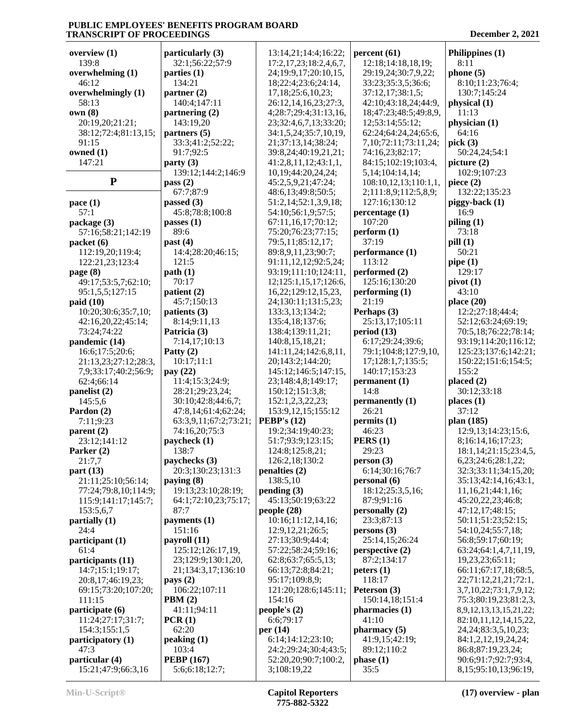| overview $(1)$                               | particularly (3)                 | 13:14,21;14:4;16:22;                      | percent(61)                               | Philippines (1)                                        |
|----------------------------------------------|----------------------------------|-------------------------------------------|-------------------------------------------|--------------------------------------------------------|
| 139:8                                        | 32:1;56:22;57:9                  | 17:2, 17, 23; 18:2, 4, 6, 7,              | 12:18;14:18,18,19;                        | 8:11                                                   |
| overwhelming (1)                             | parties $(1)$                    | 24;19:9,17;20:10,15,                      | 29:19,24;30:7,9,22;                       | phone $(5)$                                            |
| 46:12                                        | 134:21                           | 18;22:4;23:6;24:14,                       | 33:23;35:3,5;36:6;                        | 8:10;11:23;76:4;                                       |
| overwhelmingly (1)                           | partner $(2)$                    | 17,18;25:6,10,23;                         | 37:12,17;38:1,5;                          | 130:7;145:24                                           |
| 58:13                                        | 140:4;147:11                     | 26:12,14,16,23;27:3,                      | 42:10;43:18,24;44:9,                      | physical (1)                                           |
| own(8)                                       | partnering $(2)$                 | 4;28:7;29:4;31:13,16,                     | 18;47:23;48:5;49:8,9,                     | 11:13                                                  |
| 20:19,20;21:21;                              | 143:19,20                        | 23;32:4,6,7,13;33:20;                     | 12;53:14;55:12;                           | physician (1)                                          |
| 38:12;72:4;81:13,15;                         | partners (5)                     | 34:1,5,24;35:7,10,19,                     | 62:24;64:24,24;65:6,                      | 64:16                                                  |
| 91:15                                        | 33:3;41:2;52:22;                 | 21;37:13,14;38:24;                        | 7, 10; 72: 11; 73: 11, 24;                | pick $(3)$                                             |
| owned (1)                                    | 91:7;92:5                        | 39:8,24;40:19,21,21;                      | 74:16,23;82:17;                           | 50:24,24;54:1                                          |
| 147:21                                       | party(3)                         | 41:2,8,11,12;43:1,1,                      | 84:15;102:19;103:4,                       | picture $(2)$                                          |
| ${\bf P}$                                    | 139:12;144:2;146:9               | 10,19;44:20,24,24;                        | 5, 14; 104: 14, 14;                       | 102:9;107:23                                           |
|                                              | pass $(2)$<br>67:7;87:9          | 45:2,5,9,21;47:24;<br>48:6,13;49:8;50:5;  | 108:10,12,13;110:1,1,                     | piece $(2)$<br>132:22;135:23                           |
|                                              | passed $(3)$                     | 51:2,14;52:1,3,9,18;                      | 2;111:8,9;112:5,8,9;<br>127:16;130:12     | piggy-back (1)                                         |
| pace $(1)$<br>57:1                           | 45:8;78:8;100:8                  | 54:10;56:1,9;57:5;                        | percentage (1)                            | 16:9                                                   |
| package (3)                                  | passes $(1)$                     | 67:11,16,17;70:12;                        | 107:20                                    | piling $(1)$                                           |
| 57:16;58:21;142:19                           | 89:6                             | 75:20;76:23;77:15;                        | perform (1)                               | 73:18                                                  |
| packet (6)                                   | past $(4)$                       | 79:5,11;85:12,17;                         | 37:19                                     | pill(1)                                                |
| 112:19,20;119:4;                             | 14:4;28:20;46:15;                | 89:8,9,11,23;90:7;                        | performance (1)                           | 50:21                                                  |
| 122:21,23;123:4                              | 121:5                            | 91:11, 12, 12; 92: 5, 24;                 | 113:12                                    | pipe $(1)$                                             |
| page $(8)$                                   | path(1)                          | 93:19;111:10;124:11,                      | performed (2)                             | 129:17                                                 |
| 49:17;53:5,7;62:10;                          | 70:17                            | 12;125:1,15,17;126:6,                     | 125:16:130:20                             | pivot(1)                                               |
| 95:1,5,5;127:15                              | patient (2)                      | 16, 22; 129: 12, 15, 23,                  | performing $(1)$                          | 43:10                                                  |
| paid(10)                                     | 45:7;150:13                      | 24;130:11;131:5,23;                       | 21:19                                     | place $(20)$                                           |
| 10:20;30:6;35:7,10;                          | patients (3)                     | 133:3,13;134:2;                           | Perhaps (3)                               | 12:2;27:18;44:4;                                       |
| 42:16,20,22;45:14;                           | 8:14;9:11,13                     | 135:4,18;137:6;                           | 25:13,17;105:11                           | 52:12;63:24;69:19;                                     |
| 73:24;74:22                                  | Patricia (3)                     | 138:4;139:11,21;                          | period $(13)$                             | 70:5,18;76:22;78:14;                                   |
| pandemic (14)                                | 7:14,17;10:13                    | 140:8,15,18,21;                           | 6:17;29:24;39:6;                          | 93:19;114:20;116:12;                                   |
| 16:6;17:5;20:6;                              | Patty $(2)$<br>10:17;11:1        | 141:11,24;142:6,8,11,<br>20;143:2;144:20; | 79:1;104:8;127:9,10,<br>17;128:1,7;135:5; | 125:23;137:6;142:21;<br>150:22;151:6;154:5;            |
| 21:13,23;27:12;28:3,<br>7,9;33:17;40:2;56:9; | pay (22)                         | 145:12;146:5;147:15,                      | 140:17;153:23                             | 155:2                                                  |
| 62:4;66:14                                   | 11:4;15:3;24:9;                  | 23;148:4,8;149:17;                        | permanent (1)                             | placed $(2)$                                           |
| panelist (2)                                 | 28:21;29:23,24;                  | 150:12;151:3,8;                           | 14:8                                      | 30:12;33:18                                            |
| 145:5,6                                      | 30:10;42:8;44:6,7;               | 152:1,2,3,22,23;                          | permanently (1)                           | places $(1)$                                           |
| Pardon (2)                                   | 47:8,14;61:4;62:24;              | 153:9, 12, 15; 155: 12                    | 26:21                                     | 37:12                                                  |
| 7:11;9:23                                    | 63:3,9,11;67:2;73:21;            | PEBP's $(12)$                             | permits (1)                               | plan (185)                                             |
| parent $(2)$                                 | 74:16,20;75:3                    | 19:2;34:19;40:23;                         | 46:23                                     | 12:9,13;14:23;15:6,                                    |
| 23:12;141:12                                 | paycheck (1)                     | 51:7:93:9:123:15:                         | PERS(1)                                   | 8;16:14,16;17:23;                                      |
| Parker (2)                                   | 138:7                            | 124:8;125:8,21;                           | 29:23                                     | 18:1, 14: 21: 15: 23: 4, 5,                            |
| 21:7,7                                       | paychecks (3)                    | 126:2,18;130:2                            | person(3)                                 | 6,23;24:6;28:1,22;                                     |
| part $(13)$                                  | 20:3;130:23;131:3                | penalties (2)<br>138:5,10                 | 6:14;30:16;76:7                           | 32:3;33:11;34:15,20;                                   |
| 21:11;25:10;56:14;<br>77:24;79:8,10;114:9;   | paying (8)<br>19:13;23:10;28:19; | pending(3)                                | personal (6)<br>18:12;25:3,5,16;          | 35:13;42:14,16;43:1,<br>11,16,21;44:1,16;              |
| 115:9;141:17;145:7;                          | 64:1;72:10,23;75:17;             | 45:13;50:19;63:22                         | 87:9;91:16                                | 45:20,22,23;46:8;                                      |
| 153:5,6,7                                    | 87:7                             | people $(28)$                             | personally (2)                            | 47:12,17;48:15;                                        |
| partially (1)                                | payments $(1)$                   | 10:16;11:12,14,16;                        | 23:3;87:13                                | 50:11;51:23;52:15;                                     |
| 24:4                                         | 151:16                           | 12:9,12,21;26:5;                          | persons(3)                                | 54:10,24;55:7,18;                                      |
| participant (1)                              | payroll (11)                     | 27:13:30:9:44:4:                          | 25:14,15;26:24                            | 56:8;59:17;60:19;                                      |
| 61:4                                         | 125:12;126:17,19,                | 57:22;58:24;59:16;                        | perspective $(2)$                         | 63:24;64:1,4,7,11,19,                                  |
| participants (11)                            | 23;129:9;130:1,20,               | 62:8;63:7;65:5,13;                        | 87:2;134:17                               | 19,23,23;65:11;                                        |
| 14:7;15:1;19:17;                             | 21;134:3,17;136:10               | 66:13;72:8;84:21;                         | peters(1)                                 | 66:11;67:17,18;68:5,                                   |
| 20:8,17;46:19,23;                            | pays $(2)$                       | 95:17;109:8,9;                            | 118:17                                    | 22;71:12,21,21;72:1,                                   |
| 69:15;73:20;107:20;                          | 106:22;107:11                    | 121:20;128:6;145:11;                      | Peterson (3)                              | 3,7,10,22;73:1,7,9,12;                                 |
| 111:15<br>participate (6)                    | PBM(2)<br>41:11;94:11            | 154:16<br>people's $(2)$                  | 150:14,18;151:4<br>pharmacies (1)         | 75:3;80:19,23;81:2,3,<br>8, 9, 12, 13, 13, 15, 21, 22; |
| 11:24;27:17;31:7;                            | PCR(1)                           | 6:6;79:17                                 | 41:10                                     | 82:10,11,12,14,15,22,                                  |
| 154:3;155:1,5                                | 62:20                            | per $(14)$                                | pharmacy(5)                               | 24, 24; 83: 3, 5, 10, 23;                              |
| participatory (1)                            | peaking (1)                      | 6:14;14:12;23:10;                         | 41:9,15;42:19;                            | 84:1,2,12,19,24,24;                                    |
| 47:3                                         | 103:4                            | 24:2;29:24;30:4;43:5;                     | 89:12;110:2                               | 86:8;87:19,23,24;                                      |
| particular (4)                               | <b>PEBP</b> (167)                | 52:20,20;90:7;100:2,                      | phase(1)                                  | 90:6;91:7;92:7;93:4,                                   |
| 15:21;47:9;66:3,16                           | 5:6;6:18;12:7;                   | 3;108:19,22                               | 35:5                                      | 8, 15; 95: 10, 13; 96: 19,                             |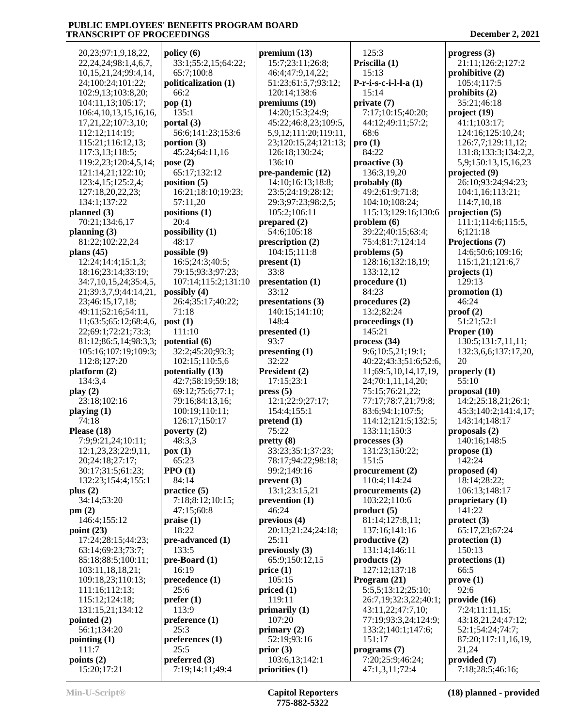20,23;97:1,9,18,22, 22,24,24;98:1,4,6,7, 10,15,21,24;99:4,14, 24;100:24;101:22; 102:9,13;103:8,20; 104:11,13;105:17; 106:4,10,13,15,16,16, 17,21,22;107:3,10; 112:12;114:19; 115:21;116:12,13; 117:3,13;118:5; 119:2,23;120:4,5,14; 121:14,21;122:10; 123:4,15;125:2,4; 127:18,20,22,23; 134:1;137:22 **planned (3)** 70:21;134:6,17 **planning (3)** 81:22;102:22,24 **plans (45)** 12:24;14:4;15:1,3; 18:16;23:14;33:19; 34:7,10,15,24;35:4,5, 21;39:3,7,9;44:14,21, 23;46:15,17,18; 49:11;52:16;54:11, 11;63:5;65:12;68:4,6, 22;69:1;72:21;73:3; 81:12;86:5,14;98:3,3; 105:16;107:19;109:3; 112:8;127:20 **platform (2)** 134:3,4 **play (2)** 23:18;102:16 **playing (1)** 74:18 **Please (18)** 7:9;9:21,24;10:11; 12:1,23,23;22:9,11, 20;24:18;27:17; 30:17;31:5;61:23; 132:23;154:4;155:1 **plus (2)** 34:14;53:20 **pm (2)** 146:4;155:12 **point (23)** 17:24;28:15;44:23; 63:14;69:23;73:7; 85:18;88:5;100:11; 103:11,18,18,21; 109:18,23;110:13; 111:16;112:13; 115:12;124:18; 131:15,21;134:12 **pointed (2)** 56:1;134:20 **pointing (1)** 111:7 **points (2)** 15:20;17:21 **policy (6)** 33:1;55:2,15;64:22; 65:7;100:8 **politicalization (1)** 66:2 **pop (1)** 135:1 **portal (3)** 56:6;141:23;153:6 **portion (3)** 45:24;64:11,16 **pose (2)** 65:17;132:12 **position (5)** 16:21;18:10;19:23; 57:11,20 **positions (1)** 20:4 **possibility (1)** 48:17 **possible (9)** 16:5;24:3;40:5; 79:15;93:3;97:23; 107:14;115:2;131:10 **possibly (4)** 26:4;35:17;40:22; 71:18 **post (1)** 111:10 **potential (6)** 32:2;45:20;93:3; 102:15;110:5,6 **potentially (13)** 42:7;58:19;59:18; 69:12;75:6;77:1; 79:16;84:13,16; 100:19;110:11; 126:17;150:17 **poverty (2)** 48:3,3 **pox (1)** 65:23 **PPO (1)** 84:14 **practice (5)** 7:18;8:12;10:15; 47:15;60:8 **praise (1)** 18:22 **pre-advanced (1)** 133:5 **pre-Board (1)** 16:19 **precedence (1)** 25:6 **prefer (1)** 113:9 **preference (1)** 25:3 **preferences (1)** 25:5 **preferred (3)** 7:19;14:11;49:4 **premium (13)** 15:7;23:11;26:8; 46:4;47:9,14,22; 51:23;61:5,7;93:12; 120:14;138:6 **premiums (19)** 14:20;15:3;24:9; 45:22;46:8,23;109:5, 5,9,12;111:20;119:11, 23;120:15,24;121:13; 126:18;130:24; 136:10 **pre-pandemic (12)** 14:10;16:13;18:8; 23:5;24:19;28:12; 29:3;97:23;98:2,5; 105:2;106:11 **prepared (2)** 54:6;105:18 **prescription (2)** 104:15;111:8 **present (1)** 33:8 **presentation (1)** 33:12 **presentations (3)** 140:15;141:10; 148:4 **presented (1)** 93:7 **presenting (1)** 32:22 **President (2)** 17:15;23:1 **press (5)** 12:1;22:9;27:17; 154:4;155:1 **pretend (1)** 75:22 **pretty (8)** 33:23;35:1;37:23; 78:17;94:22;98:18; 99:2;149:16 **prevent (3)** 13:1;23:15,21 **prevention (1)** 46:24 **previous (4)** 20:13;21:24;24:18; 25:11 **previously (3)** 65:9;150:12,15 **price (1)** 105:15 **priced (1)** 119:11 **primarily (1)** 107:20 **primary (2)** 52:19;93:16 **prior (3)** 103:6,13;142:1 **priorities (1)**

**Priscilla (1)** 15:13 **P-r-i-s-c-i-l-l-a (1)** 15:14 **private (7)** 7:17;10:15;40:20; 44:12;49:11;57:2; 68:6 **pro (1)** 84:22 **proactive (3)** 136:3,19,20 **probably (8)** 49:2;61:9;71:8; 104:10;108:24; 115:13;129:16;130:6 **problem (6)** 39:22;40:15;63:4; 75:4;81:7;124:14 **problems (5)** 128:16;132:18,19; 133:12,12 **procedure (1)** 84:23 **procedures (2)** 13:2;82:24 **proceedings (1)** 145:21 **process (34)** 9:6;10:5,21;19:1; 40:22;43:3;51:6;52:6, 11;69:5,10,14,17,19, 24;70:1,11,14,20; 75:15;76:21,22; 77:17;78:7,21;79:8; 83:6;94:1;107:5; 114:12;121:5;132:5; 133:11;150:3 **processes (3)** 131:23;150:22; 151:5 **procurement (2)** 110:4;114:24 **procurements (2)** 103:22;110:6 **product (5)** 81:14;127:8,11; 137:16;141:16 **productive (2)** 131:14;146:11 **products (2)** 127:12;137:18 **Program (21)** 5:5,5;13:12;25:10; 26:7,19;32:3,22;40:1; 43:11,22;47:7,10; 77:19;93:3,24;124:9; 133:2;140:1;147:6; 151:17 **programs (7)** 7:20;25:9;46:24; 47:1,3,11;72:4

125:3

**progress (3)**

 21:11;126:2;127:2 **prohibitive (2)** 105:4;117:5 **prohibits (2)** 35:21;46:18 **project (19)** 41:1;103:17; 124:16;125:10,24; 126:7,7;129:11,12; 131:8;133:3;134:2,2, 5,9;150:13,15,16,23 **projected (9)** 26:10;93:24;94:23; 104:1,16;113:21; 114:7,10,18 **projection (5)** 111:1;114:6;115:5, 6;121:18 **Projections (7)** 14:6;50:6;109:16; 115:1,21;121:6,7 **projects (1)** 129:13 **promotion (1)** 46:24 **proof (2)** 51:21;52:1 **Proper (10)** 130:5;131:7,11,11; 132:3,6,6;137:17,20, 20 **properly (1)** 55:10 **proposal (10)** 14:2;25:18,21;26:1; 45:3;140:2;141:4,17; 143:14;148:17 **proposals (2)** 140:16;148:5 **propose (1)** 142:24 **proposed (4)** 18:14;28:22; 106:13;148:17 **proprietary (1)** 141:22 **protect (3)** 65:17,23;67:24 **protection (1)** 150:13 **protections (1)** 66:5 **prove (1)** 92:6 **provide (16)** 7:24;11:11,15; 43:18,21,24;47:12; 52:1;54:24;74:7; 87:20;117:11,16,19, 21,24 **provided (7)** 7:18;28:5;46:16;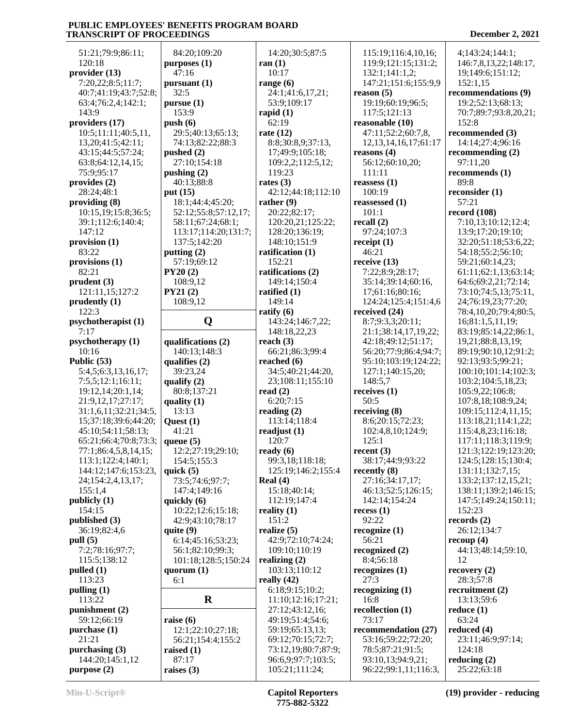51:21;79:9;86:11; 120:18 **provider (13)** 7:20,22;8:5;11:7; 40:7;41:19;43:7;52:8; 63:4;76:2,4;142:1; 143:9 **providers (17)** 10:5;11:11;40:5,11, 13,20;41:5;42:11; 43:15;44:5;57:24; 63:8;64:12,14,15; 75:9;95:17 **provides (2)** 28:24;48:1 **providing (8)** 10:15,19;15:8;36:5; 39:1;112:6;140:4; 147:12 **provision (1)** 83:22 **provisions (1)** 82:21 **prudent (3)** 121:11,15;127:2 **prudently (1)** 122:3 **psychotherapist (1)** 7:17 **psychotherapy (1)** 10:16 **Public (53)** 5:4,5;6:3,13,16,17; 7:5,5;12:1;16:11; 19:12,14;20:1,14; 21:9,12,17;27:17; 31:1,6,11;32:21;34:5, 15;37:18;39:6;44:20; 45:10;54:11;58:13; 65:21;66:4;70:8;73:3; 77:1;86:4,5,8,14,15; 113:1;122:4;140:1; 144:12;147:6;153:23, 24;154:2,4,13,17; 155:1,4 **publicly (1)** 154:15 **published (3)** 36:19;82:4,6 **pull (5)** 7:2;78:16;97:7; 115:5;138:12 **pulled (1)** 113:23 **pulling (1)** 113:22 **punishment (2)** 59:12;66:19 **purchase (1)** 21:21 **purchasing (3)** 144:20;145:1,12 **purpose (2) purposes (1) pursuant (1) pursue (1) push (6) pushed (2) pushing (2) put (15) putting (2) PY20 (2) PY21 (2) qualifica qualifies (2) qualify (2) quality (1) Quest (1) queue (5) quick (5) quickly (6) quite (9) quorum (1) raise (6) raised (1) raises (3)**

|                                                                                 | 14:20;30:5;87:5                      | 115:19;116:4,10                    |
|---------------------------------------------------------------------------------|--------------------------------------|------------------------------------|
| 84:20;109:20<br>irposes (1)                                                     | ran $(1)$                            | 119:9;121:15;1.                    |
| 47:16                                                                           | 10:17                                | 132:1;141:1,2;                     |
| ırsuant (1)                                                                     | range $(6)$                          | 147:21;151:6;15                    |
| 32:5                                                                            | 24:1;41:6,17,21;                     | reason $(5)$                       |
| <b>irsue</b> (1)                                                                | 53:9;109:17                          | 19:19;60:19;96:                    |
| 153:9                                                                           | rapid $(1)$                          | 117:5;121:13                       |
| ısh (6)                                                                         | 62:19                                | reasonable (10)                    |
| 29:5;40:13;65:13;                                                               | rate $(12)$                          | 47:11;52:2;60:7                    |
| 74:13;82:22;88:3                                                                | 8:8;30:8,9;37:13,                    | 12, 13, 14, 16, 17;                |
| ished(2)                                                                        | 17;49:9;105:18;                      |                                    |
| 27:10;154:18                                                                    | 109:2,2;112:5,12;                    | reasons $(4)$                      |
|                                                                                 | 119:23                               | 56:12;60:10,20;                    |
| $\mathbf{ishing}\left(2\right)$                                                 |                                      | 111:11                             |
| 40:13;88:8                                                                      | rates $(3)$                          | reassess $(1)$                     |
| it (15)                                                                         | 42:12;44:18;112:10                   | 100:19                             |
| 18:1;44:4;45:20;                                                                | rather $(9)$                         | reassessed $(1)$                   |
| 52:12;55:8;57:12,17;                                                            | 20:22;82:17;                         | 101:1                              |
| 58:11;67:24;68:1;                                                               | 120:20,21;125:22;                    | recall $(2)$                       |
| 113:17;114:20;131:7;                                                            | 128:20;136:19;                       | 97:24;107:3                        |
| 137:5;142:20                                                                    | 148:10;151:9                         | receipt $(1)$                      |
| itting $(2)$                                                                    | ratification (1)                     | 46:21                              |
| 57:19;69:12                                                                     | 152:21<br>ratifications (2)          | receive (13)                       |
| Y20(2)                                                                          | 149:14;150:4                         | 7:22;8:9;28:17;<br>35:14;39:14;60: |
| 108:9,12<br>Y21(2)                                                              | ratified $(1)$                       | 17;61:16;80:16;                    |
| 108:9,12                                                                        | 149:14                               | 124:24;125:4;15                    |
|                                                                                 | ratify $(6)$                         | received (24)                      |
| O                                                                               | 143:24;146:7,22;                     | 8:7;9:3,3;20:11                    |
|                                                                                 | 148:18,22,23                         | 21:1;38:14,17,1                    |
| alifications (2)                                                                | reach $(3)$                          | 42:18;49:12;51:                    |
| 140:13;148:3                                                                    | 66:21;86:3;99:4                      | 56:20;77:9;86:4                    |
| alifies (2)                                                                     | reached $(6)$                        | 95:10;103:19;12                    |
| 39:23,24                                                                        | 34:5;40:21;44:20,                    | 127:1;140:15,20                    |
| nality(2)                                                                       | 23;108:11;155:10                     | 148:5,7                            |
| 80:8;137:21                                                                     | read $(2)$                           | receives (1)                       |
| ality (1)                                                                       | 6:20;7:15                            | 50:5                               |
| 13:13                                                                           | reading $(2)$                        | receiving (8)                      |
| uest $(1)$                                                                      | 113:14;118:4                         | 8:6;20:15;72:23                    |
|                                                                                 |                                      |                                    |
|                                                                                 |                                      |                                    |
| 41:21                                                                           | readjust (1)                         | 102:4,8,10;124:                    |
| ieue (5)                                                                        | 120:7                                | 125:1                              |
| 12:2;27:19;29:10;                                                               | ready (6)                            | recent (3)                         |
| 154:5;155:3                                                                     | 99:3,18;118:18;                      | 38:17;44:9;93:2                    |
| iick (5)<br>73:5;74:6;97:7;                                                     | 125:19;146:2;155:4<br>Real $(4)$     | recently (8)                       |
|                                                                                 | 15:18;40:14;                         | 27:16;34:17,17;<br>46:13;52:5;126: |
|                                                                                 | 112:19;147:4                         | 142:14;154:24                      |
|                                                                                 |                                      | recess(1)                          |
|                                                                                 | reality $(1)$<br>151:2               | 92:22                              |
| 147:4;149:16<br>iickly (6)<br>10:22;12:6;15:18;<br>42:9;43:10;78:17<br>iite (9) | realize $(5)$                        | recognize(1)                       |
| 6:14;45:16;53:23;                                                               | 42:9;72:10;74:24;                    | 56:21                              |
|                                                                                 | 109:10;110:19                        | recognized (2)                     |
| 56:1;82:10;99:3;<br>101:18;128:5;150:24                                         | realizing $(2)$                      | 8:4;56:18                          |
| ıorum (1)                                                                       | 103:13;110:12                        | recognizes (1)                     |
| 6:1                                                                             | really $(42)$                        | 27:3                               |
|                                                                                 | 6:18;9:15;10:2;                      | recognizing (1)                    |
| $\bf R$                                                                         | 11:10;12:16;17:21;                   | 16:8                               |
|                                                                                 | 27:12;43:12,16;                      | recollection (1)                   |
| ise $(6)$                                                                       | 49:19;51:4;54:6;                     | 73:17                              |
| 12:1;22:10;27:18;                                                               | 59:19;65:13,13;                      | recommendation                     |
| 56:21;154:4;155:2                                                               | 69:12;70:15;72:7;                    | 53:16;59:22;72:                    |
| ised (1)                                                                        | 73:12,19;80:7;87:9;                  | 78:5;87:21;91:5                    |
| 87:17<br>ises $(3)$                                                             | 96:6,9;97:7;103:5;<br>105:21;111:24; | 93:10,13;94:9,2<br>96:22;99:1,11;1 |

 115:19;116:4,10,16; 119:9;121:15;131:2; 132:1;141:1,2; 147:21;151:6;155:9,9 **reason (5)** 19:19;60:19;96:5; 117:5;121:13 **reasonable (10)** 47:11;52:2;60:7,8, 12,13,14,16,17;61:17 **reasons (4)** 56:12;60:10,20; 111:11 **reassess (1)** 100:19 **reassessed (1)** 101:1 **recall (2)** 97:24;107:3 **receipt (1)** 46:21 **receive (13)** 7:22;8:9;28:17; 35:14;39:14;60:16, 17;61:16;80:16; 124:24;125:4;151:4,6 **received (24)** 8:7;9:3,3;20:11; 21:1;38:14,17,19,22; 42:18;49:12;51:17; 56:20;77:9;86:4;94:7; 95:10;103:19;124:22; 127:1;140:15,20; 148:5,7 **receives (1)** 50:5 **receiving (8)** 8:6;20:15;72:23; 102:4,8,10;124:9; 125:1 **recent (3)** 38:17;44:9;93:22 27:16;34:17,17; 46:13;52:5;126:15; 142:14;154:24 **recess (1)** 92:22 **recognize (1)** 56:21 **recognized (2)** 8:4;56:18 **recognizes (1)** 27:3 **recognizing (1)** 16:8 **recollection (1)** 73:17 **recommendation (27)** 53:16;59:22;72:20; 78:5;87:21;91:5; 93:10,13;94:9,21; 96:22;99:1,11;116:3,

 4;143:24;144:1; 146:7,8,13,22;148:17, 19;149:6;151:12; 152:1,15 **recommendations (9)** 19:2;52:13;68:13; 70:7;89:7;93:8,20,21; 152:8 **recommended (3)** 14:14;27:4;96:16 **recommending (2)** 97:11,20 **recommends (1)** 89:8 **reconsider (1)** 57:21 **record (108)** 7:10,13;10:12;12:4; 13:9;17:20;19:10; 32:20;51:18;53:6,22; 54:18;55:2;56:10; 59:21;60:14,23; 61:11;62:1,13;63:14; 64:6;69:2,21;72:14; 73:10;74:5,13;75:11, 24;76:19,23;77:20; 78:4,10,20;79:4;80:5, 16;81:1,5,11,19; 83:19;85:14,22;86:1, 19,21;88:8,13,19; 89:19;90:10,12;91:2; 92:13;93:5;99:21; 100:10;101:14;102:3; 103:2;104:5,18,23; 105:9,22;106:8; 107:8,18;108:9,24; 109:15;112:4,11,15; 113:18,21;114:1,22; 115:4,8,23;116:18; 117:11;118:3;119:9; 121:3;122:19;123:20; 124:5;128:15;130:4; 131:11;132:7,15; 133:2;137:12,15,21; 138:11;139:2;146:15; 147:5;149:24;150:11; 152:23 **records (2)** 26:12;134:7 **recoup (4)** 44:13;48:14;59:10, 12 **recovery (2)** 28:3;57:8 **recruitment (2)** 13:13;59:6 **reduce (1)** 63:24 **reduced (4)** 23:11;46:9;97:14; 124:18 **reducing (2)** 25:22;63:18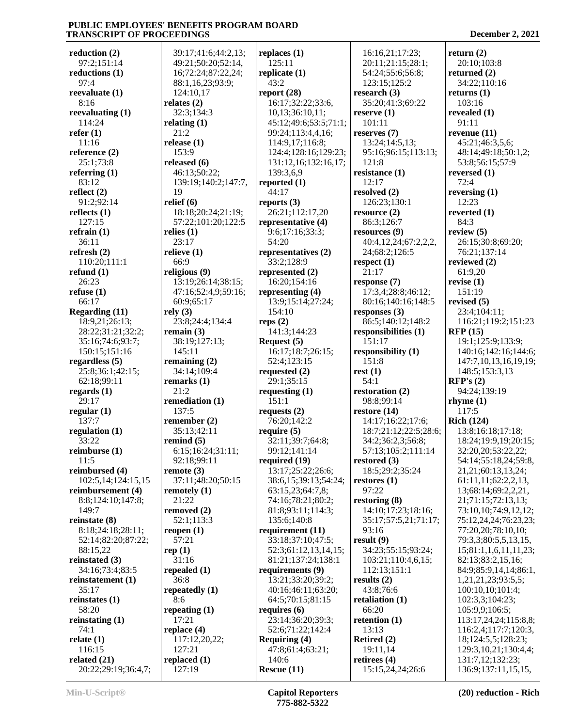**reduction (2)** 97:2;151:14 **reductions (1)** 97:4 **reevaluate (1)** 8:16 **reevaluating (1)** 114:24 **refer (1)** 11:16 **reference (2)** 25:1;73:8 **referring (1)** 83:12 **reflect (2)** 91:2;92:14 **reflects (1)** 127:15 **refrain (1)** 36:11 **refresh (2)** 110:20;111:1 **refund (1)** 26:23 **refuse (1)** 66:17 **Regarding (11)** 18:9,21;26:13; 28:22;31:21;32:2; 35:16;74:6;93:7; 150:15;151:16 **regardless (5)** 25:8;36:1;42:15; 62:18;99:11 **regards (1)** 29:17 **regular (1)** 137:7 **regulation (1)** 33:22 **reimburse (1)** 11:5 **reimbursed (4)** 102:5,14;124:15,15 **reimbursement (4)** 8:8;124:10;147:8; 149:7 **reinstate (8)** 8:18;24:18;28:11; 52:14;82:20;87:22; 88:15,22 **reinstated (3)** 34:16;73:4;83:5 **reinstatement (1)**  $35.17$ **reinstates (1)** 58:20 **reinstating (1)** 74:1 **relate (1)** 116:15 **related (21)** 20:22;29:19;36:4,7;

 39:17;41:6;44:2,13; 49:21;50:20;52:14, 16;72:24;87:22,24; 88:1,16,23;93:9; 124:10,17 **relates (2)** 32:3;134:3 **relating (1)** 21:2 **release (1)** 153:9 **released (6)** 46:13;50:22; 139:19;140:2;147:7, 19 **relief (6)** 18:18;20:24;21:19; 57:22;101:20;122:5 **relies (1)** 23:17 **relieve (1)** 66:9 **religious (9)** 13:19;26:14;38:15; 47:16;52:4,9;59:16; 60:9;65:17 **rely (3)** 23:8;24:4;134:4 **remain (3)** 38:19;127:13; 145:11 **remaining (2)** 34:14;109:4 **remarks (1)** 21:2 **remediation (1)** 137:5 **remember (2)** 35:13;42:11 **remind (5)** 6:15;16:24;31:11; 92:18;99:11 **remote (3)** 37:11;48:20;50:15 **remotely (1)** 21:22 **removed (2)** 52:1;113:3 **reopen (1)** 57:21 **rep (1)** 31:16 **repealed (1)** 36:8 **repeatedly (1)** 8:6 **repeating (1)** 17:21 **replace (4)** 117:12,20,22; 127:21 **replaced (1)** 127:19

**replaces (1)** 125:11 **replicate (1)** 43:2 **report (28)** 16:17;32:22;33:6, 10,13;36:10,11; 45:12;49:6;53:5;71:1; 99:24;113:4,4,16; 114:9,17;116:8; 124:4;128:16;129:23; 131:12,16;132:16,17; 139:3,6,9 **reported (1)** 44:17 **reports (3)** 26:21;112:17,20 **representative (4)** 9:6;17:16;33:3; 54:20 **representatives (2)** 33:2;128:9 **represented (2)** 16:20;154:16 **representing (4)** 13:9;15:14;27:24; 154:10 **reps (2)** 141:3;144:23 **Request (5)** 16:17;18:7;26:15; 52:4;123:15 **requested (2)** 29:1;35:15 **requesting (1)** 151:1 **requests (2)** 76:20;142:2 **require (5)** 32:11;39:7;64:8; 99:12;141:14 **required (19)** 13:17;25:22;26:6; 38:6,15;39:13;54:24; 63:15,23;64:7,8; 74:16;78:21;80:2; 81:8;93:11;114:3; 135:6;140:8 **requirement (11)** 33:18;37:10;47:5; 52:3;61:12,13,14,15; 81:21;137:24;138:1 **requirements (9)** 13:21;33:20;39:2; 40:16;46:11;63:20; 64:5;70:15;81:15 **requires (6)** 23:14;36:20;39:3; 52:6;71:22;142:4 **Requiring (4)** 47:8;61:4;63:21; 140:6 **Rescue (11)**

 16:16,21;17:23; 20:11;21:15;28:1; 54:24;55:6;56:8; 123:15;125:2 **research (3)** 35:20;41:3;69:22 **reserve (1)** 101:11 **reserves (7)** 13:24;14:5,13; 95:16;96:15;113:13; 121:8 **resistance (1)** 12:17 **resolved (2)** 126:23;130:1 **resource (2)** 86:3;126:7 **resources (9)** 40:4,12,24;67:2,2,2, 24;68:2;126:5 **respect (1)** 21:17 **response (7)** 17:3,4;28:8;46:12; 80:16;140:16;148:5 **responses (3)** 86:5;140:12;148:2 **responsibilities (1)** 151:17 **responsibility (1)** 151:8 **rest (1)** 54:1 **restoration (2)** 98:8;99:14 **restore (14)** 14:17;16:22;17:6; 18:7;21:12;22:5;28:6; 34:2;36:2,3;56:8; 57:13;105:2;111:14 **restored (3)** 18:5;29:2;35:24 **restores (1)** 97:22 **restoring (8)** 14:10;17:23;18:16; 35:17;57:5,21;71:17; 93:16 **result (9)** 34:23;55:15;93:24; 103:21;110:4,6,15; 112:13;151:1 **results (2)** 43:8;76:6 **retaliation (1)** 66:20 **retention (1)** 13:13 **Retired (2)** 19:11,14 **retirees (4)** 15:15,24,24;26:6

**return (2)** 20:10;103:8 **returned (2)** 34:22;110:16 **returns (1)** 103:16 **revealed (1)** 91:11 **revenue (11)** 45:21;46:3,5,6; 48:14;49:18;50:1,2; 53:8;56:15;57:9 **reversed (1)** 72:4 **reversing (1)** 12:23 **reverted (1)** 84:3 **review (5)** 26:15;30:8;69:20; 76:21;137:14 **reviewed (2)** 61:9,20 **revise (1)** 151:19 **revised (5)** 23:4;104:11; 116:21;119:2;151:23 **RFP (15)** 19:1;125:9;133:9; 140:16;142:16;144:6; 147:7,10,13,16,19,19; 148:5;153:3,13 **RFP's (2)** 94:24;139:19 **rhyme (1)** 117:5 **Rich (124)** 13:8;16:18;17:18; 18:24;19:9,19;20:15; 32:20,20;53:22,22; 54:14;55:18,24;59:8, 21,21;60:13,13,24; 61:11,11;62:2,2,13, 13;68:14;69:2,2,21, 21;71:15;72:13,13; 73:10,10;74:9,12,12; 75:12,24,24;76:23,23; 77:20,20;78:10,10; 79:3,3;80:5,5,13,15, 15;81:1,1,6,11,11,23; 82:13;83:2,15,16; 84:9;85:9,14,14;86:1, 1,21,21,23;93:5,5; 100:10,10;101:4; 102:3,3;104:23; 105:9,9;106:5; 113:17,24,24;115:8,8; 116:2,4;117:7;120:3, 18;124:5,5;128:23; 129:3,10,21;130:4,4; 131:7,12;132:23; 136:9;137:11,15,15,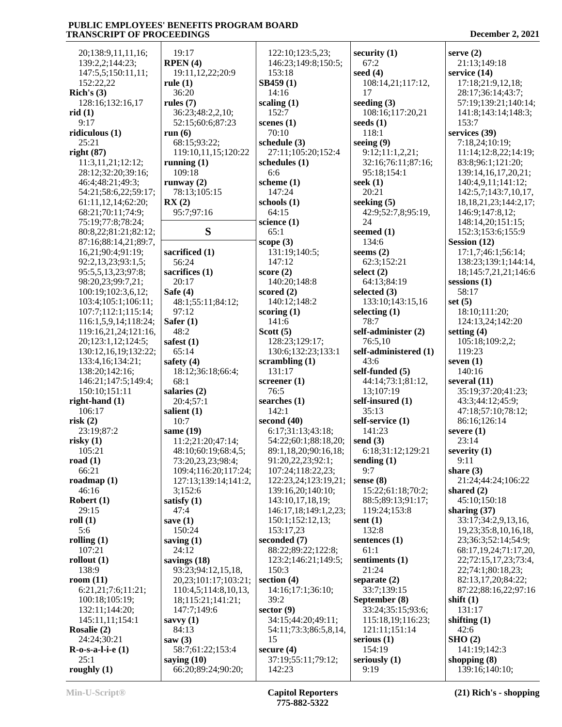| 20;138:9,11,11,16;                      | 19:17                                      | 122:10;123:5,23;             | security $(1)$             | serve $(2)$                                  |
|-----------------------------------------|--------------------------------------------|------------------------------|----------------------------|----------------------------------------------|
| 139:2,2;144:23;                         | RPEN(4)                                    | 146:23;149:8;150:5;          | 67:2                       | 21:13;149:18                                 |
| 147:5,5;150:11,11;                      | 19:11,12,22;20:9                           | 153:18                       | seed $(4)$                 | service $(14)$                               |
| 152:22,22                               | rule $(1)$                                 | SB459(1)                     | 108:14,21;117:12,          | 17:18;21:9,12,18;                            |
| Rich's $(3)$                            | 36:20                                      | 14:16                        | 17                         | 28:17;36:14;43:7;                            |
| 128:16;132:16,17                        | rules $(7)$                                | scaling $(1)$                | seeding $(3)$              | 57:19;139:21;140:14;                         |
| rid(1)                                  | 36:23;48:2,2,10;                           | 152:7                        | 108:16;117:20,21           | 141:8;143:14;148:3;                          |
| 9:17                                    | 52:15;60:6;87:23                           | scenes $(1)$                 | seeds $(1)$                | 153:7                                        |
| ridiculous $(1)$                        | run $(6)$                                  | 70:10                        | 118:1                      | services (39)                                |
| 25:21                                   | 68:15;93:22;                               | schedule (3)                 | seeing $(9)$               | 7:18,24;10:19;                               |
| right $(87)$                            | 119:10, 11, 15; 120: 22                    | 27:11;105:20;152:4           | 9:12;11:1,2,21;            | 11:14;12:8,22;14:19;                         |
| 11:3,11,21;12:12;                       | running $(1)$                              | schedules $(1)$              | 32:16;76:11;87:16;         | 83:8;96:1;121:20;                            |
| 28:12;32:20;39:16;                      | 109:18                                     | 6:6                          | 95:18;154:1                | 139:14,16,17,20,21;                          |
| 46:4;48:21;49:3;                        | runway $(2)$                               | scheme $(1)$                 | seek $(1)$                 | 140:4,9,11;141:12;                           |
| 54:21;58:6,22;59:17;                    | 78:13;105:15                               | 147:24                       | 20:21                      | 142:5,7;143:7,10,17,                         |
| 61:11,12,14;62:20;                      | RX(2)                                      | schools $(1)$                | seeking $(5)$              | 18, 18, 21, 23; 144: 2, 17;                  |
| 68:21;70:11;74:9;                       | 95:7;97:16                                 | 64:15                        | 42:9;52:7,8;95:19,         | 146:9;147:8,12;                              |
| 75:19;77:8;78:24;                       |                                            | science $(1)$                | 24                         | 148:14,20;151:15;                            |
| 80:8,22;81:21;82:12;                    | S                                          | 65:1                         | seemed (1)                 | 152:3;153:6;155:9                            |
| 87:16;88:14,21;89:7,                    |                                            | scope (3)                    | 134:6                      | Session $(12)$<br>17:1,7;46:1;56:14;         |
| 16,21;90:4;91:19;<br>92:2,13,23;93:1,5; | sacrificed (1)<br>56:24                    | 131:19;140:5;<br>147:12      | seems $(2)$<br>62:3;152:21 |                                              |
| 95:5,5,13,23;97:8;                      | sacrifices (1)                             | score $(2)$                  | select $(2)$               | 138:23;139:1;144:14,<br>18;145:7,21,21;146:6 |
| 98:20,23;99:7,21;                       | 20:17                                      | 140:20;148:8                 | 64:13;84:19                | sessions $(1)$                               |
| 100:19;102:3,6,12;                      | Safe $(4)$                                 | scored $(2)$                 | selected $(3)$             | 58:17                                        |
| 103:4;105:1;106:11;                     | 48:1;55:11;84:12;                          | 140:12:148:2                 | 133:10;143:15,16           | set $(5)$                                    |
| 107:7;112:1;115:14;                     | 97:12                                      | scoring $(1)$                | selecting $(1)$            | 18:10;111:20;                                |
| 116:1,5,9,14;118:24;                    | Safer $(1)$                                | 141:6                        | 78:7                       | 124:13,24;142:20                             |
| 119:16,21,24;121:16,                    | 48:2                                       | Scott $(5)$                  | self-administer (2)        | setting $(4)$                                |
| 20;123:1,12;124:5;                      | safest $(1)$                               | 128:23;129:17;               | 76:5,10                    | 105:18;109:2,2;                              |
| 130:12,16,19;132:22;                    | 65:14                                      | 130:6;132:23;133:1           | self-administered (1)      | 119:23                                       |
| 133:4, 16; 134: 21;                     | safety $(4)$                               | scrambling $(1)$             | 43:6                       | seven $(1)$                                  |
| 138:20;142:16;                          | 18:12;36:18;66:4;                          | 131:17                       | self-funded (5)            | 140:16                                       |
| 146:21;147:5;149:4;                     | 68:1                                       | screener $(1)$               | 44:14;73:1;81:12,          | several $(11)$                               |
| 150:10;151:11                           | salaries (2)                               | 76:5                         | 13;107:19                  | 35:19;37:20;41:23;                           |
| right-hand $(1)$                        | 20:4;57:1                                  | searches $(1)$               | self-insured (1)           | 43:3;44:12;45:9;                             |
| 106:17                                  | salient $(1)$                              | 142:1                        | 35:13                      | 47:18;57:10;78:12;                           |
| risk(2)                                 |                                            |                              |                            |                                              |
|                                         | 10:7                                       | second $(40)$                | self-service (1)           | 86:16;126:14                                 |
| 23:19;87:2                              | same $(19)$                                | 6:17;31:13;43:18;            | 141:23                     | severe $(1)$                                 |
| risky(1)                                | 11:2;21:20;47:14;                          | 54:22;60:1;88:18,20;         | send $(3)$                 | 23:14                                        |
| 105:21                                  | 48:10;60:19;68:4,5;                        | 89:1,18,20;90:16,18;         | 6:18;31:12;129:21          | severity $(1)$                               |
| road $(1)$                              | 73:20,23,23;98:4;                          | 91:20,22,23;92:1;            | sending $(1)$              | 9:11                                         |
| 66:21                                   | 109:4;116:20;117:24;                       | 107:24;118:22,23;            | 9:7                        | share $(3)$                                  |
| roadmap $(1)$                           | 127:13;139:14;141:2,                       | 122:23,24;123:19,21;         | sense $(8)$                | 21:24:44:24:106:22                           |
| 46:16                                   | 3;152:6                                    | 139:16,20;140:10;            | 15:22;61:18;70:2;          | shared $(2)$                                 |
| Robert $(1)$                            | satisfy $(1)$                              | 143:10,17,18,19;             | 88:5;89:13;91:17;          | 45:10;150:18                                 |
| 29:15                                   | 47:4                                       | 146:17,18;149:1,2,23;        | 119:24;153:8               | sharing $(37)$                               |
| roll $(1)$                              | save $(1)$                                 | 150:1;152:12,13;             | sent $(1)$                 | 33:17;34:2,9,13,16,                          |
| 5:6                                     | 150:24                                     | 153:17,23                    | 132:8                      | 19,23;35:8,10,16,18,                         |
| rolling $(1)$                           | saving $(1)$                               | seconded (7)                 | sentences (1)              | 23;36:3;52:14;54:9;                          |
| 107:21                                  | 24:12                                      | 88:22;89:22;122:8;           | 61:1                       | 68:17,19,24;71:17,20,                        |
| rollout $(1)$                           | savings $(18)$                             | 123:2;146:21;149:5;          | sentiments (1)             | 22;72:15,17,23;73:4,                         |
| 138:9<br>room $(11)$                    | 93:23;94:12,15,18,<br>20,23;101:17;103:21; | 150:3<br>section $(4)$       | 21:24<br>separate $(2)$    | 22;74:1;80:18,23;<br>82:13,17,20;84:22;      |
| 6:21,21;7:6;11:21;                      | 110:4,5;114:8,10,13,                       | 14:16;17:1;36:10;            | 33:7;139:15                | 87:22;88:16,22;97:16                         |
| 100:18;105:19;                          | 18;115:21;141:21;                          | 39:2                         | September (8)              | shift $(1)$                                  |
| 132:11;144:20;                          | 147:7;149:6                                | sector $(9)$                 | 33:24;35:15;93:6;          | 131:17                                       |
| 145:11,11;154:1                         | savvy $(1)$                                | 34:15;44:20;49:11;           | 115:18,19;116:23;          | shifting $(1)$                               |
| Rosalie (2)                             | 84:13                                      | 54:11;73:3;86:5,8,14,        | 121:11;151:14              | 42:6                                         |
| 24:24;30:21                             | saw $(3)$                                  | 15                           | serious $(1)$              | SHO(2)                                       |
| $R$ -o-s-a-l-i-e $(1)$                  | 58:7;61:22;153:4                           | secure $(4)$                 | 154:19                     | 141:19;142:3                                 |
| 25:1<br>roughly $(1)$                   | saying $(10)$<br>66:20;89:24;90:20;        | 37:19;55:11;79:12;<br>142:23 | seriously $(1)$<br>9:19    | shopping $(8)$<br>139:16;140:10;             |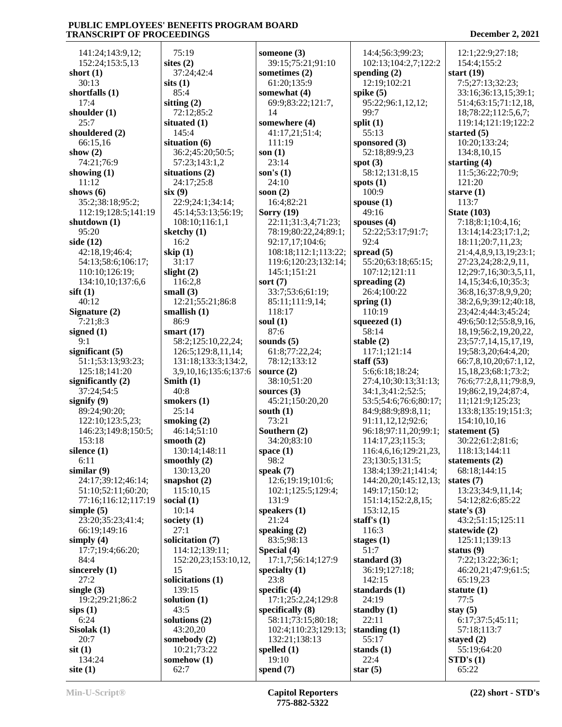141:24;143:9,12; 152:24;153:5,13 **short (1)** 30:13 **shortfalls (1)** 17:4 **shoulder (1)** 25:7 **shouldered (2)** 66:15,16 **show (2)** 74:21;76:9 **showing (1)** 11:12 **shows (6)** 35:2;38:18;95:2; 112:19;128:5;141:19 **shutdown (1)** 95:20 **side (12)** 42:18,19;46:4; 54:13;58:6;106:17; 110:10;126:19; 134:10,10;137:6,6 **sift (1)** 40:12 **Signature (2)** 7:21;8:3 **signed (1)** 9:1 **significant (5)** 51:1;53:13;93:23; 125:18;141:20 **significantly (2)** 37:24;54:5 **signify (9)** 89:24;90:20; 122:10;123:5,23; 146:23;149:8;150:5; 153:18 **silence (1)** 6:11 **similar (9)** 24:17;39:12;46:14; 51:10;52:11;60:20; 77:16;116:12;117:19 **simple (5)** 23:20;35:23;41:4; 66:19;149:16 **simply (4)** 17:7;19:4;66:20; 84:4 **sincerely (1)** 27:2 **single (3)** 19:2;29:21;86:2 **sips (1)** 6:24 **Sisolak (1)** 20:7 **sit (1)** 134:24 **site (1)**

 75:19 **sites (2)** 37:24;42:4 **sits (1)** 85:4 **sitting (2)** 72:12;85:2 **situated (1)** 145:4 **situation (6)** 36:2;45:20;50:5; 57:23;143:1,2 **situations (2)** 24:17;25:8 **six (9)** 22:9;24:1;34:14; 45:14;53:13;56:19; 108:10;116:1,1 **sketchy (1)** 16:2 **skip (1)** 31:17 **slight (2)** 116:2,8 **small (3)** 12:21;55:21;86:8 **smallish (1)** 86:9 **smart (17)** 58:2;125:10,22,24; 126:5;129:8,11,14; 131:18;133:3;134:2, 3,9,10,16;135:6;137:6 **Smith (1)** 40:8 **smokers (1)** 25:14 **smoking (2)** 46:14;51:10 **smooth (2)** 130:14;148:11 **smoothly (2)** 130:13,20 **snapshot (2)** 115:10,15 **social (1)** 10:14 **society (1)** 27:1 **solicitation (7)** 114:12;139:11; 152:20,23;153:10,12, 15 **solicitations (1)** 139:15 **solution (1)** 43:5 **solutions (2)** 43:20,20 **somebody (2)** 10:21;73:22 **somehow (1)** 62:7 **someone (3)** 39:15;75:21;91:10 **sometimes (2)** 61:20;135:9 **somewhat (4)** 69:9;83:22;121:7, 14 **somewhere (4)** 41:17,21;51:4; 111:19 **son (1)** 23:14 **son's (1)** 24:10 **soon (2)** 16:4;82:21 **Sorry (19)** 22:11;31:3,4;71:23; 78:19;80:22,24;89:1; 92:17,17;104:6; 108:18;112:1;113:22; 119:6;120:23;132:14; 145:1;151:21 **sort (7)** 33:7;53:6;61:19; 85:11;111:9,14; 118:17 **soul (1)** 87:6 **sounds (5)** 61:8;77:22,24; 78:12;133:12 **source (2)** 38:10;51:20 **sources (3)** 45:21;150:20,20 **south (1)** 73:21 **Southern (2)** 34:20;83:10 **space (1)** 98:2 **speak (7)** 12:6;19:19;101:6; 102:1;125:5;129:4; 131:9 **speakers (1)** 21:24 **speaking (2)** 83:5;98:13 **Special (4)** 17:1,7;56:14;127:9 **specialty (1)** 23:8 **specific (4)** 17:1;25:2,24;129:8 **specifically (8)** 58:11;73:15;80:18; 102:4;110:23;129:13; 132:21;138:13 **spelled (1)** 19:10 **spend (7)**

 14:4;56:3;99:23; 102:13;104:2,7;122:2 **spending (2)** 12:19;102:21 **spike (5)** 95:22;96:1,12,12; 99:7 **split (1)** 55:13 **sponsored (3)** 52:18;89:9,23 **spot (3)** 58:12;131:8,15 **spots (1)** 100:9 **spouse (1)** 49:16 **spouses (4)** 52:22;53:17;91:7; 92:4 **spread (5)** 55:20;63:18;65:15; 107:12;121:11 **spreading (2)** 26:4;100:22 **spring (1)** 110:19 **squeezed (1)** 58:14 **stable (2)** 117:1;121:14 **staff (53)** 5:6;6:18;18:24; 27:4,10;30:13;31:13; 34:1,3;41:2;52:5; 53:5;54:6;76:6;80:17; 84:9;88:9;89:8,11; 91:11,12,12;92:6; 96:18;97:11,20;99:1; 114:17,23;115:3; 116:4,6,16;129:21,23, 23;130:5;131:5; 138:4;139:21;141:4; 144:20,20;145:12,13; 149:17;150:12; 151:14;152:2,8,15; 153:12,15 **staff's (1)** 116:3 **stages (1)** 51:7 **standard (3)** 36:19;127:18; 142:15 **standards (1)** 24:19 **standby (1)** 22:11 **standing (1)** 55:17 **stands (1)** 22:4 **star (5)**

 12:1;22:9;27:18; 154:4;155:2 **start (19)** 7:5;27:13;32:23; 33:16;36:13,15;39:1; 51:4;63:15;71:12,18, 18;78:22;112:5,6,7; 119:14;121:19;122:2 **started (5)** 10:20;133:24; 134:8,10,15 **starting (4)** 11:5;36:22;70:9; 121:20 **starve (1)** 113:7 **State (103)** 7:18;8:1;10:4,16; 13:14;14:23;17:1,2; 18:11;20:7,11,23; 21:4,4,8,9,13,19;23:1; 27:23,24;28:2,9,11, 12;29:7,16;30:3,5,11, 14,15;34:6,10;35:3; 36:8,16;37:8,9,9,20; 38:2,6,9;39:12;40:18, 23;42:4;44:3;45:24; 49:6;50:12;55:8,9,16, 18,19;56:2,19,20,22, 23;57:7,14,15,17,19, 19;58:3,20;64:4,20; 66:7,8,10,20;67:1,12, 15,18,23;68:1;73:2; 76:6;77:2,8,11;79:8,9, 19;86:2,19,24;87:4, 11;121:9;125:23; 133:8;135:19;151:3; 154:10,10,16 **statement (5)** 30:22;61:2;81:6; 118:13;144:11 **statements (2)** 68:18;144:15 **states (7)** 13:23;34:9,11,14; 54:12;82:6;85:22 **state's (3)** 43:2;51:15;125:11 **statewide (2)** 125:11;139:13 **status (9)** 7:22;13:22;36:1; 46:20,21;47:9;61:5; 65:19,23 **statute (1)** 77:5 **stay (5)** 6:17;37:5;45:11; 57:18;113:7 **stayed (2)** 55:19;64:20 **STD's (1)** 65:22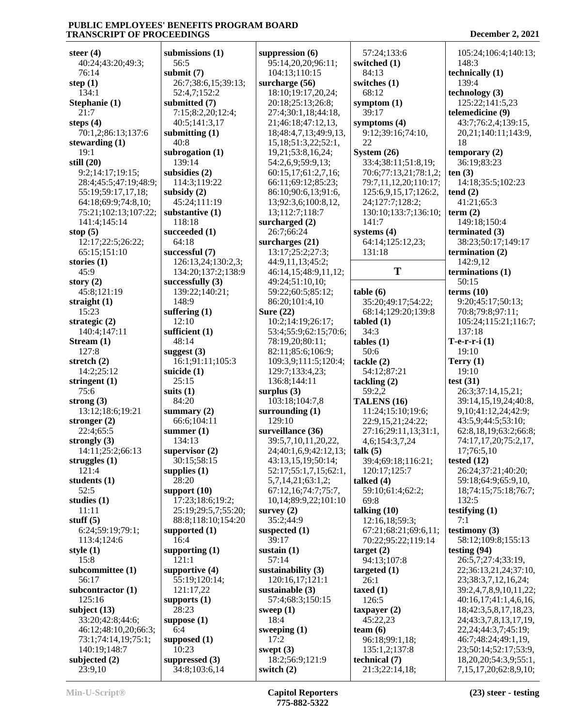| steer $(4)$              | submissions $(1)$                 | suppression $(6)$               | 57:24;133:6                     | 105:24;106:4;140:13;                                  |
|--------------------------|-----------------------------------|---------------------------------|---------------------------------|-------------------------------------------------------|
|                          |                                   |                                 |                                 |                                                       |
| 40:24;43:20;49:3;        | 56:5                              | 95:14,20,20;96:11;              | switched (1)                    | 148:3                                                 |
| 76:14                    | submit $(7)$                      | 104:13;110:15                   | 84:13                           | technically (1)                                       |
| step $(1)$               | 26:7;38:6,15;39:13;               | surcharge (56)                  | switches (1)                    | 139:4                                                 |
| 134:1                    | 52:4,7;152:2                      | 18:10;19:17,20,24;              | 68:12                           | technology (3)                                        |
| Stephanie (1)            | submitted (7)                     | 20:18;25:13;26:8;               | symptom $(1)$                   | 125:22;141:5,23                                       |
| 21:7                     | 7:15;8:2,20;12:4;                 | 27:4;30:1,18;44:18,             | 39:17                           | telemedicine (9)                                      |
| steps $(4)$              | 40:5;141:3,17                     | 21;46:18;47:12,13,              | symptoms $(4)$                  | 43:7;76:2,4;139:15,                                   |
|                          |                                   |                                 |                                 |                                                       |
| 70:1,2;86:13;137:6       | submitting $(1)$                  | 18;48:4,7,13;49:9,13,           | 9:12;39:16;74:10,               | 20, 21; 140: 11; 143: 9,                              |
| stewarding $(1)$         | 40:8                              | 15, 18; 51: 3, 22; 52: 1,       | 22                              | 18                                                    |
| 19:1                     | subrogation (1)                   | 19,21;53:8,16,24;               | System $(26)$                   | temporary $(2)$                                       |
| still $(20)$             | 139:14                            | 54:2,6,9;59:9,13;               | 33:4;38:11;51:8,19;             | 36:19;83:23                                           |
| 9:2;14:17;19:15;         | subsidies (2)                     | 60:15,17;61:2,7,16;             | 70:6;77:13,21;78:1,2;           | ten(3)                                                |
| 28:4;45:5;47:19;48:9;    | 114:3;119:22                      | 66:11;69:12;85:23;              | 79:7,11,12,20;110:17;           | 14:18;35:5;102:23                                     |
| 55:19;59:17,17,18;       | subsidy $(2)$                     | 86:10;90:6,13;91:6,             | 125:6,9,15,17;126:2,            | tend(2)                                               |
| 64:18;69:9;74:8,10;      | 45:24;111:19                      | 13;92:3,6;100:8,12,             | 24;127:7;128:2;                 | 41:21;65:3                                            |
|                          |                                   |                                 |                                 |                                                       |
| 75:21;102:13;107:22;     | substantive (1)                   | 13;112:7;118:7                  | 130:10;133:7;136:10;            | term $(2)$                                            |
| 141:4;145:14             | 118:18                            | surcharged (2)                  | 141:7                           | 149:18;150:4                                          |
| stop $(5)$               | succeeded (1)                     | 26:7:66:24                      | systems $(4)$                   | terminated $(3)$                                      |
| 12:17;22:5;26:22;        | 64:18                             | surcharges (21)                 | 64:14;125:12,23;                | 38:23;50:17;149:17                                    |
| 65:15;151:10             | successful (7)                    | 13:17;25:2;27:3;                | 131:18                          | termination $(2)$                                     |
| stories $(1)$            | 126:13,24;130:2,3;                | 44:9,11,13;45:2;                |                                 | 142:9,12                                              |
| 45:9                     | 134:20;137:2;138:9                | 46:14,15;48:9,11,12;            | T                               | terminations (1)                                      |
|                          |                                   |                                 |                                 |                                                       |
| story $(2)$              | successfully $(3)$                | 49:24;51:10,10;                 |                                 | 50:15                                                 |
| 45:8;121:19              | 139:22;140:21;                    | 59:22;60:5;85:12;               | table(6)                        | terms $(10)$                                          |
| straight $(1)$           | 148:9                             | 86:20;101:4,10                  | 35:20;49:17;54:22;              | 9:20;45:17;50:13;                                     |
| 15:23                    | suffering $(1)$                   | Sure $(22)$                     | 68:14;129:20;139:8              | 70:8;79:8;97:11;                                      |
| strategic $(2)$          | 12:10                             | 10:2;14:19;26:17;               | tabled(1)                       | 105:24;115:21;116:7;                                  |
| 140:4;147:11             | sufficient $(1)$                  | 53:4;55:9;62:15;70:6;           | 34:3                            | 137:18                                                |
| Stream $(1)$             | 48:14                             | 78:19,20;80:11;                 | tables(1)                       | $T-e-r-i(1)$                                          |
| 127:8                    | suggest $(3)$                     | 82:11;85:6;106:9;               | 50:6                            | 19:10                                                 |
|                          |                                   |                                 |                                 |                                                       |
| stretch $(2)$            | 16:1;91:11;105:3                  | 109:3,9;111:5;120:4;            | tackle(2)                       | Terry $(1)$                                           |
| 14:2;25:12               | suicide $(1)$                     | 129:7;133:4,23;                 | 54:12;87:21                     | 19:10                                                 |
| stringent (1)            | 25:15                             | 136:8;144:11                    | tackling(2)                     | test $(31)$                                           |
| 75:6                     | suits $(1)$                       | surplus $(3)$                   | 59:2,2                          | 26:3;37:14,15,21;                                     |
|                          |                                   |                                 |                                 |                                                       |
|                          |                                   |                                 |                                 |                                                       |
| strong $(3)$             | 84:20                             | 103:18;104:7,8                  | TALENS (16)                     | 39:14,15,19,24;40:8,                                  |
| 13:12;18:6;19:21         | summary $(2)$                     | surrounding $(1)$               | 11:24;15:10;19:6;               | 9, 10; 41: 12, 24; 42: 9;                             |
| stronger $(2)$           | 66:6;104:11                       | 129:10                          | 22:9,15,21;24:22;               | 43:5,9;44:5;53:10;                                    |
| 22:4;65:5                | summer $(1)$                      | surveillance (36)               | 27:16;29:11,13;31:1,            | 62:8,18,19;63:2;66:8;                                 |
| strongly $(3)$           | 134:13                            | 39:5,7,10,11,20,22,             | 4,6;154:3,7,24                  | 74:17,17,20;75:2,17,                                  |
| 14:11;25:2;66:13         | supervisor $(2)$                  | 24;40:1,6,9;42:12,13;           | talk $(5)$                      | 17;76:5,10                                            |
| struggles $(1)$          | 30:15;58:15                       | 43:13,15,19;50:14;              | 39:4;69:18;116:21;              | tested $(12)$                                         |
| 121:4                    | supplies $(1)$                    | 52:17;55:1,7,15;62:1,           | 120:17;125:7                    | 26:24;37:21;40:20;                                    |
|                          |                                   |                                 |                                 |                                                       |
| students (1)             | 28:20                             | 5,7,14,21;63:1,2;               | talked $(4)$                    | 59:18;64:9;65:9,10,                                   |
| 52:5                     | support $(10)$                    | 67:12,16;74:7;75:7,             | 59:10;61:4;62:2;                | 18;74:15;75:18;76:7;                                  |
| studies $(1)$            | 17:23;18:6;19:2;                  | 10,14;89:9,22;101:10            | 69:8                            | 132:5                                                 |
| 11:11                    | 25:19;29:5,7;55:20;               | survey $(2)$                    | talking $(10)$                  | testifying $(1)$                                      |
| stuff $(5)$              | 88:8;118:10;154:20                | 35:2;44:9                       | 12:16,18;59:3;                  | 7:1                                                   |
| 6:24;59:19;79:1;         | supported $(1)$                   | suspected (1)                   | 67:21;68:21;69:6,11;            | testimony $(3)$                                       |
| 113:4;124:6              | 16:4                              | 39:17                           | 70:22;95:22;119:14              | 58:12;109:8;155:13                                    |
| style $(1)$              | supporting $(1)$                  | sustain $(1)$                   | target(2)                       | testing $(94)$                                        |
|                          | 121:1                             | 57:14                           |                                 |                                                       |
| 15:8                     |                                   |                                 | 94:13;107:8                     | 26:5,7;27:4;33:19,                                    |
| subcommittee (1)         | supportive $(4)$                  | sustainability $(3)$            | targeted $(1)$                  | 22;36:13,21,24;37:10,                                 |
| 56:17                    | 55:19;120:14;                     | 120:16,17;121:1                 | 26:1                            | 23;38:3,7,12,16,24;                                   |
| subcontractor $(1)$      | 121:17,22                         | sustainable (3)                 | taxed $(1)$                     | 39:2,4,7,8,9,10,11,22;                                |
| 125:16                   | supports $(1)$                    | 57:4;68:3;150:15                | 126:5                           | 40:16,17;41:1,4,6,16,                                 |
| subject $(13)$           | 28:23                             | sweep $(1)$                     | taxpayer $(2)$                  | 18;42:3,5,8,17,18,23,                                 |
| 33:20;42:8;44:6;         | suppose $(1)$                     | 18:4                            | 45:22,23                        | 24;43:3,7,8,13,17,19,                                 |
| 46:12;48:10,20;66:3;     | 6:4                               | sweeping $(1)$                  | team $(6)$                      | 22, 24; 44: 3, 7; 45: 19;                             |
|                          |                                   | 17:2                            |                                 |                                                       |
| 73:1;74:14,19;75:1;      | supposed (1)                      |                                 | 96:18;99:1,18;                  | 46:7;48:24;49:1,19,                                   |
| 140:19;148:7             | 10:23                             | swept $(3)$                     | 135:1,2;137:8                   | 23;50:14;52:17;53:9,                                  |
| subjected (2)<br>23:9,10 | suppressed $(3)$<br>34:8;103:6,14 | 18:2;56:9;121:9<br>switch $(2)$ | technical (7)<br>21:3;22:14,18; | 18, 20, 20; 54: 3, 9; 55: 1,<br>7,15,17,20;62:8,9,10; |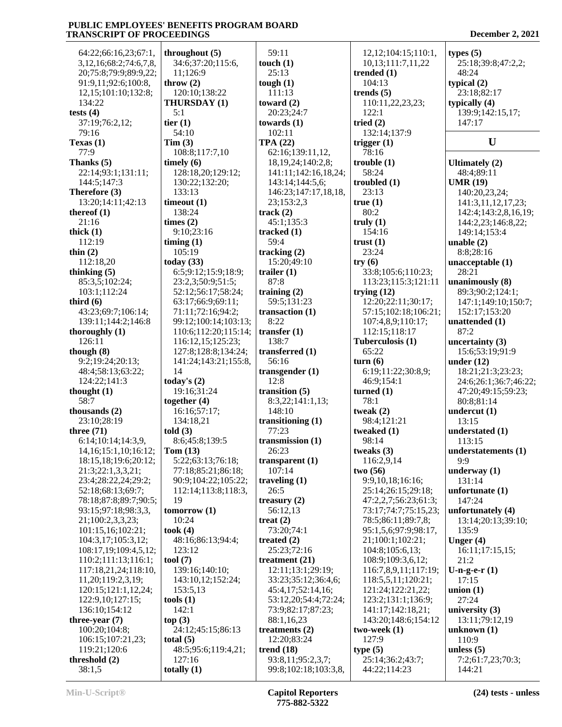| 64:22;66:16,23;67:1,           | throughout $(5)$          | 59:11                  | 12, 12; 104: 15; 110: 1, | types $(5)$           |
|--------------------------------|---------------------------|------------------------|--------------------------|-----------------------|
| 3, 12, 16; 68: 2; 74: 6, 7, 8, | 34:6;37:20;115:6,         | touch $(1)$            | 10,13;111:7,11,22        | 25:18;39:8;47:2,2;    |
| 20;75:8;79:9;89:9,22;          | 11;126:9                  | 25:13                  | trended $(1)$            | 48:24                 |
|                                |                           |                        |                          |                       |
| 91:9,11;92:6;100:8,            | throw $(2)$               | tough $(1)$            | 104:13                   | typical $(2)$         |
| 12, 15; 101: 10; 132: 8;       | 120:10;138:22             | 111:13                 | trends $(5)$             | 23:18;82:17           |
| 134:22                         | THURSDAY (1)              | toward $(2)$           | 110:11,22,23,23;         | typically $(4)$       |
| tests $(4)$                    | 5:1                       | 20:23;24:7             | 122:1                    | 139:9;142:15,17;      |
|                                |                           |                        |                          |                       |
| 37:19;76:2,12;                 | tier $(1)$                | towards $(1)$          | tried $(2)$              | 147:17                |
| 79:16                          | 54:10                     | 102:11                 | 132:14;137:9             |                       |
| Texas $(1)$                    | Tim(3)                    | <b>TPA (22)</b>        | trigger $(1)$            | U                     |
| 77:9                           | 108:8;117:7,10            | 62:16;139:11,12,       | 78:16                    |                       |
| Thanks $(5)$                   | timely $(6)$              | 18, 19, 24; 140: 2, 8; | trouble(1)               |                       |
|                                |                           |                        |                          | Ultimately $(2)$      |
| 22:14;93:1;131:11;             | 128:18,20;129:12;         | 141:11;142:16,18,24;   | 58:24                    | 48:4;89:11            |
| 144:5;147:3                    | 130:22;132:20;            | 143:14;144:5,6;        | troubled $(1)$           | <b>UMR (19)</b>       |
| Therefore (3)                  | 133:13                    | 146:23;147:17,18,18,   | 23:13                    | 140:20,23,24;         |
| 13:20;14:11;42:13              | timeout(1)                | 23;153:2,3             | true(1)                  | 141:3,11,12,17,23;    |
|                                | 138:24                    |                        | 80:2                     |                       |
| thereof $(1)$                  |                           | track(2)               |                          | 142:4;143:2,8,16,19;  |
| 21:16                          | times $(2)$               | 45:1;135:3             | truly $(1)$              | 144:2,23;146:8,22;    |
| thick $(1)$                    | 9:10;23:16                | tracked $(1)$          | 154:16                   | 149:14;153:4          |
| 112:19                         | $\lim_{t \to \infty}$ (1) | 59:4                   | trust $(1)$              | unable $(2)$          |
|                                |                           |                        |                          |                       |
| thin $(2)$                     | 105:19                    | tracking $(2)$         | 23:24                    | 8:8;28:16             |
| 112:18,20                      | today $(33)$              | 15:20;49:10            | try(6)                   | unacceptable $(1)$    |
| thinking $(5)$                 | 6:5;9:12;15:9;18:9;       | trailer $(1)$          | 33:8;105:6;110:23;       | 28:21                 |
| 85:3,5;102:24;                 | 23:2,3;50:9;51:5;         | 87:8                   | 113:23;115:3;121:11      | unanimously (8)       |
| 103:1;112:24                   | 52:12;56:17;58:24;        | training $(2)$         | trying $(12)$            | 89:3;90:2;124:1;      |
|                                |                           |                        |                          |                       |
| third $(6)$                    | 63:17;66:9;69:11;         | 59:5;131:23            | 12:20;22:11;30:17;       | 147:1;149:10;150:7;   |
| 43:23;69:7;106:14;             | 71:11;72:16;94:2;         | transaction $(1)$      | 57:15;102:18;106:21;     | 152:17;153:20         |
| 139:11;144:2;146:8             | 99:12;100:14;103:13;      | 8:22                   | 107:4,8,9;110:17;        | unattended (1)        |
| thoroughly $(1)$               | 110:6;112:20;115:14;      | transfer $(1)$         | 112:15;118:17            | 87:2                  |
|                                |                           |                        |                          |                       |
| 126:11                         | 116:12,15;125:23;         | 138:7                  | Tuberculosis (1)         | uncertainty $(3)$     |
| though $(8)$                   | 127:8;128:8;134:24;       | transferred (1)        | 65:22                    | 15:6;53:19;91:9       |
| 9:2;19:24;20:13;               | 141:24;143:21;155:8,      | 56:16                  | turn(6)                  | under $(12)$          |
| 48:4;58:13;63:22;              | 14                        | transgender $(1)$      | 6:19;11:22;30:8,9;       | 18:21;21:3;23:23;     |
|                                |                           |                        |                          |                       |
| 124:22;141:3                   | today's $(2)$             | 12:8                   | 46:9;154:1               | 24:6;26:1;36:7;46:22; |
| thought $(1)$                  | 19:16;31:24               | transition $(5)$       | turned $(1)$             | 47:20;49:15;59:23;    |
| 58:7                           | together $(4)$            | 8:3,22;141:1,13;       | 78:1                     | 80:8;81:14            |
| thousands (2)                  | 16:16;57:17;              | 148:10                 | tweak $(2)$              | undercut $(1)$        |
|                                |                           |                        |                          |                       |
| 23:10;28:19                    | 134:18,21                 | transitioning $(1)$    | 98:4;121:21              | 13:15                 |
| three $(71)$                   | told $(3)$                | 77:23                  | tweaked (1)              | understated (1)       |
| 6:14;10:14;14:3,9,             | 8:6;45:8;139:5            | transmission $(1)$     | 98:14                    | 113:15                |
| 14, 16; 15: 1, 10; 16: 12;     | Tom $(13)$                | 26:23                  | tweaks (3)               | understatements (1)   |
| 18:15,18;19:6;20:12;           | 5:22;63:13;76:18;         | transparent $(1)$      | 116:2,9,14               | 9:9                   |
|                                |                           |                        |                          |                       |
| 21:3;22:1,3,3,21;              | 77:18;85:21;86:18;        | 107:14                 | two(56)                  | underway $(1)$        |
| 23:4;28:22,24;29:2;            | 90:9;104:22;105:22;       | traveling $(1)$        | 9:9,10,18;16:16;         | 131:14                |
| 52:18;68:13;69:7;              | 112:14;113:8;118:3,       | 26:5                   | 25:14;26:15;29:18;       | unfortunate $(1)$     |
| 78:18;87:8;89:7;90:5;          | 19                        | treasury $(2)$         | 47:2,2,7;56:23;61:3;     | 147:24                |
|                                |                           |                        |                          |                       |
| 93:15;97:18;98:3,3,            | tomorrow(1)               | 56:12,13               | 73:17;74:7;75:15,23;     | unfortunately (4)     |
| 21;100:2,3,3,23;               | 10:24                     | treat $(2)$            | 78:5;86:11;89:7,8;       | 13:14;20:13;39:10;    |
| 101:15,16;102:21;              | took(4)                   | 73:20;74:1             | 95:1,5,6;97:9;98:17,     | 135:9                 |
| 104:3,17;105:3,12;             | 48:16;86:13;94:4;         | treated (2)            | 21;100:1;102:21;         | Unger $(4)$           |
| 108:17,19;109:4,5,12;          | 123:12                    | 25:23;72:16            | 104:8;105:6,13;          | 16:11;17:15,15;       |
|                                |                           |                        |                          |                       |
| 110:2;111:13;116:1;            | tool (7)                  | treatment (21)         | 108:9;109:3,6,12;        | 21:2                  |
| 117:18,21,24;118:10,           | 139:16;140:10;            | 12:11;13:1;29:19;      | 116:7,8,9,11;117:19;     | U-n-g-e- $r(1)$       |
| 11,20;119:2,3,19;              | 143:10,12;152:24;         | 33:23;35:12;36:4,6;    | 118:5,5,11;120:21;       | 17:15                 |
| 120:15;121:1,12,24;            | 153:5,13                  | 45:4,17;52:14,16;      | 121:24;122:21,22;        | union $(1)$           |
|                                |                           |                        |                          |                       |
| 122:9,10;127:15;               | tools $(1)$               | 53:12,20;54:4;72:24;   | 123:2;131:1;136:9;       | 27:24                 |
| 136:10;154:12                  | 142:1                     | 73:9;82:17;87:23;      | 141:17;142:18,21;        | university $(3)$      |
| three-year $(7)$               | top(3)                    | 88:1,16,23             | 143:20;148:6;154:12      | 13:11;79:12,19        |
| 100:20;104:8;                  | 24:12;45:15;86:13         | treatments $(2)$       | two-week $(1)$           | unknown(1)            |
|                                |                           | 12:20;83:24            | 127:9                    |                       |
| 106:15;107:21,23;              | total $(5)$               |                        |                          | 110:9                 |
| 119:21;120:6                   | 48:5;95:6;119:4,21;       | trend $(18)$           | type(5)                  | unless $(5)$          |
| threshold (2)                  | 127:16                    | 93:8,11;95:2,3,7;      | 25:14;36:2;43:7;         | 7:2;61:7,23;70:3;     |
|                                |                           |                        |                          |                       |
| 38:1,5                         | totally $(1)$             | 99:8;102:18;103:3,8,   | 44:22;114:23             | 144:21                |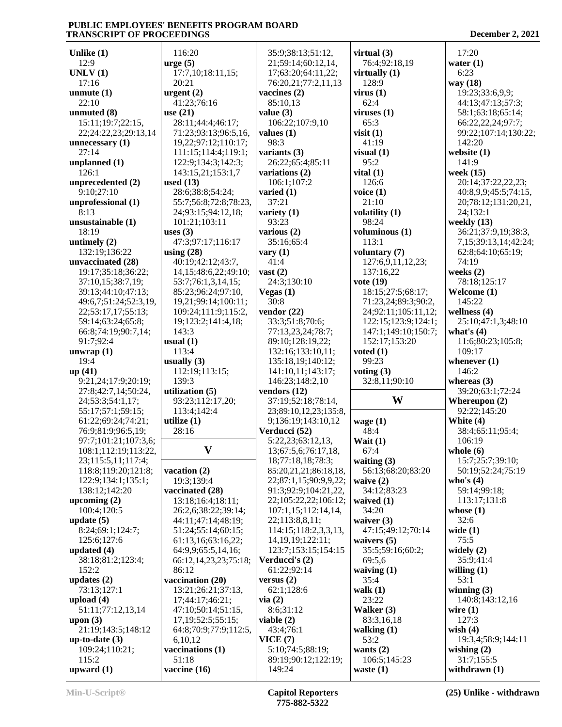| Unlike $(1)$                             | 116:20                     | 35:9;38:13;51:12,                           | virtual $(3)$               | 17:20                         |
|------------------------------------------|----------------------------|---------------------------------------------|-----------------------------|-------------------------------|
| 12:9                                     | $\text{urge} (5)$          | 21;59:14;60:12,14,                          | 76:4;92:18,19               | water $(1)$                   |
| UNLV(1)                                  | 17:7,10;18:11,15;          | 17;63:20;64:11,22;                          | virtually $(1)$             | 6:23                          |
| 17:16                                    | 20:21                      | 76:20,21;77:2,11,13                         | 128:9                       | way (18)                      |
| unmute $(1)$                             | urgent $(2)$               | vaccines (2)                                | virus(1)                    | 19:23;33:6,9,9;               |
| 22:10                                    | 41:23;76:16                | 85:10,13                                    | 62:4                        | 44:13;47:13;57:3;             |
| unmuted (8)                              | use $(21)$                 | value $(3)$                                 | viruses $(1)$               | 58:1;63:18;65:14;             |
| 15:11;19:7;22:15,                        | 28:11;44:4;46:17;          | 106:22;107:9,10                             | 65:3                        | 66:22,22,24;97:7;             |
| 22;24:22,23;29:13,14                     | 71:23;93:13;96:5,16,       | values $(1)$                                | visit $(1)$                 | 99:22;107:14;130:22;          |
| unnecessary $(1)$                        | 19,22;97:12;110:17;        | 98:3                                        | 41:19                       | 142:20                        |
| 27:14                                    | 111:15;114:4;119:1;        | variants $(3)$                              | visual $(1)$                | website $(1)$                 |
| unplanned (1)                            | 122:9;134:3;142:3;         | 26:22;65:4;85:11                            | 95:2                        | 141:9                         |
| 126:1                                    | 143:15,21;153:1,7          | variations (2)                              | vital $(1)$                 | week (15)                     |
| unprecedented (2)                        | used $(13)$                | 106:1;107:2                                 | 126:6                       | 20:14;37:22,22,23;            |
| 9:10;27:10                               | 28:6;38:8;54:24;           | varied $(1)$                                | voice $(1)$                 | 40:8,9,9;45:5;74:15,          |
| unprofessional (1)                       | 55:7;56:8;72:8;78:23,      | 37:21                                       | 21:10                       | 20;78:12;131:20,21,           |
| 8:13                                     | 24;93:15;94:12,18;         | variety $(1)$                               | volatility (1)              | 24;132:1                      |
| unsustainable (1)                        | 101:21;103:11              | 93:23                                       | 98:24                       | weekly $(13)$                 |
| 18:19                                    | uses $(3)$                 | various (2)                                 | voluminous (1)              | 36:21;37:9,19;38:3,           |
| untimely $(2)$                           | 47:3;97:17;116:17          | 35:16;65:4                                  | 113:1                       | 7, 15; 39: 13, 14; 42: 24;    |
| 132:19;136:22                            | using $(28)$               | vary $(1)$                                  | voluntary (7)               | 62:8;64:10;65:19;             |
| unvaccinated (28)                        | 40:19;42:12;43:7,          | 41:4                                        | 127:6,9,11,12,23;           | 74:19                         |
| 19:17;35:18;36:22;                       | 14, 15; 48: 6, 22; 49: 10; | vast $(2)$                                  | 137:16,22                   | weeks $(2)$                   |
|                                          |                            |                                             |                             |                               |
| 37:10,15;38:7,19;                        | 53:7;76:1,3,14,15;         | 24:3;130:10                                 | vote (19)                   | 78:18;125:17                  |
| 39:13;44:10;47:13;                       | 85:23;96:24;97:10,         | Vegas $(1)$                                 | 18:15;27:5;68:17;           | Welcome (1)                   |
| 49:6,7;51:24;52:3,19,                    | 19,21;99:14;100:11;        | 30:8                                        | 71:23,24;89:3;90:2,         | 145:22                        |
| 22;53:17,17;55:13;                       | 109:24;111:9;115:2,        | vendor $(22)$                               | 24;92:11;105:11,12;         | wellness $(4)$                |
| 59:14;63:24;65:8;                        | 19;123:2;141:4,18;         | 33:3;51:8;70:6;                             | 122:15;123:9;124:1;         | 25:10;47:1,3;48:10            |
| 66:8;74:19;90:7,14;                      | 143:3                      | 77:13,23,24;78:7;                           | 147:1;149:10;150:7;         | what's $(4)$                  |
| 91:7;92:4                                | usual $(1)$                | 89:10;128:19,22;                            | 152:17;153:20               | 11:6;80:23;105:8;             |
| unwrap $(1)$                             | 113:4                      | 132:16;133:10,11;                           | voted $(1)$                 | 109:17                        |
| 19:4                                     | usually $(3)$              | 135:18,19;140:12;                           | 99:23                       |                               |
|                                          |                            |                                             |                             | whenever $(1)$                |
| up(41)                                   | 112:19;113:15;             | 141:10,11;143:17;                           | voting $(3)$                | 146:2                         |
| 9:21,24;17:9;20:19;                      | 139:3                      | 146:23;148:2,10                             | 32:8,11;90:10               | whereas $(3)$                 |
| 27:8;42:7,14;50:24,                      | utilization (5)            | vendors $(12)$                              |                             | 39:20;63:1;72:24              |
|                                          | 93:23;112:17,20;           | 37:19;52:18;78:14,                          | W                           | Whereupon $(2)$               |
| 24;53:3;54:1,17;<br>55:17;57:1;59:15;    | 113:4;142:4                |                                             |                             | 92:22;145:20                  |
|                                          |                            | 23;89:10,12,23;135:8,<br>9;136:19;143:10,12 |                             | White (4)                     |
| 61:22;69:24;74:21;<br>76:9;81:9;96:5,19; | utilize $(1)$<br>28:16     |                                             | wage $(1)$                  |                               |
|                                          |                            | Verducci (52)                               | 48:4                        | 38:4;65:11;95:4;              |
| 97:7;101:21;107:3,6;                     |                            | 5:22,23;63:12,13,                           | Wait $(1)$                  | 106:19                        |
| 108:1;112:19;113:22,                     | $\boldsymbol{\mathrm{V}}$  | 13;67:5,6;76:17,18,                         | 67:4                        | whole $(6)$                   |
| 23;115:5,11;117:4;                       |                            | 18;77:18,18;78:3;                           | waiting $(3)$               | 15:7;25:7;39:10;              |
| 118:8;119:20;121:8;                      | vacation (2)               | 85:20,21,21;86:18,18,                       | 56:13;68:20;83:20           | 50:19;52:24;75:19             |
| 122:9;134:1;135:1;                       | 19:3;139:4                 | 22;87:1,15;90:9,9,22;                       | waive $(2)$                 | who's $(4)$                   |
| 138:12;142:20                            | vaccinated (28)            | 91:3;92:9;104:21,22,                        | 34:12;83:23                 | 59:14;99:18;                  |
| upcoming $(2)$                           | 13:18;16:4;18:11;          | 22;105:22,22;106:12;                        | waived $(1)$                | 113:17;131:8                  |
| 100:4;120:5                              | 26:2,6;38:22;39:14;        | 107:1,15;112:14,14,                         | 34:20                       | whose $(1)$                   |
| update $(5)$                             | 44:11;47:14;48:19;         | 22;113:8,8,11;                              | waiver $(3)$                | 32:6                          |
| 8:24;69:1;124:7;                         | 51:24;55:14;60:15;         | 114:15;118:2,3,3,13,                        | 47:15;49:12;70:14           | wide $(1)$                    |
| 125:6;127:6                              | 61:13,16;63:16,22;         | 14, 19, 19; 122: 11;                        | waivers $(5)$               | 75:5                          |
| updated $(4)$                            | 64:9,9;65:5,14,16;         | 123:7;153:15;154:15                         | 35:5;59:16;60:2;            | widely $(2)$                  |
| 38:18;81:2;123:4;                        | 66:12,14,23,23;75:18;      | Verducci's (2)                              | 69:5,6                      | 35:9;41:4                     |
| 152:2                                    | 86:12                      | 61:22;92:14                                 | waiving $(1)$               | willing $(1)$                 |
| updates $(2)$                            | vaccination (20)           | versus $(2)$                                | 35:4                        | 53:1                          |
| 73:13;127:1                              | 13:21;26:21;37:13,         | 62:1;128:6                                  | walk $(1)$                  | winning $(3)$                 |
| upload $(4)$                             | 17;44:17;46:21;            | via(2)                                      | 23:22                       | 140:8;143:12,16               |
| 51:11;77:12,13,14                        | 47:10:50:14:51:15,         | 8:6;31:12                                   | Walker (3)                  | wire $(1)$                    |
| upon $(3)$                               | 17, 19; 52: 5; 55: 15;     | viable $(2)$                                | 83:3,16,18                  | 127:3                         |
| 21:19;143:5;148:12                       | 64:8;70:9;77:9;112:5,      | 43:4;76:1                                   | walking $(1)$               | wish $(4)$                    |
| up-to-date $(3)$                         | 6,10,12                    | VICE(7)                                     | 53:2                        | 19:3,4;58:9;144:11            |
| 109:24;110:21;                           | vaccinations (1)           | 5:10;74:5;88:19;                            | wants $(2)$                 | wishing $(2)$                 |
| 115:2<br>upward $(1)$                    | 51:18<br>vaccine (16)      | 89:19;90:12;122:19;<br>149:24               | 106:5;145:23<br>waste $(1)$ | 31:7;155:5<br>withdrawn $(1)$ |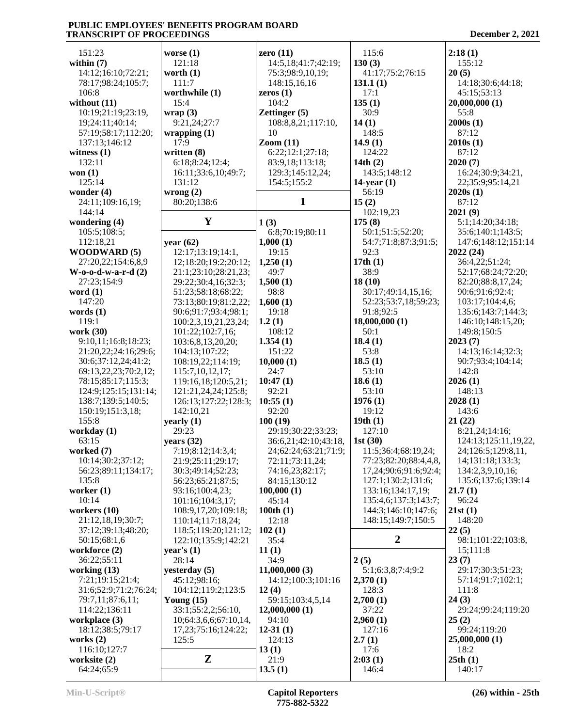| 151:23                   | worse $(1)$                            | zero $(11)$                             | 115:6                                        | 2:18(1)                                    |
|--------------------------|----------------------------------------|-----------------------------------------|----------------------------------------------|--------------------------------------------|
| within $(7)$             | 121:18                                 | 14:5, 18:41:7:42:19;                    | 130(3)                                       | 155:12                                     |
| 14:12;16:10;72:21;       | worth $(1)$                            | 75:3;98:9,10,19;                        | 41:17;75:2;76:15                             | 20(5)                                      |
| 78:17;98:24;105:7;       | 111:7                                  | 148:15,16,16                            | 131.1(1)                                     | 14:18;30:6;44:18;                          |
| 106:8                    | worthwhile (1)                         | zeros $(1)$                             | 17:1                                         | 45:15:53:13                                |
| without $(11)$           | 15:4                                   | 104:2                                   | 135(1)                                       | 20,000,000 (1)                             |
| 10:19;21:19;23:19,       | wrap $(3)$                             | <b>Zettinger</b> (5)                    | 30:9                                         | 55:8                                       |
| 19;24:11;40:14;          | 9:21,24;27:7                           | 108:8,8,21;117:10,                      | 14(1)                                        | 2000s(1)                                   |
| 57:19;58:17;112:20;      | wrapping(1)                            | 10                                      | 148:5                                        | 87:12                                      |
| 137:13;146:12            | 17:9                                   | $\mathrm{Zoom}\left(11\right)$          | 14.9(1)                                      | 2010s(1)                                   |
| witness $(1)$            | written $(8)$                          | 6:22;12:1;27:18;                        | 124:22                                       | 87:12                                      |
| 132:11                   | 6:18;8:24;12:4;                        | 83:9,18;113:18;                         | 14th $(2)$                                   | 2020(7)                                    |
| won $(1)$                | 16:11;33:6,10;49:7;                    | 129:3;145:12,24;                        | 143:5;148:12                                 | 16:24;30:9;34:21,                          |
| 125:14                   | 131:12                                 | 154:5;155:2                             | $14$ -year $(1)$                             | 22;35:9;95:14,21                           |
| wonder $(4)$             | wrong $(2)$                            |                                         | 56:19                                        | 2020s(1)                                   |
| 24:11;109:16,19;         | 80:20;138:6                            | $\mathbf{1}$                            | 15(2)                                        | 87:12                                      |
| 144:14                   |                                        |                                         | 102:19,23                                    | 2021(9)                                    |
| wondering (4)            | Y                                      | 1(3)                                    | 175(8)                                       | 5:1;14:20;34:18;                           |
| 105:5;108:5;             |                                        | 6:8;70:19;80:11                         | 50:1;51:5;52:20;                             | 35:6;140:1;143:5;                          |
| 112:18,21                | year $(62)$                            | 1,000(1)                                | 54:7;71:8;87:3;91:5;                         | 147:6;148:12;151:14                        |
| <b>WOODWARD (5)</b>      | 12:17;13:19;14:1,                      | 19:15                                   | 92:3                                         | 2022(24)                                   |
| 27:20,22;154:6,8,9       | 12;18:20;19:2;20:12;                   | 1,250(1)                                | 17th $(1)$                                   | 36:4,22;51:24;                             |
| $W$ -0-0-d-w-a-r-d $(2)$ | 21:1;23:10;28:21,23;                   | 49:7                                    | 38:9                                         | 52:17;68:24;72:20;                         |
| 27:23;154:9              | 29:22;30:4,16;32:3;                    | 1,500(1)                                | 18(10)                                       | 82:20;88:8,17,24;                          |
| word $(1)$               | 51:23;58:18;68:22;                     | 98:8                                    | 30:17;49:14,15,16;                           | 90:6;91:6;92:4;                            |
| 147:20                   | 73:13;80:19;81:2,22;                   | 1,600(1)                                | 52:23;53:7,18;59:23;                         | 103:17;104:4,6;                            |
| words $(1)$              | 90:6;91:7;93:4;98:1;                   | 19:18                                   | 91:8;92:5                                    | 135:6;143:7;144:3;                         |
| 119:1                    | 100:2,3,19,21,23,24;                   | 1.2(1)                                  | 18,000,000(1)                                | 146:10;148:15,20;                          |
| work (30)                | 101:22;102:7,16;                       | 108:12                                  | 50:1                                         | 149:8;150:5                                |
| 9:10,11;16:8;18:23;      | 103:6,8,13,20,20;                      | 1.354(1)                                | 18.4(1)                                      | 2023(7)                                    |
| 21:20,22;24:16;29:6;     | 104:13;107:22;                         | 151:22                                  | 53:8                                         | 14:13;16:14;32:3;                          |
| 30:6;37:12,24;41:2;      | 108:19,22;114:19;                      | 10,000(1)                               | 18.5(1)                                      | 90:7;93:4;104:14;                          |
| 69:13,22,23;70:2,12;     | 115:7,10,12,17;                        | 24:7                                    | 53:10                                        | 142:8                                      |
| 78:15;85:17;115:3;       | 119:16,18;120:5,21;                    | 10:47(1)                                | 18.6(1)                                      | 2026(1)                                    |
| 124:9;125:15;131:14;     | 121:21,24,24;125:8;                    | 92:21                                   | 53:10                                        | 148:13                                     |
| 138:7;139:5;140:5;       | 126:13;127:22;128:3;                   | 10:55(1)                                | 1976(1)                                      | 2028(1)                                    |
| 150:19;151:3,18;         | 142:10,21                              | 92:20                                   | 19:12                                        | 143:6                                      |
| 155:8                    | yearly $(1)$                           | 100(19)                                 | 19th(1)<br>127:10                            | 21(22)                                     |
| workday (1)<br>63:15     | 29:23                                  | 29:19;30:22;33:23;                      | 1st $(30)$                                   | 8:21,24;14:16;                             |
| worked (7)               | years $(32)$                           | 36:6,21;42:10;43:18,                    |                                              | 124:13;125:11,19,22,<br>24;126:5;129:8,11, |
| 10:14;30:2;37:12;        | 7:19;8:12;14:3,4;<br>21:9;25:11;29:17; | 24;62:24;63:21;71:9;<br>72:11;73:11,24; | 11:5;36:4;68:19,24;<br>77:23;82:20;88:4,4,8, | 14;131:18;133:3;                           |
| 56:23;89:11;134:17;      | 30:3:49:14:52:23:                      | 74:16,23;82:17;                         | 17,24;90:6;91:6;92:4;                        | 134:2,3,9,10,16;                           |
| 135:8                    | 56:23;65:21;87:5;                      | 84:15:130:12                            | 127:1;130:2;131:6;                           | 135:6;137:6;139:14                         |
| worker $(1)$             | 93:16;100:4,23;                        | 100,000(1)                              | 133:16;134:17,19;                            | 21.7(1)                                    |
| 10:14                    | 101:16;104:3,17;                       | 45:14                                   | 135:4,6;137:3;143:7;                         | 96:24                                      |
| workers $(10)$           | 108:9,17,20;109:18;                    | 100th $(1)$                             | 144:3;146:10;147:6;                          | 21st(1)                                    |
| 21:12,18,19;30:7;        | 110:14;117:18,24;                      | 12:18                                   | 148:15;149:7;150:5                           | 148:20                                     |
| 37:12;39:13;48:20;       | 118:5;119:20;121:12;                   | 102(1)                                  |                                              | 22(5)                                      |
| 50:15;68:1,6             | 122:10;135:9;142:21                    | 35:4                                    | $\boldsymbol{2}$                             | 98:1;101:22;103:8,                         |
| workforce (2)            | year's $(1)$                           | 11(1)                                   |                                              | 15;111:8                                   |
| 36:22;55:11              | 28:14                                  | 34:9                                    | 2(5)                                         | 23(7)                                      |
| working $(13)$           | yesterday $(5)$                        | 11,000,000(3)                           | 5:1;6:3,8;7:4;9:2                            | 29:17;30:3;51:23;                          |
| 7:21;19:15;21:4;         | 45:12;98:16;                           | 14:12;100:3;101:16                      | 2,370(1)                                     | 57:14;91:7;102:1;                          |
| 31:6;52:9;71:2;76:24;    | 104:12;119:2;123:5                     | 12(4)                                   | 128:3                                        | 111:8                                      |
| 79:7,11;87:6,11;         | Young $(15)$                           | 59:15;103:4,5,14                        | 2,700(1)                                     | 24(3)                                      |
| 114:22;136:11            | 33:1;55:2,2;56:10,                     | 12,000,000(1)                           | 37:22                                        | 29:24;99:24;119:20                         |
| workplace (3)            | 10;64:3,6,6;67:10,14,                  | 94:10                                   | 2,960(1)                                     | 25(2)                                      |
| 18:12;38:5;79:17         | 17, 23; 75: 16; 124: 22;               | $12-31(1)$                              | 127:16                                       | 99:24;119:20                               |
| works $(2)$              | 125:5                                  | 124:13                                  | 2.7(1)                                       | 25,000,000 (1)                             |
| 116:10;127:7             |                                        | 13(1)                                   | 17:6                                         | 18:2                                       |
| worksite (2)             | ${\bf z}$                              | 21:9                                    | 2:03(1)                                      | 25th(1)                                    |
| 64:24;65:9               |                                        | 13.5(1)                                 | 146:4                                        | 140:17                                     |